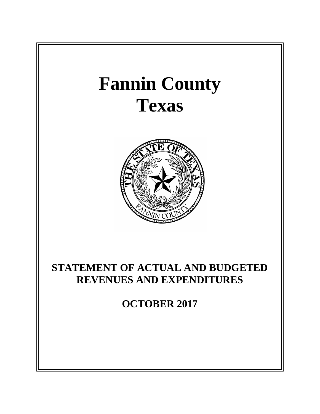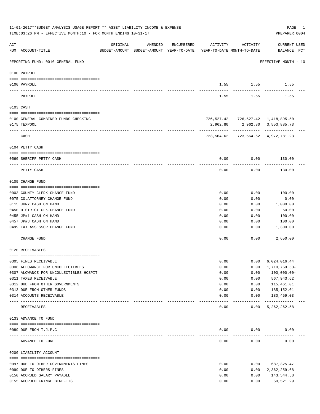|     | 11-01-2017**BUDGET ANALYSIS USAGE REPORT ** ASSET LIABILITY INCOME & EXPENSE<br>TIME: 03:26 PM - EFFECTIVE MONTH: 10 - FOR MONTH ENDING 10-31-17 |          |                                                     |            |                                        |                                               | PAGE<br>PREPARER: 0004             | 1 |
|-----|--------------------------------------------------------------------------------------------------------------------------------------------------|----------|-----------------------------------------------------|------------|----------------------------------------|-----------------------------------------------|------------------------------------|---|
| ACT | NUM ACCOUNT-TITLE                                                                                                                                | ORIGINAL | AMENDED<br>BUDGET-AMOUNT BUDGET-AMOUNT YEAR-TO-DATE | ENCUMBERED | ACTIVITY<br>YEAR-TO-DATE MONTH-TO-DATE | ACTIVITY                                      | <b>CURRENT USED</b><br>BALANCE PCT |   |
|     | REPORTING FUND: 0010 GENERAL FUND                                                                                                                |          |                                                     |            |                                        |                                               | EFFECTIVE MONTH - 10               |   |
|     | 0100 PAYROLL                                                                                                                                     |          |                                                     |            |                                        |                                               |                                    |   |
|     | 0100 PAYROLL                                                                                                                                     |          |                                                     |            |                                        | $1.55$ $1.55$                                 | 1.55                               |   |
|     | PAYROLL                                                                                                                                          |          |                                                     |            | 1.55                                   | 1.55                                          | 1.55                               |   |
|     | 0103 CASH                                                                                                                                        |          |                                                     |            |                                        |                                               |                                    |   |
|     |                                                                                                                                                  |          |                                                     |            |                                        |                                               |                                    |   |
|     | 0100 GENERAL-COMBINED FUNDS CHECKING<br>0175 TEXPOOL                                                                                             |          |                                                     |            | 2,962.80                               | 726, 527. 42- 726, 527. 42- 1, 418, 895. 50   | 2,962.80 3,553,885.73              |   |
|     |                                                                                                                                                  |          |                                                     |            |                                        |                                               |                                    |   |
|     | CASH                                                                                                                                             |          |                                                     |            |                                        | 723, 564. 62 - 723, 564. 62 - 4, 972, 781. 23 |                                    |   |
|     | 0104 PETTY CASH                                                                                                                                  |          |                                                     |            |                                        |                                               |                                    |   |
|     |                                                                                                                                                  |          |                                                     |            | 0.00                                   | 0.00                                          | 130.00                             |   |
|     | 0560 SHERIFF PETTY CASH                                                                                                                          |          |                                                     |            |                                        |                                               |                                    |   |
|     | PETTY CASH                                                                                                                                       |          |                                                     |            | 0.00                                   | 0.00                                          | 130.00                             |   |
|     | 0105 CHANGE FUND                                                                                                                                 |          |                                                     |            |                                        |                                               |                                    |   |
|     | 0003 COUNTY CLERK CHANGE FUND                                                                                                                    |          |                                                     |            | 0.00                                   | 0.00                                          | 100.00                             |   |
|     | 0075 CO. ATTORNEY CHANGE FUND                                                                                                                    |          |                                                     |            | 0.00                                   | 0.00                                          | 0.00                               |   |
|     | 0115 JURY CASH ON HAND                                                                                                                           |          |                                                     |            | 0.00                                   | 0.00                                          | 1,000.00                           |   |
|     | 0450 DISTRICT CLK. CHANGE FUND                                                                                                                   |          |                                                     |            | 0.00                                   | 0.00                                          | 50.00                              |   |
|     | 0455 JP#1 CASH ON HAND                                                                                                                           |          |                                                     |            | 0.00                                   | 0.00                                          | 100.00                             |   |
|     | 0457 JP#3 CASH ON HAND                                                                                                                           |          |                                                     |            | 0.00                                   | 0.00                                          | 100.00                             |   |
|     | 0499 TAX ASSESSOR CHANGE FUND                                                                                                                    |          |                                                     |            | 0.00                                   | 0.00                                          | 1,300.00                           |   |
|     | CHANGE FUND                                                                                                                                      |          |                                                     |            | 0.00                                   | 0.00                                          | 2,650.00                           |   |
|     | 0120 RECEIVABLES                                                                                                                                 |          |                                                     |            |                                        |                                               |                                    |   |
|     | 0305 FINES RECEIVABLE                                                                                                                            |          |                                                     |            | 0.00                                   | 0.00                                          | 6,024,016.44                       |   |
|     | 0306 ALLOWANCE FOR UNCOLLECTIBLES                                                                                                                |          |                                                     |            | 0.00                                   | 0.00                                          | 1,710,769.53-                      |   |
|     | 0307 ALOWANCE FOR UNCOLLECTIBLES HOSPIT                                                                                                          |          |                                                     |            | 0.00                                   | 0.00                                          | $100,000.00 -$                     |   |
|     | 0311 TAXES RECEIVABLE                                                                                                                            |          |                                                     |            | 0.00                                   | 0.00                                          | 567,943.62                         |   |
|     | 0312 DUE FROM OTHER GOVERNMENTS                                                                                                                  |          |                                                     |            | 0.00                                   | 0.00                                          | 115,461.01                         |   |
|     | 0313 DUE FROM OTHER FUNDS                                                                                                                        |          |                                                     |            | 0.00                                   | 0.00                                          | 185,152.01                         |   |
|     | 0314 ACCOUNTS RECEIVABLE                                                                                                                         |          |                                                     |            | 0.00                                   | 0.00<br>-----                                 | 180,459.03<br>-------------        |   |
|     | RECEIVABLES                                                                                                                                      |          |                                                     |            | 0.00                                   | 0.00                                          | 5, 262, 262.58                     |   |
|     | 0133 ADVANCE TO FUND                                                                                                                             |          |                                                     |            |                                        |                                               |                                    |   |
|     |                                                                                                                                                  |          |                                                     |            |                                        |                                               |                                    |   |
|     | 0089 DUE FROM T.J.P.C.                                                                                                                           |          |                                                     |            | 0.00                                   | 0.00                                          | 0.00                               |   |
|     | ADVANCE TO FUND                                                                                                                                  |          |                                                     |            | 0.00                                   | 0.00                                          | 0.00                               |   |
|     | 0200 LIABILITY ACCOUNT                                                                                                                           |          |                                                     |            |                                        |                                               |                                    |   |
|     | 0097 DUE TO OTHER GOVERNMENTS-FINES                                                                                                              |          |                                                     |            | 0.00                                   | 0.00                                          | 687, 325.47                        |   |
|     | 0099 DUE TO OTHERS-FINES                                                                                                                         |          |                                                     |            | 0.00                                   | 0.00                                          | 2,362,259.68                       |   |
|     | 0150 ACCRUED SALARY PAYABLE                                                                                                                      |          |                                                     |            | 0.00                                   | 0.00                                          | 143,544.58                         |   |
|     | 0155 ACCRUED FRINGE BENEFITS                                                                                                                     |          |                                                     |            | 0.00                                   | 0.00                                          | 60,521.29                          |   |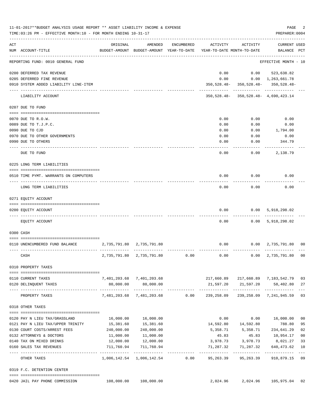|           | 11-01-2017**BUDGET ANALYSIS USAGE REPORT ** ASSET LIABILITY INCOME & EXPENSE<br>TIME: 03:26 PM - EFFECTIVE MONTH: 10 - FOR MONTH ENDING 10-31-17 |            |                                                                     |            |                                    |                                               | PAGE<br>PREPARER: 0004                    | 2                   |
|-----------|--------------------------------------------------------------------------------------------------------------------------------------------------|------------|---------------------------------------------------------------------|------------|------------------------------------|-----------------------------------------------|-------------------------------------------|---------------------|
| ACT       |                                                                                                                                                  | ORIGINAL   | AMENDED                                                             | ENCUMBERED | ACTIVITY                           | ACTIVITY                                      | <b>CURRENT USED</b>                       |                     |
|           | NUM ACCOUNT-TITLE                                                                                                                                |            | BUDGET-AMOUNT BUDGET-AMOUNT YEAR-TO-DATE YEAR-TO-DATE MONTH-TO-DATE |            |                                    |                                               | BALANCE PCT                               |                     |
|           | REPORTING FUND: 0010 GENERAL FUND                                                                                                                |            |                                                                     |            |                                    |                                               | EFFECTIVE MONTH - 10                      |                     |
|           | 0200 DEFERRED TAX REVENUE                                                                                                                        |            |                                                                     |            | 0.00                               |                                               | $0.00$ $523,638.82$                       |                     |
|           | 0205 DEFERRED FINE REVENUE                                                                                                                       |            |                                                                     |            | 0.00                               |                                               | $0.00 \quad 1,263,661.78$                 |                     |
|           | 0910 SYSTEM ADDED LIABILITY LINE-ITEM                                                                                                            |            |                                                                     |            |                                    | 350, 528. 48 - 350, 528. 48 - 350, 528. 48 -  |                                           |                     |
|           | LIABILITY ACCOUNT                                                                                                                                |            |                                                                     |            |                                    | 350, 528. 48 - 350, 528. 48 - 4, 690, 423. 14 | ----------------------------              |                     |
|           | 0207 DUE TO FUND                                                                                                                                 |            |                                                                     |            |                                    |                                               |                                           |                     |
|           | 0070 DUE TO R.O.W.                                                                                                                               |            |                                                                     |            | 0.00                               | 0.00                                          | 0.00                                      |                     |
|           | 0089 DUE TO T.J.P.C.                                                                                                                             |            |                                                                     |            | 0.00                               | 0.00                                          | 0.00                                      |                     |
|           | 0090 DUE TO CJD                                                                                                                                  |            |                                                                     |            | 0.00                               | 0.00                                          | 1,794.00                                  |                     |
|           | 0970 DUE TO OTHER GOVERNMENTS                                                                                                                    |            |                                                                     |            | 0.00                               | 0.00                                          | 0.00                                      |                     |
|           | 0990 DUE TO OTHERS                                                                                                                               |            |                                                                     |            | 0.00                               | 0.00                                          | 344.79                                    |                     |
|           |                                                                                                                                                  |            |                                                                     |            |                                    |                                               |                                           |                     |
|           | DUE TO FUND                                                                                                                                      |            |                                                                     |            | 0.00                               | 0.00                                          | 2,138.79                                  |                     |
|           | 0225 LONG TERM LIABILITIES                                                                                                                       |            |                                                                     |            |                                    |                                               |                                           |                     |
|           | 0510 TIME PYMT. WARRANTS ON COMPUTERS                                                                                                            |            |                                                                     |            | 0.00                               | 0.00                                          | 0.00                                      |                     |
|           | LONG TERM LIABILITIES                                                                                                                            |            |                                                                     |            | 0.00                               | 0.00                                          | 0.00                                      |                     |
|           | 0271 EQUITY ACCOUNT                                                                                                                              |            |                                                                     |            |                                    |                                               |                                           |                     |
|           |                                                                                                                                                  |            |                                                                     |            |                                    |                                               |                                           |                     |
|           | 0200 EQUITY ACCOUNT                                                                                                                              |            |                                                                     |            | 0.00                               | 0.00                                          | 5,918,298.02                              |                     |
|           | EQUITY ACCOUNT                                                                                                                                   |            |                                                                     |            | 0.00                               | 0.00                                          | 5,918,298.02                              |                     |
| 0300 CASH |                                                                                                                                                  |            |                                                                     |            |                                    |                                               |                                           |                     |
|           |                                                                                                                                                  |            |                                                                     |            |                                    |                                               |                                           |                     |
|           | 0110 UNENCUMBERED FUND BALANCE                                                                                                                   |            | 2,735,791.80 2,735,791.80                                           |            | 0.00                               | 0.00                                          | 2,735,791.80                              | 00                  |
|           | CASH                                                                                                                                             |            | 2,735,791.80 2,735,791.80                                           | 0.00       | 0.00                               |                                               | $0.00 \quad 2,735,791.80$                 | 0 <sup>0</sup>      |
|           | 0310 PROPERTY TAXES                                                                                                                              |            |                                                                     |            |                                    |                                               |                                           |                     |
|           | 0110 CURRENT TAXES                                                                                                                               |            | 7,401,203.68 7,401,203.68                                           |            | 217,660.89                         |                                               | 217,660.89 7,183,542.79                   | 03                  |
|           | 0120 DELINQUENT TAXES                                                                                                                            | 80,000.00  | 80,000.00                                                           |            |                                    | 21,597.20 21,597.20                           | 58,402.80                                 | 27                  |
|           | PROPERTY TAXES                                                                                                                                   |            | -------------<br>7,481,203.68 7,481,203.68                          |            | ---------------<br>0.00 239,258.09 | ------------                                  | --------------<br>239,258.09 7,241,945.59 | $\frac{1}{2}$<br>03 |
|           | 0318 OTHER TAXES                                                                                                                                 |            |                                                                     |            |                                    |                                               |                                           |                     |
|           |                                                                                                                                                  |            |                                                                     |            |                                    |                                               |                                           |                     |
|           | 0120 PAY N LIEU TAX/GRASSLAND                                                                                                                    | 16,000.00  | 16,000.00                                                           |            | 0.00                               | 0.00                                          | 16,000.00                                 | 00                  |
|           | 0121 PAY N LIEU TAX/UPPER TRINITY                                                                                                                | 15,381.60  | 15,381.60                                                           |            | 14,592.80                          | 14,592.80                                     | 788.80                                    | 95                  |
|           | 0130 COURT COSTS/ARREST FEES                                                                                                                     | 240,000.00 | 240,000.00                                                          |            | 5,358.71                           | 5,358.71                                      | 234,641.29                                | 02                  |
|           | 0132 ATTORNEYS & DOCTORS                                                                                                                         | 11,000.00  | 11,000.00                                                           |            | 45.83                              | 45.83                                         | 10,954.17                                 | 00                  |
|           | 0140 TAX ON MIXED DRINKS                                                                                                                         | 12,000.00  | 12,000.00                                                           |            |                                    | 3,978.73 3,978.73 8,021.27                    |                                           | 33                  |
|           | 0160 SALES TAX REVENUES                                                                                                                          | 711,760.94 | 711,760.94                                                          |            | 71,287.32                          | 71,287.32                                     | 640,473.62                                | 10                  |
|           | OTHER TAXES                                                                                                                                      |            | 1,006,142.54 1,006,142.54                                           | 0.00       | 95,263.39                          | 95,263.39                                     | 910,879.15                                | 09                  |
|           | 0319 F.C. DETENTION CENTER                                                                                                                       |            |                                                                     |            |                                    |                                               |                                           |                     |
|           | 0420 JAIL PAY PHONE COMMISSION                                                                                                                   | 108,000.00 | 108,000.00                                                          |            | 2,024.96                           | 2,024.96                                      | 105,975.04                                | 02                  |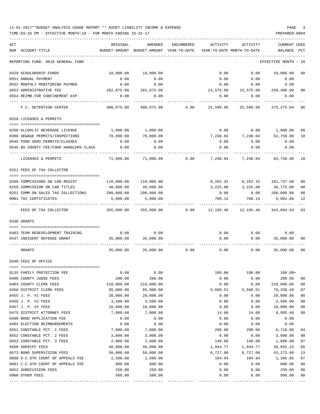TIME:03:26 PM - EFFECTIVE MONTH:10 - FOR MONTH ENDING 10-31-17

| ACT |                                         | ORIGINAL              |                                                                                |            | ACTIVITY  | ACTIVITY                     |                             |                |
|-----|-----------------------------------------|-----------------------|--------------------------------------------------------------------------------|------------|-----------|------------------------------|-----------------------------|----------------|
|     | NUM ACCOUNT-TITLE                       |                       | AMENDED<br>BUDGET-AMOUNT BUDGET-AMOUNT YEAR-TO-DATE YEAR-TO-DATE MONTH-TO-DATE | ENCUMBERED |           |                              | CURRENT USED<br>BALANCE PCT |                |
|     | REPORTING FUND: 0010 GENERAL FUND       |                       |                                                                                |            |           |                              | EFFECTIVE MONTH - 10        |                |
|     | 0429 SCHOLARSHIP FUNDS                  | 10,000.00             | 10,000.00                                                                      |            | 0.00      |                              | 0.00 10,000.00              | 0 <sup>0</sup> |
|     | 0551 ANNUAL PAYMENT                     | 0.00                  | 0.00                                                                           |            | 0.00      | 0.00                         | 0.00                        |                |
|     | 0552 MONTHLY MONITORING PAYMEN          | 0.00                  | 0.00                                                                           |            | 0.00      | 0.00                         | 0.00                        |                |
|     | 0553 ADMINISTRATIVE FEE                 | 282,875.00            | 282,875.00                                                                     |            | 23,575.00 | 23,575.00                    | 259,300.00                  | 08             |
|     | 0554 REIMB.FOR CONFINEMENT EXP.         | 0.00                  | 0.00                                                                           |            | 0.00      | 0.00                         | 0.00                        |                |
|     | F.C. DETENTION CENTER                   |                       | 400,875.00 400,875.00                                                          | 0.00       | 25,599.96 | 25,599.96                    | 375,275.04                  | 06             |
|     | 0320 LICENSES & PERMITS                 |                       |                                                                                |            |           |                              |                             |                |
|     | 0200 ALCOHLIC BEVERAGE LICENSE          | 1,000.00              | 1,000.00                                                                       |            | 0.00      | 0.00                         | 1,000.00                    | 00             |
|     | 0300 SEWAGE PERMITS/INSPECTIONS         | 70,000.00             | 70,000.00                                                                      |            |           | 7,240.04 7,240.04 62,759.96  |                             | 10             |
|     | 0545 FOOD SERV. PERMITS/CLASSES         | 0.00                  | 0.00                                                                           |            | 0.00      | 0.00                         | 0.00                        |                |
|     | 0546 \$5 COUNTY FEE/FOOD HANDLERS CLASS | 0.00                  | 0.00                                                                           |            | 0.00      | 0.00                         | 0.00                        |                |
|     | LICENSES & PERMITS                      | 71,000.00             | 71,000.00                                                                      | 0.00       | 7,240.04  | 7,240.04                     | 63,759.96 10                |                |
|     | 0321 FEES OF TAX COLLECTOR              |                       |                                                                                |            |           |                              |                             |                |
|     | 0200 COMMISSIONS ON CAR REGIST          | 110,000.00 110,000.00 |                                                                                |            |           | 8,262.32 8,262.32 101,737.68 |                             | 08             |
|     | 0250 COMMISSION ON CAR TITLES           | 40,000.00             | 40,000.00                                                                      |            | 3,225.00  | 3,225.00                     | 36,775.00                   | 08             |
|     | 0251 COMM.ON SALES TAX COLLECTIONS      | 200,000.00            | 200,000.00                                                                     |            | 0.00      | 0.00                         | 200,000.00                  | 0 <sub>0</sub> |
|     | 0901 TAX CERTIFICATES                   | 5,800.00              | 5,800.00                                                                       |            | 708.14    | 708.14                       | 5,091.86                    | 12             |
|     | FEES OF TAX COLLECTOR                   | 355,800.00            | 355,800.00                                                                     | 0.00       |           | 12, 195. 46   12, 195. 46    | 343,604.54                  | 03             |
|     | 0330 GRANTS                             |                       |                                                                                |            |           |                              |                             |                |
|     |                                         |                       |                                                                                |            |           |                              |                             |                |
|     | 0403 TEAM REDEVELOPMENT TRAINING        |                       | $0.00$ 0.00                                                                    |            |           | $0.00$ 0.00                  | 0.00                        |                |
|     | 0437 INDIGENT DEFENSE GRANT             | 35,000.00             | 35,000.00                                                                      |            | 0.00      | 0.00                         | 35,000.00                   | 00             |
|     |                                         |                       |                                                                                |            |           |                              |                             |                |
|     | GRANTS                                  | 35,000.00             | 35,000.00                                                                      | 0.00       | 0.00      | 0.00                         | 35,000.00                   | 0 <sub>0</sub> |
|     | 0340 FEES OF OFFICE                     |                       |                                                                                |            |           |                              |                             |                |
|     | 0135 FAMILY PROTECTION FEE              | 0.00                  | 0.00                                                                           |            | 180.00    | 180.00                       | 180.00+                     |                |
|     | 0400 COUNTY JUDGE FEES                  | 200.00                | 200.00                                                                         |            | 0.00      | 0.00                         | 200.00                      | 00             |
|     | 0403 COUNTY CLERK FEES                  | 210,000.00            | 210,000.00                                                                     |            | 0.00      | 0.00                         | 210,000.00                  | 0 <sub>0</sub> |
|     | 0450 DISTRICT CLERK FEES                | 85,000.00             | 85,000.00                                                                      |            | 5,660.51  | 5,660.51                     | 79,339.49                   | 07             |
|     | 0455 J. P. #1 FEES                      | 20,000.00             | 20,000.00                                                                      |            | 0.00      | 0.00                         | 20,000.00                   | 00             |
|     | 0456 J. P. #2 FEES                      | 3,500.00              | 3,500.00                                                                       |            | 0.00      | 0.00                         | 3,500.00                    | 00             |
|     | 0457 J. P. #3 FEES                      | 10,000.00             | 10,000.00                                                                      |            | 0.00      | 0.00                         | 10,000.00                   | 00             |
|     | 0475 DISTRICT ATTORNEY FEES             | 7,000.00              | 7,000.00                                                                       |            | 14.60     | 14.60                        | 6,985.40                    | 0 <sub>0</sub> |
|     | 0480 BOND APPLICATION FEE               | 0.00                  | 0.00                                                                           |            | 0.00      | 0.00                         | 0.00                        |                |
|     | 0484 ELECTION REIMBURSEMENTS            | 0.00                  | 0.00                                                                           |            | 0.00      | 0.00                         | 0.00                        |                |
|     | 0551 CONSTABLE PCT. 1 FEES              | 7,000.00              | 7,000.00                                                                       |            | 290.00    | 290.00                       | 6,710.00                    | 04             |
|     | 0552 CONSTABLE PCT. 2 FEES              | 3,000.00              | 3,000.00                                                                       |            | 0.00      | 0.00                         | 3,000.00                    | 00             |
|     | 0553 CONSTABLE PCT. 3 FEES              | 2,000.00              | 2,000.00                                                                       |            | 140.00    | 140.00                       | 1,860.00                    | 07             |
|     | 0560 SHERIFF FEES                       | 40,000.00             | 40,000.00                                                                      |            | 1,944.77  | 1,944.77                     | 38,055.23                   | 05             |
|     | 0573 BOND SUPERVISION FEES              | 50,000.00             | 50,000.00                                                                      |            | 6,727.00  | 6,727.00                     | 43,273.00                   | 13             |
|     | 0600 D.C.6TH COURT OF APPEALS FEE       | 1,500.00              | 1,500.00                                                                       |            | 104.94    | 104.94                       | 1,395.06                    | 07             |
|     | 0601 C.C.6TH COURT OF APPEALS FEE       | 800.00                | 800.00                                                                         |            | 0.00      | 0.00                         | 800.00                      | 00             |
|     | 0652 SUBDIVISION FEES                   | 250.00                | 250.00                                                                         |            | 0.00      | 0.00                         | 250.00                      | 0 <sub>0</sub> |

0900 OTHER FEES 500.00 500.00 0.00 0.00 500.00 00 ---- ---------------------------------- ------------- ------------- ------------ ------------- ------------ ------------- ---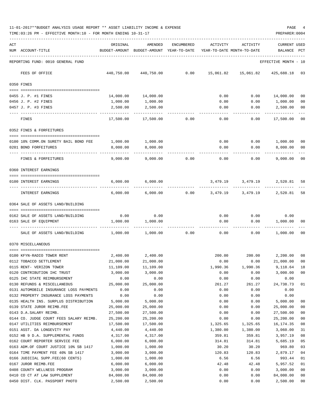|     | TIME: 03:26 PM - EFFECTIVE MONTH: 10 - FOR MONTH ENDING 10-31-17 |                       |                                                     |            |                                        |                | PREPARER: 0004                     |                      |
|-----|------------------------------------------------------------------|-----------------------|-----------------------------------------------------|------------|----------------------------------------|----------------|------------------------------------|----------------------|
| ACT | NUM ACCOUNT-TITLE                                                | ORIGINAL              | AMENDED<br>BUDGET-AMOUNT BUDGET-AMOUNT YEAR-TO-DATE | ENCUMBERED | ACTIVITY<br>YEAR-TO-DATE MONTH-TO-DATE | ACTIVITY       | <b>CURRENT USED</b><br>BALANCE PCT |                      |
|     | REPORTING FUND: 0010 GENERAL FUND                                |                       |                                                     |            |                                        |                | EFFECTIVE MONTH - 10               |                      |
|     | FEES OF OFFICE                                                   | 440,750.00            | 440,750.00                                          | 0.00       | 15,061.82                              | 15,061.82      | 425,688.18 03                      |                      |
|     | 0350 FINES                                                       |                       |                                                     |            |                                        |                |                                    |                      |
|     | 0455 J. P. #1 FINES                                              | 14,000.00             | 14,000.00                                           |            | 0.00                                   |                | $0.00$ 14,000.00                   | 00                   |
|     | 0456 J. P. #2 FINES                                              | 1,000.00              | 1,000.00                                            |            | 0.00                                   | 0.00           | 1,000.00                           | 00                   |
|     | 0457 J. P. #3 FINES                                              | 2,500.00              | 2,500.00                                            |            | 0.00                                   | 0.00           | 2,500.00                           | 00                   |
|     | FINES                                                            | 17,500.00             | 17,500.00                                           | 0.00       | 0.00                                   | 0.00           | 17,500.00                          | 00                   |
|     | 0352 FINES & FORFEITURES                                         |                       |                                                     |            |                                        |                |                                    |                      |
|     | 0100 10% COMM.ON SURETY BAIL BOND FEE                            | 1,000.00              | 1,000.00                                            |            | 0.00                                   | 0.00           | 1,000.00                           | 00                   |
|     | 0201 BOND FORFEITURES                                            | 8,000.00              | 8,000.00                                            |            | 0.00                                   | 0.00           | 8,000.00                           | 00                   |
|     | FINES & FORFEITURES                                              | 9,000.00              | 9,000.00                                            | 0.00       | 0.00                                   | 0.00           | 9,000.00                           | 00                   |
|     | 0360 INTEREST EARNINGS                                           |                       |                                                     |            |                                        |                |                                    |                      |
|     | 0100 INTEREST EARNINGS                                           | 6,000.00              | 6,000.00                                            |            | 3,479.19                               | 3,479.19       | 2,520.81                           | 58                   |
|     | INTEREST EARNINGS                                                | 6,000.00              | 6,000.00                                            |            | $0.00$ 3,479.19                        | 3,479.19       | 2,520.81                           | 58                   |
|     | 0364 SALE OF ASSETS LAND/BUILDING                                |                       |                                                     |            |                                        |                |                                    |                      |
|     | 0162 SALE OF ASSETS LAND/BUILDING                                | 0.00                  | 0.00                                                |            | 0.00                                   | 0.00           | 0.00                               |                      |
|     | 0163 SALE OF EQUIPMENT                                           | 1,000.00              | 1,000.00                                            |            | 0.00                                   | 0.00           | 1,000.00                           | 00                   |
|     | SALE OF ASSETS LAND/BUILDING                                     | 1,000.00              | 1,000.00                                            | 0.00       | 0.00                                   | 0.00           | 1,000.00                           | 00                   |
|     | 0370 MISCELLANEOUS                                               |                       |                                                     |            |                                        |                |                                    |                      |
|     |                                                                  |                       |                                                     |            |                                        |                |                                    |                      |
|     | 0100 KFYN-RADIO TOWER RENT<br>0112 TOBACCO SETTLEMENT            | 2,400.00<br>21,000.00 | 2,400.00<br>21,000.00                               |            | 200.00<br>0.00                         | 200.00<br>0.00 | 2,200.00<br>21,000.00              | 08<br>0 <sub>0</sub> |
|     | 0115 RENT- VERIZON TOWER                                         | 11,109.00             | 11,109.00                                           |            | 1,990.36                               | 1,990.36       | 9,118.64                           | 18                   |
|     | 0120 CONTRIBUTION IHC TRUST                                      | 3,000.00              | 3,000.00                                            |            | 0.00                                   | 0.00           | 3,000.00                           | $00\,$               |
|     | 0125 IHC STATE REIMBURSEMENT                                     | 0.00                  | 0.00                                                |            | 0.00                                   | 0.00           | 0.00                               |                      |
|     | 0130 REFUNDS & MISCELLANEOUS                                     | 25,000.00             | 25,000.00                                           |            | 261.27                                 | 261.27         | 24,738.73                          | 01                   |
|     | 0131 AUTOMOBILE INSURANCE LOSS PAYMENTS                          | 0.00                  | 0.00                                                |            | 0.00                                   | 0.00           | 0.00                               |                      |
|     | 0132 PROPERTY INSURANCE LOSS PAYMENTS                            | 0.00                  | 0.00                                                |            | 0.00                                   | 0.00           | 0.00                               |                      |
|     | 0135 HEALTH INS. SURPLUS DISTRIBUTION                            | 5,000.00              | 5,000.00                                            |            | 0.00                                   | 0.00           | 5,000.00                           | $00\,$               |
|     | 0139 STATE JUROR REIMB.FEE                                       | 25,000.00             | 25,000.00                                           |            | 0.00                                   | 0.00           | 25,000.00                          | $00\,$               |
|     | 0143 D.A.SALARY REIMB.                                           | 27,500.00             | 27,500.00                                           |            | 0.00                                   | 0.00           | 27,500.00                          | $00\,$               |
|     | 0144 CO. JUDGE COURT FEES SALARY REIMB.                          | 25,200.00             | 25,200.00                                           |            | 0.00                                   | 0.00           | 25,200.00                          | $00\,$               |
|     | 0147 UTILITIES REIMBURSEMENT                                     | 17,500.00             | 17,500.00                                           |            | 1,325.65                               | 1,325.65       | 16, 174. 35                        | 08                   |
|     | 0151 ASST. DA LONGEVITY PAY                                      | 4,440.00              | 4,440.00                                            |            | 1,380.00                               | 1,380.00       | 3,060.00                           | 31                   |
|     | 0152 HB 9 D.A. SUPPLEMENTAL FUNDS                                | 4,317.00              | 4,317.00                                            |            | 359.81                                 | 359.81         | 3,957.19                           | 08                   |
|     | 0162 COURT REPORTER SERVICE FEE                                  | 6,000.00              | 6,000.00                                            |            | 314.81                                 | 314.81         | 5,685.19                           | 05                   |
|     | 0163 ADM.OF COURT JUSTICE 10% SB 1417                            | 1,000.00              | 1,000.00                                            |            | 30.20                                  | 30.20          | 969.80                             | 03                   |
|     | 0164 TIME PAYMENT FEE 40% SB 1417                                | 3,000.00              | 3,000.00                                            |            | 120.83                                 | 120.83         | 2,879.17                           | 04                   |
|     | 0166 JUDICIAL SUPP.FEE(60 CENTS)                                 | 1,000.00              | 1,000.00                                            |            | 6.56                                   | 6.56           | 993.44                             | 01                   |
|     | 0167 JUROR REIMB.FEE<br>0408 COUNTY WELLNESS PROGRAM             | 6,000.00<br>3,000.00  | 6,000.00<br>3,000.00                                |            | 42.48<br>0.00                          | 42.48<br>0.00  | 5,957.52<br>3,000.00               | 01<br>$00\,$         |
|     |                                                                  |                       |                                                     |            |                                        |                |                                    | 00                   |
|     | 0410 CO CT AT LAW SUPPLEMENT                                     | 84,000.00             | 84,000.00                                           |            | 0.00                                   | 0.00           | 84,000.00                          |                      |

0450 DIST. CLK. PASSPORT PHOTO 2,500.00 2,500.00 0.00 0.00 2,500.00 00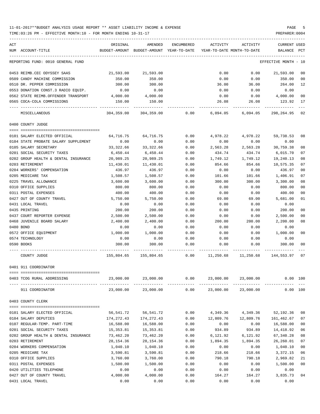| ACT<br>NUM ACCOUNT-TITLE             | ORIGINAL   | AMENDED<br>BUDGET-AMOUNT BUDGET-AMOUNT YEAR-TO-DATE YEAR-TO-DATE MONTH-TO-DATE | ENCUMBERED | ACTIVITY                   | ACTIVITY                     | CURRENT USED<br>BALANCE PCT |                |
|--------------------------------------|------------|--------------------------------------------------------------------------------|------------|----------------------------|------------------------------|-----------------------------|----------------|
| REPORTING FUND: 0010 GENERAL FUND    |            |                                                                                |            |                            |                              | EFFECTIVE MONTH - 10        |                |
| 0453 REIMB.CEC ODYSSEY SAAS          | 21,593.00  | 21,593.00                                                                      |            | 0.00                       | 0.00                         | 21,593.00                   | 0 <sub>0</sub> |
| 0509 CANDY MACHINE COMMISSION        | 350.00     | 350.00                                                                         |            | 0.00                       | 0.00                         | 350.00                      | 00             |
| 0510 DR. PEPPER COMMISSION           | 300.00     | 300.00                                                                         |            | 36.00                      | 36.00                        | 264.00                      | 12             |
| 0553 DONATION CONST.3 RADIO EQUIP.   | 0.00       | 0.00                                                                           |            | 0.00                       | 0.00                         | 0.00                        |                |
| 0562 STATE REIMB.OFFENDER TRANSPORT  | 4,000.00   | 4,000.00                                                                       |            | 0.00                       | 0.00                         | 4,000.00                    | 0 <sub>0</sub> |
| 0565 COCA-COLA COMMISSIONS           | 150.00     | 150.00                                                                         |            | 26.08                      | 26.08                        | 123.92                      | 17             |
| MISCELLANEOUS                        |            | 304,359.00 304,359.00 0.00                                                     |            |                            | 6,094.05 6,094.05 298,264.95 |                             | 02             |
| 0400 COUNTY JUDGE                    |            |                                                                                |            |                            |                              |                             |                |
| 0101 SALARY ELECTED OFFICIAL         | 64,716.75  | 64,716.75                                                                      | 0.00       | 4,978.22                   | 4,978.22                     | 59,738.53                   | 08             |
| 0104 STATE PROBATE SALARY SUPPLEMENT | 0.00       | 0.00                                                                           | 0.00       | 0.00                       | 0.00                         | 0.00                        |                |
| 0105 SALARY SECRETARY                | 33,322.66  | 33,322.66                                                                      | 0.00       | 2,563.28                   | 2,563.28                     | 30,759.38                   | 08             |
| 0201 SOCIAL SECURITY TAXES           | 6,450.44   | 6,450.44                                                                       | 0.00       | 434.74                     | 434.74                       | 6,015.70                    | 07             |
| 0202 GROUP HEALTH & DENTAL INSURANCE | 20,989.25  | 20,989.25                                                                      | 0.00       | 1,749.12                   | 1,749.12                     | 19,240.13                   | 08             |
| 0203 RETIREMENT                      | 11,430.01  | 11,430.01                                                                      | 0.00       | 854.66                     | 854.66                       | 10,575.35                   | 07             |
| 0204 WORKERS' COMPENSATION           | 436.97     | 436.97                                                                         | 0.00       | 0.00                       | 0.00                         | 436.97                      | 0 <sub>0</sub> |
| 0205 MEDICARE TAX                    | 1,508.57   | 1,508.57                                                                       | 0.00       | 101.66                     | 101.66                       | 1,406.91                    | 07             |
| 0225 TRAVEL ALLOWANCE                | 3,600.00   | 3,600.00                                                                       | 0.00       | 300.00                     | 300.00                       | 3,300.00                    | 08             |
| 0310 OFFICE SUPPLIES                 | 800.00     | 800.00                                                                         | 0.00       | 0.00                       | 0.00                         | 800.00                      | 0 <sub>0</sub> |
| 0311 POSTAL EXPENSES                 | 400.00     | 400.00                                                                         | 0.00       | 0.00                       | 0.00                         | 400.00                      | 0 <sub>0</sub> |
| 0427 OUT OF COUNTY TRAVEL            | 5,750.00   | 5,750.00                                                                       | 0.00       | 69.00                      | 69.00                        | 5,681.00                    | 01             |
| 0431 LOCAL TRAVEL                    | 0.00       | 0.00                                                                           | 0.00       | 0.00                       | 0.00                         | 0.00                        |                |
| 0435 PRINTING                        | 200.00     | 200.00                                                                         | 0.00       | 0.00                       | 0.00                         | 200.00                      | 0 <sub>0</sub> |
| 0437 COURT REPORTER EXPENSE          | 2,500.00   | 2,500.00                                                                       | 0.00       | 0.00                       | 0.00                         | 2,500.00                    | 0 <sub>0</sub> |
| 0468 JUVENILE BOARD SALARY           | 2,400.00   | 2,400.00                                                                       | 0.00       | 200.00                     | 200.00                       | 2,200.00                    | 08             |
| 0480 BOND                            | 0.00       | 0.00                                                                           | 0.00       | 0.00                       | 0.00                         | 0.00                        |                |
| 0572 OFFICE EQUIPMENT                | 1,000.00   | 1,000.00                                                                       | 0.00       | 0.00                       | 0.00                         | 1,000.00                    | 0 <sub>0</sub> |
| 0574 TECHNOLOGY                      | 0.00       | 0.00                                                                           | 0.00       | 0.00                       | 0.00                         | 0.00                        |                |
| 0590 BOOKS                           | 300.00     | 300.00                                                                         | 0.00       | 0.00                       | 0.00                         | 300.00                      | 0 <sub>0</sub> |
| COUNTY JUDGE                         |            | 155,804.65 155,804.65 0.00 11,250.68 11,250.68 144,553.97                      |            |                            |                              |                             | 07             |
| 0401 911 COORDINATOR                 |            |                                                                                |            |                            |                              |                             |                |
| 0403 TCOG RURAL ADDRESSING           |            | 23,000.00 23,000.00                                                            |            | $0.00$ 23,000.00 23,000.00 |                              | $0.00$ 100                  |                |
| 911 COORDINATOR                      |            | 23,000.00 23,000.00                                                            | 0.00       |                            | 23,000.00 23,000.00          | 0.00 100                    |                |
| 0403 COUNTY CLERK                    |            |                                                                                |            |                            |                              |                             |                |
| 0101 SALARY ELECTED OFFICIAL         |            | 56, 541. 72 56, 541. 72                                                        | 0.00       | 4,349.36                   | 4,349.36                     |                             |                |
| 0104 SALARY DEPUTIES                 | 174,272.43 |                                                                                | 0.00       |                            |                              | 52,192.36<br>161,462.67     | 08<br>07       |
| 0107 REGULAR-TEMP. PART-TIME         | 16,588.00  | 174,272.43<br>16,588.00                                                        | 0.00       | 0.00                       | 0.00                         | 16,588.00                   | 0 <sub>0</sub> |
| 0201 SOCIAL SECURITY TAXES           | 15,353.81  | 15,353.81                                                                      | 0.00       | 934.89                     | 934.89                       | 14,418.92                   | 06             |
| 0202 GROUP HEALTH & DENTAL INSURANCE | 73,462.20  | 73,462.20                                                                      | 0.00       |                            | 6,121.92 6,121.92            | 67,340.28                   | 08             |
| 0203 RETIREMENT                      | 28,154.36  | 28,154.36                                                                      | 0.00       | 1,894.35                   | 1,894.35                     | 26,260.01                   | 07             |
| 0204 WORKERS COMPENSATION            | 1,040.10   | 1,040.10                                                                       | 0.00       | 0.00                       | 0.00                         | 1,040.10                    | 0 <sub>0</sub> |
| 0205 MEDICARE TAX                    | 3,590.81   | 3,590.81                                                                       | 0.00       | 218.66                     | 218.66                       | 3,372.15                    | 06             |
| 0310 OFFICE SUPPLIES                 | 3,760.00   | 3,760.00                                                                       | 0.00       | 790.18                     | 790.18                       | 2,969.82                    | 21             |
| 0311 POSTAL EXPENSES                 | 1,500.00   | 1,500.00                                                                       | 0.00       | 0.00                       | 0.00                         | 1,500.00                    | 0 <sub>0</sub> |
| 0420 UTILITIES TELEPHONE             | 0.00       | 0.00                                                                           | 0.00       | 0.00                       | 0.00                         | 0.00                        |                |
| 0427 OUT OF COUNTY TRAVEL            | 4,000.00   | 4,000.00                                                                       | 0.00       | 164.27                     | 164.27                       | 3,835.73                    | 0 <sub>4</sub> |
| 0431 LOCAL TRAVEL                    | 0.00       | 0.00                                                                           | 0.00       | 0.00                       | 0.00                         | 0.00                        |                |
|                                      |            |                                                                                |            |                            |                              |                             |                |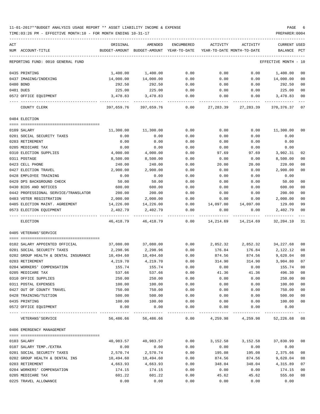TIME:03:26 PM - EFFECTIVE MONTH:10 - FOR MONTH ENDING 10-31-17 PREPARER:0004

| ACT | NUM ACCOUNT-TITLE                        | ORIGINAL  | AMENDED               | <b>ENCUMBERED</b> | ACTIVITY<br>BUDGET-AMOUNT BUDGET-AMOUNT YEAR-TO-DATE YEAR-TO-DATE MONTH-TO-DATE | ACTIVITY              | <b>CURRENT USED</b><br>BALANCE PCT |                |
|-----|------------------------------------------|-----------|-----------------------|-------------------|---------------------------------------------------------------------------------|-----------------------|------------------------------------|----------------|
|     | REPORTING FUND: 0010 GENERAL FUND        |           |                       |                   |                                                                                 |                       | EFFECTIVE MONTH - 10               |                |
|     |                                          |           |                       |                   |                                                                                 |                       |                                    |                |
|     | 0435 PRINTING                            | 1,400.00  | 1,400.00              | 0.00              | 0.00                                                                            | 0.00                  | 1,400.00                           | 0 <sub>0</sub> |
|     | 0437 IMAGING/INDEXING                    | 14,000.00 | 14,000.00             | 0.00              | 0.00                                                                            | 0.00                  | 14,000.00                          | 00             |
|     | 0480 BOND                                | 292.50    | 292.50                | 0.00              | 0.00                                                                            | 0.00                  | 292.50                             | 00             |
|     | 0481 DUES                                | 225.00    | 225.00                | 0.00              | 0.00                                                                            | 0.00                  | 225.00                             | 0 <sub>0</sub> |
|     | 0572 OFFICE EQUIPMENT                    | 3,478.83  | 3,478.83              | 0.00              | 0.00                                                                            | 0.00                  | 3,478.83                           | 0 <sub>0</sub> |
|     | COUNTY CLERK                             |           | 397,659.76 397,659.76 | 0.00              | 27,283.39                                                                       | 27,283.39             | 370,376.37                         | 07             |
|     | 0404 ELECTION                            |           |                       |                   |                                                                                 |                       |                                    |                |
|     | 0109 SALARY                              | 11,300.00 | 11,300.00             | 0.00              | 0.00                                                                            | 0.00                  | 11,300.00                          | 00             |
|     | 0201 SOCIAL SECURITY TAXES               | 0.00      | 0.00                  | 0.00              | 0.00                                                                            | 0.00                  | 0.00                               |                |
|     | 0203 RETIREMENT                          | 0.00      | 0.00                  | 0.00              | 0.00                                                                            | 0.00                  | 0.00                               |                |
|     | 0205 MEDICARE TAX                        | 0.00      | 0.00                  | 0.00              | 0.00                                                                            | 0.00                  | 0.00                               |                |
|     | 0310 ELECTION SUPPLIES                   | 4,000.00  | 4,000.00              | 0.00              | 97.69                                                                           | 97.69                 | 3,902.31                           | 02             |
|     | 0311 POSTAGE                             | 8,500.00  | 8,500.00              | 0.00              | 0.00                                                                            | 0.00                  | 8,500.00                           | 0 <sub>0</sub> |
|     | 0423 CELL PHONE                          | 240.00    | 240.00                | 0.00              | 20.00                                                                           | 20.00                 | 220.00                             | 08             |
|     | 0427 ELECTION TRAVEL                     | 2,900.00  | 2,900.00              | 0.00              | 0.00                                                                            | 0.00                  | 2,900.00                           | 0 <sub>0</sub> |
|     | 0428 EMPLOYEE TRAINING                   | 0.00      | 0.00                  | 0.00              | 0.00                                                                            | 0.00                  | 0.00                               |                |
|     | 0429 DPS BACKGROUND CHECK                | 50.00     | 50.00                 | 0.00              | 0.00                                                                            | 0.00                  | 50.00                              | 0 <sub>0</sub> |
|     | 0430 BIDS AND NOTICES                    | 600.00    | 600.00                | 0.00              | 0.00                                                                            | 0.00                  | 600.00                             | 0 <sub>0</sub> |
|     | 0442 PROFESSIONAL SERVICE/TRANSLATOR     | 200.00    | 200.00                | 0.00              | 0.00                                                                            | 0.00                  | 200.00                             | 0 <sub>0</sub> |
|     | 0483 VOTER REGISTRATION                  | 2,000.00  | 2,000.00              | 0.00              | 0.00                                                                            | 0.00                  | 2,000.00                           | 0 <sub>0</sub> |
|     | 0485 ELECTION MAINT. AGREEMENT           | 14,226.00 | 14,226.00             | 0.00              | 14,097.00                                                                       | 14,097.00             | 129.00                             | 99             |
|     | 0573 ELECTION EQUIPMENT                  | 2,402.79  | 2,402.79              | 0.00              | 0.00                                                                            | 0.00                  | 2,402.79                           | 0 <sub>0</sub> |
|     | ELECTION                                 | 46,418.79 | 46,418.79             | 0.00              |                                                                                 | 14, 214.69 14, 214.69 | 32,204.10                          | 31             |
|     | 0405 VETERANS' SERVICE                   |           |                       |                   |                                                                                 |                       |                                    |                |
|     | 0102 SALARY APPOINTED OFFICIAL           | 37,080.00 | 37,080.00             | 0.00              | 2,852.32                                                                        | 2,852.32              | 34,227.68                          | 08             |
|     | 0201 SOCIAL SECURITY TAXES               | 2,298.96  | 2,298.96              | 0.00              | 176.84                                                                          | 176.84                | 2,122.12                           | 08             |
|     | 0202 GROUP HEALTH & DENTAL INSURANCE     | 10,494.60 | 10,494.60             | 0.00              | 874.56                                                                          | 874.56                | 9,620.04                           | 08             |
|     | 0203 RETIREMENT                          | 4,219.70  | 4,219.70              | 0.00              | 314.90                                                                          | 314.90                | 3,904.80                           | 07             |
|     | 0204 WORKERS' COMPENSATION               | 155.74    | 155.74                | 0.00              | 0.00                                                                            | 0.00                  | 155.74                             | 00             |
|     | 0205 MEDICARE TAX                        | 537.66    | 537.66                | 0.00              | 41.36                                                                           | 41.36                 | 496.30                             | 08             |
|     | 0310 OFFICE SUPPLIES                     | 250.00    | 250.00                | 0.00              | 0.00                                                                            | 0.00                  | 250.00                             | 0 <sub>0</sub> |
|     | 0311 POSTAL EXPENSES                     | 100.00    | 100.00                | 0.00              | 0.00                                                                            | 0.00                  | 100.00                             | 0 <sub>0</sub> |
|     | 0427 OUT OF COUNTY TRAVEL                | 750.00    | 750.00                | 0.00              | 0.00                                                                            | 0.00                  | 750.00                             | 0 <sub>0</sub> |
|     | 0428 TRAINING/TUITION                    | 500.00    | 500.00                | 0.00              | 0.00                                                                            | 0.00                  | 500.00                             | 0 <sub>0</sub> |
|     | 0435 PRINTING                            | 100.00    | 100.00                | 0.00              | 0.00                                                                            | 0.00                  | 100.00                             | 0 <sub>0</sub> |
|     | 0572 OFFICE EQUIPMENT                    | 0.00      | 0.00                  | 0.00              | 0.00                                                                            | 0.00                  | 0.00                               |                |
|     | ---- -------------<br>VETERANS ' SERVICE |           | 56,486.66 56,486.66   | 0.00              |                                                                                 | 4,259.98 4,259.98     | 52,226.68 08                       |                |
|     | 0406 EMERGENCY MANAGEMENT                |           |                       |                   |                                                                                 |                       |                                    |                |
|     |                                          |           |                       |                   |                                                                                 |                       |                                    |                |
|     | 0103 SALARY                              | 40,983.57 | 40,983.57             | 0.00              | 3,152.58                                                                        | 3,152.58              | 37,830.99                          | 08             |
|     | 0107 SALARY TEMP./EXTRA                  | 0.00      | 0.00                  | 0.00              | 0.00                                                                            | 0.00                  | 0.00                               |                |
|     | 0201 SOCIAL SECURITY TAXES               | 2,570.74  | 2,570.74              | 0.00              | 195.08                                                                          | 195.08                | 2,375.66                           | 08             |
|     | 0202 GROUP HEALTH & DENTAL INS           | 10,494.60 | 10,494.60             | 0.00              | 874.56                                                                          | 874.56                | 9,620.04                           | 08             |
|     | 0203 RETIREMENT                          | 4,663.93  | 4,663.93              | 0.00              | 348.04                                                                          | 348.04                | 4,315.89                           | 07             |
|     | 0204 WORKERS' COMPENSATION               | 174.15    | 174.15                | 0.00              | 0.00                                                                            | 0.00                  | 174.15                             | 0 <sub>0</sub> |
|     | 0205 MEDICARE TAX                        | 601.22    | 601.22                | 0.00              | 45.62                                                                           | 45.62                 | 555.60                             | 08             |

0225 TRAVEL ALLOWANCE 0.00 0.00 0.00 0.00 0.00 0.00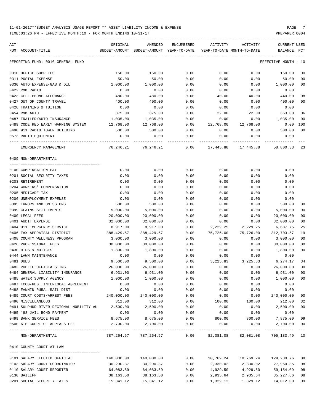| ACT |                                         | ORIGINAL   | AMENDED                                  | ENCUMBERED | ACTIVITY  | ACTIVITY                                       | CURRENT USED           |        |
|-----|-----------------------------------------|------------|------------------------------------------|------------|-----------|------------------------------------------------|------------------------|--------|
|     | NUM ACCOUNT-TITLE                       |            | BUDGET-AMOUNT BUDGET-AMOUNT YEAR-TO-DATE |            |           | YEAR-TO-DATE MONTH-TO-DATE                     | BALANCE                | PCT    |
|     | REPORTING FUND: 0010 GENERAL FUND       |            |                                          |            |           |                                                | EFFECTIVE MONTH - 10   |        |
|     | 0310 OFFICE SUPPLIES                    | 150.00     | 150.00                                   | 0.00       | 0.00      | 0.00                                           | 150.00                 | 00     |
|     | 0311 POSTAL EXPENSE                     | 50.00      | 50.00                                    | 0.00       | 0.00      | 0.00                                           | 50.00                  | 00     |
|     | 0330 AUTO EXPENSE-GAS & OIL             | 1,000.00   | 1,000.00                                 | 0.00       | 0.00      | 0.00                                           | 1,000.00               | 00     |
|     | 0422 R&M RADIO                          | 0.00       | 0.00                                     | 0.00       | 0.00      | 0.00                                           | 0.00                   |        |
|     | 0423 CELL PHONE ALLOWANCE               | 480.00     | 480.00                                   | 0.00       | 40.00     | 40.00                                          | 440.00                 | 08     |
|     | 0427 OUT OF COUNTY TRAVEL               | 400.00     | 400.00                                   | 0.00       | 0.00      | 0.00                                           | 400.00                 | 00     |
|     | 0428 TRAINING & TUITION                 | 0.00       | 0.00                                     | 0.00       | 0.00      | 0.00                                           | 0.00                   |        |
|     | 0454 R&M AUTO                           | 375.00     | 375.00                                   | 0.00       | 22.00     | 22.00                                          | 353.00                 | 06     |
|     | 0487 TRAILER/AUTO INSURANCE             | 1,035.00   | 1,035.00                                 | 0.00       | 0.00      | 0.00                                           | 1,035.00               | 00     |
|     |                                         |            |                                          |            |           |                                                |                        |        |
|     | 0489 CODE RED EARLY WARNING SYSTEM      | 12,768.00  | 12,768.00                                | 0.00       | 12,768.00 | 12,768.00                                      | $0.00$ 100             |        |
|     | 0490 911 RADIO TOWER BUILDING           | 500.00     | 500.00                                   | 0.00       | 0.00      | 0.00                                           | 500.00                 | 00     |
|     | 0573 RADIO EQUIPMENT                    | 0.00       | 0.00                                     | 0.00       | 0.00      | 0.00                                           | 0.00                   |        |
|     | EMERGENCY MANAGEMENT                    | 76,246.21  | 76,246.21                                | 0.00       | 17,445.88 |                                                | 17,445.88 58,800.33 23 |        |
|     | 0409 NON-DEPARTMENTAL                   |            |                                          |            |           |                                                |                        |        |
|     |                                         |            |                                          |            |           |                                                |                        |        |
|     | 0100 COMPENSATION PAY                   | 0.00       | 0.00                                     | 0.00       | 0.00      | 0.00                                           | 0.00                   |        |
|     | 0201 SOCIAL SECURITY TAXES              | 0.00       | 0.00                                     | 0.00       | 0.00      | 0.00                                           | 0.00                   |        |
|     | 0203 RETIREMENT                         | 0.00       | 0.00                                     | 0.00       | 0.00      | 0.00                                           | 0.00                   |        |
|     | 0204 WORKERS' COMPENSATION              | 0.00       | 0.00                                     | 0.00       | 0.00      | 0.00                                           | 0.00                   |        |
|     | 0205 MEDICARE TAX                       | 0.00       | 0.00                                     | 0.00       | 0.00      | 0.00                                           | 0.00                   |        |
|     | 0206 UNEMPLOYMENT EXPENSE               | 0.00       | 0.00                                     | 0.00       | 0.00      | 0.00                                           | 0.00                   |        |
|     | 0395 ERRORS AND OMISSIONS               | 500.00     | 500.00                                   | 0.00       | 0.00      | 0.00                                           | 500.00                 | 00     |
|     | 0399 CLAIMS SETTLEMENTS                 | 5,000.00   | 5,000.00                                 | 0.00       | 0.00      | 0.00                                           | 5,000.00               | 00     |
|     | 0400 LEGAL FEES                         | 20,000.00  | 20,000.00                                | 0.00       | 0.00      | 0.00                                           | 20,000.00              | 00     |
|     | 0401 AUDIT EXPENSE                      | 32,000.00  | 32,000.00                                | 0.00       | 0.00      | 0.00                                           | 32,000.00              | 00     |
|     | 0404 911 EMERGENCY SERVICE              | 8,917.00   | 8,917.00                                 | 0.00       | 2,229.25  | 2,229.25                                       | 6,687.75               | 25     |
|     | 0406 TAX APPRAISAL DISTRICT             | 388,429.57 | 388,429.57                               | 0.00       | 75,726.00 | 75,726.00                                      | 312,703.57             | 19     |
|     | 0408 COUNTY WELLNESS PROGRAM            | 3,000.00   | 3,000.00                                 | 0.00       | 0.00      | 0.00                                           | 3,000.00               | 00     |
|     | 0426 PROFESSIONAL FEES                  | 30,000.00  | 30,000.00                                | 0.00       | 0.00      | 0.00                                           | 30,000.00              | 00     |
|     |                                         |            |                                          |            |           |                                                |                        |        |
|     | 0430 BIDS & NOTICES                     | 1,800.00   | 1,800.00                                 | 0.00       | 0.00      | 0.00                                           | 1,800.00               | $00\,$ |
|     | 0444 LAWN MAINTENANCE                   | 0.00       | 0.00                                     | 0.00       | 0.00      | 0.00                                           | 0.00                   |        |
|     | 0481 DUES                               | 9,500.00   | 9,500.00                                 | 0.00       | 3,225.83  | 3,225.83                                       | 6,274.17               | 34     |
|     | 0483 PUBLIC OFFICIALS INS.              | 26,000.00  | 26,000.00                                | 0.00       | 0.00      | 0.00                                           | 26,000.00              | 00     |
|     | 0484 GENERAL LIABILITY INSURANCE        | 6,931.00   | 6,931.00                                 | 0.00       | 0.00      | 0.00                                           | 6,931.00 00            |        |
|     | 0485 WATER SUPPLY AGENCY                | 1,000.00   | 1,000.00                                 | 0.00       | 0.00      | 0.00                                           | 1,000.00               | 00     |
|     | 0487 TCOG-REG. INTERLOCAL AGREEMENT     | 0.00       | 0.00                                     | 0.00       | 0.00      | 0.00                                           | 0.00                   |        |
|     | 0488 FANNIN RURAL RAIL DIST             | 0.00       | 0.00                                     | 0.00       | 0.00      | 0.00                                           | 0.00                   |        |
|     | 0489 COURT COSTS/ARREST FEES            | 240,000.00 | 240,000.00                               | 0.00       | 0.00      | 0.00                                           | 240,000.00             | 00     |
|     | 0490 MISCELLANEOUS                      | 312.00     | 312.00                                   | 0.00       | 100.00    | 100.00                                         | 212.00                 | 32     |
|     | 0491 SULPHUR RIVER REGIONAL MOBILITY AU | 2,500.00   | 2,500.00                                 | 0.00       | 0.00      | 0.00                                           | 2,500.00               | 00     |
|     | 0495 '98 JAIL BOND PAYMENT              | 0.00       | 0.00                                     | 0.00       | 0.00      | 0.00                                           | 0.00                   |        |
|     | 0499 BANK SERVICE FEES                  | 8,675.00   | 8,675.00                                 | 0.00       | 800.00    | 800.00                                         | 7,875.00               | 09     |
|     | 0500 6TH COURT OF APPEALS FEE           | 2,700.00   | 2,700.00                                 | 0.00       | 0.00      | 0.00                                           | 2,700.00               | 00     |
|     | NON-DEPARTMENTAL                        |            |                                          |            |           | 787,264.57 787,264.57 0.00 82,081.08 82,081.08 | 705,183.49 10          |        |
|     | 0410 COUNTY COURT AT LAW                |            |                                          |            |           |                                                |                        |        |
|     |                                         |            |                                          |            |           |                                                |                        |        |
|     | 0101 SALARY ELECTED OFFICIAL            | 140,000.00 | 140,000.00                               | 0.00       | 10,769.24 |                                                | 10,769.24 129,230.76   | 08     |
|     | 0103 SALARY COURT COORDINATOR           | 30,290.37  | 30,290.37                                | 0.00       | 2,330.02  | 2,330.02                                       | 27,960.35              | 08     |
|     | 0110 SALARY COURT REPORTER              | 64,083.59  | 64,083.59                                | 0.00       | 4,929.50  | 4,929.50                                       | 59,154.09              | 08     |
|     | 0130 BAILIFF                            | 38,163.50  | 38,163.50                                | 0.00       | 2,935.64  | 2,935.64                                       | 35,227.86              | 08     |
|     | 0201 SOCIAL SECURITY TAXES              | 15,341.12  | 15,341.12                                | 0.00       | 1,329.12  | 1,329.12                                       | 14,012.00              | 09     |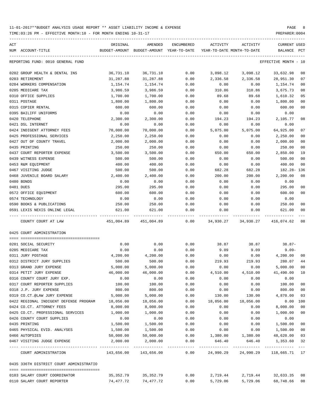| ACT       |                                             | ORIGINAL              | AMENDED                                  | ENCUMBERED   | ACTIVITY         | ACTIVITY                   | CURRENT USED          |          |
|-----------|---------------------------------------------|-----------------------|------------------------------------------|--------------|------------------|----------------------------|-----------------------|----------|
|           | NUM ACCOUNT-TITLE                           |                       | BUDGET-AMOUNT BUDGET-AMOUNT YEAR-TO-DATE |              |                  | YEAR-TO-DATE MONTH-TO-DATE | BALANCE               | PCT      |
|           | REPORTING FUND: 0010 GENERAL FUND           |                       |                                          |              |                  |                            | EFFECTIVE MONTH - 10  |          |
|           | 0202 GROUP HEALTH & DENTAL INS              | 36,731.10             | 36,731.10                                | 0.00         | 3,098.12         | 3,098.12                   | 33,632.98             | 08       |
|           | 0203 RETIREMENT                             | 31,287.88             | 31,287.88                                | 0.00         | 2,336.58         | 2,336.58                   | 28,951.30             | 07       |
|           | 0204 WORKERS COMPENSATION                   | 1,154.74              | 1,154.74                                 | 0.00         | 0.00             | 0.00                       | 1,154.74              | 00       |
|           | 0205 MEDICARE TAX                           | 3,986.59              | 3,986.59                                 | 0.00         | 310.86           | 310.86                     | 3,675.73              | 08       |
|           | 0310 OFFICE SUPPLIES                        | 1,700.00              | 1,700.00                                 | 0.00         | 89.68            | 89.68                      | 1,610.32              | 05       |
|           | 0311 POSTAGE                                | 1,800.00              | 1,800.00                                 | 0.00         | 0.00             | 0.00                       | 1,800.00              | 00       |
|           | 0315 COPIER RENTAL                          | 600.00                | 600.00                                   | 0.00         | 0.00             | 0.00                       | 600.00                | 00       |
|           | 0395 BAILIFF UNIFORMS                       | 0.00                  | 0.00                                     | 0.00         | 0.00             | 0.00                       | 0.00                  |          |
|           | 0420 TELEPHONE                              | 2,300.00              | 2,300.00                                 | 0.00         | 194.23           | 194.23                     | 2,105.77              | 08       |
|           | 0421 DSL INTERNET                           | 0.00                  | 0.00                                     | 0.00         | 0.00             | 0.00                       | 0.00                  |          |
|           | 0424 INDIGENT ATTORNEY FEES                 | 70,000.00             | 70,000.00                                | 0.00         | 5,075.00         | 5,075.00                   | 64,925.00             | 07       |
|           | 0425 PROFESSIONAL SERVICES                  | 2,250.00              | 2,250.00                                 | 0.00         | 0.00             | 0.00                       | 2,250.00              | 00       |
|           | 0427 OUT OF COUNTY TRAVEL                   | 2,000.00              | 2,000.00                                 | 0.00         | 0.00             | 0.00                       | 2,000.00              | 00       |
|           | 0435 PRINTING                               | 250.00                | 250.00                                   | 0.00         | 0.00             | 0.00                       | 250.00                | 00       |
|           | 0437 COURT REPORTER EXPENSE                 | 3,500.00              | 3,500.00                                 | 0.00         | 650.00           | 650.00                     | 2,850.00              | 19       |
|           | 0439 WITNESS EXPENSE                        | 500.00                | 500.00                                   | 0.00         | 0.00             | 0.00                       | 500.00                | 00       |
|           | 0453 R&M EQUIPMENT                          | 400.00                | 400.00                                   | 0.00         | 0.00             | 0.00                       | 400.00                | 00       |
|           | 0467 VISITING JUDGE                         | 500.00                | 500.00                                   | 0.00         | 682.28           | 682.28                     | 182.28- 136           |          |
|           | 0468 JUVENILE BOARD SALARY                  | 2,400.00              | 2,400.00                                 | 0.00         | 200.00           | 200.00                     | 2,200.00              | 08       |
|           | 0480 BONDS                                  | 0.00                  | 0.00                                     | 0.00         | 0.00             | 0.00                       | 0.00                  |          |
| 0481 DUES |                                             | 295.00                | 295.00                                   | 0.00         | 0.00             | 0.00                       | 295.00                | 00       |
|           |                                             |                       |                                          |              |                  |                            |                       |          |
|           | 0572 OFFICE EQUIPMENT                       | 600.00                | 600.00                                   | 0.00         | 0.00             | 0.00                       | 600.00                | 00       |
|           | 0574 TECHNOLOGY                             | 0.00                  | 0.00                                     | 0.00         | 0.00             | 0.00                       | 0.00                  |          |
|           | 0590 BOOKS & PUBLICATIONS                   | 250.00                | 250.00                                   | 0.00         | 0.00             | 0.00                       | 250.00                | 00       |
|           | 0591 LEXIS NEXIS ONLINE LEGAL               | 621.00                | 621.00                                   | 0.00         | 0.00             | 0.00                       | 621.00                | 00       |
|           | COUNTY COURT AT LAW                         | 451,004.89            | 451,004.89                               | 0.00         | 34,930.27        | 34,930.27                  | 416,074.62            | 08       |
|           | 0425 COURT ADMINISTRATION                   |                       |                                          |              |                  |                            |                       |          |
|           | 0201 SOCIAL SECURITY                        | 0.00                  | 0.00                                     | 0.00         | 38.87            | 38.87                      | $38.87 -$             |          |
|           | 0205 MEDICARE TAX                           | 0.00                  | 0.00                                     | 0.00         | 9.09             | 9.09                       | $9.09 -$              |          |
|           | 0311 JURY POSTAGE                           | 4,200.00              | 4,200.00                                 | 0.00         | 0.00             | 0.00                       | 4,200.00 00           |          |
|           | 0312 DISTRICT JURY SUPPLIES                 | 500.00                | 500.00                                   | 0.00         | 219.93           | 219.93                     | 280.07                | 44       |
|           | 0313 GRAND JURY EXPENSE                     | 5,000.00              | 5,000.00                                 | 0.00         | 0.00             | 0.00                       | 5,000.00              | 00       |
|           | 0314 PETIT JURY EXPENSE                     | 46,000.00             | 46,000.00                                | 0.00         | 4,510.00         | 4,510.00                   | 41,490.00             | 10       |
|           | 0316 COUNTY COURT JURY EXP.                 | 0.00                  | 0.00                                     | 0.00         | 0.00             | 0.00                       | 0.00                  |          |
|           | 0317 COURT REPORTER SUPPLIES                | 100.00                | 100.00                                   | 0.00         | 0.00             | 0.00                       | 100.00                | $00\,$   |
|           | 0318 J.P. JURY EXPENSE                      | 800.00                | 800.00                                   | 0.00         | 0.00             | 0.00                       | 800.00                | 00       |
|           | 0319 CO.CT.@LAW JURY EXPENSE                | 5,000.00              | 5,000.00                                 | 0.00         | 130.00           | 130.00                     | 4,870.00              | 03       |
|           | 0422 REGIONAL INDIGENT DEFENSE PROGRAM      | 18,056.00             | 18,056.00                                | 0.00         | 18,056.00        | 18,056.00                  | 0.00                  | 100      |
|           | 0424 CO.CT. ATTORNEY FEES                   | 8,000.00              | 8,000.00                                 | 0.00         | 0.00             | 0.00                       | 8,000.00              | 00       |
|           | 0425 CO.CT. PROFESSIONAL SERVICES           | 1,000.00              | 1,000.00                                 | 0.00         | 0.00             | 0.00                       | 1,000.00              | 00       |
|           |                                             |                       |                                          |              |                  |                            |                       |          |
|           | 0426 COUNTY COURT SUPPLIES<br>0435 PRINTING | 0.00                  | 0.00<br>1,500.00                         | 0.00         | 0.00             | 0.00                       | 0.00<br>1,500.00      | 00       |
|           | 0465 PHYSICAL EVID. ANALYSES                | 1,500.00              |                                          | 0.00         | 0.00             | 0.00                       |                       |          |
|           | 0466 AUTOPSIES                              | 1,500.00<br>50,000.00 | 1,500.00<br>50,000.00                    | 0.00<br>0.00 | 0.00<br>1,380.00 | 0.00<br>1,380.00           | 1,500.00<br>48,620.00 | 00       |
|           | 0467 VISITING JUDGE EXPENSE                 | 2,000.00              | 2,000.00                                 | 0.00         | 646.40           | 646.40                     | 1,353.60              | 03<br>32 |
|           | COURT ADMINISTRATION                        | 143,656.00            | 143,656.00                               | 0.00         | 24,990.29        | 24,990.29                  | 118,665.71 17         | $---$    |
|           | 0435 336TH DISTRICT COURT ADMINISTRATIO     |                       |                                          |              |                  |                            |                       |          |
|           | 0103 SALARY COURT COORDINATOR               | 35,352.79             | 35,352.79                                | 0.00         | 2,719.44         | 2,719.44                   | 32,633.35 08          |          |
|           | 0110 SALARY COURT REPORTER                  | 74,477.72             | 74,477.72                                | 0.00         | 5,729.06         | 5,729.06                   | 68,748.66             | 08       |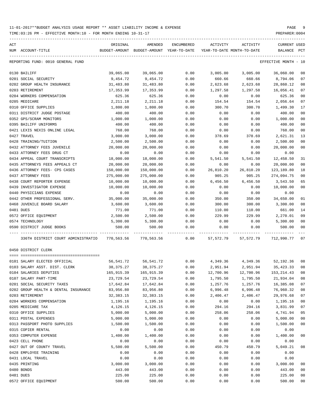TIME:03:26 PM - EFFECTIVE MONTH:10 - FOR MONTH ENDING 10-31-17 PREPARER:0004

| ACT |                                                                                                 | ORIGINAL         | AMENDED                                                             | ENCUMBERED | ACTIVITY ACTIVITY |                   | CURRENT USED                |                |
|-----|-------------------------------------------------------------------------------------------------|------------------|---------------------------------------------------------------------|------------|-------------------|-------------------|-----------------------------|----------------|
|     | NUM ACCOUNT-TITLE                                                                               |                  | BUDGET-AMOUNT BUDGET-AMOUNT YEAR-TO-DATE YEAR-TO-DATE MONTH-TO-DATE |            |                   |                   | BALANCE PCT                 |                |
|     | REPORTING FUND: 0010 GENERAL FUND                                                               |                  |                                                                     |            |                   |                   | EFFECTIVE MONTH - 10        |                |
|     | 0130 BAILIFF                                                                                    | 39,065.00        | 39,065.00                                                           | 0.00       | 3,005.00          | 3,005.00          | 36,060.00                   | 08             |
|     | 0201 SOCIAL SECURITY                                                                            | 9,454.72         | 9,454.72                                                            | 0.00       | 660.66            | 660.66            | 8,794.06                    | 07             |
|     | 0202 GROUP HEALTH INSURANCE                                                                     | 31,483.80        | 31,483.80                                                           | 0.00       | 2,623.68          | 2,623.68          | 28,860.12                   | 08             |
|     | 0203 RETIREMENT                                                                                 | 17,353.99        | 17,353.99                                                           | 0.00       | 1,297.58          | 1,297.58          | 16,056.41                   | 07             |
|     | 0204 WORKERS COMPENSATION                                                                       | 625.36           | 625.36                                                              | 0.00       | 0.00              | 0.00              | 625.36                      | 0 <sub>0</sub> |
|     | 0205 MEDICARE                                                                                   | 2,211.18         | 2,211.18                                                            | 0.00       | 154.54            | 154.54            | 2,056.64                    | 07             |
|     | 0310 OFFICE SUPPLIES                                                                            | 1,800.00         | 1,800.00                                                            | 0.00       | 300.70            | 300.70            | 1,499.30                    | 17             |
|     | 0311 DISTRICT JUDGE POSTAGE                                                                     | 400.00           | 400.00                                                              | 0.00       | 0.00              | 0.00              | 400.00                      | 0 <sub>0</sub> |
|     | 0352 GPS/SCRAM MONITORS                                                                         | 1,000.00         | 1,000.00                                                            | 0.00       | 0.00              | 0.00              | 1,000.00                    | 0 <sub>0</sub> |
|     | 0395 BAILIFF UNIFORMS                                                                           | 400.00           | 400.00                                                              | 0.00       | 0.00              | 0.00              | 400.00                      | 0 <sub>0</sub> |
|     | 0421 LEXIS NEXIS ONLINE LEGAL                                                                   | 768.00           | 768.00                                                              | 0.00       | 0.00              | 0.00              | 768.00                      | 0 <sub>0</sub> |
|     | 0427 TRAVEL                                                                                     | 3,000.00         | 3,000.00                                                            | 0.00       | 378.69            | 378.69            | 2,621.31                    | 13             |
|     | 0428 TRAINING/TUITION                                                                           | 2,500.00         | 2,500.00                                                            | 0.00       | 0.00              | 0.00              | 2,500.00                    | 0 <sub>0</sub> |
|     | 0432 ATTORNEY FEES JUVENILE                                                                     | 20,000.00        | 20,000.00                                                           | 0.00       | 0.00              | 0.00              | 20,000.00                   | 0 <sub>0</sub> |
|     | 0433 ATTORNEY FEES DRUG CT                                                                      | 0.00             | 0.00                                                                | 0.00       | 0.00              | 0.00              | 0.00                        |                |
|     | 0434 APPEAL COURT TRANSCRIPTS                                                                   | 18,000.00        | 18,000.00                                                           | 0.00       | 5,541.50          | 5,541.50          | 12,458.50                   | 31             |
|     | 0435 ATTORNEYS FEES APPEALS CT                                                                  | 20,000.00        | 20,000.00                                                           | 0.00       | 0.00              | 0.00              | 20,000.00                   | 0 <sub>0</sub> |
|     | 0436 ATTORNEY FEES- CPS CASES                                                                   | 150,000.00       | 150,000.00                                                          | 0.00       | 26,810.20         | 26,810.20         | 123,189.80                  | 18             |
|     | 0437 ATTORNEY FEES                                                                              | 275,000.00       | 275,000.00                                                          | 0.00       | 905.25            | 905.25            | 274,094.75                  | 0 <sub>0</sub> |
|     | 0438 COURT REPORTER EXPENSE                                                                     | 10,000.00        | 10,000.00                                                           | 0.00       | 6,456.50          | 6,456.50          | 3,543.50                    | 65             |
|     | 0439 INVESTIGATOR EXPENSE                                                                       | 10,000.00        | 10,000.00                                                           | 0.00       | 0.00              | 0.00              | 10,000.00                   | 0 <sub>0</sub> |
|     | 0440 PHYSICIANS EXPENSE                                                                         | 0.00             | 0.00                                                                | 0.00       | 0.00              | 0.00              | 0.00                        |                |
|     | 0442 OTHER PROFESSIONAL SERV.                                                                   | 35,000.00        | 35,000.00                                                           | 0.00       | 350.00            | 350.00            | 34,650.00                   | 01             |
|     | 0468 JUVENILE BOARD SALARY                                                                      | 3,600.00         | 3,600.00                                                            | 0.00       | 300.00            | 300.00            | 3,300.00                    | 08             |
|     | 0481 DUES                                                                                       | 771.00           | 771.00                                                              | 0.00       | 110.00            | 110.00            | 661.00                      | 14             |
|     | 0572 OFFICE EQUIPMENT                                                                           | 2,500.00         | 2,500.00                                                            | 0.00       | 229.99            | 229.99            | 2,270.01                    | 09             |
|     | 0574 TECHNOLOGY                                                                                 | 5,300.00         | 5,300.00                                                            | 0.00       | 0.00              | 0.00              | 5,300.00                    | 00             |
|     | 0590 DISTRICT JUDGE BOOKS                                                                       | 500.00           | 500.00                                                              | 0.00       | 0.00              | 0.00              | 500.00                      | 0 <sub>0</sub> |
|     |                                                                                                 |                  |                                                                     |            |                   |                   |                             |                |
|     | 336TH DISTRICT COURT ADMINISTRATIO 770,563.56 770,563.56 0.00 57,572.79 57,572.79 712,990.77 07 |                  |                                                                     |            |                   |                   |                             |                |
|     | 0450 DISTRICT CLERK                                                                             |                  |                                                                     |            |                   |                   |                             |                |
|     | 0101 SALARY ELECTED OFFICIAL                                                                    | 56,541.72        | 56,541.72                                                           | 0.00       |                   |                   | 4,349.36 4,349.36 52,192.36 | 08             |
|     | 0103 SALARY ASST. DIST. CLERK                                                                   | 38,375.27        | 38,375.27                                                           | 0.00       |                   | 2,951.94 2,951.94 | 35,423.33                   | 08             |
|     | 0104 SALARIES DEPUTIES                                                                          | 165,915.39       | 165,915.39                                                          | 0.00       | 12,700.96         | 12,700.96         | 153, 214. 43 08             |                |
|     | 0107 SALARY PART-TIME                                                                           | 23,729.54        | 23,729.54                                                           | 0.00       | 1,795.50          | 1,795.50          | 21,934.04                   | 08             |
|     | 0201 SOCIAL SECURITY TAXES                                                                      | 17,642.84        | 17,642.84                                                           | 0.00       | 1,257.76          | 1,257.76          | 16,385.08                   | 07             |
|     | 0202 GROUP HEALTH & DENTAL INSURANCE                                                            | 83,956.80        | 83,956.80                                                           | 0.00       | 6,996.48          | 6,996.48          | 76,960.32                   | 08             |
|     | 0203 RETIREMENT                                                                                 | 32,383.15        | 32, 383. 15                                                         | 0.00       | 2,406.47          | 2,406.47          | 29,976.68                   | 07             |
|     | 0204 WORKERS COMPENSATION                                                                       | 1,195.16         | 1,195.16                                                            | 0.00       | 0.00              | 0.00              | 1,195.16                    | 0 <sub>0</sub> |
|     | 0205 MEDICARE TAX                                                                               | 4,126.15         | 4,126.15                                                            | 0.00       | 294.16            | 294.16            | 3,831.99                    | 07             |
|     | 0310 OFFICE SUPPLIES                                                                            | 5,000.00         | 5,000.00                                                            | 0.00       | 258.06            | 258.06            | 4,741.94                    | 05             |
|     | 0311 POSTAL EXPENSES                                                                            | 5,000.00         | 5,000.00                                                            | 0.00       | 0.00              | 0.00              | 5,000.00                    | 0 <sub>0</sub> |
|     | 0313 PASSPORT PHOTO SUPPLIES                                                                    | 1,500.00         | 1,500.00                                                            | 0.00       | 0.00              | 0.00              | 1,500.00                    | 0 <sub>0</sub> |
|     | 0315 COPIER RENTAL                                                                              |                  | 0.00                                                                | 0.00       | 0.00              |                   | 0.00                        |                |
|     | 0353 COMPUTER EXPENSE                                                                           | 0.00<br>1,400.00 | 1,400.00                                                            | 0.00       | 0.00              | 0.00<br>0.00      | 1,400.00                    | 0 <sub>0</sub> |
|     | 0423 CELL PHONE                                                                                 | 0.00             | 0.00                                                                | 0.00       | 0.00              | 0.00              | 0.00                        |                |
|     | 0427 OUT OF COUNTY TRAVEL                                                                       | 5,500.00         | 5,500.00                                                            | 0.00       | 450.79            | 450.79            | 5,049.21                    | 08             |
|     | 0428 EMPLOYEE TRAINING                                                                          | 0.00             | 0.00                                                                | 0.00       | 0.00              | 0.00              | 0.00                        |                |
|     | 0431 LOCAL TRAVEL                                                                               | 0.00             | 0.00                                                                | 0.00       | 0.00              | 0.00              | 0.00                        |                |
|     | 0435 PRINTING                                                                                   | 3,000.00         | 3,000.00                                                            | 0.00       | 0.00              | 0.00              | 3,000.00                    | 00             |
|     | 0480 BONDS                                                                                      | 443.00           | 443.00                                                              | 0.00       | 0.00              | 0.00              | 443.00                      | 0 <sub>0</sub> |
|     | 0481 DUES                                                                                       | 225.00           | 225.00                                                              | 0.00       |                   |                   | 225.00                      | 0 <sub>0</sub> |
|     |                                                                                                 |                  |                                                                     |            | 0.00              | 0.00              |                             |                |

0572 OFFICE EQUIPMENT 500.00 500.00 0.00 0.00 0.00 500.00 00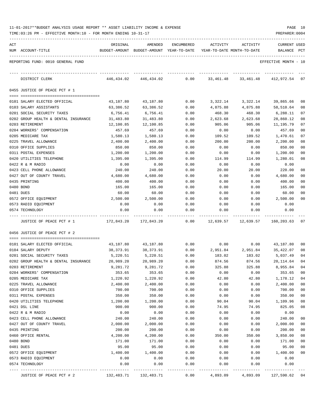|  | 11-01-2017**BUDGET ANALYSIS USAGE REPORT ** ASSET LIABILITY INCOME & EXPENSE |  |  |  | PAGE | 10 |
|--|------------------------------------------------------------------------------|--|--|--|------|----|
|  |                                                                              |  |  |  |      |    |

| ACT<br>NUM | ACCOUNT-TITLE                                          | ORIGINAL               | AMENDED<br>BUDGET-AMOUNT BUDGET-AMOUNT YEAR-TO-DATE | ENCUMBERED   | ACTIVITY             | ACTIVITY<br>YEAR-TO-DATE MONTH-TO-DATE | <b>CURRENT USED</b><br>BALANCE | PCT            |
|------------|--------------------------------------------------------|------------------------|-----------------------------------------------------|--------------|----------------------|----------------------------------------|--------------------------------|----------------|
|            | REPORTING FUND: 0010 GENERAL FUND                      |                        |                                                     |              |                      |                                        | EFFECTIVE MONTH - 10           |                |
|            | DISTRICT CLERK                                         | 446,434.02             | 446,434.02                                          | 0.00         | 33,461.48            | 33,461.48                              | 412,972.54                     | 07             |
|            | 0455 JUSTICE OF PEACE PCT # 1                          |                        |                                                     |              |                      |                                        |                                |                |
|            |                                                        |                        |                                                     |              |                      |                                        |                                |                |
|            | 0101 SALARY ELECTED OFFICIAL<br>0103 SALARY ASSISTANTS | 43,187.80<br>63,386.52 | 43,187.80<br>63,386.52                              | 0.00<br>0.00 | 3,322.14<br>4,875.88 | 3,322.14<br>4,875.88                   | 39,865.66<br>58,510.64         | 08<br>08       |
|            | 0201 SOCIAL SECURITY TAXES                             | 6,756.41               | 6,756.41                                            | 0.00         | 468.30               | 468.30                                 | 6,288.11                       | 07             |
|            | 0202 GROUP HEALTH & DENTAL INSURANCE                   | 31,483.80              | 31,483.80                                           | 0.00         | 2,623.68             | 2,623.68                               | 28,860.12                      | 08             |
|            | 0203 RETIREMENT                                        | 12,100.85              | 12,100.85                                           | 0.00         | 905.06               | 905.06                                 | 11,195.79                      | 07             |
|            | 0204 WORKERS' COMPENSATION                             | 457.69                 | 457.69                                              | 0.00         | 0.00                 | 0.00                                   | 457.69                         | 0 <sub>0</sub> |
|            | 0205 MEDICARE TAX                                      | 1,580.13               | 1,580.13                                            | 0.00         | 109.52               | 109.52                                 | 1,470.61                       | 07             |
|            | 0225 TRAVEL ALLOWANCE                                  | 2,400.00               | 2,400.00                                            | 0.00         | 200.00               | 200.00                                 | 2,200.00                       | 08             |
|            | 0310 OFFICE SUPPLIES                                   | 850.00                 | 850.00                                              | 0.00         | 0.00                 | 0.00                                   | 850.00                         | 00             |
|            | 0311 POSTAL EXPENSES                                   | 1,200.00               | 1,200.00                                            | 0.00         | 0.00                 | 0.00                                   | 1,200.00                       | 00             |
|            | 0420 UTILITIES TELEPHONE                               | 1,395.00               | 1,395.00                                            | 0.00         | 114.99               | 114.99                                 | 1,280.01                       | 08             |
|            | 0422 R & M RADIO                                       | 0.00                   | 0.00                                                | 0.00         | 0.00                 | 0.00                                   | 0.00                           |                |
|            | 0423 CELL PHONE ALLOWANCE                              | 240.00                 | 240.00                                              | 0.00         | 20.00                | 20.00                                  | 220.00                         | 08             |
|            | 0427 OUT OF COUNTY TRAVEL                              | 4,680.00               | 4,680.00                                            | 0.00         | 0.00                 | 0.00                                   | 4,680.00                       | 00             |
|            | 0435 PRINTING                                          | 400.00                 | 400.00                                              | 0.00         | 0.00                 | 0.00                                   | 400.00                         | 00             |
|            | 0480 BOND                                              | 165.00                 | 165.00                                              | 0.00         | 0.00                 | 0.00                                   | 165.00                         | 0 <sub>0</sub> |
|            | 0481 DUES                                              | 60.00                  | 60.00                                               | 0.00         | 0.00                 | 0.00                                   | 60.00                          | 00             |
|            | 0572 OFFICE EQUIPMENT                                  | 2,500.00               | 2,500.00                                            | 0.00         | 0.00                 | 0.00                                   | 2,500.00                       | 00             |
|            | 0573 RADIO EQUIPMENT                                   | 0.00                   | 0.00                                                | 0.00         | 0.00                 | 0.00                                   | 0.00                           |                |
|            | 0574 TECHNOLOGY                                        | 0.00                   | 0.00                                                | 0.00         | 0.00                 | 0.00                                   | 0.00                           |                |
|            | JUSTICE OF PEACE PCT # 1                               | 172,843.20             | 172,843.20                                          | 0.00         | 12,639.57            | 12,639.57                              | 160,203.63                     | 07             |
|            | 0456 JUSTICE OF PEACE PCT # 2                          |                        |                                                     |              |                      |                                        |                                |                |
|            |                                                        |                        |                                                     |              |                      |                                        |                                |                |
|            | 0101 SALARY ELECTED OFFICIAL                           | 43,187.80              | 43,187.80                                           | 0.00         | 0.00                 | 0.00                                   | 43,187.80                      | 00             |
|            | 0104 SALARY DEPUTY                                     | 38,373.91              | 38,373.91                                           | 0.00         | 2,951.84             | 2,951.84                               | 35,422.07                      | 08             |
|            | 0201 SOCIAL SECURITY TAXES                             | 5,220.51               | 5,220.51                                            | 0.00         | 183.02               | 183.02                                 | 5,037.49                       | 04             |
|            | 0202 GROUP HEALTH & DENTAL INSURANCE                   | 20,989.20              | 20,989.20                                           | 0.00         | 874.56               | 874.56                                 | 20,114.64                      | 04             |
|            | 0203 RETIREMENT                                        | 9,281.72               | 9,281.72                                            | 0.00         | 325.88               | 325.88                                 | 8,955.84                       | 04             |
|            | 0204 WORKERS' COMPENSATION                             | 353.65                 | 353.65                                              | 0.00         | 0.00                 | 0.00                                   | 353.65                         | 0 <sub>0</sub> |
|            | 0205 MEDICARE TAX                                      | 1,220.92               | 1,220.92                                            | 0.00         | 42.80                | 42.80                                  | 1,178.12                       | 04             |
|            | 0225 TRAVEL ALLOWANCE                                  | 2,400.00               | 2,400.00                                            | 0.00         | 0.00                 | 0.00                                   | 2,400.00                       | 0 <sub>0</sub> |
|            | 0310 OFFICE SUPPLIES<br>0311 POSTAL EXPENSES           | 700.00<br>350.00       | 700.00                                              | 0.00<br>0.00 | 0.00                 | 0.00<br>0.00                           | 700.00<br>350.00               | $00\,$<br>00   |
|            | 0420 UTILITIES TELEPHONE                               | 1,200.00               | 350.00<br>1,200.00                                  | 0.00         | 0.00<br>90.04        | 90.04                                  | 1,109.96                       | 08             |
|            | 0421 DSL LINE                                          | 900.00                 | 900.00                                              | 0.00         | 74.95                | 74.95                                  | 825.05                         | 08             |
|            | 0422 R & M RADIO                                       | 0.00                   | 0.00                                                | 0.00         | 0.00                 | 0.00                                   | 0.00                           |                |
|            | 0423 CELL PHONE ALLOWANCE                              | 240.00                 | 240.00                                              | 0.00         | 0.00                 | 0.00                                   | 240.00                         | 0 <sub>0</sub> |
|            | 0427 OUT OF COUNTY TRAVEL                              | 2,000.00               | 2,000.00                                            | 0.00         | 0.00                 | 0.00                                   | 2,000.00                       | 0 <sub>0</sub> |
|            | 0435 PRINTING                                          | 200.00                 | 200.00                                              | 0.00         | 0.00                 | 0.00                                   | 200.00                         | $00\,$         |
|            | 0460 OFFICE RENTAL                                     | 4,200.00               | 4,200.00                                            | 0.00         | 350.00               | 350.00                                 | 3,850.00                       | 08             |
|            | 0480 BOND                                              | 171.00                 | 171.00                                              | 0.00         | 0.00                 | 0.00                                   | 171.00                         | $00\,$         |
|            | 0481 DUES                                              | 95.00                  | 95.00                                               | 0.00         | 0.00                 | 0.00                                   | 95.00                          | $00\,$         |
|            | 0572 OFFICE EQUIPMENT                                  | 1,400.00               | 1,400.00                                            | 0.00         | 0.00                 | 0.00                                   | 1,400.00                       | 00             |
|            | 0573 RADIO EQUIPMENT                                   | 0.00                   | 0.00                                                | 0.00         | 0.00                 | 0.00                                   | 0.00                           |                |
|            | 0574 TECHNOLOGY                                        | 0.00                   | 0.00                                                | 0.00         | 0.00                 | 0.00                                   | 0.00                           |                |
|            | JUSTICE OF PEACE PCT # 2                               | 132,483.71             | 132,483.71                                          | 0.00         | 4,893.09             | 4,893.09                               | 127,590.62                     | 04             |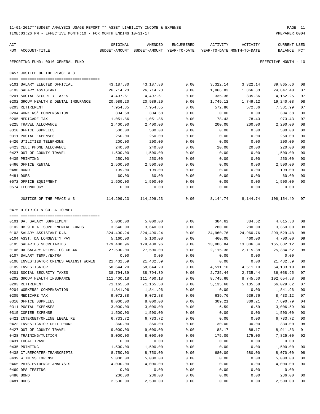| 11-01-2017**BUDGET ANALYSIS USAGE REPORT ** ASSET LIABILITY INCOME & EXPENSE | PAGE           |
|------------------------------------------------------------------------------|----------------|
| TIME:03:26 PM - EFFECTIVE MONTH:10 - FOR MONTH ENDING 10-31-17               | PREPARER: 0004 |

 $0457$ 

0475

| ACT<br>NUM ACCOUNT-TITLE               | ORIGINAL<br>BUDGET-AMOUNT BUDGET-AMOUNT YEAR-TO-DATE YEAR-TO-DATE MONTH-TO-DATE | AMENDED    | ENCUMBERED | ACTIVITY  | ACTIVITY                 | CURRENT USED<br>BALANCE PCT |                |
|----------------------------------------|---------------------------------------------------------------------------------|------------|------------|-----------|--------------------------|-----------------------------|----------------|
| REPORTING FUND: 0010 GENERAL FUND      |                                                                                 |            |            |           |                          | EFFECTIVE MONTH - 10        |                |
| 0457 JUSTICE OF THE PEACE # 3          |                                                                                 |            |            |           |                          |                             |                |
|                                        |                                                                                 |            |            |           |                          |                             |                |
| 0101 SALARY ELECTED OFFICIAL           | 43,187.80                                                                       | 43,187.80  | 0.00       | 3,322.14  | 3,322.14                 | 39,865.66                   | 08             |
| 0103 SALARY ASSISTANT                  | 26,714.23                                                                       | 26,714.23  | 0.00       | 1,866.83  | 1,866.83                 | 24,847.40                   | 07             |
| 0201 SOCIAL SECURITY TAXES             | 4,497.61                                                                        | 4,497.61   | 0.00       | 335.36    | 335.36                   | 4,162.25                    | 07             |
| 0202 GROUP HEALTH & DENTAL INSURANCE   | 20,989.20                                                                       | 20,989.20  | 0.00       | 1,749.12  | 1,749.12                 | 19,240.08                   | 08             |
| 0203 RETIREMENT                        | 7,954.85                                                                        | 7,954.85   | 0.00       | 572.86    | 572.86                   | 7,381.99                    | 07             |
| 0204 WORKERS' COMPENSATION             | 304.68                                                                          | 304.68     | 0.00       | 0.00      | 0.00                     | 304.68                      | 0 <sub>0</sub> |
| 0205 MEDICARE TAX                      | 1,051.86                                                                        | 1,051.86   | 0.00       | 78.43     | 78.43                    | 973.43                      | 07             |
| 0225 TRAVEL ALLOWANCE                  | 2,400.00                                                                        | 2,400.00   | 0.00       | 200.00    | 200.00                   | 2,200.00                    | 08             |
| 0310 OFFICE SUPPLIES                   | 500.00                                                                          | 500.00     | 0.00       | 0.00      | 0.00                     | 500.00                      | 00             |
| 0311 POSTAL EXPENSES                   | 250.00                                                                          | 250.00     | 0.00       | 0.00      | 0.00                     | 250.00                      | 0 <sub>0</sub> |
| 0420 UTILITIES TELEPHONE               | 200.00                                                                          | 200.00     | 0.00       | 0.00      | 0.00                     | 200.00                      | 0 <sub>0</sub> |
| 0423 CELL PHONE ALLOWANCE              | 240.00                                                                          | 240.00     | 0.00       | 20.00     | 20.00                    | 220.00                      | 08             |
| 0427 OUT OF COUNTY TRAVEL              | 1,500.00                                                                        | 1,500.00   | 0.00       | 0.00      | 0.00                     | 1,500.00                    | 0 <sub>0</sub> |
| 0435 PRINTING                          | 250.00                                                                          | 250.00     | 0.00       | 0.00      | 0.00                     | 250.00                      | 0 <sub>0</sub> |
| 0460 OFFICE RENTAL                     | 2,500.00                                                                        | 2,500.00   | 0.00       | 0.00      | 0.00                     | 2,500.00                    | 0 <sub>0</sub> |
| 0480 BOND                              | 199.00                                                                          | 199.00     | 0.00       | 0.00      | 0.00                     | 199.00                      | 0 <sub>0</sub> |
| 0481 DUES                              | 60.00                                                                           | 60.00      | 0.00       | 0.00      | 0.00                     | 60.00                       | 0 <sub>0</sub> |
| 0572 OFFICE EQUIPMENT                  | 1,500.00                                                                        | 1,500.00   | 0.00       | 0.00      | 0.00                     | 1,500.00                    | 0 <sub>0</sub> |
| 0574 TECHNOLOGY                        | 0.00                                                                            | 0.00       | 0.00       | 0.00      | 0.00                     | 0.00                        |                |
| JUSTICE OF THE PEACE # 3               | 114,299.23 114,299.23                                                           |            |            |           | $0.00$ 8,144.74 8,144.74 | 106,154.49                  | 07             |
| 0475 DISTRICT & CO. ATTORNEY           |                                                                                 |            |            |           |                          |                             |                |
|                                        |                                                                                 |            |            |           |                          |                             |                |
| 0101 DA. SALARY SUPPLEMENT             | 5,000.00                                                                        | 5,000.00   | 0.00       | 384.62    | 384.62                   | 4,615.38                    | 08             |
| 0102 HB 9 D.A. SUPPLEMENTAL FUNDS      | 3,640.00                                                                        | 3,640.00   | 0.00       | 280.00    | 280.00                   | 3,360.00                    | 08             |
| 0103 SALARY ASSISTANT D.A.             | 324,490.24                                                                      | 324,490.24 | 0.00       | 24,960.76 | 24,960.76                | 299,529.48                  | 08             |
| 0104 ASST. DA LONGEVITY PAY            | 5,160.00                                                                        | 5,160.00   | 0.00       | 460.00    | 460.00                   | 4,700.00                    | 09             |
| 0105 SALARIES SECRETARIES              | 179,488.96                                                                      | 179,488.96 | 0.00       | 13,806.84 | 13,806.84                | 165,682.12                  | 08             |
| 0106 DA SALARY REIMB. GC CH 46         | 27,500.00                                                                       | 27,500.00  | 0.00       | 2,115.38  | 2,115.38                 | 25,384.62                   | 08             |
| 0107 SALARY TEMP./EXTRA                | 0.00                                                                            | 0.00       | 0.00       | 0.00      | 0.00                     | 0.00                        |                |
| 0108 INVESTIGATOR CRIMES AGAINST WOMEN | 21,432.59                                                                       | 21, 432.59 | 0.00       | 0.00      | 0.00                     | 21,432.59                   | 0 <sub>0</sub> |
| 0109 INVESTIGATOR                      | 58,644.20                                                                       | 58,644.20  | 0.00       | 4,511.10  | 4,511.10                 | 54,133.10                   | 08             |
| 0201 SOCIAL SECURITY TAXES             | 38,794.39                                                                       | 38,794.39  | 0.00       | 2,735.44  | 2,735.44                 | 36,058.95                   | 07             |
| 0202 GROUP HEALTH INSURANCE            | 111,400.18                                                                      | 111,400.18 | 0.00       | 8,745.60  | 8,745.60                 | 102,654.58                  | 08             |
| 0203 RETIREMENT                        | 71,165.50                                                                       | 71,165.50  | 0.00       | 5,135.68  | 5,135.68                 | 66,029.82                   | 07             |
| 0204 WORKERS' COMPENSATION             | 1,841.96                                                                        | 1,841.96   | 0.00       | 0.00      | 0.00                     | 1,841.96                    | 0 <sub>0</sub> |
| 0205 MEDICARE TAX                      | 9,072.88                                                                        | 9,072.88   | 0.00       | 639.76    | 639.76                   | 8,433.12                    | 07             |
| 0310 OFFICE SUPPLIES                   | 8,000.00                                                                        | 8,000.00   | 0.00       | 309.21    | 309.21                   | 7,690.79                    | 04             |
| 0311 POSTAL EXPENSES                   | 3,000.00                                                                        | 3,000.00   | 0.00       | $6.59-$   | $6.59-$                  | 3,006.59                    | 0 <sub>0</sub> |
| 0315 COPIER EXPENSE                    | 1,500.00                                                                        | 1,500.00   | 0.00       | 0.00      | 0.00                     | 1,500.00                    | 0 <sub>0</sub> |
| 0421 INTERNET/ONLINE LEGAL RE          | 6,733.72                                                                        | 6,733.72   | 0.00       | 0.00      | 0.00                     | 6,733.72                    | 0 <sub>0</sub> |
| 0422 INVESTIGATOR CELL PHONE           | 360.00                                                                          | 360.00     | 0.00       | 30.00     | 30.00                    | 330.00                      | 08             |
| 0427 OUT OF COUNTY TRAVEL              | 9,000.00                                                                        | 9,000.00   | 0.00       | 88.17     | 88.17                    | 8,911.83                    | 01             |
| 0428 TRAINING/TUITION                  | 8,000.00                                                                        | 8,000.00   | 0.00       | 175.00    | 175.00                   | 7,825.00                    | 02             |
| 0431 LOCAL TRAVEL                      | 0.00                                                                            | 0.00       | 0.00       | 0.00      | 0.00                     | 0.00                        |                |
| 0435 PRINTING                          | 1,500.00                                                                        | 1,500.00   | 0.00       | 0.00      | 0.00                     | 1,500.00                    | 0 <sub>0</sub> |
| 0438 CT.REPORTER-TRANSCRIPTS           | 8,750.00                                                                        | 8,750.00   | 0.00       | 680.00    | 680.00                   | 8,070.00                    | 08             |
| 0439 WITNESS EXPENSE                   | 5,000.00                                                                        | 5,000.00   | 0.00       | 0.00      | 0.00                     | 5,000.00                    | 00             |
| 0465 PHYS. EVIDENCE ANALYSIS           | 4,000.00                                                                        | 4,000.00   | 0.00       | 0.00      | 0.00                     | 4,000.00                    | 0 <sub>0</sub> |

0469 DPS TESTING 0.00 0.00 0.00 0.00 0.00 0.00 0480 BOND 236.00 236.00 0.00 0.00 0.00 236.00 00 0481 DUES 2,500.00 2,500.00 0.00 0.00 0.00 2,500.00 00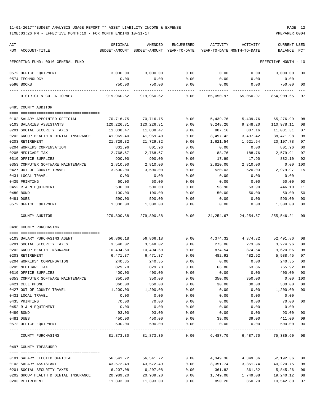| ACT |                                      | ORIGINAL      | AMENDED                    | ENCUMBERED | ACTIVITY                   | ACTIVITY          | <b>CURRENT USED</b>  |               |
|-----|--------------------------------------|---------------|----------------------------|------------|----------------------------|-------------------|----------------------|---------------|
|     | NUM ACCOUNT-TITLE                    | BUDGET-AMOUNT | BUDGET-AMOUNT YEAR-TO-DATE |            | YEAR-TO-DATE MONTH-TO-DATE |                   | BALANCE              | PCT           |
|     | REPORTING FUND: 0010 GENERAL FUND    |               |                            |            |                            |                   | EFFECTIVE MONTH - 10 |               |
|     | 0572 OFFICE EQUIPMENT                | 3,000.00      | 3,000.00                   | 0.00       | 0.00                       | 0.00              | 3,000.00             | 00            |
|     | 0574 TECHNOLOGY                      | 0.00          | 0.00                       | 0.00       | 0.00                       | 0.00              | 0.00                 |               |
|     | 0590 BOOKS                           | 750.00        | 750.00                     | 0.00       | 0.00                       | 0.00              | 750.00               | 00            |
|     | DISTRICT & CO. ATTORNEY              | 919,960.62    | 919,960.62                 | 0.00       | 65,050.97                  | 65,050.97         | 854,909.65           | 07            |
|     | 0495 COUNTY AUDITOR                  |               |                            |            |                            |                   |                      |               |
|     | 0102 SALARY APPOINTED OFFICIAL       | 70,716.75     | 70,716.75                  | 0.00       | 5,439.76                   | 5,439.76          | 65,276.99            | 08            |
|     | 0103 SALARIES ASSISTANTS             | 120,226.31    | 120,226.31                 | 0.00       | 9,248.20                   | 9,248.20          | 110,978.11           | 08            |
|     | 0201 SOCIAL SECURITY TAXES           | 11,838.47     | 11,838.47                  | 0.00       | 807.16                     | 807.16            | 11,031.31            | 07            |
|     | 0202 GROUP HEALTH & DENTAL INSURANCE | 41,969.40     | 41,969.40                  | 0.00       | 3,497.42                   | 3,497.42          | 38,471.98            | 08            |
|     | 0203 RETIREMENT                      | 21,729.32     | 21,729.32                  | 0.00       | 1,621.54                   | 1,621.54          | 20,107.78            | 07            |
|     | 0204 WORKERS COMPENSATION            | 801.96        | 801.96                     | 0.00       | 0.00                       | 0.00              | 801.96               | 00            |
|     | 0205 MEDICARE TAX                    | 2,768.67      | 2,768.67                   | 0.00       | 188.76                     | 188.76            | 2,579.91             | 07            |
|     | 0310 OFFICE SUPPLIES                 | 900.00        | 900.00                     | 0.00       | 17.90                      | 17.90             | 882.10               | 02            |
|     | 0353 COMPUTER SOFTWARE MAINTENANCE   | 2,810.00      | 2,810.00                   | 0.00       | 2,810.00                   | 2,810.00          | 0.00                 | 100           |
|     | 0427 OUT OF COUNTY TRAVEL            | 3,500.00      | 3,500.00                   | 0.00       | 520.03                     | 520.03            | 2,979.97             | 15            |
|     | 0431 LOCAL TRAVEL                    | 0.00          | 0.00                       | 0.00       | 0.00                       | 0.00              | 0.00                 |               |
|     | 0435 PRINTING                        | 50.00         | 50.00                      | 0.00       | 0.00                       | 0.00              | 50.00                | 00            |
|     | 0452 R & M EQUIPMENT                 | 500.00        | 500.00                     | 0.00       | 53.90                      | 53.90             | 446.10               | 11            |
|     | 0480 BOND                            | 100.00        | 100.00                     | 0.00       | 50.00                      | 50.00             | 50.00                | 50            |
|     | 0481 DUES                            | 590.00        | 590.00                     | 0.00       | 0.00                       | 0.00              | 590.00               | 00            |
|     | 0572 OFFICE EQUIPMENT                | 1,300.00      | 1,300.00                   | 0.00       | 0.00                       | 0.00              | 1,300.00             | 00            |
|     | COUNTY AUDITOR                       | 279,800.88    | 279,800.88                 | 0.00       | 24,254.67                  | 24,254.67         | 255,546.21           | 09            |
|     | 0496 COUNTY PURCHASING               |               |                            |            |                            |                   |                      |               |
|     | 0103 SALARY PURCHASING AGENT         | 56,866.18     | 56,866.18                  | 0.00       | 4,374.32                   | 4,374.32          | 52,491.86            | 08            |
|     | 0201 SOCIAL SECURITY TAXES           | 3,548.02      | 3,548.02                   | 0.00       | 273.06                     | 273.06            | 3,274.96             | 08            |
|     | 0202 GROUP HEALTH INSURANCE          | 10,494.60     | 10,494.60                  | 0.00       | 874.54                     | 874.54            | 9,620.06             | 08            |
|     | 0203 RETIREMENT                      | 6,471.37      | 6,471.37                   | 0.00       | 482.92                     | 482.92            | 5,988.45             | 07            |
|     | 0204 WORKERS' COMPENSATION           | 240.35        | 240.35                     | 0.00       | 0.00                       | 0.00              | 240.35               | 00            |
|     | 0205 MEDICARE TAX                    | 829.78        | 829.78                     | 0.00       | 63.86                      | 63.86             | 765.92               | 08            |
|     | 0310 OFFICE SUPPLIES                 | 400.00        | 400.00                     | 0.00       | 0.00                       | 0.00              | 400.00               | 00            |
|     | 0353 COMPUTER SOFTWARE MAINTENANCE   | 350.00        | 350.00                     | 0.00       | 350.00                     | 350.00            | 0.00 100             |               |
|     | 0421 CELL PHONE                      | 360.00        | 360.00                     | 0.00       | 30.00                      | 30.00             | 330.00               | 08            |
|     | 0427 OUT OF COUNTY TRAVEL            | 1,200.00      | 1,200.00                   | 0.00       | 0.00                       | 0.00              | 1,200.00             | $00\,$        |
|     | 0431 LOCAL TRAVEL                    | 0.00          | 0.00                       | 0.00       | 0.00                       | 0.00              | 0.00                 |               |
|     | 0435 PRINTING                        | 70.00         | 70.00                      | 0.00       | 0.00                       | 0.00              | 70.00                | 00            |
|     | 0452 R & M EQUIPMENT                 | 0.00          | 0.00                       | 0.00       | 0.00                       | 0.00              | 0.00                 |               |
|     | 0480 BOND                            | 93.00         | 93.00                      | 0.00       | 0.00                       | 0.00              | 93.00                | 00            |
|     | 0481 DUES                            | 450.00        | 450.00                     | 0.00       | 39.00                      | 39.00             | 411.00               | 09            |
|     | 0572 OFFICE EQUIPMENT                | 500.00        | 500.00                     | 0.00       | 0.00                       | 0.00              | 500.00               | 00<br>$- - -$ |
|     | COUNTY PURCHASING                    |               | 81,873.30 81,873.30        | 0.00       |                            | 6,487.70 6,487.70 | 75,385.60            | 08            |
|     | 0497 COUNTY TREASURER                |               |                            |            |                            |                   |                      |               |
|     | 0101 SALARY ELECTED OFFICIAL         | 56,541.72     | 56,541.72                  | 0.00       | 4,349.36                   | 4,349.36          | 52,192.36            | 08            |
|     | 0103 SALARY ASSISTANT                | 43,572.49     | 43,572.49                  | 0.00       | 3,351.74                   | 3,351.74          | 40,220.75            | 08            |
|     | 0201 SOCIAL SECURITY TAXES           | 6,207.08      | 6,207.08                   | 0.00       | 361.82                     | 361.82            | 5,845.26             | 06            |
|     | 0202 GROUP HEALTH & DENTAL INSURANCE | 20,989.20     | 20,989.20                  | 0.00       | 1,749.08                   | 1,749.08          | 19,240.12            | 08            |
|     | 0203 RETIREMENT                      | 11,393.00     | 11,393.00                  | 0.00       | 850.20                     | 850.20            | 10,542.80            | 07            |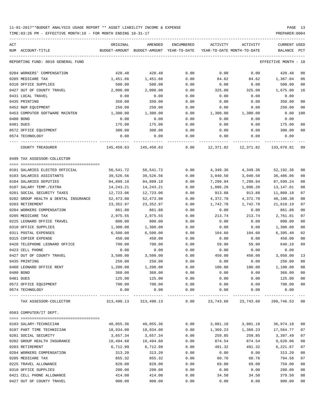| ACT | NUM ACCOUNT-TITLE                        | ORIGINAL       | AMENDED<br>BUDGET-AMOUNT BUDGET-AMOUNT YEAR-TO-DATE | ENCUMBERED   | ACTIVITY     | ACTIVITY<br>YEAR-TO-DATE MONTH-TO-DATE | CURRENT USED<br>BALANCE | PCT |
|-----|------------------------------------------|----------------|-----------------------------------------------------|--------------|--------------|----------------------------------------|-------------------------|-----|
|     | REPORTING FUND: 0010 GENERAL FUND        |                |                                                     |              |              |                                        | EFFECTIVE MONTH - 10    |     |
|     | 0204 WORKERS' COMPENSATION               | 420.48         | 420.48                                              | 0.00         | 0.00         | 0.00                                   | 420.48                  | 00  |
|     | 0205 MEDICARE TAX                        | 1,451.66       | 1,451.66                                            | 0.00         | 84.62        | 84.62                                  | 1,367.04                | 06  |
|     | 0310 OFFICE SUPPLIES                     | 500.00         | 500.00                                              | 0.00         | 0.00         | 0.00                                   | 500.00                  | 00  |
|     | 0427 OUT OF COUNTY TRAVEL                | 2,000.00       | 2,000.00                                            | 0.00         | 325.00       | 325.00                                 | 1,675.00                | 16  |
|     | 0431 LOCAL TRAVEL                        | 0.00           | 0.00                                                | 0.00         | 0.00         | 0.00                                   | 0.00                    |     |
|     | 0435 PRINTING                            | 350.00         | 350.00                                              | 0.00         | 0.00         | 0.00                                   | 350.00                  | 00  |
|     | 0452 R&M EQUIPMENT                       | 250.00         | 250.00                                              | 0.00         | 0.00         | 0.00                                   | 250.00                  | 00  |
|     | 0453 COMPUTER SOFTWARE MAINTEN           | 1,300.00       | 1,300.00                                            | 0.00         | 1,300.00     | 1,300.00                               | 0.00                    | 100 |
|     | 0480 BOND                                | 0.00           | 0.00                                                | 0.00         | 0.00         | 0.00                                   | 0.00                    |     |
|     | 0481 DUES                                | 175.00         | 175.00                                              | 0.00         | 0.00         | 0.00                                   | 175.00                  | 00  |
|     | 0572 OFFICE EQUIPMENT                    | 300.00         | 300.00                                              | 0.00         | 0.00         | 0.00                                   | 300.00                  | 00  |
|     | 0574 TECHNOLOGY                          | 0.00           | 0.00                                                | 0.00         | 0.00         | 0.00                                   | 0.00                    |     |
|     |                                          |                |                                                     |              |              |                                        |                         |     |
|     | COUNTY TREASURER                         | 145,450.63     | 145,450.63                                          | 0.00         |              |                                        | 133,078.81 09           |     |
|     | 0499 TAX ASSESSOR-COLLECTOR              |                |                                                     |              |              |                                        |                         |     |
|     | 0101 SALARIES ELECTED OFFICIAL           | 56,541.72      | 56,541.72                                           | 0.00         | 4,349.36     | 4,349.36                               | 52,192.36               | 08  |
|     | 0103 SALARIES ASSISTANTS                 | 39,526.56      | 39,526.56                                           | 0.00         | 3,040.50     | 3,040.50                               | 36,486.06               | 08  |
|     | 0104 SALARIES DEPUTIES                   | 94,899.18      | 94,899.18                                           | 0.00         | 7,299.94     | 7,299.94                               | 87,599.24               | 08  |
|     | 0107 SALARY TEMP./EXTRA                  | 14,243.21      | 14, 243. 21                                         | 0.00         | 1,096.20     | 1,096.20                               | 13,147.01               | 08  |
|     | 0201 SOCIAL SECURITY TAXES               | 12,723.06      | 12,723.06                                           | 0.00         | 913.88       | 913.88                                 | 11,809.18               | 07  |
|     | 0202 GROUP HEALTH & DENTAL INSURANCE     |                |                                                     | 0.00         |              |                                        |                         | 08  |
|     |                                          | 52,473.00      | 52,473.00                                           |              | 4,372.70     | 4,372.70                               | 48,100.30               |     |
|     | 0203 RETIREMENT                          | 23,352.97      | 23,352.97                                           | 0.00         | 1,742.78     | 1,742.78                               | 21,610.19               | 07  |
|     | 0204 WORKERS COMPENSATION                | 861.88         | 861.88                                              | 0.00         | 0.00         | 0.00                                   | 861.88                  | 00  |
|     | 0205 MEDICARE TAX                        | 2,975.55       | 2,975.55                                            | 0.00         | 213.74       | 213.74                                 | 2,761.81                | 07  |
|     | 0225 LEONARD OFFICE TRAVEL               | 800.00         | 800.00                                              | 0.00         | 0.00         | 0.00                                   | 800.00                  | 00  |
|     | 0310 OFFICE SUPPLIES                     | 1,300.00       | 1,300.00                                            | 0.00         | 0.00         | 0.00                                   | 1,300.00                | 00  |
|     | 0311 POSTAL EXPENSES                     | 6,500.00       | 6,500.00                                            | 0.00         | 104.60       | 104.60                                 | 6,395.40                | 02  |
|     | 0315 COPIER EXPENSE                      | 450.00         | 450.00                                              | 0.00         | 0.00         | 0.00                                   | 450.00                  | 00  |
|     | 0420 TELEPHONE LEONARD OFFICE            | 700.00         | 700.00                                              | 0.00         | 59.90        | 59.90                                  | 640.10                  | 09  |
|     | 0423 CELL PHONE                          | 0.00           | 0.00                                                | 0.00         | 0.00         | 0.00                                   | 0.00                    |     |
|     | 0427 OUT OF COUNTY TRAVEL                | 3,500.00       | 3,500.00                                            | 0.00         | 450.00       | 450.00                                 | 3,050.00                | 13  |
|     | 0435 PRINTING                            | 250.00         | 250.00                                              | 0.00         | 0.00         | 0.00                                   | 250.00                  | 00  |
|     | 0460 LEONARD OFFICE RENT                 | 1,200.00       | 1,200.00                                            | 0.00         | 100.00       | 100.00                                 | 1,100.00                | 08  |
|     | 0480 BOND                                | 368.00         | 368.00                                              | 0.00         | 0.00         | 0.00                                   | 368.00 00               |     |
|     | 0481 DUES                                | 125.00         | 125.00                                              | 0.00         | 0.00         | 0.00                                   | 125.00                  | 00  |
|     | 0572 OFFICE EQUIPMENT<br>0574 TECHNOLOGY | 700.00<br>0.00 | 700.00<br>0.00                                      | 0.00<br>0.00 | 0.00<br>0.00 | 0.00<br>0.00                           | 700.00<br>0.00          | 00  |
|     |                                          |                |                                                     | ------------ |              |                                        |                         |     |
|     | TAX ASSESSOR-COLLECTOR                   | 313,490.13     | 313,490.13                                          | 0.00         | 23,743.60    | 23,743.60                              | 289,746.53 08           |     |
|     | 0503 COMPUTER/IT DEPT.                   |                |                                                     |              |              |                                        |                         |     |
|     | 0103 SALARY-TECHNICIAN                   | 40,055.36      | 40,055.36                                           | 0.00         | 3,081.18     | 3,081.18                               | 36,974.18               | 08  |
|     | 0107 PART TIME TECHNICIAN                | 18,934.00      | 18,934.00                                           | 0.00         | 1,369.23     | 1,369.23                               | 17,564.77               | 07  |
|     | 0201 SOCIAL SECURITY                     | 3,657.34       | 3,657.34                                            | 0.00         | 259.85       | 259.85                                 | 3,397.49                | 07  |
|     | 0202 GROUP HEALTH INSURANCE              | 10,494.60      | 10,494.60                                           | 0.00         | 874.54       | 874.54                                 | 9,620.06                | 08  |
|     | 0203 RETIREMENT                          | 6,712.99       | 6,712.99                                            | 0.00         | 491.32       | 491.32                                 | 6,221.67                | 07  |
|     | 0204 WORKERS COMPENSATION                | 313.20         | 313.20                                              | 0.00         | 0.00         | 0.00                                   | 313.20                  | 00  |
|     | 0205 MEDICARE TAX                        | 855.32         | 855.32                                              | 0.00         | 60.76        | 60.76                                  | 794.56                  | 07  |
|     | 0225 TRAVEL ALLOWANCE                    | 828.00         | 828.00                                              | 0.00         | 69.00        | 69.00                                  | 759.00                  | 08  |
|     | 0310 OFFICE SUPPLIES                     | 200.00         | 200.00                                              | 0.00         | 0.00         | 0.00                                   | 200.00                  | 00  |
|     | 0421 CELL PHONE ALLOWANCE                | 414.00         | 414.00                                              | 0.00         | 34.50        | 34.50                                  | 379.50                  | 08  |
|     | 0427 OUT OF COUNTY TRAVEL                | 900.00         | 900.00                                              | 0.00         | 0.00         | 0.00                                   | 900.00                  | 00  |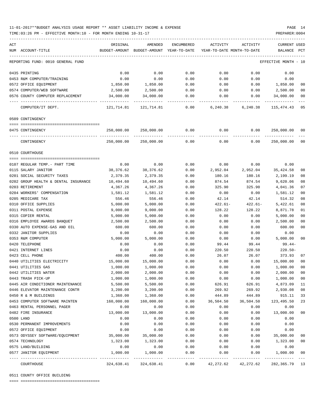TIME:03:26 PM - EFFECTIVE MONTH:10 - FOR MONTH ENDING 10-31-17

| ACT | NUM ACCOUNT-TITLE                    | ORIGINAL   | AMENDED<br>BUDGET-AMOUNT BUDGET-AMOUNT YEAR-TO-DATE | ENCUMBERED | ACTIVITY<br>YEAR-TO-DATE MONTH-TO-DATE | ACTIVITY   | CURRENT USED<br>BALANCE PCT |                |
|-----|--------------------------------------|------------|-----------------------------------------------------|------------|----------------------------------------|------------|-----------------------------|----------------|
|     | REPORTING FUND: 0010 GENERAL FUND    |            |                                                     |            |                                        |            | EFFECTIVE MONTH - 10        |                |
|     | 0435 PRINTING                        | 0.00       | 0.00                                                | 0.00       | 0.00                                   | 0.00       | 0.00                        |                |
|     | 0453 R&M COMPUTER/TRAINING           | 0.00       | 0.00                                                | 0.00       | 0.00                                   | 0.00       | 0.00                        |                |
|     | 0572 OFFICE EQUIPMENT                | 1,850.00   | 1,850.00                                            | 0.00       | 0.00                                   | 0.00       | 1,850.00                    | 00             |
|     | 0574 COMPUTER/WEB SOFTWARE           | 2,500.00   | 2,500.00                                            | 0.00       | 0.00                                   | 0.00       | 2,500.00                    | 0 <sub>0</sub> |
|     | 0576 COUNTY COMPUTER REPLACEMENT     | 34,000.00  | 34,000.00                                           | 0.00       | 0.00                                   | 0.00       | 34,000.00                   | 00             |
|     | COMPUTER/IT DEPT.                    |            |                                                     | 0.00       | 6,240.38                               | 6,240.38   | 115,474.43                  | 05             |
|     | 0509 CONTINGENCY                     |            |                                                     |            |                                        |            |                             |                |
|     |                                      |            |                                                     |            |                                        |            |                             |                |
|     | 0475 CONTINGENCY                     |            | 250,000.00 250,000.00                               | 0.00       | 0.00                                   | 0.00       | 250,000.00                  | 00             |
|     | CONTINGENCY                          | 250,000.00 | 250,000.00                                          | 0.00       | 0.00                                   | 0.00       | 250,000.00                  | 0 <sub>0</sub> |
|     | 0510 COURTHOUSE                      |            |                                                     |            |                                        |            |                             |                |
|     |                                      |            |                                                     |            |                                        |            |                             |                |
|     | 0107 REGULAR TEMP. - PART TIME       | 0.00       | 0.00                                                | 0.00       | 0.00                                   | 0.00       | 0.00                        |                |
|     | 0115 SALARY JANITOR                  | 38,376.62  | 38,376.62                                           | 0.00       | 2,952.04                               | 2,952.04   | 35,424.58                   | 08             |
|     | 0201 SOCIAL SECURITY TAXES           | 2,379.35   | 2,379.35                                            | 0.00       | 180.16                                 | 180.16     | 2,199.19                    | 08             |
|     | 0202 GROUP HEALTH & DENTAL INSURANCE | 10,494.60  | 10,494.60                                           | 0.00       | 874.54                                 | 874.54     | 9,620.06                    | 08             |
|     | 0203 RETIREMENT                      | 4,367.26   | 4,367.26                                            | 0.00       | 325.90                                 | 325.90     | 4,041.36                    | 07             |
|     | 0204 WORKERS' COMPENSATION           | 1,581.12   | 1,581.12                                            | 0.00       | 0.00                                   | 0.00       | 1,581.12                    | 0 <sub>0</sub> |
|     | 0205 MEDICARE TAX                    | 556.46     | 556.46                                              | 0.00       | 42.14                                  | 42.14      | 514.32                      | 08             |
|     | 0310 OFFICE SUPPLIES                 | 5,000.00   | 5,000.00                                            | 0.00       | $422.61-$                              | $422.61-$  | 5,422.61                    | 08             |
|     | 0311 POSTAL EXPENSE                  | 9,000.00   | 9,000.00                                            | 0.00       | 128.22                                 | 128.22     | 8,871.78                    | 01             |
|     | 0315 COPIER RENTAL                   | 5,000.00   | 5,000.00                                            | 0.00       | 0.00                                   | 0.00       | 5,000.00                    | 0 <sub>0</sub> |
|     | 0316 EMPLOYEE AWARDS BANQUET         | 2,500.00   | 2,500.00                                            | 0.00       | 0.00                                   | 0.00       | 2,500.00                    | 00             |
|     | 0330 AUTO EXPENSE-GAS AND OIL        | 600.00     | 600.00                                              | 0.00       | 0.00                                   | 0.00       | 600.00                      | 0 <sub>0</sub> |
|     | 0332 JANITOR SUPPLIES                | 0.00       | 0.00                                                | 0.00       | 0.00                                   | 0.00       | 0.00                        |                |
|     | 0353 R&M COMPUTER                    | 5,000.00   | 5,000.00                                            | 0.00       | 0.00                                   | 0.00       | 5,000.00                    | 0 <sub>0</sub> |
|     | 0420 TELEPHONE                       | 0.00       | 0.00                                                | 0.00       | 99.44                                  | 99.44      | 99.44-                      |                |
|     | 0421 INTERNET LINES                  | 0.00       | 0.00                                                | 0.00       | 220.50                                 | 220.50     | $220.50-$                   |                |
|     | 0423 CELL PHONE                      | 400.00     | 400.00                                              | 0.00       | 26.07                                  | 26.07      | 373.93                      | 07             |
|     | 0440 UTILITIES ELECTRICITY           | 15,000.00  | 15,000.00                                           | 0.00       | 0.00                                   | 0.00       | 15,000.00                   | 0 <sub>0</sub> |
|     | 0441 UTILITIES GAS                   | 1,000.00   | 1,000.00                                            | 0.00       | 0.00                                   | 0.00       | 1,000.00                    | 0 <sub>0</sub> |
|     | 0442 UTILITIES WATER                 | 2,000.00   | 2,000.00                                            | 0.00       | 0.00                                   | 0.00       | 2,000.00                    | 0 <sub>0</sub> |
|     | 0443 TRASH PICK-UP                   | 1,000.00   | 1,000.00                                            | 0.00       | 0.00                                   | 0.00       | 1,000.00                    | 0 <sub>0</sub> |
|     | 0445 AIR CONDITIONER MAINTENANCE     | 5,500.00   | 5,500.00                                            | 0.00       | 626.91                                 | 626.91     | 4,873.09                    | 11             |
|     | 0446 ELEVATOR MAINTENANCE CONTR      | 3,200.00   | 3,200.00                                            | 0.00       | 269.92                                 | 269.92     | 2,930.08                    | 08             |
|     | 0450 R & M BUILDINGS                 | 1,360.00   | 1,360.00                                            | 0.00       | 444.89                                 | 444.89     | 915.11                      | 33             |
|     | 0453 COMPUTER SOFTWARE MAINTEN       | 160,000.00 | 160,000.00                                          | 0.00       | 36,504.50                              | 36,504.50  | 123,495.50                  | 23             |
|     | 0463 RENTAL PERSONNEL PAGER          | 0.00       | 0.00                                                | 0.00       | 0.00                                   | 0.00       | 0.00                        |                |
|     | 0482 FIRE INSURANCE                  | 13,000.00  | 13,000.00                                           | 0.00       | 0.00                                   | 0.00       | 13,000.00                   | 0 <sub>0</sub> |
|     | 0500 LAND                            | 0.00       | 0.00                                                | 0.00       | 0.00                                   | 0.00       | 0.00                        |                |
|     | 0530 PERMANENT IMPROVEMENTS          | 0.00       | 0.00                                                | 0.00       | 0.00                                   | 0.00       | 0.00                        |                |
|     | 0572 OFFICE EQUIPMENT                | 0.00       | 0.00                                                | 0.00       | 0.00                                   | 0.00       | 0.00                        |                |
|     | 0573 ODYSSEY SOFTWARE/EQUIPMENT      | 35,000.00  | 35,000.00                                           | 0.00       | 0.00                                   | 0.00       | 35,000.00                   | 00             |
|     | 0574 TECHNOLOGY                      | 1,323.00   | 1,323.00                                            | 0.00       | 0.00                                   | 0.00       | 1,323.00                    | 0 <sub>0</sub> |
|     | 0575 LAND/BUILDING                   | 0.00       | 0.00                                                | 0.00       | 0.00                                   | 0.00       | 0.00                        |                |
|     | 0577 JANITOR EQUIPMENT               | 1,000.00   | 1,000.00                                            | 0.00       | 0.00                                   | 0.00       | 1,000.00                    | 0 <sub>0</sub> |
|     | COURTHOUSE                           | 324,638.41 | 324,638.41                                          | 0.00       | 42,272.62                              | 42, 272.62 | 282,365.79                  | 13             |

0511 COUNTY OFFICE BUILDING

==== ===================================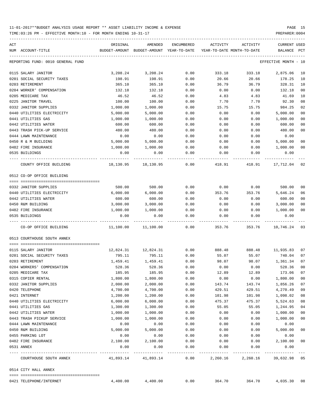TIME:03:26 PM - EFFECTIVE MONTH:10 - FOR MONTH ENDING 10-31-17 PREPARER:0004

| ACT |                                   | ORIGINAL                          | AMENDED                                  | ENCUMBERED | ACTIVITY                   | ACTIVITY          | <b>CURRENT USED</b>  |        |
|-----|-----------------------------------|-----------------------------------|------------------------------------------|------------|----------------------------|-------------------|----------------------|--------|
|     | NUM ACCOUNT-TITLE                 |                                   | BUDGET-AMOUNT BUDGET-AMOUNT YEAR-TO-DATE |            | YEAR-TO-DATE MONTH-TO-DATE |                   | BALANCE PCT          |        |
|     | REPORTING FUND: 0010 GENERAL FUND |                                   |                                          |            |                            |                   | EFFECTIVE MONTH - 10 |        |
|     | 0115 SALARY JANITOR               | 3,208.24                          | 3,208.24                                 | 0.00       | 333.18                     | 333.18            | 2,875.06             | 10     |
|     | 0201 SOCIAL SECURITY TAXES        | 198.91                            | 198.91                                   | 0.00       | 20.66                      | 20.66             | 178.25               | 10     |
|     | 0203 RETIREMENT                   | 365.10                            | 365.10                                   | 0.00       | 36.79                      | 36.79             | 328.31               | 10     |
|     | 0204 WORKER' COMPENSATION         | 132.18                            | 132.18                                   | 0.00       | 0.00                       | 0.00              | 132.18               | 00     |
|     | 0205 MEDICARE TAX                 | 46.52                             | 46.52                                    | 0.00       | 4.83                       | 4.83              | 41.69                | 10     |
|     | 0225 JANITOR TRAVEL               | 100.00                            | 100.00                                   | 0.00       | 7.70                       | 7.70              | 92.30                | 08     |
|     | 0332 JANITOR SUPPLIES             | 1,000.00                          | 1,000.00                                 | 0.00       | 15.75                      | 15.75             | 984.25               | 02     |
|     | 0440 UTILITIES ELECTRICITY        | 5,000.00                          | 5,000.00                                 | 0.00       | 0.00                       | 0.00              | 5,000.00             | 00     |
|     | 0441 UTILITIES GAS                | 1,000.00                          | 1,000.00                                 | 0.00       | 0.00                       | 0.00              | 1,000.00             | 00     |
|     | 0442 UTILITIES WATER              | 600.00                            | 600.00                                   | 0.00       | 0.00                       | 0.00              | 600.00               | 00     |
|     | 0443 TRASH PICK-UP SERVICE        | 480.00                            | 480.00                                   | 0.00       | 0.00                       | 0.00              | 480.00               | 00     |
|     | 0444 LAWN MAINTENANCE             | 0.00                              | 0.00                                     | 0.00       | 0.00                       | 0.00              | 0.00                 |        |
|     | 0450 R & M BUILDING               | 5,000.00                          | 5,000.00                                 | 0.00       | 0.00                       | 0.00              | 5,000.00             | 00     |
|     | 0482 FIRE INSURANCE               | 1,000.00                          | 1,000.00                                 | 0.00       | 0.00                       | 0.00              | 1,000.00             | 00     |
|     | 0535 BUILDINGS                    | 0.00                              | 0.00                                     | 0.00       | 0.00                       | 0.00              | 0.00                 |        |
|     |                                   |                                   |                                          |            |                            |                   |                      |        |
|     | COUNTY OFFICE BUILDING            | 18,130.95                         | 18,130.95                                | 0.00       | 418.91                     | 418.91            | 17,712.04 02         |        |
|     | 0512 CO-OP OFFICE BUILDING        |                                   |                                          |            |                            |                   |                      |        |
|     | 0332 JANITOR SUPPLIES             | 500.00                            | 500.00                                   | 0.00       | 0.00                       | 0.00              | 500.00               | 00     |
|     | 0440 UTILITIES ELECTRICITY        | 6,000.00                          | 6,000.00                                 | 0.00       | 353.76                     | 353.76            | 5,646.24             | 06     |
|     | 0442 UTILITIES WATER              | 600.00                            | 600.00                                   | 0.00       | 0.00                       | 0.00              | 600.00               | 00     |
|     | 0450 R&M BUILDING                 | 3,000.00                          | 3,000.00                                 | 0.00       | 0.00                       | 0.00              | 3,000.00             | 00     |
|     | 0482 FIRE INSURANCE               | 1,000.00                          | 1,000.00                                 | 0.00       | 0.00                       | 0.00              | 1,000.00             | 00     |
|     | 0535 BUILDINGS                    | 0.00                              | 0.00                                     | 0.00       | 0.00                       | 0.00              | 0.00                 |        |
|     | CO-OP OFFICE BUILDING             | 11,100.00                         | 11,100.00                                | 0.00       | 353.76                     | 353.76            | 10,746.24 03         |        |
|     |                                   |                                   |                                          |            |                            |                   |                      |        |
|     | 0513 COURTHOUSE SOUTH ANNEX       |                                   |                                          |            |                            |                   |                      |        |
|     | 0115 SALARY JANITOR               |                                   | 12,824.31 12,824.31                      | 0.00       | 888.48                     | 888.48            | 11,935.83            | 07     |
|     | 0201 SOCIAL SECURITY TAXES        | 795.11                            | 795.11                                   | 0.00       | 55.07                      | 55.07             | 740.04               | 07     |
|     | 0203 RETIREMENT                   | 1,459.41                          | 1,459.41                                 | 0.00       | 98.07                      | 98.07             | 1,361.34             | 07     |
|     | 0204 WORKERS' COMPENSATION        | 528.36                            | 528.36                                   | 0.00       | 0.00                       | 0.00              | 528.36               | 00     |
|     | 0205 MEDICARE TAX                 | 185.95                            | 185.95                                   | 0.00       | 12.89                      | 12.89             | 173.06               | 07     |
|     | 0315 COPIER RENTAL                | 1,800.00                          | 1,800.00                                 | 0.00       | 0.00                       | 0.00              | 1,800.00             | 00     |
|     | 0332 JANITOR SUPPLIES             | 2,000.00                          | 2,000.00                                 | 0.00       | 143.74                     | 143.74            | 1,856.26             | 07     |
|     | 0420 TELEPHONE                    | 4,700.00                          | 4,700.00                                 | 0.00       | 429.51                     | 429.51            | 4,270.49             | 09     |
|     | 0421 INTERNET                     | 1,200.00                          | 1,200.00                                 | 0.00       | 101.98                     | 101.98            | 1,098.02             | 08     |
|     | 0440 UTILITIES ELECTRICITY        | 6,000.00                          | 6,000.00                                 | 0.00       | 475.37                     | 475.37            | 5,524.63             | 08     |
|     | 0441 UTILITIES GAS                | 1,300.00                          | 1,300.00                                 | 0.00       | 55.05                      | 55.05             | 1,244.95             | 04     |
|     | 0442 UTILITIES WATER              | 1,000.00                          | 1,000.00                                 | 0.00       | 0.00                       | 0.00              | 1,000.00             | $00\,$ |
|     | 0443 TRASH PICKUP SERVICE         | 1,000.00                          | 1,000.00                                 | 0.00       | 0.00                       | 0.00              | 1,000.00             | 00     |
|     | 0444 LAWN MAINTENANCE             | 0.00                              | 0.00                                     | 0.00       | 0.00                       | 0.00              | 0.00                 |        |
|     | 0450 R&M BUILDING                 | 5,000.00                          | 5,000.00                                 | 0.00       | 0.00                       | 0.00              | 5,000.00             | $00\,$ |
|     | 0455 PARKING LOT                  | 0.00                              | 0.00                                     | 0.00       | 0.00                       | 0.00              | 0.00                 |        |
|     | 0482 FIRE INSURANCE               | 2,100.00                          | 2,100.00                                 | 0.00       | 0.00                       | 0.00              | 2,100.00             | $00\,$ |
|     | 0531 ANNEX                        | 0.00                              | 0.00                                     | 0.00       | 0.00                       | 0.00              | 0.00                 |        |
|     |                                   | --------------- --------------- - | -----------                              | -----      |                            |                   |                      |        |
|     | COURTHOUSE SOUTH ANNEX            | 41,893.14                         | 41,893.14                                | 0.00       |                            | 2,260.16 2,260.16 | 39,632.98 05         |        |
|     | 0514 CITY HALL ANNEX              |                                   |                                          |            |                            |                   |                      |        |
|     | 0421 TELEPHONE/INTERNET           | 4,400.00                          |                                          | 0.00       | 364.70                     | 364.70            |                      |        |
|     |                                   |                                   | 4,400.00                                 |            |                            |                   | 4,035.30 08          |        |

-----------------------------------------------------------------------------------------------------------------------------------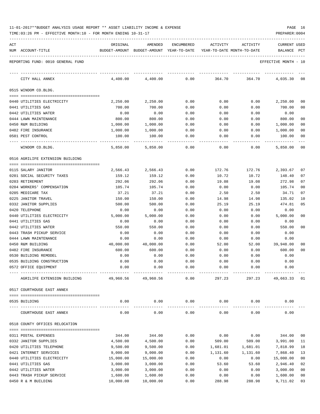| ACT | NUM ACCOUNT-TITLE                             | ORIGINAL<br>BUDGET-AMOUNT | AMENDED<br>BUDGET-AMOUNT | ENCUMBERED<br>YEAR-TO-DATE | ACTIVITY<br>YEAR-TO-DATE MONTH-TO-DATE | ACTIVITY       | <b>CURRENT USED</b><br><b>BALANCE</b> | PCT            |
|-----|-----------------------------------------------|---------------------------|--------------------------|----------------------------|----------------------------------------|----------------|---------------------------------------|----------------|
|     |                                               |                           |                          |                            |                                        |                |                                       |                |
|     | REPORTING FUND: 0010 GENERAL FUND             |                           |                          |                            |                                        |                | EFFECTIVE MONTH - 10                  |                |
|     | CITY HALL ANNEX                               | 4,400.00                  | 4,400.00                 | 0.00                       | 364.70                                 | 364.70         | 4,035.30                              | 08             |
|     | 0515 WINDOM CO.BLDG.                          |                           |                          |                            |                                        |                |                                       |                |
|     | 0440 UTILITIES ELECTRICITY                    | 2,250.00                  | 2,250.00                 | 0.00                       | 0.00                                   | 0.00           | 2,250.00                              | 00             |
|     | 0441 UTILITIES GAS                            | 700.00                    | 700.00                   | 0.00                       | 0.00                                   | 0.00           | 700.00                                | 00             |
|     | 0442 UTILITIES WATER                          | 0.00                      | 0.00                     | 0.00                       | 0.00                                   | 0.00           | 0.00                                  |                |
|     | 0444 LAWN MAINTENANCE                         | 800.00                    | 800.00                   | 0.00                       | 0.00                                   | 0.00           | 800.00                                | 00             |
|     | 0450 R&M BUILDING                             | 1,000.00                  | 1,000.00                 | 0.00                       | 0.00                                   | 0.00           | 1,000.00                              | 00             |
|     | 0482 FIRE INSURANCE                           | 1,000.00                  | 1,000.00                 | 0.00                       | 0.00                                   | 0.00           | 1,000.00                              | 00             |
|     | 0501 PEST CONTROL                             | 100.00                    | 100.00                   | 0.00                       | 0.00                                   | 0.00           | 100.00                                | 00             |
|     | WINDOM CO.BLDG.                               | 5,850.00                  | 5,850.00                 | 0.00                       | 0.00                                   | 0.00           | 5,850.00                              | 00             |
|     | 0516 AGRILIFE EXTENSION BUILDING              |                           |                          |                            |                                        |                |                                       |                |
|     | 0115 SALARY JANITOR                           | 2,566.43                  | 2,566.43                 | 0.00                       | 172.76                                 | 172.76         | 2,393.67                              | 07             |
|     | 0201 SOCIAL SECURITY TAXES                    | 159.12                    | 159.12                   | 0.00                       | 10.72                                  | 10.72          | 148.40                                | 07             |
|     | 0203 RETIREMENT                               | 292.06                    | 292.06                   | 0.00                       | 19.08                                  | 19.08          | 272.98                                | 07             |
|     | 0204 WORKERS' COMPENSATION                    | 105.74                    | 105.74                   | 0.00                       | 0.00                                   | 0.00           | 105.74                                | 0 <sub>0</sub> |
|     | 0205 MEDICARE TAX                             | 37.21                     | 37.21                    | 0.00                       | 2.50                                   | 2.50           | 34.71                                 | 07             |
|     | 0225 JANITOR TRAVEL                           | 150.00                    | 150.00                   | 0.00                       | 14.98                                  | 14.98          | 135.02                                | 10             |
|     | 0332 JANITOR SUPPLIES                         | 500.00                    | 500.00                   | 0.00                       | 25.19                                  | 25.19          | 474.81                                | 05             |
|     | 0420 TELEPHONE                                | 0.00                      | 0.00                     | 0.00                       | 0.00                                   | 0.00           | 0.00                                  |                |
|     | 0440 UTILITIES ELECTRICITY                    | 5,000.00                  | 5,000.00                 | 0.00                       | 0.00                                   | 0.00           | 5,000.00                              | 00             |
|     | 0441 UTILITIES GAS                            | 0.00                      | 0.00                     | 0.00                       | 0.00                                   | 0.00           | 0.00                                  |                |
|     | 0442 UTILITIES WATER                          | 550.00                    | 550.00                   | 0.00                       | 0.00                                   | 0.00           | 550.00                                | 00             |
|     | 0443 TRASH PICKUP SERVICE                     | 0.00                      | 0.00                     | 0.00                       | 0.00                                   | 0.00           | 0.00                                  |                |
|     | 0444 LAWN MAINTENANCE                         | 0.00                      | 0.00                     | 0.00                       | 0.00                                   | 0.00           | 0.00                                  |                |
|     | 0450 R&M BUILDING                             | 40,000.00                 | 40,000.00                | 0.00                       | 52.00                                  | 52.00          | 39,948.00                             | 00             |
|     | 0482 FIRE INSURANCE                           | 600.00                    | 600.00                   | 0.00                       | 0.00                                   | 0.00           | 600.00                                | 0 <sub>0</sub> |
|     | 0530 BUILDING REMODEL                         | 0.00                      | 0.00                     | 0.00                       | 0.00                                   | 0.00           | 0.00                                  |                |
|     | 0535 BUILDING CONSTRUCTION                    | 0.00                      | 0.00                     | 0.00                       | 0.00                                   | 0.00           | 0.00                                  |                |
|     | 0572 OFFICE EQUIPMENT                         | 0.00                      | 0.00                     | 0.00                       | 0.00                                   | 0.00           | 0.00                                  |                |
|     | AGRILIFE EXTENSION BUILDING                   |                           | 49,960.56 49,960.56      | 0.00                       | 297.23                                 | 297.23         | 49,663.33 01                          |                |
|     | 0517 COURTHOUSE EAST ANNEX                    |                           |                          |                            |                                        |                |                                       |                |
|     | 0535 BUILDING                                 | 0.00                      | 0.00                     | 0.00                       | 0.00                                   | 0.00           | 0.00                                  |                |
|     | COURTHOUSE EAST ANNEX                         | 0.00                      | 0.00                     | 0.00                       | 0.00                                   | 0.00           | 0.00                                  |                |
|     | 0518 COUNTY OFFICES RELOCATION                |                           |                          |                            |                                        |                |                                       |                |
|     |                                               |                           |                          |                            |                                        |                |                                       |                |
|     | 0311 POSTAL EXPENSES<br>0332 JANITOR SUPPLIES | 344.00<br>4,500.00        | 344.00<br>4,500.00       | 0.00<br>0.00               | 0.00<br>509.00                         | 0.00<br>509.00 | 344.00<br>3,991.00                    | 00<br>11       |
|     | 0420 UTILITIES TELEPHONE                      | 9,500.00                  | 9,500.00                 | 0.00                       | 1,681.01                               | 1,681.01       | 7,818.99                              | 18             |
|     | 0421 INTERNET SERVICES                        | 9,000.00                  | 9,000.00                 | 0.00                       | 1,131.60                               | 1,131.60       | 7,868.40                              | 13             |
|     | 0440 UTILITIES ELECTRICITY                    | 15,000.00                 | 15,000.00                | 0.00                       | 0.00                                   | 0.00           | 15,000.00                             | 00             |
|     | 0441 UTILITIES GAS                            | 3,000.00                  | 3,000.00                 | 0.00                       | 53.60                                  | 53.60          | 2,946.40                              | 02             |
|     | 0442 UTILITIES WATER                          | 3,000.00                  | 3,000.00                 | 0.00                       | 0.00                                   | 0.00           | 3,000.00                              | 00             |
|     | 0443 TRASH PICKUP SERVICE                     | 1,600.00                  | 1,600.00                 | 0.00                       | 0.00                                   | 0.00           | 1,600.00                              | 00             |
|     | 0450 R & M BUILDING                           | 10,000.00                 | 10,000.00                | 0.00                       | 288.98                                 | 288.98         | 9,711.02                              | 03             |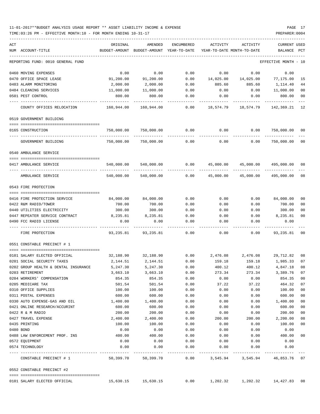| ACT | NUM ACCOUNT-TITLE                    | ORIGINAL                                         | AMENDED<br>BUDGET-AMOUNT BUDGET-AMOUNT YEAR-TO-DATE | ENCUMBERED               |              | ACTIVITY ACTIVITY<br>YEAR-TO-DATE MONTH-TO-DATE          | CURRENT USED<br>BALANCE PCT |                |
|-----|--------------------------------------|--------------------------------------------------|-----------------------------------------------------|--------------------------|--------------|----------------------------------------------------------|-----------------------------|----------------|
|     | REPORTING FUND: 0010 GENERAL FUND    |                                                  |                                                     |                          |              |                                                          | EFFECTIVE MONTH - 10        |                |
|     | 0460 MOVING EXPENSES                 | 0.00                                             | 0.00                                                | 0.00                     | 0.00         | 0.00                                                     | 0.00                        |                |
|     | 0470 OFFICE SPACE LEASE              | 91,200.00                                        | 91,200.00                                           |                          |              | $0.00$ 14,025.00 14,025.00 77,175.00                     |                             | 15             |
|     | 0483 ALARM MONITORING                | 2,000.00                                         | 2,000.00                                            | 0.00                     | 885.60       | 885.60                                                   | 1,114.40                    | 44             |
|     | 0484 CLEANING SERVICES               | 11,000.00                                        | 11,000.00                                           | 0.00                     | 0.00         | 0.00                                                     | 11,000.00                   | 0 <sub>0</sub> |
|     | 0501 PEST CONTROL                    | 800.00                                           | 800.00                                              | 0.00                     | 0.00         | 0.00                                                     | 800.00                      | 0 <sub>0</sub> |
|     | COUNTY OFFICES RELOCATION 160,944.00 |                                                  |                                                     | ----------- ------------ | . <u>.</u> . | ----------                                               | ----------<br>142,369.21    | 12             |
|     | 0519 GOVERNMENT BUILDING             |                                                  |                                                     |                          |              |                                                          |                             |                |
|     | 0165 CONSTRUCTION                    |                                                  |                                                     |                          |              | $750,000.00$ $750,000.00$ $0.00$ $0.00$ $0.00$ $0.00$    | 750,000.00                  | 00             |
|     | <br>GOVERNMENT BUILDING              | ------------------ ---------------<br>750,000.00 | . <u>.</u><br>750,000.00                            | ------------<br>0.00     | 0.00         | 0.00                                                     | -----------<br>750,000.00   | 0 <sup>0</sup> |
|     | 0540 AMBULANCE SERVICE               |                                                  |                                                     |                          |              |                                                          |                             |                |
|     | 0417 AMBULANCE SERVICE               | 540,000.00                                       |                                                     |                          |              | $540,000.00$ $0.00$ $45,000.00$ $45,000.00$ $495,000.00$ |                             | 08             |
|     | AMBULANCE SERVICE                    | 540,000.00                                       |                                                     |                          |              |                                                          | 495,000.00                  | 08             |
|     | 0543 FIRE PROTECTION                 |                                                  |                                                     |                          |              |                                                          |                             |                |
|     |                                      |                                                  |                                                     |                          |              |                                                          |                             |                |
|     | 0416 FIRE PROTECTION SERVICE         | 84,000.00                                        | 84,000.00                                           | 0.00                     | 0.00         | 0.00                                                     | 84,000.00                   | 00             |
|     | 0422 R&M RADIO/TOWER                 | 700.00                                           | 700.00                                              | 0.00                     | 0.00         | 0.00                                                     | 700.00                      | 0 <sub>0</sub> |
|     | 0440 UTILITIES ELECTRICITY           | 300.00                                           | 300.00                                              | 0.00                     | 0.00         | 0.00                                                     | 300.00                      | 0 <sub>0</sub> |
|     | 0447 REPEATER SERVICE CONTRACT       | 8,235.81                                         | 8,235.81                                            | 0.00                     | 0.00         | 0.00                                                     | 8,235.81                    | 0 <sub>0</sub> |
|     | 0490 FCC RADIO LICENSE               | 0.00                                             | 0.00                                                | 0.00                     | 0.00         | 0.00                                                     | 0.00<br>----------          |                |
|     | FIRE PROTECTION                      |                                                  | 93,235.81 93,235.81 0.00                            |                          |              | 0.00<br>0.00                                             | 93,235.81                   | 0 <sub>0</sub> |
|     | 0551 CONSTABLE PRECINCT # 1          |                                                  |                                                     |                          |              |                                                          |                             |                |
|     | 0101 SALARY ELECTED OFFICIAL         |                                                  |                                                     |                          |              | 32,188.90 32,188.90 0.00 2,476.08 2,476.08 29,712.82     |                             | 08             |
|     | 0201 SOCIAL SECURITY TAXES           | 2,144.51                                         | 2,144.51                                            | 0.00                     |              | 159.18 159.18 1,985.33                                   |                             | 07             |
|     | 0202 GROUP HEALTH & DENTAL INSURANCE | 5,247.30                                         | 5,247.30                                            | 0.00                     | 400.12       | 400.12                                                   | 4,847.18                    | 08             |
|     | 0203 RETIREMENT                      | 3,663.10                                         | 3,663.10                                            | 0.00                     | 273.34       | 273.34                                                   | 3,389.76                    | 07             |
|     | 0204 WORKERS' COMPENSATION           | 854.35                                           | 854.35                                              | 0.00                     | 0.00         | 0.00                                                     | 854.35                      | 0 <sub>0</sub> |
|     | 0205 MEDICARE TAX                    | 501.54                                           | 501.54                                              | 0.00                     | 37.22        | 37.22                                                    | 464.32                      | 07             |
|     | 0310 OFFICE SUPPLIES                 | 100.00                                           | 100.00                                              | 0.00                     | 0.00         | 0.00                                                     | 100.00                      | 0 <sub>0</sub> |
|     | 0311 POSTAL EXPENSES                 | 600.00                                           | 600.00                                              | 0.00                     | 0.00         | 0.00                                                     | 600.00                      | 0 <sub>0</sub> |
|     | 0330 AUTO EXPENSE-GAS AND OIL        | 1,400.00                                         | 1,400.00                                            | 0.00                     | 0.00         | 0.00                                                     | 1,400.00                    | 0 <sub>0</sub> |
|     | 0421 ONLINE RESEARCH/ACCURINT        | 600.00                                           | 600.00                                              | 0.00                     | 0.00         | 0.00                                                     | 600.00                      | 0 <sub>0</sub> |
|     | 0422 R & M RADIO                     | 200.00                                           | 200.00                                              | 0.00                     | 0.00         | 0.00                                                     | 200.00                      | 0 <sub>0</sub> |
|     | 0427 TRAVEL EXPENSE                  | 2,400.00                                         | 2,400.00                                            | 0.00                     | 200.00       | 200.00                                                   | 2,200.00                    | 08             |
|     | 0435 PRINTING                        | 100.00                                           | 100.00                                              | 0.00                     | 0.00         | 0.00                                                     | 100.00                      | 0 <sub>0</sub> |
|     | 0480 BOND                            | 0.00                                             | 0.00                                                | 0.00                     | 0.00         | 0.00                                                     | 0.00                        |                |
|     | 0488 LAW ENFORCEMENT PROF. INS       | 400.00                                           | 400.00                                              | 0.00                     | 0.00         | 0.00                                                     | 400.00                      | 0 <sub>0</sub> |
|     | 0572 EQUIPMENT<br>0574 TECHNOLOGY    | 0.00<br>0.00                                     | 0.00<br>0.00                                        | 0.00<br>0.00             | 0.00<br>0.00 | 0.00<br>0.00                                             | 0.00<br>0.00                |                |
|     | CONSTABLE PRECINCT # 1               | 50,399.70                                        | 50,399.70                                           | $- - - - - -$<br>0.00    | 3,545.94     | 3,545.94                                                 | 46,853.76 07                |                |
|     | 0552 CONSTABLE PRECINCT #2           |                                                  |                                                     |                          |              |                                                          |                             |                |
|     |                                      |                                                  |                                                     |                          |              |                                                          |                             |                |
|     | 0101 SALARY ELECTED OFFICIAL         | 15,630.15                                        | 15,630.15                                           |                          |              | $0.00$ 1,202.32 1,202.32 14,427.83                       |                             | 08             |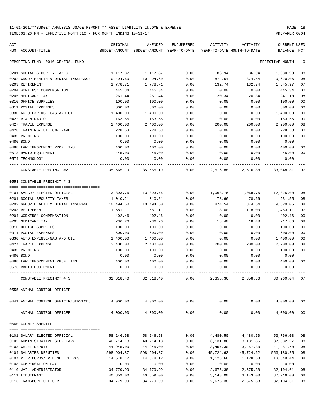| ACT |                                      | ORIGINAL                                                          | AMENDED<br>BUDGET-AMOUNT BUDGET-AMOUNT YEAR-TO-DATE | ENCUMBERED | ACTIVITY                           | ACTIVITY    | CURRENT USED         |     |
|-----|--------------------------------------|-------------------------------------------------------------------|-----------------------------------------------------|------------|------------------------------------|-------------|----------------------|-----|
|     | NUM ACCOUNT-TITLE                    |                                                                   |                                                     |            | YEAR-TO-DATE MONTH-TO-DATE         |             | BALANCE              | PCT |
|     | REPORTING FUND: 0010 GENERAL FUND    |                                                                   |                                                     |            |                                    |             | EFFECTIVE MONTH - 10 |     |
|     | 0201 SOCIAL SECURITY TAXES           | 1,117.87                                                          | 1,117.87                                            | 0.00       | 86.94                              | 86.94       | 1,030.93             | 08  |
|     | 0202 GROUP HEALTH & DENTAL INSURANCE | 10,494.60                                                         | 10,494.60                                           | 0.00       | 874.54                             | 874.54      | 9,620.06             | 08  |
|     | 0203 RETIREMENT                      | 1,778.71                                                          | 1,778.71                                            | 0.00       | 132.74                             | 132.74      | 1,645.97             | 07  |
|     | 0204 WORKERS' COMPENSATION           | 445.34                                                            | 445.34                                              | 0.00       | 0.00                               | 0.00        | 445.34               | 00  |
|     | 0205 MEDICARE TAX                    | 261.44                                                            | 261.44                                              | 0.00       | 20.34                              | 20.34       | 241.10               | 08  |
|     | 0310 OFFICE SUPPLIES                 | 100.00                                                            | 100.00                                              | 0.00       | 0.00                               | 0.00        | 100.00               | 00  |
|     | 0311 POSTAL EXPENSES                 | 600.00                                                            | 600.00                                              | 0.00       | 0.00                               | 0.00        | 600.00               | 00  |
|     | 0330 AUTO EXPENSE-GAS AND OIL        | 1,400.00                                                          | 1,400.00                                            | 0.00       | 0.00                               | 0.00        | 1,400.00             | 00  |
|     | 0422 R & M RADIO                     | 163.55                                                            | 163.55                                              | 0.00       | 0.00                               | 0.00        | 163.55               | 00  |
|     | 0427 TRAVEL EXPENSE                  | 2,400.00                                                          | 2,400.00                                            | 0.00       | 200.00                             | 200.00      | 2,200.00             | 08  |
|     | 0428 TRAINING/TUITION/TRAVEL         | 228.53                                                            | 228.53                                              | 0.00       | 0.00                               | 0.00        | 228.53               | 00  |
|     | 0435 PRINTING                        | 100.00                                                            | 100.00                                              | 0.00       | 0.00                               | 0.00        | 100.00               | 00  |
|     | 0480 BOND                            | 0.00                                                              | 0.00                                                | 0.00       | 0.00                               | 0.00        | 0.00                 |     |
|     | 0488 LAW ENFOREMENT PROF. INS.       | 400.00                                                            | 400.00                                              | 0.00       | 0.00                               | 0.00        | 400.00               | 00  |
|     | 0573 RADIO EQUIPMENT                 | 445.00                                                            | 445.00                                              | 0.00       | 0.00                               | 0.00        | 445.00               | 00  |
|     | 0574 TECHNOLOGY                      | 0.00                                                              | 0.00                                                | 0.00       | 0.00                               | 0.00        | 0.00                 |     |
|     | CONSTABLE PRECINCT #2                | 35,565.19   35,565.19     0.00    2,516.88   2,516.88   33,048.31 |                                                     |            |                                    |             |                      | 07  |
|     | 0553 CONSTABLE PRECINCT # 3          |                                                                   |                                                     |            |                                    |             |                      |     |
|     |                                      |                                                                   |                                                     |            |                                    |             |                      |     |
|     | 0101 SALARY ELECTED OFFICIAL         | 13,893.76                                                         | 13,893.76                                           |            | $0.00$ 1,068.76 1,068.76 12,825.00 |             |                      | 08  |
|     | 0201 SOCIAL SECURITY TAXES           | 1,010.21                                                          | 1,010.21                                            | 0.00       | 78.66                              | 78.66       | 931.55               | 08  |
|     | 0202 GROUP HEALTH & DENTAL INSURANCE | 10,494.60                                                         | 10,494.60                                           | 0.00       | 874.54                             | 874.54      | 9,620.06             | 08  |
|     | 0203 RETIREMENT<br>1,581.11          |                                                                   | 1,581.11                                            | 0.00       | 118.00                             | 118.00      | 1,463.11             | 07  |
|     | 0204 WORKERS' COMPENSATION           | 402.46                                                            | 402.46                                              | 0.00       | 0.00                               | 0.00        | 402.46               | 00  |
|     | 0205 MEDICARE TAX                    | 236.26                                                            | 236.26                                              | 0.00       | 18.40                              | 18.40       | 217.86               | 08  |
|     | 0310 OFFICE SUPPLIES                 | 100.00                                                            | 100.00                                              | 0.00       | 0.00                               | 0.00        | 100.00               | 00  |
|     | 0311 POSTAL EXPENSES                 | 600.00                                                            | 600.00                                              | 0.00       | 0.00                               | 0.00        | 600.00               | 00  |
|     | 0330 AUTO EXPENSE-GAS AND OIL        | 1,400.00                                                          | 1,400.00                                            | 0.00       | 0.00                               | 0.00        | 1,400.00             | 00  |
|     | 0427 TRAVEL EXPENSE                  | 2,400.00                                                          | 2,400.00                                            | 0.00       | 200.00                             | 200.00      | 2,200.00             | 08  |
|     | 0435 PRINTING                        | 100.00                                                            | 100.00                                              | 0.00       | 0.00                               | 0.00        | 100.00               | 00  |
|     | 0480 BOND                            | 0.00                                                              | 0.00                                                | 0.00       | 0.00                               | 0.00        | 0.00                 |     |
|     | 0488 LAW ENFORCEMENT PROF. INS       | 400.00                                                            | 400.00                                              | 0.00       | 0.00                               | 0.00        | 400.00               | 00  |
|     | 0573 RADIO EQUIPMENT                 | 0.00                                                              | 0.00                                                | 0.00       | 0.00                               | 0.00        | 0.00                 |     |
|     | CONSTABLE PRECINCT # 3               | 32,618.40                                                         | 32,618.40                                           | 0.00       | 2,358.36                           | 2,358.36    | 30,260.04 07         |     |
|     | 0555 ANIMAL CONTROL OFFICER          |                                                                   |                                                     |            |                                    |             |                      |     |
|     | 0441 ANIMAL CONTROL OFFICER/SERVICES | 4,000.00                                                          | 4,000.00                                            | 0.00       |                                    | $0.00$ 0.00 | 4,000.00             | 00  |
|     | ANIMAL CONTROL OFFICER               | 4,000.00                                                          | 4,000.00                                            | 0.00       | 0.00                               | 0.00        | 4,000.00             | 00  |
|     | 0560 COUNTY SHERIFF                  |                                                                   |                                                     |            |                                    |             |                      |     |
|     |                                      |                                                                   |                                                     |            |                                    |             |                      |     |
|     | 0101 SALARY ELECTED OFFICIAL         | 58,246.58                                                         | 58,246.58                                           | 0.00       | 4,480.50                           | 4,480.50    | 53,766.08            | 08  |
|     | 0102 ADMINISTRATIVE SECRETARY        | 40,714.13                                                         | 40,714.13                                           | 0.00       | 3,131.86                           | 3,131.86    | 37,582.27            | 08  |
|     | 0103 CHIEF DEPUTY                    | 44,945.00                                                         | 44,945.00                                           | 0.00       | 3,457.30                           | 3,457.30    | 41,487.70            | 08  |
|     | 0104 SALARIES DEPUTIES               | 598,904.87                                                        | 598,904.87                                          | 0.00       | 45,724.62                          | 45,724.62   | 553,180.25           | 08  |
|     | 0107 PT RECORDS/EVIDENCE CLERKS      | 14,678.12                                                         | 14,678.12                                           | 0.00       | 1,128.68                           | 1,128.68    | 13,549.44            | 08  |
|     | 0108 COMPENSATION PAY                | 0.00                                                              | 0.00                                                | 0.00       | 0.00                               | 0.00        | 0.00                 |     |
|     | 0110 JAIL ADMINISTRATOR              | 34,779.99                                                         | 34,779.99                                           | 0.00       | 2,675.38                           | 2,675.38    | 32,104.61            | 08  |
|     | 0111 LIEUTENANT                      | 40,859.00                                                         | 40,859.00                                           | 0.00       | 3,143.00                           | 3,143.00    | 37,716.00            | 08  |
|     | 0113 TRANSPORT OFFICER               | 34,779.99                                                         | 34,779.99                                           | 0.00       | 2,675.38                           | 2,675.38    | 32,104.61            | 08  |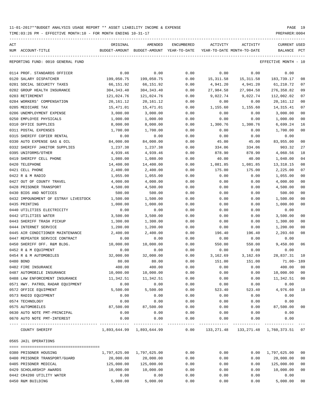TIME:03:26 PM - EFFECTIVE MONTH:10 - FOR MONTH ENDING 10-31-17 PREPARER:0004

| ACT       |                                      | ORIGINAL      | AMENDED                   | ENCUMBERED   | ACTIVITY  | ACTIVITY                                     | <b>CURRENT USED</b>  |                |
|-----------|--------------------------------------|---------------|---------------------------|--------------|-----------|----------------------------------------------|----------------------|----------------|
| NUM       | ACCOUNT-TITLE                        | BUDGET-AMOUNT | BUDGET-AMOUNT             | YEAR-TO-DATE |           | YEAR-TO-DATE MONTH-TO-DATE                   | BALANCE              | PCT            |
|           | REPORTING FUND: 0010 GENERAL FUND    |               |                           |              |           |                                              | EFFECTIVE MONTH - 10 |                |
|           | 0114 PROF. STANDARDS OFFICER         | 0.00          | 0.00                      | 0.00         | 0.00      | 0.00                                         | 0.00                 |                |
|           | 0120 SALARY DISPATCHER               | 199,050.75    | 199,050.75                | 0.00         | 15,311.58 | 15,311.58                                    | 183,739.17           | 08             |
|           | 0201 SOCIAL SECURITY TAXES           | 66,151.92     | 66,151.92                 | 0.00         | 4,941.20  | 4,941.20                                     | 61,210.72            | 07             |
|           | 0202 GROUP HEALTH INSURANCE          | 304, 343.40   | 304, 343.40               | 0.00         | 27,984.58 | 27,984.58                                    | 276,358.82           | 09             |
|           | 0203 RETIREMENT                      | 121,024.76    | 121,024.76                | 0.00         | 9,022.74  | 9,022.74                                     | 112,002.02           | 07             |
|           | 0204 WORKERS' COMPENSATION           | 20, 161. 12   | 20,161.12                 | 0.00         | 0.00      | 0.00                                         | 20, 161. 12          | 00             |
|           | 0205 MEDICARE TAX                    | 15,471.01     | 15,471.01                 | 0.00         | 1,155.60  | 1,155.60                                     | 14, 315.41           | 07             |
|           | 0206 UNEMPLOYMENT EXPENSE            | 3,000.00      | 3,000.00                  | 0.00         | 0.00      | 0.00                                         | 3,000.00             | 00             |
|           | 0250 EMPLOYEE PHYSICALS              | 1,000.00      | 1,000.00                  | 0.00         | 0.00      | 0.00                                         | 1,000.00             | 00             |
|           | 0310 OFFICE SUPPLIES                 | 8,000.00      | 8,000.00                  | 0.00         | 1,300.76  | 1,300.76                                     | 6,699.24             | 16             |
|           | 0311 POSTAL EXPENSES                 | 1,700.00      | 1,700.00                  | 0.00         | 0.00      | 0.00                                         | 1,700.00             | 00             |
|           | 0315 SHERIFF COPIER RENTAL           | 0.00          | 0.00                      | 0.00         | 0.00      | 0.00                                         | 0.00                 |                |
|           | 0330 AUTO EXPENSE GAS & OIL          | 84,000.00     | 84,000.00                 | 0.00         | 45.00     | 45.00                                        | 83,955.00            | 00             |
|           | 0332 SHERIFF JANITOR SUPPLIES        | 1,237.38      | 1,237.38                  | 0.00         | 334.06    | 334.06                                       | 903.32               | 27             |
|           | 0395 UNIFORMS/OTHER                  | 4,939.46      | 4,939.46                  | 0.00         | 878.90    | 878.90                                       | 4,060.56             | 18             |
|           | 0419 SHERIFF CELL PHONE              | 1,080.00      | 1,080.00                  | 0.00         | 40.00     | 40.00                                        | 1,040.00             | 04             |
|           | 0420 TELEPHONE                       | 14,400.00     | 14,400.00                 | 0.00         | 1,081.85  | 1,081.85                                     | 13, 318.15           | 08             |
|           | 0421 CELL PHONE                      | 2,400.00      | 2,400.00                  | 0.00         | 175.00    | 175.00                                       | 2,225.00             | 07             |
|           | 0422 R & M RADIO                     | 1,055.00      | 1,055.00                  | 0.00         | 0.00      | 0.00                                         | 1,055.00             | 0 <sub>0</sub> |
|           | 0427 OUT OF COUNTY TRAVEL            | 4,000.00      | 4,000.00                  | 0.00         | 0.00      | 0.00                                         | 4,000.00             | 00             |
|           | 0428 PRISONER TRANSPORT              | 4,500.00      | 4,500.00                  | 0.00         | 0.00      | 0.00                                         | 4,500.00             | 00             |
|           | 0430 BIDS AND NOTICES                | 500.00        | 500.00                    | 0.00         | 0.00      | 0.00                                         | 500.00               | 00             |
|           | 0432 IMPOUNDMENT OF ESTRAY LIVESTOCK | 1,500.00      | 1,500.00                  | 0.00         | 0.00      | 0.00                                         | 1,500.00             | 00             |
|           | 0435 PRINTING                        | 1,000.00      | 1,000.00                  | 0.00         | 0.00      | 0.00                                         | 1,000.00             | 00             |
|           | 0440 UTILITIES ELECTRICITY           | 0.00          | 0.00                      | 0.00         | 0.00      | 0.00                                         | 0.00                 |                |
|           | 0442 UTILITIES WATER                 | 3,500.00      | 3,500.00                  | 0.00         | 0.00      | 0.00                                         | 3,500.00             | 00             |
|           | 0443 SHERIFF TRASH PICKUP            | 1,300.00      | 1,300.00                  | 0.00         | 0.00      | 0.00                                         | 1,300.00             | 00             |
|           | 0444 INTERNET SERVICE                | 1,200.00      | 1,200.00                  | 0.00         | 0.00      | 0.00                                         | 1,200.00             | 00             |
|           | 0445 AIR CONDITIONER MAINTENANCE     | 2,400.00      | 2,400.00                  | 0.00         | 196.40    | 196.40                                       | 2,203.60             | 08             |
|           | 0447 REPEATER SERVICE CONTRACT       | 0.00          | 0.00                      | 0.00         | 0.00      | 0.00                                         | 0.00                 |                |
|           | 0450 SHERIFF OFF. R&M BLDG.          | 10,000.00     | 10,000.00                 | 0.00         | 550.00    | 550.00                                       | 9,450.00             | 06             |
|           | 0452 R & M EQUIPMENT                 | 0.00          | 0.00                      | 0.00         | 0.00      | 0.00                                         | 0.00                 |                |
|           | 0454 R & M AUTOMOBILES               | 32,000.00     | 32,000.00                 | 0.00         | 3,162.69  | 3,162.69                                     | 28,837.31            | 10             |
| 0480 BOND |                                      | 80.00         | 80.00                     | 0.00         | 151.00    | 151.00                                       | 71.00- 189           |                |
|           | 0482 FIRE INSURANCE                  | 400.00        | 400.00                    | 0.00         | 0.00      | 0.00                                         | 400.00               | 00             |
|           | 0487 AUTOMOBILE INSURANCE            | 10,000.00     | 10,000.00                 | 0.00         | 0.00      | 0.00                                         | 10,000.00            | $00\,$         |
|           | 0488 LAW ENFORCEMENT INSURANCE       | 11,342.51     | 11,342.51                 | 0.00         | 0.00      | 0.00                                         | 11,342.51            | 00             |
|           | 0571 HWY. PATROL RADAR EQUIPMENT     | 0.00          | 0.00                      | 0.00         | 0.00      | 0.00                                         | 0.00                 |                |
|           | 0572 OFFICE EQUIPMENT                | 5,500.00      | 5,500.00                  | 0.00         | 523.40    | 523.40                                       | 4,976.60             | 10             |
|           | 0573 RADIO EQUIPMENT                 | 0.00          | 0.00                      | 0.00         | 0.00      | 0.00                                         | 0.00                 |                |
|           | 0574 TECHNOLOGY                      | 0.00          | 0.00                      | 0.00         | 0.00      | 0.00                                         | 0.00                 |                |
|           | 0575 AUTOMOBILES                     | 87,500.00     | 87,500.00                 | 0.00         | 0.00      | 0.00                                         | 87,500.00            | $00\,$         |
|           | 0630 AUTO NOTE PMT-PRINCIPAL         | 0.00          | 0.00                      | 0.00         | 0.00      | 0.00                                         | 0.00                 |                |
|           | 0670 AUTO NOTE PMT-INTEREST          | 0.00          | 0.00                      | 0.00         | 0.00      | 0.00                                         | 0.00                 |                |
|           |                                      |               |                           |              |           |                                              |                      |                |
|           | COUNTY SHERIFF                       |               | 1,893,644.99 1,893,644.99 | 0.00         |           | 133, 271.48  133, 271.48  1, 760, 373.51  07 |                      |                |
|           | 0565 JAIL OPERATIONS                 |               |                           |              |           |                                              |                      |                |
|           |                                      |               |                           |              |           |                                              |                      |                |
|           | 0380 PRISONER HOUSING                | 1,797,625.00  | 1,797,625.00              | 0.00         | 0.00      | 0.00                                         | 1,797,625.00         | 00             |
|           | 0400 PRISONER TRANSPORT/GUARD        | 20,000.00     | 20,000.00                 | 0.00         | 0.00      | 0.00                                         | 20,000.00            | 00             |
|           | 0405 PRISONER MEDICAL                | 125,000.00    | 125,000.00                | 0.00         | 0.00      | 0.00                                         | 125,000.00           | 00             |
|           | 0429 SCHOLARSHIP AWARDS              | 10,000.00     | 10,000.00                 | 0.00         | 0.00      | 0.00                                         | 10,000.00            | 00             |
|           | 0442 CR4200 UTILITY WATER            | 0.00          | 0.00                      | 0.00         | 0.00      | 0.00                                         | 0.00                 |                |

0450 R&M BUILDING 5,000.00 5,000.00 0.00 0.00 0.00 5,000.00 00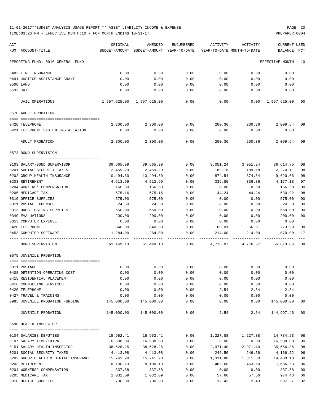| ACT | NUM ACCOUNT-TITLE                                                  | ORIGINAL           | AMENDED<br>BUDGET-AMOUNT BUDGET-AMOUNT YEAR-TO-DATE          | <b>ENCUMBERED</b>    | ACTIVITY<br>YEAR-TO-DATE MONTH-TO-DATE | ACTIVITY           | <b>CURRENT USED</b><br>BALANCE | $_{\rm PCT}$ |
|-----|--------------------------------------------------------------------|--------------------|--------------------------------------------------------------|----------------------|----------------------------------------|--------------------|--------------------------------|--------------|
|     | REPORTING FUND: 0010 GENERAL FUND                                  |                    |                                                              |                      |                                        |                    | EFFECTIVE MONTH - 10           |              |
|     |                                                                    |                    |                                                              |                      |                                        |                    |                                |              |
|     | 0482 FIRE INSURANCE                                                | 0.00               | 0.00                                                         | 0.00                 | 0.00                                   | 0.00               | 0.00                           |              |
|     | 0491 JUSTICE ASSISTANCE GRANT                                      | 0.00               | 0.00                                                         | 0.00                 | 0.00                                   | 0.00               | 0.00                           |              |
|     | 0500 LAND                                                          | 0.00               | 0.00                                                         | 0.00                 | 0.00                                   | 0.00               | 0.00                           |              |
|     | 0532 JAIL                                                          | 0.00               | 0.00                                                         | 0.00                 | 0.00                                   | 0.00               | 0.00                           |              |
|     | <b>JAIL OPERATIONS</b>                                             |                    | 1,957,625.00 1,957,625.00                                    | 0.00                 | 0.00                                   |                    | $0.00 \quad 1,957,625.00$      | 00           |
|     | 0570 ADULT PROBATION                                               |                    |                                                              |                      |                                        |                    |                                |              |
|     | 0420 TELEPHONE                                                     |                    | $2,300.00$ $2,300.00$ $0.00$ $200.36$ $200.36$ $2,099.64$ 09 |                      |                                        |                    |                                |              |
|     | 0421 TELEPHONE SYSTEM INSTALLATION                                 | 0.00               | 0.00                                                         | 0.00                 | 0.00                                   | 0.00               | 0.00                           |              |
|     | ADULT PROBATION                                                    | 2,300.00           | 2,300.00                                                     | 0.00                 | 200.36                                 | 200.36             | 2,099.64                       | 09           |
|     | 0573 BOND SUPERVISION                                              |                    |                                                              |                      |                                        |                    |                                |              |
|     | 0103 SALARY-BOND SUPERVISOR                                        | 39,665.99          | 39,665.99                                                    | 0.00                 |                                        | 3,051.24 3,051.24  | 36,614.75                      | 08           |
|     | 0201 SOCIAL SECURITY TAXES                                         | 2,459.29           | 2,459.29                                                     | 0.00                 | 189.18                                 | 189.18             | 2,270.11                       | 08           |
|     | 0202 GROUP HEALTH INSURANCE                                        | 10,494.60          | 10,494.60                                                    | 0.00                 | 874.54                                 | 874.54             | 9,620.06                       | 08           |
|     | 0203 RETIREMENT                                                    | 4,513.99           | 4,513.99                                                     | 0.00                 | 336.86                                 | 336.86             | 4,177.13                       | 07           |
|     | 0204 WORKERS' COMPENSATION                                         | 166.60             | 166.60                                                       | 0.00                 | 0.00                                   | 0.00               | 166.60                         | 00           |
|     | 0205 MEDICARE TAX                                                  | 575.16             | 575.16                                                       | 0.00                 | 44.24                                  | 44.24              | 530.92                         | 08           |
|     | 0310 OFFICE SUPPLIES                                               | 575.00             | 575.00                                                       | 0.00                 | 0.00                                   | 0.00               | 575.00                         | 00           |
|     | 0311 POSTAL EXPENSES                                               | 24.50              | 24.50                                                        | 0.00                 | 0.00                                   | 0.00               | 24.50                          | 00           |
|     | 0313 DRUG TESTING SUPPLIES                                         | 650.00             | 650.00                                                       | 0.00                 | 0.00                                   | 0.00               | 650.00                         | 00           |
|     | 0340 EVALUATIONS                                                   | 200.00             | 200.00                                                       | 0.00                 | 0.00                                   | 0.00               | 200.00                         | 00           |
|     | 0353 COMPUTER EXPENSE                                              | 0.00               | 0.00                                                         | 0.00                 | 0.00                                   | 0.00               | 0.00                           |              |
|     | 0420 TELEPHONE                                                     | 840.00             | 840.00                                                       | 0.00                 | 66.01                                  | 66.01              | 773.99                         | 08           |
|     | 0453 COMPUTER SOFTWARE                                             | 1,284.00           | 1,284.00                                                     | 0.00                 | 214.00                                 | 214.00             | 1,070.00                       | 17           |
|     | BOND SUPERVISION                                                   | 61,449.13          | 61,449.13                                                    | 0.00                 | 4,776.07                               | 4,776.07           | 56,673.06 08                   |              |
|     | 0575 JUVENILE PROBATION                                            |                    |                                                              |                      |                                        |                    |                                |              |
|     |                                                                    |                    |                                                              |                      |                                        |                    |                                |              |
|     | 0311 POSTAGE                                                       | 0.00               | 0.00                                                         | 0.00                 | 0.00                                   | 0.00               | 0.00                           |              |
|     | 0408 DETENTION OPERATING COST                                      | 0.00               | 0.00                                                         | 0.00                 | 0.00                                   | 0.00               | 0.00                           |              |
|     | 0415 RESIDENTIAL PLACEMENT                                         | 0.00               | 0.00                                                         | 0.00                 | 0.00                                   | 0.00               | 0.00                           |              |
|     | 0416 COUNSELING SERVICES                                           | 0.00               | 0.00                                                         | 0.00                 | 0.00                                   | 0.00               | 0.00                           |              |
|     | 0420 TELEPHONE                                                     | 0.00               | 0.00                                                         | 0.00                 | 2.54                                   | 2.54               | $2.54-$                        |              |
|     | 0427 TRAVEL & TRAINING<br>0995 JUVENILE PROBATION FUNDING          | 0.00<br>145,000.00 | 0.00<br>145,000.00                                           | 0.00<br>0.00         | 0.00<br>0.00                           | 0.00<br>0.00       | 0.00<br>145,000.00             | 00           |
|     | JUVENILE PROBATION                                                 | 145,000.00         | -------------<br>145,000.00                                  | ------------<br>0.00 | -----------<br>2.54                    | ---------<br>2.54  | 144,997.46 00                  |              |
|     | 0590 HEALTH INSPECTOR                                              |                    |                                                              |                      |                                        |                    |                                |              |
|     |                                                                    |                    |                                                              |                      |                                        |                    |                                |              |
|     | 0104 SALARIES DEPUTIES                                             | 15,962.41          | 15,962.41                                                    | 0.00                 | 1,227.88                               | 1,227.88           | 14,734.53                      | 08           |
|     | 0107 SALARY TEMP/EXTRA                                             | 16,588.00          | 16,588.00                                                    | 0.00                 | 0.00                                   | 0.00               | 16,588.00                      | 00           |
|     | 0151 SALARY HEALTH INSPECTOR                                       | 38,628.25          | 38,628.25                                                    | 0.00                 | 2,971.40                               | 2,971.40           | 35,656.85                      | 08           |
|     | 0201 SOCIAL SECURITY TAXES<br>0202 GROUP HEALTH & DENTAL INSURANCE | 4,413.08           | 4,413.08                                                     | 0.00                 | 246.56                                 | 246.56             | 4,166.52                       | 06<br>08     |
|     |                                                                    | 15,741.90          | 15,741.90                                                    | 0.00                 | 1,311.80<br>463.60                     | 1,311.80<br>463.60 | 14,430.10<br>7,636.53          | 06           |
|     | 0203 RETIREMENT<br>0204 WORKERS' COMPENSATION                      | 8,100.13<br>337.58 | 8,100.13<br>337.58                                           | 0.00<br>0.00         | 0.00                                   | 0.00               | 337.58                         | 00           |
|     | 0205 MEDICARE TAX                                                  | 1,032.09           | 1,032.09                                                     | 0.00                 | 57.66                                  | 57.66              | 974.43                         | 06           |
|     | 0310 OFFICE SUPPLIES                                               | 700.00             | 700.00                                                       | 0.00                 | 12.43                                  | 12.43              | 687.57                         | 02           |
|     |                                                                    |                    |                                                              |                      |                                        |                    |                                |              |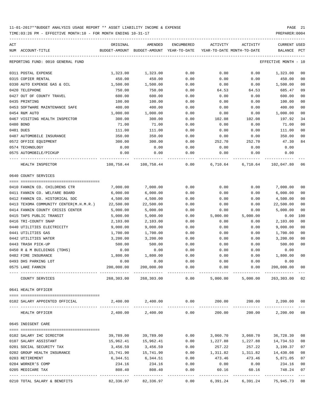| ACT |                                        | ORIGINAL   | AMENDED                                  | ENCUMBERED | ACTIVITY | ACTIVITY                   | CURRENT USED         |     |
|-----|----------------------------------------|------------|------------------------------------------|------------|----------|----------------------------|----------------------|-----|
|     | NUM ACCOUNT-TITLE                      |            | BUDGET-AMOUNT BUDGET-AMOUNT YEAR-TO-DATE |            |          | YEAR-TO-DATE MONTH-TO-DATE | BALANCE              | PCT |
|     | REPORTING FUND: 0010 GENERAL FUND      |            |                                          |            |          |                            | EFFECTIVE MONTH - 10 |     |
|     | 0311 POSTAL EXPENSE                    | 1,323.00   | 1,323.00                                 | 0.00       | 0.00     | 0.00                       | 1,323.00             | 00  |
|     | 0315 COPIER RENTAL                     | 450.00     | 450.00                                   | 0.00       | 0.00     | 0.00                       | 450.00               | 00  |
|     | 0330 AUTO EXPENSE GAS & OIL            | 1,500.00   | 1,500.00                                 | 0.00       | 0.00     | 0.00                       | 1,500.00             | 00  |
|     | 0420 TELEPHONE                         | 750.00     | 750.00                                   | 0.00       | 64.53    | 64.53                      | 685.47               | 09  |
|     | 0427 OUT OF COUNTY TRAVEL              | 600.00     | 600.00                                   | 0.00       | 0.00     | 0.00                       | 600.00               | 00  |
|     | 0435 PRINTING                          | 100.00     | 100.00                                   | 0.00       | 0.00     | 0.00                       | 100.00               | 00  |
|     | 0453 SOFTWARE MAINTENANCE SAFE         | 400.00     | 400.00                                   | 0.00       | 0.00     | 0.00                       | 400.00               | 00  |
|     | 0454 R&M AUTO                          | 1,000.00   | 1,000.00                                 | 0.00       | 0.00     | 0.00                       | 1,000.00             | 00  |
|     | 0467 VISITING HEALTH INSPECTOR         | 300.00     | 300.00                                   | 0.00       | 102.08   | 102.08                     | 197.92               | 34  |
|     | 0480 BOND                              | 71.00      | 71.00                                    | 0.00       | 0.00     | 0.00                       | 71.00                | 00  |
|     | 0481 DUES                              | 111.00     | 111.00                                   | 0.00       | 0.00     | 0.00                       | 111.00               | 00  |
|     | 0487 AUTOMOBILE INSURANCE              | 350.00     | 350.00                                   | 0.00       | 0.00     | 0.00                       | 350.00               | 00  |
|     | 0572 OFFICE EQUIPMENT                  | 300.00     | 300.00                                   | 0.00       | 252.70   | 252.70                     | 47.30                | 84  |
|     | 0574 TECHNOLOGY                        | 0.00       | 0.00                                     | 0.00       | 0.00     | 0.00                       | 0.00                 |     |
|     | 0575 AUTOMOBILE/PICKUP                 | 0.00       | 0.00                                     | 0.00       | 0.00     | 0.00                       | 0.00                 |     |
|     | HEALTH INSPECTOR                       |            | 108,758.44 108,758.44                    | 0.00       |          | 6,710.64 6,710.64          | 102,047.80           | 06  |
|     | 0640 COUNTY SERVICES                   |            |                                          |            |          |                            |                      |     |
|     | 0410 FANNIN CO. CHILDRENS CTR          | 7,000.00   | 7,000.00                                 | 0.00       | 0.00     | 0.00                       | 7,000.00             | 00  |
|     | 0411 FANNIN CO. WELFARE BOARD          | 6,000.00   | 6,000.00                                 | 0.00       | 0.00     | 0.00                       | 6,000.00             | 00  |
|     | 0412 FANNIN CO. HISTORICAL SOC         | 4,500.00   | 4,500.00                                 | 0.00       | 0.00     | 0.00                       | 4,500.00             | 00  |
|     | 0413 TEXOMA COMMUNITY CENTER(M.H.M.R.) | 22,500.00  | 22,500.00                                | 0.00       | 0.00     | 0.00                       | 22,500.00            | 00  |
|     | 0414 FANNIN COUNTY CRISIS CENTER       | 5,000.00   | 5,000.00                                 | 0.00       | 0.00     | 0.00                       | 5,000.00             | 00  |
|     | 0415 TAPS PUBLIC TRANSIT               | 5,000.00   | 5,000.00                                 | 0.00       | 5,000.00 | 5,000.00                   | 0.00                 | 100 |
|     | 0416 TRI-COUNTY SNAP                   | 2,103.00   | 2,103.00                                 | 0.00       | 0.00     | 0.00                       | 2,103.00             | 00  |
|     | 0440 UTILITIES ELECTRICITY             | 9,000.00   | 9,000.00                                 | 0.00       | 0.00     | 0.00                       | 9,000.00             | 00  |
|     | 0441 UTILITIES GAS                     | 1,700.00   | 1,700.00                                 | 0.00       | 0.00     | 0.00                       | 1,700.00             | 00  |
|     | 0442 UTILITIES WATER                   | 3,200.00   | 3,200.00                                 | 0.00       | 0.00     | 0.00                       | 3,200.00             | 00  |
|     | 0443 TRASH PICK-UP                     | 500.00     | 500.00                                   | 0.00       | 0.00     | 0.00                       | 500.00               | 00  |
|     | 0450 R & M BUILDINGS (TDHS)            | 0.00       | 0.00                                     | 0.00       | 0.00     | 0.00                       | 0.00                 |     |
|     | 0482 FIRE INSURANCE                    | 1,800.00   | 1,800.00                                 | 0.00       | 0.00     | 0.00                       | 1,800.00             | 00  |
|     | 0493 DHS PARKING LOT                   | 0.00       | 0.00                                     | 0.00       | 0.00     | 0.00                       | 0.00                 |     |
|     | 0575 LAKE FANNIN                       | 200,000.00 | 200,000.00                               | 0.00       | 0.00     | 0.00                       | 200,000.00           | 00  |
|     |                                        |            |                                          |            |          |                            |                      |     |
|     | COUNTY SERVICES                        | 268,303.00 | 268,303.00                               | 0.00       | 5,000.00 | 5,000.00                   | 263,303.00           | 02  |
|     | 0641 HEALTH OFFICER                    |            |                                          |            |          |                            |                      |     |
|     | 0102 SALARY APPOINTED OFFICIAL         |            | 2,400.00 2,400.00                        | 0.00       | 200.00   | 200.00                     | 2,200.00             | 08  |
|     | HEALTH OFFICER                         | 2,400.00   | 2,400.00                                 | 0.00       | 200.00   | 200.00                     | 2,200.00             | 08  |
|     | 0645 INDIGENT CARE                     |            |                                          |            |          |                            |                      |     |
|     |                                        |            |                                          |            |          |                            |                      |     |
|     | 0102 SALARY IHC DIRECTOR               | 39,789.00  | 39,789.00                                | 0.00       | 3,060.70 | 3,060.70                   | 36,728.30            | 08  |
|     | 0107 SALARY ASSISTANT                  | 15,962.41  | 15,962.41                                | 0.00       | 1,227.88 | 1,227.88                   | 14,734.53            | 08  |
|     | 0201 SOCIAL SECURITY TAX               | 3,456.59   | 3,456.59                                 | 0.00       | 257.22   | 257.22                     | 3,199.37             | 07  |
|     | 0202 GROUP HEALTH INSURANCE            | 15,741.90  | 15,741.90                                | 0.00       | 1,311.82 | 1,311.82                   | 14,430.08            | 08  |
|     | 0203 RETIREMENT                        | 6,344.51   | 6,344.51                                 | 0.00       | 473.46   | 473.46                     | 5,871.05             | 07  |
|     | 0204 WORKER'S COMP                     | 234.16     | 234.16                                   | 0.00       | 0.00     | 0.00                       | 234.16               | 00  |
|     | 0205 MEDICARE TAX                      | 808.40     | 808.40                                   | 0.00       | 60.16    | 60.16                      | 748.24               | 07  |
|     | 0210 TOTAL SALARY & BENEFITS           | 82,336.97  | 82,336.97                                | 0.00       | 6,391.24 | 6,391.24                   | 75,945.73            | 08  |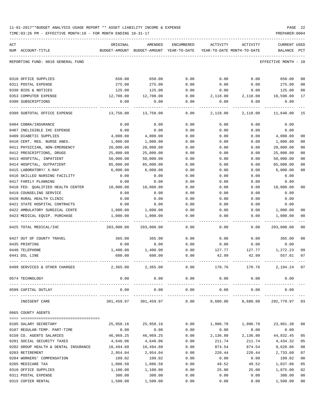| 11-01-2017**BUDGET ANALYSIS USAGE REPORT ** ASSET LIABILITY INCOME & EXPENSE |  |  |  | PAGE | 22 |
|------------------------------------------------------------------------------|--|--|--|------|----|
|                                                                              |  |  |  |      |    |

| ACT                                                         | ORIGINAL      | AMENDED                    | ENCUMBERED            | ACTIVITY                   | ACTIVITY             | <b>CURRENT USED</b>  |                |
|-------------------------------------------------------------|---------------|----------------------------|-----------------------|----------------------------|----------------------|----------------------|----------------|
| NUM ACCOUNT-TITLE                                           | BUDGET-AMOUNT | BUDGET-AMOUNT YEAR-TO-DATE |                       | YEAR-TO-DATE MONTH-TO-DATE |                      | BALANCE              | PCT            |
| REPORTING FUND: 0010 GENERAL FUND                           |               |                            |                       |                            |                      | EFFECTIVE MONTH - 10 |                |
|                                                             |               |                            |                       |                            |                      |                      |                |
| 0310 OFFICE SUPPLIES                                        | 650.00        | 650.00                     | 0.00                  | 0.00                       | 0.00                 | 650.00               | 00             |
| 0311 POSTAL EXPENSE                                         | 275.00        | 275.00                     | 0.00                  | 0.00                       | 0.00                 | 275.00               | 00             |
| 0330 BIDS & NOTICES                                         | 125.00        | 125.00                     | 0.00                  | 0.00                       | 0.00                 | 125.00               | 00             |
| 0353 COMPUTER EXPENSE                                       | 12,708.00     | 12,708.00                  | 0.00                  | 2,118.00                   | 2,118.00             | 10,590.00            | 17             |
| 0390 SUBSCRIPTIONS                                          | 0.00          | 0.00                       | 0.00                  | 0.00                       | 0.00                 | 0.00                 |                |
| 0399 SUBTOTAL OFFICE EXPENSE                                | 13,758.00     | 13,758.00                  | 0.00                  | 2,118.00                   | 2,118.00             | 11,640.00            | 15             |
| 0404 COBRA/INSURANCE                                        | 0.00          | 0.00                       | 0.00                  | 0.00                       | 0.00                 | 0.00                 |                |
| 0407 INELIGIBLE IHC EXPENSE                                 | 0.00          | 0.00                       | 0.00                  | 0.00                       | 0.00                 | 0.00                 |                |
| 0409 DIABETIC SUPPLIES                                      | 4,000.00      | 4,000.00                   | 0.00                  | 0.00                       | 0.00                 | 4,000.00             | 00             |
| 0410 CERT. REG. NURSE ANES.                                 | 1,000.00      | 1,000.00                   | 0.00                  | 0.00                       | 0.00                 | 1,000.00             | 0 <sub>0</sub> |
| 0411 PHYSICIAN, NON-EMERGENCY                               | 20,000.00     | 20,000.00                  | 0.00                  | 0.00                       | 0.00                 | 20,000.00            | 00             |
| 0412 PRESCRIPTIONS, DRUGS                                   | 25,000.00     | 25,000.00                  | 0.00                  | 0.00                       | 0.00                 | 25,000.00            | 00             |
| 0413 HOSPITAL, INPATIENT                                    | 50,000.00     | 50,000.00                  | 0.00                  | 0.00                       | 0.00                 | 50,000.00            | 00             |
| 0414 HOSPITAL, OUTPATIENT                                   | 85,000.00     | 85,000.00                  | 0.00                  | 0.00                       | 0.00                 | 85,000.00            | 00             |
| 0415 LABORATORY/ X-RAY                                      | 6,000.00      | 6,000.00                   | 0.00                  | 0.00                       | 0.00                 | 6,000.00             | 00             |
| 0416 SKILLED NURSING FACILITY                               | 0.00          | 0.00                       | 0.00                  | 0.00                       | 0.00                 | 0.00                 |                |
| 0417 FAMILY PLANNING                                        | 0.00          | 0.00                       | 0.00                  | 0.00                       | 0.00                 | 0.00                 |                |
| 0418 FED. QUALIFIED HEALTH CENTER                           | 10,000.00     | 10,000.00                  | 0.00                  | 0.00                       | 0.00                 | 10,000.00            | 00             |
| 0419 COUNSELING SERVICE                                     | 0.00          | 0.00                       | 0.00                  | 0.00                       | 0.00                 | 0.00                 |                |
| 0420 RURAL HEALTH CLINIC                                    | 0.00          | 0.00                       | 0.00                  | 0.00                       | 0.00                 | 0.00                 |                |
| 0421 STATE HOSPITAL CONTRACTS                               | 0.00          | 0.00                       | 0.00                  | 0.00                       | 0.00                 | 0.00                 |                |
| 0422 AMBULATORY SURGICAL CENTE                              | 1,000.00      | 1,000.00                   | 0.00                  | 0.00                       | 0.00                 | 1,000.00             | 00             |
| 0423 MEDICAL EQUIP. PURCHASE                                | 1,000.00      | 1,000.00                   | 0.00                  | 0.00                       | 0.00                 | 1,000.00             | 00             |
| 0425 TOTAL MEDICAL/IHC                                      | 203,000.00    | 203,000.00                 | 0.00                  | 0.00                       | 0.00                 | 203,000.00           | 00             |
| 0427 OUT OF COUNTY TRAVEL                                   | 365.00        | 365.00                     | 0.00                  | 0.00                       | 0.00                 | 365.00               | 00             |
| 0435 PRINTING                                               | 0.00          | 0.00                       | 0.00                  | 0.00                       | 0.00                 | 0.00                 |                |
| 0440 TELEPHONE                                              | 1,400.00      | 1,400.00                   | 0.00                  | 127.77                     | 127.77               | 1,272.23             | 09             |
| 0441 DSL LINE                                               | 600.00        | 600.00                     | 0.00                  | 42.99                      | 42.99                | 557.01               | 07             |
|                                                             |               |                            |                       |                            |                      |                      |                |
| 0499 SERVICES & OTHER CHARGES                               | 2,365.00      | 2,365.00                   | 0.00                  | 170.76                     | 170.76               | 2,194.24             | 07             |
| 0574 TECHNOLOGY                                             | 0.00          | 0.00<br>-------------      | 0.00<br>------------  | 0.00<br>-------------      | 0.00                 | 0.00                 |                |
| 0599 CAPITAL OUTLAY<br>---------------------- ------------- | 0.00          | 0.00<br>------------       | 0.00<br>_____________ | 0.00<br>------------       | 0.00<br>------------ | 0.00                 |                |
| INDIGENT CARE                                               | 301,459.97    | 301,459.97                 | 0.00                  | 8,680.00                   | 8,680.00             | 292,779.97 03        |                |
| 0665 COUNTY AGENTS                                          |               |                            |                       |                            |                      |                      |                |
|                                                             |               |                            |                       |                            |                      |                      |                |
| 0105 SALARY SECRETARY                                       | 25,958.16     | 25,958.16                  | 0.00                  | 1,996.78                   | 1,996.78             | 23,961.38            | 08             |
| 0107 REGULAR-TEMP. PART-TIME                                | 0.00          | 0.00                       | 0.00                  | 0.00                       | 0.00                 | 0.00                 |                |
| 0150 CO. AGENTS SALARIES                                    | 46,969.25     | 46,969.25                  | 0.00                  | 2,136.80                   | 2,136.80             | 44,832.45            | 05             |
| 0201 SOCIAL SECURITY TAXES                                  | 4,646.06      | 4,646.06                   | 0.00                  | 211.74                     | 211.74               | 4,434.32             | 05             |
| 0202 GROUP HEALTH & DENTAL INSURANCE                        | 10,494.60     | 10,494.60                  | 0.00                  | 874.54                     | 874.54               | 9,620.06             | 08             |
| 0203 RETIREMENT                                             | 2,954.04      | 2,954.04                   | 0.00                  | 220.44                     | 220.44               | 2,733.60             | 07             |
| 0204 WORKERS' COMPENSATION                                  | 109.02        | 109.02                     | 0.00                  | 0.00                       | 0.00                 | 109.02               | 00             |
| 0205 MEDICARE TAX                                           | 1,086.58      | 1,086.58                   | 0.00                  | 49.52                      | 49.52                | 1,037.06             | 05             |
| 0310 OFFICE SUPPLIES                                        | 1,100.00      | 1,100.00                   | 0.00                  | 25.00                      | 25.00                | 1,075.00             | 02             |
| 0311 POSTAL EXPENSE                                         | 300.00        | 300.00                     | 0.00                  | 0.00                       | 0.00                 | 300.00               | 00             |
| 0315 COPIER RENTAL                                          | 1,500.00      | 1,500.00                   | 0.00                  | 0.00                       | 0.00                 | 1,500.00             | 00             |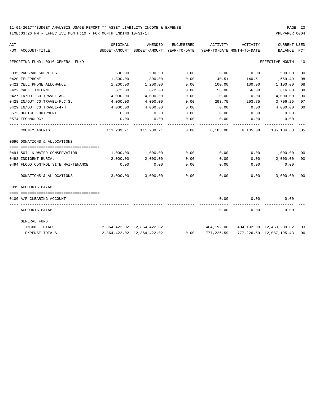| ACT |                                     | ORIGINAL                                 | AMENDED                                                          | ENCUMBERED | ACTIVITY                   | ACTIVITY | <b>CURRENT USED</b>         |    |
|-----|-------------------------------------|------------------------------------------|------------------------------------------------------------------|------------|----------------------------|----------|-----------------------------|----|
|     | NUM ACCOUNT-TITLE                   | BUDGET-AMOUNT BUDGET-AMOUNT YEAR-TO-DATE |                                                                  |            | YEAR-TO-DATE MONTH-TO-DATE |          | BALANCE PCT                 |    |
|     | REPORTING FUND: 0010 GENERAL FUND   |                                          |                                                                  |            |                            |          | EFFECTIVE MONTH - 10        |    |
|     | 0335 PROGRAM SUPPLIES               | 500.00                                   | 500.00                                                           | 0.00       | 0.00                       | 0.00     | 500.00                      | 00 |
|     | 0420 TELEPHONE                      | 1,800.00                                 | 1,800.00                                                         | 0.00       | 140.51                     | 140.51   | 1,659.49                    | 08 |
|     | 0421 CELL PHONE ALLOWANCE           | 1,200.00                                 | 1,200.00                                                         | 0.00       | 100.00                     | 100.00   | 1,100.00                    | 08 |
|     | 0422 CABLE INTERNET                 | 672.00                                   | 672.00                                                           | 0.00       | 56.00                      | 56.00    | 616.00                      | 08 |
|     | 0427 IN/OUT CO.TRAVEL-AG.           | 4,000.00                                 | 4,000.00                                                         | 0.00       | 0.00                       | 0.00     | 4,000.00                    | 00 |
|     | 0428 IN/OUT CO.TRAVEL-F.C.S.        | 4,000.00                                 | 4,000.00                                                         | 0.00       | 293.75                     | 293.75   | 3,706.25                    | 07 |
|     | 0429 IN/OUT CO.TRAVEL-4-H           | 4,000.00                                 | 4,000.00                                                         | 0.00       | 0.00                       | 0.00     | 4,000.00                    | 00 |
|     | 0572 OFFICE EQUIPMENT               | 0.00                                     | 0.00                                                             | 0.00       | 0.00                       | 0.00     | 0.00                        |    |
|     | 0574 TECHNOLOGY                     | 0.00                                     | 0.00                                                             | 0.00       | 0.00                       | 0.00     | 0.00                        |    |
|     | COUNTY AGENTS                       |                                          | $111, 289.71$ $111, 289.71$ 0.00 6,105.08 6,105.08 105,184.63 05 |            |                            |          |                             |    |
|     | 0696 DONATIONS & ALLOCATIONS        |                                          |                                                                  |            |                            |          |                             |    |
|     |                                     |                                          |                                                                  |            |                            |          |                             |    |
|     | 0491 SOIL & WATER CONSERVATION      | 1,000.00                                 | 1,000.00                                                         | 0.00       | 0.00                       | 0.00     | 1,000.00 00                 |    |
|     | 0492 INDIGENT BURIAL                | 2,000.00                                 | 2,000.00                                                         | 0.00       | 0.00                       | 0.00     | 2,000.00 00                 |    |
|     | 0494 FLOOD CONTROL SITE MAINTENANCE | 0.00                                     | 0.00                                                             | 0.00       | 0.00                       | 0.00     | 0.00                        |    |
|     | DONATIONS & ALLOCATIONS             | 3,000.00                                 | 3,000.00                                                         | 0.00       | 0.00                       | 0.00     | 3,000.00                    | 00 |
|     | 0999 ACCOUNTS PAYABLE               |                                          |                                                                  |            |                            |          |                             |    |
|     | 0100 A/P CLEARING ACCOUNT           |                                          |                                                                  |            | 0.00                       | 0.00     | 0.00                        |    |
|     | ACCOUNTS PAYABLE                    |                                          |                                                                  |            | 0.00                       | 0.00     | 0.00                        |    |
|     | GENERAL FUND                        |                                          |                                                                  |            |                            |          |                             |    |
|     | INCOME TOTALS                       | 12,864,422.02 12,864,422.02              |                                                                  |            | 404,192.00                 |          | 404,192.00 12,460,230.02    | 03 |
|     | <b>EXPENSE TOTALS</b>               |                                          | 12,864,422.02 12,864,422.02                                      | 0.00       | 777,226.59                 |          | 777, 226.59 12, 087, 195.43 | 06 |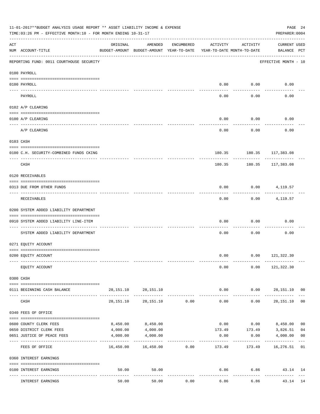|     | 11-01-2017**BUDGET ANALYSIS USAGE REPORT ** ASSET LIABILITY INCOME & EXPENSE<br>TIME:03:26 PM - EFFECTIVE MONTH:10 - FOR MONTH ENDING 10-31-17 |           |                                                     |            |                                        |                            | PAGE 24<br>PREPARER: 0004          |                         |
|-----|------------------------------------------------------------------------------------------------------------------------------------------------|-----------|-----------------------------------------------------|------------|----------------------------------------|----------------------------|------------------------------------|-------------------------|
| ACT | NUM ACCOUNT-TITLE                                                                                                                              | ORIGINAL  | AMENDED<br>BUDGET-AMOUNT BUDGET-AMOUNT YEAR-TO-DATE | ENCUMBERED | ACTIVITY<br>YEAR-TO-DATE MONTH-TO-DATE | ACTIVITY                   | <b>CURRENT USED</b><br>BALANCE PCT |                         |
|     | REPORTING FUND: 0011 COURTHOUSE SECURITY                                                                                                       |           |                                                     |            |                                        |                            | EFFECTIVE MONTH - 10               |                         |
|     | 0100 PAYROLL                                                                                                                                   |           |                                                     |            |                                        |                            |                                    |                         |
|     |                                                                                                                                                |           |                                                     |            |                                        |                            |                                    |                         |
|     | 0100 PAYROLL<br>$\begin{array}{ccccccccc} - & - & - & - & - & - \\ & - & - & - & - & - \end{array}$                                            |           |                                                     |            | 0.00                                   | 0.00                       | 0.00                               |                         |
|     | PAYROLL                                                                                                                                        |           |                                                     |            | 0.00                                   | 0.00                       | 0.00                               |                         |
|     | 0102 A/P CLEARING                                                                                                                              |           |                                                     |            |                                        |                            |                                    |                         |
|     | 0100 A/P CLEARING                                                                                                                              |           |                                                     |            | 0.00                                   | 0.00                       | 0.00                               |                         |
|     | A/P CLEARING                                                                                                                                   |           |                                                     |            | 0.00                                   | 0.00                       | 0.00                               |                         |
|     | 0103 CASH                                                                                                                                      |           |                                                     |            |                                        |                            |                                    |                         |
|     | 0100 C.H. SECURITY-COMBINED FUNDS CKING                                                                                                        |           |                                                     |            |                                        | 180.35 180.35 117,383.08   |                                    |                         |
|     |                                                                                                                                                |           |                                                     |            |                                        |                            | .                                  |                         |
|     | CASH                                                                                                                                           |           |                                                     |            | 180.35                                 | 180.35                     | 117,383.08                         |                         |
|     | 0120 RECEIVABLES                                                                                                                               |           |                                                     |            |                                        |                            |                                    |                         |
|     | 0313 DUE FROM OTHER FUNDS                                                                                                                      |           |                                                     |            | 0.00                                   |                            | $0.00$ 4, 119.57                   |                         |
|     | RECEIVABLES                                                                                                                                    |           |                                                     |            | 0.00                                   | .<br>0.00                  | 4,119.57                           |                         |
|     | 0200 SYSTEM ADDED LIABILITY DEPARTMENT                                                                                                         |           |                                                     |            |                                        |                            |                                    |                         |
|     | 0910 SYSTEM ADDED LIABILITY LINE-ITEM                                                                                                          |           |                                                     |            | 0.00                                   | 0.00                       | 0.00                               |                         |
|     | SYSTEM ADDED LIABILITY DEPARTMENT                                                                                                              |           |                                                     |            | 0.00                                   | 0.00                       | 0.00                               |                         |
|     | 0271 EQUITY ACCOUNT                                                                                                                            |           |                                                     |            |                                        |                            |                                    |                         |
|     |                                                                                                                                                |           |                                                     |            |                                        |                            |                                    |                         |
|     | 0200 EQUITY ACCOUNT                                                                                                                            |           |                                                     |            |                                        | $0.00$ $0.00$ $121,322.30$ |                                    |                         |
|     | EQUITY ACCOUNT                                                                                                                                 |           |                                                     |            | 0.00                                   |                            | $0.00$ $121,322.30$                |                         |
|     | 0300 CASH                                                                                                                                      |           |                                                     |            |                                        |                            |                                    |                         |
|     |                                                                                                                                                |           |                                                     |            |                                        |                            |                                    |                         |
|     | 0111 BEGINNING CASH BALANCE                                                                                                                    |           | 28, 151, 10 28, 151, 10                             |            | --------------                         | ------------               | $0.00$ $0.00$ $28,151.10$ 00<br>.  |                         |
|     | CASH                                                                                                                                           | 28,151.10 | 28,151.10                                           | 0.00       | 0.00                                   | 0.00                       | 28,151.10 00                       |                         |
|     | 0340 FEES OF OFFICE                                                                                                                            |           |                                                     |            |                                        |                            |                                    |                         |
|     | 0600 COUNTY CLERK FEES                                                                                                                         |           | 8,450.00 8,450.00                                   |            | 0.00                                   |                            | $0.00$ $8,450.00$                  | 0 <sub>0</sub>          |
|     | 0650 DISTRICT CLERK FEES                                                                                                                       | 4,000.00  | 4,000.00                                            |            |                                        |                            | 173.49 173.49 3,826.51             | 04                      |
|     | 0651 JUSTICE OF PEACE FEES                                                                                                                     | 4,000.00  | 4,000.00                                            |            | 0.00                                   |                            | $0.00$ $4,000.00$<br>------------  | 0 <sub>0</sub><br>$---$ |
|     | FEES OF OFFICE                                                                                                                                 |           | 16,450.00   16,450.00   0.00                        |            | 173.49                                 | -----------                | 173.49   16,276.51   01            |                         |
|     | 0360 INTEREST EARNINGS                                                                                                                         |           |                                                     |            |                                        |                            |                                    |                         |
|     | 0100 INTEREST EARNINGS                                                                                                                         | 50.00     | 50.00                                               |            |                                        |                            | 6.86 6.86 43.14 14                 |                         |
|     | INTEREST EARNINGS                                                                                                                              | 50.00     | 50.00                                               | 0.00       | 6.86                                   | 6.86                       | 43.14 14                           |                         |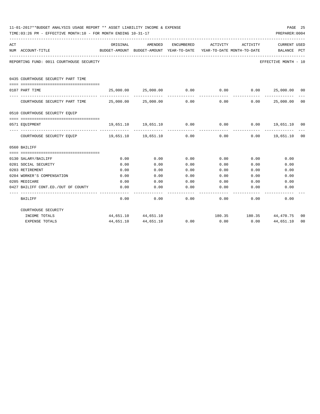|     | 11-01-2017**BUDGET ANALYSIS USAGE REPORT ** ASSET LIABILITY INCOME & EXPENSE<br>TIME:03:26 PM - EFFECTIVE MONTH:10 - FOR MONTH ENDING 10-31-17 |                     |                                                               |                   |              |                                        | PREPARER: 0004                   | PAGE 25        |
|-----|------------------------------------------------------------------------------------------------------------------------------------------------|---------------------|---------------------------------------------------------------|-------------------|--------------|----------------------------------------|----------------------------------|----------------|
| ACT | NUM ACCOUNT-TITLE                                                                                                                              | ORIGINAL            | AMENDED<br>BUDGET-AMOUNT BUDGET-AMOUNT YEAR-TO-DATE           | ENCUMBERED        | ACTIVITY     | ACTIVITY<br>YEAR-TO-DATE MONTH-TO-DATE | CURRENT USED<br>BALANCE PCT      |                |
|     | REPORTING FUND: 0011 COURTHOUSE SECURITY                                                                                                       |                     |                                                               |                   |              |                                        | EFFECTIVE MONTH - 10             |                |
|     | 0435 COURTHOUSE SECURITY PART TIME                                                                                                             |                     |                                                               |                   |              |                                        |                                  |                |
|     | 0107 PART TIME                                                                                                                                 |                     | $25,000.00$ $25,000.00$ $0.00$ $0.00$ $0.00$ $25,000.00$ $00$ |                   |              |                                        |                                  |                |
|     | COURTHOUSE SECURITY PART TIME $25,000.00$ $25,000.00$ $0.00$ 0.00                                                                              |                     |                                                               | -------------     |              | 0.00                                   | --------------<br>0.00 25,000.00 | 0 <sup>0</sup> |
|     | 0510 COURTHOUSE SECURITY EQUIP                                                                                                                 |                     |                                                               |                   |              |                                        |                                  |                |
|     | --------------------------------------<br>0571 EQUIPMENT                                                                                       |                     | $19,651.10$ $19,651.10$ $0.00$ $0.00$ $0.00$ $19,651.10$ $00$ |                   |              |                                        |                                  |                |
|     | COURTHOUSE SECURITY EQUIP 19,651.10 19,651.10 0.00                                                                                             |                     |                                                               | ------------      | ------------ | ----------                             | $0.00$ $0.00$ $19,651.10$ 00     |                |
|     | 0560 BAILIFF                                                                                                                                   |                     |                                                               |                   |              |                                        |                                  |                |
|     |                                                                                                                                                |                     |                                                               |                   |              |                                        |                                  |                |
|     | 0130 SALARY/BAILIFF                                                                                                                            | 0.00                | 0.00                                                          | 0.00              | 0.00         | 0.00                                   | 0.00                             |                |
|     | 0201 SOCIAL SECURITY                                                                                                                           | 0.00                | 0.00                                                          | 0.00              | 0.00         | 0.00                                   | 0.00                             |                |
|     | 0203 RETIREMENT                                                                                                                                | 0.00                | 0.00                                                          | 0.00              | 0.00         | 0.00                                   | 0.00                             |                |
|     | 0204 WORKER'S COMPENSATION                                                                                                                     | 0.00                | 0.00                                                          | 0.00              | 0.00         | 0.00                                   | 0.00                             |                |
|     | 0205 MEDICARE                                                                                                                                  | 0.00                | 0.00                                                          | 0.00              | 0.00         | 0.00                                   | 0.00                             |                |
|     | 0427 BAILIFF CONT.ED./OUT OF COUNTY                                                                                                            | 0.00<br>$- - - - -$ | 0.00<br>----------                                            | 0.00<br>--------- | 0.00         | 0.00                                   | 0.00                             |                |
|     | <b>BAILIFF</b>                                                                                                                                 | 0.00                | 0.00                                                          | 0.00              |              | 0.00<br>0.00                           | 0.00                             |                |
|     | COURTHOUSE SECURITY                                                                                                                            |                     |                                                               |                   |              |                                        |                                  |                |
|     | INCOME TOTALS                                                                                                                                  |                     | 44,651.10 44,651.10                                           |                   |              |                                        | 180.35 180.35 44,470.75          | 00             |
|     | <b>EXPENSE TOTALS</b>                                                                                                                          | 44,651.10           | 44,651.10                                                     | 0.00              | 0.00         | 0.00                                   | 44,651.10                        | 0 <sub>0</sub> |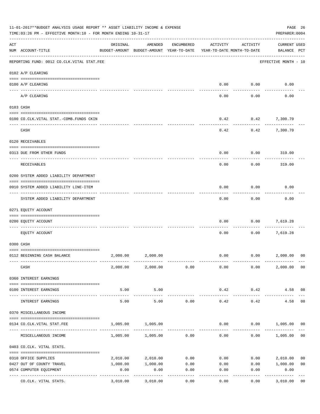|     | 11-01-2017**BUDGET ANALYSIS USAGE REPORT ** ASSET LIABILITY INCOME & EXPENSE<br>TIME:03:26 PM - EFFECTIVE MONTH:10 - FOR MONTH ENDING 10-31-17 |                  |                                                     |                    |                    |                                        | PAGE 26<br>PREPARER: 0004          |
|-----|------------------------------------------------------------------------------------------------------------------------------------------------|------------------|-----------------------------------------------------|--------------------|--------------------|----------------------------------------|------------------------------------|
| ACT | NUM ACCOUNT-TITLE                                                                                                                              | ORIGINAL         | AMENDED<br>BUDGET-AMOUNT BUDGET-AMOUNT YEAR-TO-DATE | ENCUMBERED         | ACTIVITY           | ACTIVITY<br>YEAR-TO-DATE MONTH-TO-DATE | <b>CURRENT USED</b><br>BALANCE PCT |
|     | -------------------------------------<br>REPORTING FUND: 0012 CO.CLK.VITAL STAT.FEE                                                            |                  |                                                     |                    |                    |                                        | EFFECTIVE MONTH - 10               |
|     | 0102 A/P CLEARING                                                                                                                              |                  |                                                     |                    |                    |                                        |                                    |
|     | 0100 A/P CLEARING                                                                                                                              |                  |                                                     |                    | 0.00               | 0.00                                   | 0.00                               |
|     | A/P CLEARING                                                                                                                                   |                  |                                                     |                    | 0.00               | 0.00                                   | 0.00                               |
|     | 0103 CASH                                                                                                                                      |                  |                                                     |                    |                    |                                        |                                    |
|     | 0100 CO.CLK.VITAL STAT.-COMB.FUNDS CKIN                                                                                                        |                  |                                                     |                    | 0.42               |                                        | $0.42$ 7,300.70                    |
|     | CASH                                                                                                                                           |                  |                                                     |                    | 0.42               | 0.42                                   | 7,300.70                           |
|     | 0120 RECEIVABLES                                                                                                                               |                  |                                                     |                    |                    |                                        |                                    |
|     | 0313 DUE FROM OTHER FUNDS                                                                                                                      |                  |                                                     |                    | 0.00               | 0.00                                   |                                    |
|     |                                                                                                                                                |                  |                                                     |                    |                    |                                        | 319.00                             |
|     | RECEIVABLES                                                                                                                                    |                  |                                                     |                    | 0.00               | 0.00                                   | 319.00                             |
|     | 0200 SYSTEM ADDED LIABILITY DEPARTMENT                                                                                                         |                  |                                                     |                    |                    |                                        |                                    |
|     | 0910 SYSTEM ADDED LIABILITY LINE-ITEM                                                                                                          |                  |                                                     |                    | 0.00               | 0.00                                   | 0.00                               |
|     | SYSTEM ADDED LIABILITY DEPARTMENT                                                                                                              |                  |                                                     |                    | 0.00               | 0.00                                   | 0.00                               |
|     | 0271 EQUITY ACCOUNT                                                                                                                            |                  |                                                     |                    |                    |                                        |                                    |
|     | 0200 EQUITY ACCOUNT                                                                                                                            |                  |                                                     |                    | 0.00               | 0.00                                   | 7,619.28                           |
|     | EQUITY ACCOUNT                                                                                                                                 |                  |                                                     |                    | 0.00               | 0.00                                   | 7,619.28                           |
|     | 0300 CASH                                                                                                                                      |                  |                                                     |                    |                    |                                        |                                    |
|     | 0112 BEGINNING CASH BALANCE                                                                                                                    | 2,000.00         | 2,000.00                                            |                    | 0.00               |                                        | 0.00 2,000.00<br>0 <sup>0</sup>    |
|     |                                                                                                                                                |                  |                                                     |                    |                    |                                        |                                    |
|     | CASH                                                                                                                                           |                  | 2,000.00 2,000.00 0.00                              |                    | 0.00               | 0.00                                   | 2,000.00 00                        |
|     | 0360 INTEREST EARNINGS                                                                                                                         |                  |                                                     |                    |                    |                                        |                                    |
|     | 0100 INTEREST EARNINGS                                                                                                                         | 5.00             | 5.00                                                |                    | 0.42               | 0.42                                   | 4.58 08                            |
|     | INTEREST EARNINGS                                                                                                                              | --------<br>5.00 | ----------<br>5.00                                  | 0.00               | ----------<br>0.42 | ---------<br>0.42                      | 08<br>4.58                         |
|     |                                                                                                                                                |                  |                                                     |                    |                    |                                        |                                    |
|     | 0370 MISCELLANEOUS INCOME                                                                                                                      |                  |                                                     |                    |                    |                                        |                                    |
|     | 0134 CO. CLK. VITAL STAT. FEE                                                                                                                  | 1,005.00         | 1,005.00                                            |                    | 0.00               |                                        | $0.00$ 1,005.00 00                 |
|     | MISCELLANEOUS INCOME                                                                                                                           |                  | 1,005.00 1,005.00                                   | 0.00               | 0.00               | 0.00                                   | 1,005.00<br>0 <sub>0</sub>         |
|     | 0403 CO.CLK. VITAL STATS.                                                                                                                      |                  |                                                     |                    |                    |                                        |                                    |
|     | 0310 OFFICE SUPPLIES                                                                                                                           |                  | 2,010.00 2,010.00                                   | 0.00               | 0.00               | 0.00                                   | 2,010.00<br>0 <sub>0</sub>         |
|     | 0427 OUT OF COUNTY TRAVEL                                                                                                                      | 1,000.00         | 1,000.00                                            | 0.00               | 0.00               |                                        | 0.00 1,000.00<br>0 <sub>0</sub>    |
|     | 0574 COMPUTER EQUIPMENT                                                                                                                        | 0.00             | 0.00                                                | 0.00               | 0.00               | 0.00                                   | 0.00                               |
|     | ---- -----------------<br>--------------- --------------<br>CO.CLK. VITAL STATS.                                                               | 3,010.00         | 3,010.00                                            | ----------<br>0.00 | 0.00               | 0.00                                   | ----------<br>3,010.00<br>00       |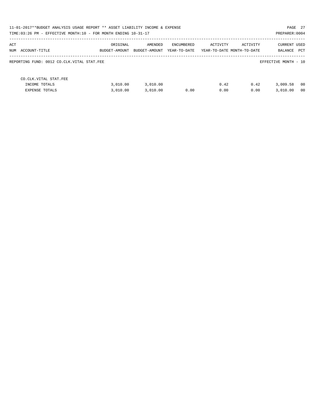| 11-01-2017**BUDGET ANALYSIS USAGE REPORT ** ASSET LIABILITY INCOME & EXPENSE |               |               |              |          |                            |                      | PAGE 27 |
|------------------------------------------------------------------------------|---------------|---------------|--------------|----------|----------------------------|----------------------|---------|
| TIME: 03:26 PM - EFFECTIVE MONTH: 10 - FOR MONTH ENDING 10-31-17             |               |               |              |          |                            | PREPARER: 0004       |         |
| ACT                                                                          | ORIGINAL      | AMENDED       | ENCUMBERED   | ACTIVITY | ACTIVITY                   | CURRENT USED         |         |
| NUM ACCOUNT-TITLE                                                            | BUDGET-AMOUNT | BUDGET-AMOUNT | YEAR-TO-DATE |          | YEAR-TO-DATE MONTH-TO-DATE | BALANCE              | PCT     |
| REPORTING FUND: 0012 CO.CLK.VITAL STAT.FEE                                   |               |               |              |          |                            | EFFECTIVE MONTH - 10 |         |
| CO. CLK. VITAL STAT. FEE                                                     |               |               |              |          |                            |                      |         |
| INCOME TOTALS                                                                | 3.010.00      | 3,010.00      |              | 0.42     | 0.42                       | 3,009.58             | 00      |
| EXPENSE TOTALS                                                               | 3.010.00      | 3,010.00      | 0.00         | 0.00     | 0.00                       | 3.010.00             | 00      |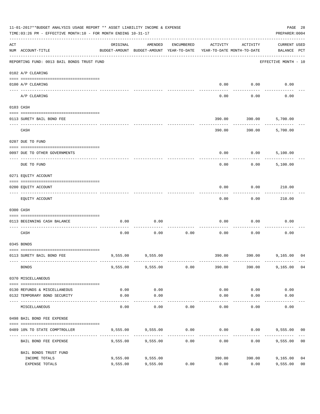|                    | 11-01-2017**BUDGET ANALYSIS USAGE REPORT ** ASSET LIABILITY INCOME & EXPENSE<br>TIME: 03:26 PM - EFFECTIVE MONTH: 10 - FOR MONTH ENDING 10-31-17 |                                                      |                    |            |          |                                        | PREPARER: 0004                     | PAGE 28        |
|--------------------|--------------------------------------------------------------------------------------------------------------------------------------------------|------------------------------------------------------|--------------------|------------|----------|----------------------------------------|------------------------------------|----------------|
| $\mathop{\rm ACT}$ | NUM ACCOUNT-TITLE                                                                                                                                | ORIGINAL<br>BUDGET-AMOUNT BUDGET-AMOUNT YEAR-TO-DATE | AMENDED            | ENCUMBERED | ACTIVITY | ACTIVITY<br>YEAR-TO-DATE MONTH-TO-DATE | <b>CURRENT USED</b><br>BALANCE PCT |                |
|                    | REPORTING FUND: 0013 BAIL BONDS TRUST FUND                                                                                                       |                                                      |                    |            |          |                                        | EFFECTIVE MONTH - 10               |                |
|                    | 0102 A/P CLEARING                                                                                                                                |                                                      |                    |            |          |                                        |                                    |                |
|                    | 0100 A/P CLEARING<br>---- ---------                                                                                                              |                                                      |                    |            | 0.00     | 0.00                                   | 0.00                               |                |
|                    | A/P CLEARING                                                                                                                                     |                                                      |                    |            | 0.00     | 0.00                                   | 0.00                               |                |
|                    | 0103 CASH                                                                                                                                        |                                                      |                    |            |          |                                        |                                    |                |
|                    |                                                                                                                                                  |                                                      |                    |            |          |                                        |                                    |                |
|                    | 0113 SURETY BAIL BOND FEE                                                                                                                        |                                                      |                    |            | 390.00   | 390.00                                 | 5,700.00                           |                |
|                    | CASH                                                                                                                                             |                                                      |                    |            | 390.00   | 390.00                                 | 5,700.00                           |                |
|                    | 0207 DUE TO FUND                                                                                                                                 |                                                      |                    |            |          |                                        |                                    |                |
|                    | 0097 DUE TO OTHER GOVERNMENTS                                                                                                                    |                                                      |                    |            | 0.00     | 0.00                                   | 5,100.00                           |                |
|                    | DUE TO FUND                                                                                                                                      |                                                      |                    |            | 0.00     | 0.00                                   | 5,100.00                           |                |
|                    | 0271 EQUITY ACCOUNT                                                                                                                              |                                                      |                    |            |          |                                        |                                    |                |
|                    | 0200 EQUITY ACCOUNT                                                                                                                              |                                                      |                    |            | 0.00     | 0.00                                   | 210.00                             |                |
|                    | EQUITY ACCOUNT                                                                                                                                   |                                                      |                    |            | 0.00     | 0.00                                   | 210.00                             |                |
|                    | 0300 CASH                                                                                                                                        |                                                      |                    |            |          |                                        |                                    |                |
|                    | 0113 BEGINNING CASH BALANCE                                                                                                                      | 0.00                                                 | 0.00               |            | 0.00     | 0.00                                   | 0.00                               |                |
|                    | ---------------------- -<br>CASH                                                                                                                 | 0.00                                                 | 0.00               | 0.00       | 0.00     | 0.00                                   | 0.00                               |                |
|                    | 0345 BONDS                                                                                                                                       |                                                      |                    |            |          |                                        |                                    |                |
|                    | 0113 SURETY BAIL BOND FEE                                                                                                                        |                                                      | 9,555.00 9,555.00  |            |          |                                        | 390.00 390.00 9,165.00             | 04             |
|                    | <b>BONDS</b>                                                                                                                                     | 9,555.00                                             | 9,555.00           | 0.00       | 390.00   | 390.00                                 | 9,165.00                           | 04             |
|                    | 0370 MISCELLANEOUS                                                                                                                               |                                                      |                    |            |          |                                        |                                    |                |
|                    | 0130 REFUNDS & MISCELLANEOUS                                                                                                                     | 0.00                                                 | 0.00               |            | 0.00     | 0.00                                   | 0.00                               |                |
|                    | 0132 TEMPORARY BOND SECURITY                                                                                                                     | 0.00                                                 | 0.00               |            | 0.00     | 0.00                                   | 0.00                               |                |
|                    | MISCELLANEOUS                                                                                                                                    | 0.00                                                 | ----------<br>0.00 | 0.00       | 0.00     | $- - - - -$<br>0.00                    | 0.00                               |                |
|                    | 0498 BAIL BOND FEE EXPENSE                                                                                                                       |                                                      |                    |            |          |                                        |                                    |                |
|                    | 0489 10% TO STATE COMPTROLLER                                                                                                                    | 9,555.00                                             | 9,555.00           | 0.00       | 0.00     |                                        | $0.00$ 9,555.00                    | 00             |
|                    | BAIL BOND FEE EXPENSE                                                                                                                            | 9,555.00                                             | 9,555.00           | 0.00       | 0.00     | 0.00                                   | 9,555.00                           | 0 <sub>0</sub> |
|                    | BAIL BONDS TRUST FUND                                                                                                                            |                                                      |                    |            |          |                                        |                                    |                |
|                    | INCOME TOTALS                                                                                                                                    | 9,555.00                                             | 9,555.00           |            | 390.00   | 390.00                                 | 9,165.00                           | 04             |
|                    | EXPENSE TOTALS                                                                                                                                   | 9,555.00                                             | 9,555.00           | 0.00       | 0.00     | 0.00                                   | 9,555.00                           | 0 <sub>0</sub> |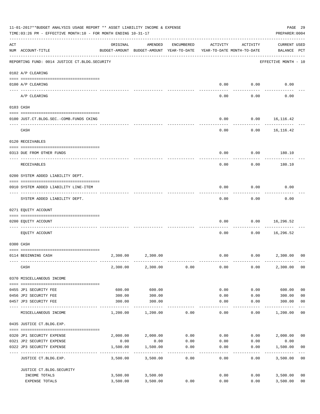|     | 11-01-2017**BUDGET ANALYSIS USAGE REPORT ** ASSET LIABILITY INCOME & EXPENSE<br>TIME:03:26 PM - EFFECTIVE MONTH:10 - FOR MONTH ENDING 10-31-17 |                  |                                                     |            |                                        |                   | PREPARER: 0004                     | PAGE 29                          |
|-----|------------------------------------------------------------------------------------------------------------------------------------------------|------------------|-----------------------------------------------------|------------|----------------------------------------|-------------------|------------------------------------|----------------------------------|
| ACT | NUM ACCOUNT-TITLE                                                                                                                              | ORIGINAL         | AMENDED<br>BUDGET-AMOUNT BUDGET-AMOUNT YEAR-TO-DATE | ENCUMBERED | ACTIVITY<br>YEAR-TO-DATE MONTH-TO-DATE | ACTIVITY          | <b>CURRENT USED</b><br>BALANCE PCT |                                  |
|     | REPORTING FUND: 0014 JUSTICE CT. BLDG. SECURITY                                                                                                |                  |                                                     |            |                                        |                   | EFFECTIVE MONTH - 10               |                                  |
|     | 0102 A/P CLEARING                                                                                                                              |                  |                                                     |            |                                        |                   |                                    |                                  |
|     | 0100 A/P CLEARING                                                                                                                              |                  |                                                     |            | 0.00                                   | 0.00              | 0.00                               |                                  |
|     | ---- ---------<br>A/P CLEARING                                                                                                                 |                  |                                                     |            | 0.00                                   | 0.00              | 0.00                               |                                  |
|     | 0103 CASH                                                                                                                                      |                  |                                                     |            |                                        |                   |                                    |                                  |
|     | 0100 JUST.CT.BLDG.SEC.-COMB.FUNDS CKING                                                                                                        |                  |                                                     |            | 0.00                                   |                   | $0.00$ 16,116.42                   |                                  |
|     | CASH                                                                                                                                           |                  |                                                     |            | 0.00                                   |                   | 0.00<br>16, 116.42                 |                                  |
|     | 0120 RECEIVABLES                                                                                                                               |                  |                                                     |            |                                        |                   |                                    |                                  |
|     | 0313 DUE FROM OTHER FUNDS                                                                                                                      |                  |                                                     |            | 0.00                                   | 0.00              | 180.10                             |                                  |
|     | RECEIVABLES                                                                                                                                    |                  |                                                     |            | 0.00                                   | 0.00              | 180.10                             |                                  |
|     | 0200 SYSTEM ADDED LIABILITY DEPT.                                                                                                              |                  |                                                     |            |                                        |                   |                                    |                                  |
|     | 0910 SYSTEM ADDED LIABILITY LINE-ITEM                                                                                                          |                  |                                                     |            | 0.00                                   | 0.00              | 0.00                               |                                  |
|     | SYSTEM ADDED LIABILITY DEPT.                                                                                                                   |                  |                                                     |            | 0.00                                   | 0.00              | 0.00                               |                                  |
|     | 0271 EQUITY ACCOUNT                                                                                                                            |                  |                                                     |            |                                        |                   |                                    |                                  |
|     |                                                                                                                                                |                  |                                                     |            |                                        |                   |                                    |                                  |
|     | 0200 EQUITY ACCOUNT                                                                                                                            |                  |                                                     |            | 0.00                                   | 0.00              | 16,296.52<br>--------              |                                  |
|     | EQUITY ACCOUNT                                                                                                                                 |                  |                                                     |            | 0.00                                   | 0.00              | 16,296.52                          |                                  |
|     | 0300 CASH                                                                                                                                      |                  |                                                     |            |                                        |                   |                                    |                                  |
|     | 0114 BEGINNING CASH                                                                                                                            | 2,300.00         | 2,300.00                                            |            | 0.00                                   |                   | 0.00<br>2,300.00                   | 0 <sup>0</sup>                   |
|     | CASH                                                                                                                                           |                  | 2,300.00 2,300.00                                   | 0.00       | 0.00                                   | 0.00              | 2,300.00 00                        |                                  |
|     | 0370 MISCELLANEOUS INCOME                                                                                                                      |                  |                                                     |            |                                        |                   |                                    |                                  |
|     |                                                                                                                                                |                  |                                                     |            |                                        |                   |                                    |                                  |
|     | 0455 JP1 SECURITY FEE                                                                                                                          | 600.00           | 600.00                                              |            | 0.00                                   | 0.00              | 600.00                             | 0 <sub>0</sub>                   |
|     | 0456 JP2 SECURITY FEE<br>0457 JP3 SECURITY FEE                                                                                                 | 300.00<br>300.00 | 300.00<br>300.00                                    |            | 0.00<br>0.00                           | 0.00<br>0.00      | 300.00<br>300.00                   | 0 <sub>0</sub><br>0 <sub>0</sub> |
|     | MISCELLANEOUS INCOME                                                                                                                           | 1,200.00         | -------------<br>1,200.00                           | 0.00       | $- - - - -$<br>0.00                    | ---------<br>0.00 | -----------<br>1,200.00            | 0 <sub>0</sub>                   |
|     | 0435 JUSTICE CT.BLDG.EXP.                                                                                                                      |                  |                                                     |            |                                        |                   |                                    |                                  |
|     |                                                                                                                                                |                  |                                                     |            |                                        |                   |                                    |                                  |
|     | 0320 JP1 SECURITY EXPENSE                                                                                                                      |                  | 2,000.00 2,000.00                                   | 0.00       |                                        | 0.00              | 0.00<br>2,000.00                   | 0 <sub>0</sub>                   |
|     | 0321 JP2 SECURITY EXPENSE                                                                                                                      | 0.00             | 0.00                                                | 0.00       | 0.00                                   | 0.00              | 0.00                               |                                  |
|     | 0322 JP3 SECURITY EXPENSE                                                                                                                      | 1,500.00         | 1,500.00                                            | 0.00       | 0.00                                   | 0.00              | 1,500.00                           | 0 <sub>0</sub><br>$- - -$        |
|     | JUSTICE CT.BLDG.EXP.                                                                                                                           | 3,500.00         | 3,500.00                                            | 0.00       | 0.00                                   | 0.00              | 3,500.00 00                        |                                  |
|     | JUSTICE CT. BLDG. SECURITY<br>INCOME TOTALS                                                                                                    |                  | 3,500.00 3,500.00                                   |            | 0.00                                   |                   | 0.00<br>3,500.00                   | 0 <sub>0</sub>                   |
|     | <b>EXPENSE TOTALS</b>                                                                                                                          | 3,500.00         | 3,500.00                                            | 0.00       | 0.00                                   | 0.00              | 3,500.00                           | 0 <sub>0</sub>                   |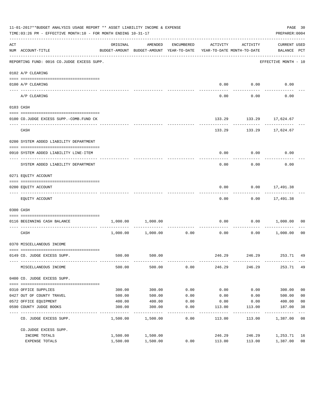|     | 11-01-2017**BUDGET ANALYSIS USAGE REPORT ** ASSET LIABILITY INCOME & EXPENSE<br>TIME:03:26 PM - EFFECTIVE MONTH:10 - FOR MONTH ENDING 10-31-17 |          |                                                     |               |                                        |                  | PREPARER: 0004                     | PAGE 30        |
|-----|------------------------------------------------------------------------------------------------------------------------------------------------|----------|-----------------------------------------------------|---------------|----------------------------------------|------------------|------------------------------------|----------------|
| ACT | NUM ACCOUNT-TITLE                                                                                                                              | ORIGINAL | AMENDED<br>BUDGET-AMOUNT BUDGET-AMOUNT YEAR-TO-DATE | ENCUMBERED    | ACTIVITY<br>YEAR-TO-DATE MONTH-TO-DATE | ACTIVITY         | <b>CURRENT USED</b><br>BALANCE PCT |                |
|     | REPORTING FUND: 0016 CO.JUDGE EXCESS SUPP.                                                                                                     |          |                                                     |               |                                        |                  | EFFECTIVE MONTH - 10               |                |
|     | 0102 A/P CLEARING                                                                                                                              |          |                                                     |               |                                        |                  |                                    |                |
|     | 0100 A/P CLEARING                                                                                                                              |          |                                                     |               | 0.00                                   | 0.00             | 0.00                               |                |
|     | ---- -------------<br>A/P CLEARING                                                                                                             |          |                                                     |               | 0.00                                   | --------<br>0.00 | 0.00                               |                |
|     | 0103 CASH                                                                                                                                      |          |                                                     |               |                                        |                  |                                    |                |
|     | 0100 CO.JUDGE EXCESS SUPP.-COMB.FUND CK                                                                                                        |          |                                                     |               |                                        |                  | 133.29 133.29 17,624.67            |                |
|     | CASH                                                                                                                                           |          |                                                     |               |                                        |                  | 133.29 133.29 17,624.67            |                |
|     | 0200 SYSTEM ADDED LIABILITY DEPARTMENT                                                                                                         |          |                                                     |               |                                        |                  |                                    |                |
|     | 0910 SYSTEM ADDED LIABILITY LINE-ITEM                                                                                                          |          |                                                     |               | 0.00                                   | 0.00             | 0.00                               |                |
|     | SYSTEM ADDED LIABILITY DEPARTMENT                                                                                                              |          |                                                     |               | 0.00                                   | 0.00             | 0.00                               |                |
|     | 0271 EQUITY ACCOUNT                                                                                                                            |          |                                                     |               |                                        |                  |                                    |                |
|     | 0200 EQUITY ACCOUNT                                                                                                                            |          |                                                     |               | 0.00                                   | ---------        | $0.00$ 17,491.38<br>-----------    |                |
|     | EQUITY ACCOUNT                                                                                                                                 |          |                                                     |               | 0.00                                   |                  | $0.00$ 17,491.38                   |                |
|     | 0300 CASH                                                                                                                                      |          |                                                     |               |                                        |                  |                                    |                |
|     | 0116 BEGINNING CASH BALANCE                                                                                                                    | 1,000.00 | 1,000.00                                            |               | 0.00                                   |                  | $0.00$ 1,000.00                    | 00             |
|     | CASH                                                                                                                                           |          | 1,000.00 1,000.00                                   | 0.00          | 0.00                                   | 0.00             | 1,000.00 00                        |                |
|     | 0370 MISCELLANEOUS INCOME                                                                                                                      |          |                                                     |               |                                        |                  |                                    |                |
|     | 0149 CO. JUDGE EXCESS SUPP.                                                                                                                    | 500.00   | 500.00                                              |               |                                        |                  | 246.29 246.29 253.71 49            |                |
|     | MISCELLANEOUS INCOME                                                                                                                           | 500.00   | 500.00                                              | 0.00          | 246.29                                 | 246.29           | 253.71 49                          |                |
|     | 0400 CO. JUDGE EXCESS SUPP.                                                                                                                    |          |                                                     |               |                                        |                  |                                    |                |
|     | 0310 OFFICE SUPPLIES                                                                                                                           | 300.00   | 300.00                                              | 0.00          | 0.00                                   | 0.00             | 300.00                             | 0 <sub>0</sub> |
|     | 0427 OUT OF COUNTY TRAVEL                                                                                                                      | 500.00   | 500.00                                              | 0.00          | 0.00                                   | 0.00             | 500.00                             | 0 <sub>0</sub> |
|     | 0572 OFFICE EQUIPMENT                                                                                                                          | 400.00   | 400.00                                              | 0.00          | 0.00                                   | 0.00             | 400.00                             | 0 <sub>0</sub> |
|     | 0590 COUNTY JUDGE BOOKS                                                                                                                        | 300.00   | 300.00                                              | 0.00          | 113.00                                 | 113.00           | 187.00                             | 38             |
|     | CO. JUDGE EXCESS SUPP.                                                                                                                         | 1,500.00 | 1,500.00                                            | -----<br>0.00 | 113.00                                 | 113.00           | 1,387.00                           | 08             |
|     | CO.JUDGE EXCESS SUPP.                                                                                                                          |          |                                                     |               |                                        |                  |                                    |                |
|     | INCOME TOTALS                                                                                                                                  | 1,500.00 | 1,500.00                                            |               | 246.29                                 | 246.29           | 1,253.71                           | 16             |
|     | EXPENSE TOTALS                                                                                                                                 | 1,500.00 | 1,500.00                                            | 0.00          | 113.00                                 | 113.00           | 1,387.00                           | 08             |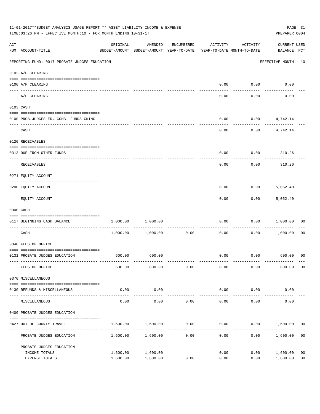|     | 11-01-2017**BUDGET ANALYSIS USAGE REPORT ** ASSET LIABILITY INCOME & EXPENSE<br>TIME: 03:26 PM - EFFECTIVE MONTH: 10 - FOR MONTH ENDING 10-31-17 |                                                      |                       |                      |                                        |          | PREPARER: 0004                     | PAGE 31        |
|-----|--------------------------------------------------------------------------------------------------------------------------------------------------|------------------------------------------------------|-----------------------|----------------------|----------------------------------------|----------|------------------------------------|----------------|
| ACT | NUM ACCOUNT-TITLE                                                                                                                                | ORIGINAL<br>BUDGET-AMOUNT BUDGET-AMOUNT YEAR-TO-DATE | AMENDED               | ENCUMBERED           | ACTIVITY<br>YEAR-TO-DATE MONTH-TO-DATE | ACTIVITY | <b>CURRENT USED</b><br>BALANCE PCT |                |
|     | REPORTING FUND: 0017 PROBATE JUDGES EDUCATION                                                                                                    |                                                      |                       |                      |                                        |          | EFFECTIVE MONTH - 10               |                |
|     | 0102 A/P CLEARING                                                                                                                                |                                                      |                       |                      |                                        |          |                                    |                |
|     | 0100 A/P CLEARING                                                                                                                                |                                                      |                       |                      | 0.00                                   | 0.00     | 0.00                               |                |
|     | ---- --------<br>A/P CLEARING                                                                                                                    |                                                      |                       |                      | 0.00                                   | 0.00     | 0.00                               |                |
|     | 0103 CASH                                                                                                                                        |                                                      |                       |                      |                                        |          |                                    |                |
|     | 0100 PROB.JUDGES ED.-COMB. FUNDS CKING                                                                                                           |                                                      |                       |                      | 0.00                                   |          | $0.00$ 4,742.14                    |                |
|     | CASH                                                                                                                                             |                                                      |                       |                      | 0.00                                   |          | 0.00<br>4,742.14                   |                |
|     | 0120 RECEIVABLES                                                                                                                                 |                                                      |                       |                      |                                        |          |                                    |                |
|     | 0313 DUE FROM OTHER FUNDS                                                                                                                        |                                                      |                       |                      | 0.00                                   | 0.00     | 310.26                             |                |
|     | RECEIVABLES                                                                                                                                      |                                                      |                       |                      | 0.00                                   | 0.00     | 310.26                             |                |
|     | 0271 EQUITY ACCOUNT                                                                                                                              |                                                      |                       |                      |                                        |          |                                    |                |
|     | 0200 EQUITY ACCOUNT                                                                                                                              |                                                      |                       |                      | 0.00                                   | 0.00     | 5,052.40                           |                |
|     | EQUITY ACCOUNT                                                                                                                                   |                                                      |                       |                      | 0.00                                   | 0.00     | 5,052.40                           |                |
|     | 0300 CASH                                                                                                                                        |                                                      |                       |                      |                                        |          |                                    |                |
|     | 0117 BEGINNING CASH BALANCE                                                                                                                      |                                                      | 1,000.00 1,000.00     |                      | 0.00                                   | 0.00     | 1,000.00                           | 00             |
|     | CASH                                                                                                                                             |                                                      | $1,000.00$ $1,000.00$ | ------------<br>0.00 | 0.00                                   | 0.00     | 1,000.00                           | 00             |
|     | 0340 FEES OF OFFICE                                                                                                                              |                                                      |                       |                      |                                        |          |                                    |                |
|     | 0131 PROBATE JUDGES EDUCATION                                                                                                                    |                                                      | 600.00 600.00         |                      | 0.00                                   |          | $0.00$ 600.00 00                   |                |
|     | FEES OF OFFICE                                                                                                                                   | 600.00                                               | 600.00                | 0.00                 | 0.00                                   | 0.00     | 600.00                             | 00             |
|     | 0370 MISCELLANEOUS                                                                                                                               |                                                      |                       |                      |                                        |          |                                    |                |
|     | 0130 REFUNDS & MISCELLANEOUS                                                                                                                     | 0.00                                                 | 0.00                  |                      | 0.00                                   | 0.00     | 0.00                               |                |
|     | MISCELLANEOUS                                                                                                                                    | 0.00                                                 | -----------<br>0.00   | 0.00                 | 0.00                                   | 0.00     | 0.00                               |                |
|     | 0400 PROBATE JUDGES EDUCATION                                                                                                                    |                                                      |                       |                      |                                        |          |                                    |                |
|     | 0427 OUT OF COUNTY TRAVEL                                                                                                                        | 1,600.00                                             | 1,600.00              | 0.00                 | 0.00                                   |          | $0.00$ 1,600.00 00                 |                |
|     | PROBATE JUDGES EDUCATION                                                                                                                         |                                                      | 1,600.00 1,600.00     | ----------<br>0.00   | 0.00                                   | 0.00     | 1,600.00                           | 0 <sub>0</sub> |
|     | PROBATE JUDGES EDUCATION                                                                                                                         |                                                      |                       |                      |                                        |          |                                    |                |
|     | INCOME TOTALS                                                                                                                                    | 1,600.00                                             | 1,600.00              |                      | 0.00                                   | 0.00     | 1,600.00                           | 0 <sub>0</sub> |
|     | EXPENSE TOTALS                                                                                                                                   | 1,600.00                                             | 1,600.00              | 0.00                 | 0.00                                   | 0.00     | 1,600.00                           | 0 <sub>0</sub> |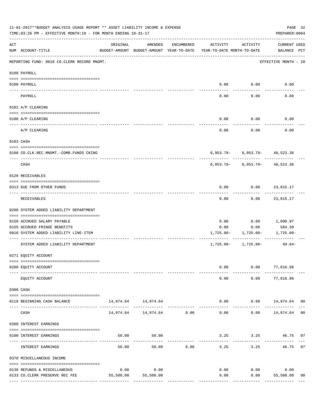|               | 11-01-2017**BUDGET ANALYSIS USAGE REPORT ** ASSET LIABILITY INCOME & EXPENSE<br>TIME: 03:26 PM - EFFECTIVE MONTH: 10 - FOR MONTH ENDING 10-31-17 |           |                                |               |                                                                                 |                                   | PAGE 32<br>PREPARER: 0004           |
|---------------|--------------------------------------------------------------------------------------------------------------------------------------------------|-----------|--------------------------------|---------------|---------------------------------------------------------------------------------|-----------------------------------|-------------------------------------|
| ACT           | NUM ACCOUNT-TITLE                                                                                                                                | ORIGINAL  | AMENDED                        | ENCUMBERED    | ACTIVITY<br>BUDGET-AMOUNT BUDGET-AMOUNT YEAR-TO-DATE YEAR-TO-DATE MONTH-TO-DATE | ACTIVITY                          | CURRENT USED<br>BALANCE PCT         |
|               | REPORTING FUND: 0018 CO.CLERK RECORD MNGMT.                                                                                                      |           |                                |               |                                                                                 |                                   | EFFECTIVE MONTH - 10                |
|               | 0100 PAYROLL                                                                                                                                     |           |                                |               |                                                                                 |                                   |                                     |
| $\frac{1}{2}$ | 0100 PAYROLL                                                                                                                                     |           |                                |               |                                                                                 | $0.00$ $0.00$                     | 0.00                                |
|               | PAYROLL                                                                                                                                          |           |                                |               | 0.00                                                                            | 0.00                              | 0.00                                |
|               | 0102 A/P CLEARING                                                                                                                                |           |                                |               |                                                                                 |                                   |                                     |
|               | 0100 A/P CLEARING                                                                                                                                |           |                                |               | 0.00                                                                            | 0.00                              | 0.00                                |
|               | A/P CLEARING                                                                                                                                     |           |                                |               | 0.00                                                                            | 0.00                              | 0.00                                |
|               | 0103 CASH                                                                                                                                        |           |                                |               |                                                                                 |                                   |                                     |
|               | 0100 CO.CLK.REC.MNGMT.-COMB.FUNDS CKING                                                                                                          |           |                                |               |                                                                                 | $6,953.79 - 6,953.79 - 48,523.36$ |                                     |
|               | ------------------------------<br>CASH                                                                                                           |           |                                |               |                                                                                 | $6,953.79 - 6,953.79 - 48,523.36$ |                                     |
|               | 0120 RECEIVABLES                                                                                                                                 |           |                                |               |                                                                                 |                                   |                                     |
|               | 0313 DUE FROM OTHER FUNDS                                                                                                                        |           |                                |               | 0.00                                                                            | $0.00$ 23,815.17                  |                                     |
|               | RECEIVABLES                                                                                                                                      |           |                                |               | 0.00                                                                            |                                   | $0.00$ 23,815.17                    |
|               | 0200 SYSTEM ADDED LIABILITY DEPARTMENT                                                                                                           |           |                                |               |                                                                                 |                                   |                                     |
|               | 0150 ACCRUED SALARY PAYABLE                                                                                                                      |           |                                |               | 0.00                                                                            |                                   | $0.00$ 1,090.97                     |
|               | 0155 ACCRUED FRINGE BENEFITS<br>0910 SYSTEM ADDED LIABILITY LINE-ITEM                                                                            |           |                                |               | 0.00<br>1,725.00-                                                               | 0.00<br>1,725.00-                 | 584.39<br>1,725.00-                 |
|               | SYSTEM ADDED LIABILITY DEPARTMENT                                                                                                                |           |                                |               |                                                                                 | $1,725.00 - 1,725.00 - 49.64 -$   |                                     |
|               | 0271 EQUITY ACCOUNT                                                                                                                              |           |                                |               |                                                                                 |                                   |                                     |
|               | 0200 EQUITY ACCOUNT                                                                                                                              |           |                                |               | 0.00                                                                            |                                   | $0.00$ 77,616.96                    |
|               | EQUITY ACCOUNT                                                                                                                                   |           |                                |               | 0.00                                                                            | 0.00                              | 77,616.96                           |
|               | 0300 CASH                                                                                                                                        |           |                                |               |                                                                                 |                                   |                                     |
|               | 0118 BEGINNING CASH BALANCE                                                                                                                      |           | 14,974.64 14,974.64            |               |                                                                                 |                                   | $0.00$ $0.00$ $14,974.64$ 00        |
|               | CASH                                                                                                                                             |           | 14,974.64    14,974.64    0.00 | _____________ | 0.00                                                                            | ----------                        | ------------<br>$0.00$ 14,974.64 00 |
|               | 0360 INTEREST EARNINGS                                                                                                                           |           |                                |               |                                                                                 |                                   |                                     |
|               | 0100 INTEREST EARNINGS                                                                                                                           | 50.00     | 50.00                          |               |                                                                                 |                                   | 3.25 3.25 46.75 07                  |
|               | INTEREST EARNINGS                                                                                                                                | 50.00     | 50.00                          | 0.00          | 3.25                                                                            | 3.25                              | 46.75 07                            |
|               | 0370 MISCELLANEOUS INCOME                                                                                                                        |           |                                |               |                                                                                 |                                   |                                     |
|               | 0130 REFUNDS & MISCELLANEOUS                                                                                                                     | 0.00      | 0.00                           |               | 0.00                                                                            | 0.00                              | 0.00                                |
|               | 0133 CO.CLERK PRESERVE REC FEE                                                                                                                   | 55,500.00 | 55,500.00                      |               | 0.00                                                                            | 0.00                              | 55,500.00<br>00                     |
|               |                                                                                                                                                  |           |                                |               |                                                                                 |                                   |                                     |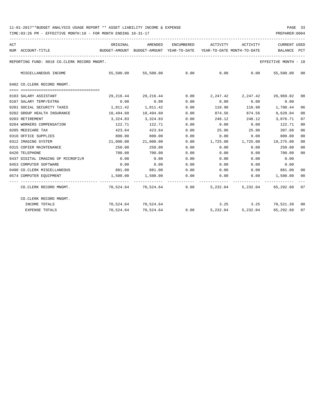| ACT | NUM ACCOUNT-TITLE                           | ORIGINAL<br>BUDGET-AMOUNT BUDGET-AMOUNT YEAR-TO-DATE YEAR-TO-DATE MONTH-TO-DATE | AMENDED                  |      | ENCUMBERED ACTIVITY                                 | ACTIVITY | <b>CURRENT USED</b><br>BALANCE | PCT |
|-----|---------------------------------------------|---------------------------------------------------------------------------------|--------------------------|------|-----------------------------------------------------|----------|--------------------------------|-----|
|     | REPORTING FUND: 0018 CO.CLERK RECORD MNGMT. |                                                                                 |                          |      |                                                     |          | EFFECTIVE MONTH - 10           |     |
|     | MISCELLANEOUS INCOME                        |                                                                                 |                          |      | $55,500.00$ $55,500.00$ $0.00$ $0.00$ $0.00$ $0.00$ |          | 55,500.00 00                   |     |
|     | 0402 CO.CLERK RECORD MNGMT.                 |                                                                                 |                          |      |                                                     |          |                                |     |
|     |                                             |                                                                                 |                          |      |                                                     |          |                                |     |
|     | 0103 SALARY ASSISTANT                       | 29,216.44                                                                       | 29,216.44                | 0.00 | 2,247.42                                            | 2,247.42 | 26,969.02 08                   |     |
|     | 0107 SALARY TEMP/EXTRA                      | 0.00                                                                            | 0.00                     | 0.00 | 0.00                                                | 0.00     | 0.00                           |     |
|     | 0201 SOCIAL SECURITY TAXES                  | 1,811.42                                                                        | 1,811.42                 | 0.00 | 110.98                                              | 110.98   | 1,700.44                       | 06  |
|     | 0202 GROUP HEALTH INSURANCE                 |                                                                                 | 10,494.60    10,494.60   | 0.00 | 874.56                                              | 874.56   | 9,620.04                       | 08  |
|     | 0203 RETIREMENT                             |                                                                                 | 3, 324, 83 3, 324, 83    | 0.00 | 248.12                                              | 248.12   | 3,076.71                       | 07  |
|     | 0204 WORKERS COMPENSATION                   | 122.71                                                                          | 122.71                   | 0.00 | 0.00                                                | 0.00     | 122.71                         | 00  |
|     | 0205 MEDICARE TAX                           | 423.64                                                                          | 423.64                   | 0.00 | 25.96                                               | 25.96    | 397.68                         | 06  |
|     | 0310 OFFICE SUPPLIES                        | 800.00                                                                          | 800.00                   | 0.00 | 0.00                                                | 0.00     | 800.00                         | 00  |
|     | 0312 IMAGING SYSTEM                         |                                                                                 | 21,000.00 21,000.00      | 0.00 |                                                     |          | 1,725.00 1,725.00 19,275.00    | 08  |
|     | 0315 COPIER MAINTENANCE                     | 250.00                                                                          | 250.00                   | 0.00 | 0.00                                                | 0.00     | 250.00                         | 00  |
|     | 0420 TELEPHONE                              | 700.00                                                                          | 700.00                   | 0.00 | 0.00                                                | 0.00     | 700.00                         | 00  |
|     | 0437 DIGITAL IMAGING OF MICROFILM           | 0.00                                                                            | 0.00                     | 0.00 | 0.00                                                | 0.00     | 0.00                           |     |
|     | 0453 COMPUTER SOFTWARE                      | 0.00                                                                            | 0.00                     | 0.00 | 0.00                                                | 0.00     | 0.00                           |     |
|     | 0490 CO. CLERK MISCELLANEOUS                | 881.00                                                                          | 881.00                   | 0.00 |                                                     |          | $0.00$ $0.00$ $881.00$         | 00  |
|     | 0574 COMPUTER EQUIPMENT                     |                                                                                 | 1,500.00 1,500.00        | 0.00 |                                                     |          | $0.00$ $0.00$ $1,500.00$       | 00  |
|     | CO.CLERK RECORD MNGMT.                      |                                                                                 | 70,524.64 70,524.64 0.00 |      |                                                     |          | 5,232.04 5,232.04 65,292.60 07 |     |
|     | CO.CLERK RECORD MNGMT.                      |                                                                                 |                          |      |                                                     |          |                                |     |
|     | INCOME TOTALS                               |                                                                                 | 70,524.64 70,524.64      |      |                                                     |          | 3.25 3.25 70,521.39 00         |     |
|     | <b>EXPENSE TOTALS</b>                       |                                                                                 | 70,524.64 70,524.64 0.00 |      | 5,232.04                                            |          | 5,232.04 65,292.60             | 07  |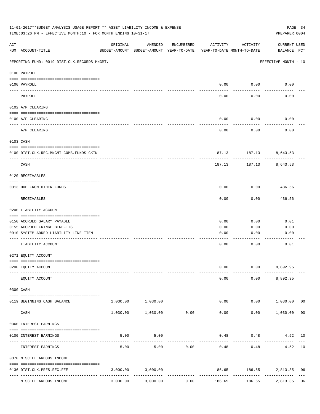| 11-01-2017**BUDGET ANALYSIS USAGE REPORT ** ASSET LIABILITY INCOME & EXPENSE<br>PAGE 34<br>TIME: 03:26 PM - EFFECTIVE MONTH: 10 - FOR MONTH ENDING 10-31-17<br>PREPARER: 0004 |                                                                              |                                                      |                                    |                      |                                        |                        |                                   |  |
|-------------------------------------------------------------------------------------------------------------------------------------------------------------------------------|------------------------------------------------------------------------------|------------------------------------------------------|------------------------------------|----------------------|----------------------------------------|------------------------|-----------------------------------|--|
| ACT                                                                                                                                                                           | NUM ACCOUNT-TITLE                                                            | ORIGINAL<br>BUDGET-AMOUNT BUDGET-AMOUNT YEAR-TO-DATE | AMENDED                            | ENCUMBERED           | ACTIVITY<br>YEAR-TO-DATE MONTH-TO-DATE | ACTIVITY               | CURRENT USED<br>BALANCE PCT       |  |
|                                                                                                                                                                               | REPORTING FUND: 0019 DIST.CLK.RECORDS MNGMT.                                 |                                                      |                                    |                      |                                        |                        | EFFECTIVE MONTH - 10              |  |
|                                                                                                                                                                               | 0100 PAYROLL                                                                 |                                                      |                                    |                      |                                        |                        |                                   |  |
|                                                                                                                                                                               | 0100 PAYROLL                                                                 |                                                      |                                    |                      | 0.00                                   | 0.00                   | 0.00                              |  |
|                                                                                                                                                                               | ---- -------<br>PAYROLL                                                      |                                                      |                                    |                      | 0.00                                   | 0.00                   | 0.00                              |  |
|                                                                                                                                                                               | 0102 A/P CLEARING                                                            |                                                      |                                    |                      |                                        |                        |                                   |  |
|                                                                                                                                                                               | 0100 A/P CLEARING                                                            |                                                      |                                    |                      | 0.00                                   | 0.00                   | 0.00                              |  |
|                                                                                                                                                                               | A/P CLEARING                                                                 |                                                      |                                    |                      | 0.00                                   | 0.00                   | 0.00                              |  |
|                                                                                                                                                                               | 0103 CASH                                                                    |                                                      |                                    |                      |                                        |                        |                                   |  |
|                                                                                                                                                                               | 0100 DIST.CLK.REC.MNGMT-COMB.FUNDS CKIN                                      |                                                      |                                    |                      |                                        | 187.13 187.13 8,643.53 |                                   |  |
|                                                                                                                                                                               | CASH                                                                         |                                                      |                                    |                      | 187.13                                 | 187.13                 | 8,643.53                          |  |
|                                                                                                                                                                               | 0120 RECEIVABLES                                                             |                                                      |                                    |                      |                                        |                        |                                   |  |
|                                                                                                                                                                               | 0313 DUE FROM OTHER FUNDS                                                    |                                                      |                                    |                      | 0.00                                   | 0.00                   | 436.56                            |  |
|                                                                                                                                                                               | RECEIVABLES                                                                  |                                                      |                                    |                      | 0.00                                   | 0.00                   | ---------<br>436.56               |  |
|                                                                                                                                                                               | 0200 LIABILITY ACCOUNT                                                       |                                                      |                                    |                      |                                        |                        |                                   |  |
|                                                                                                                                                                               | 0150 ACCRUED SALARY PAYABLE                                                  |                                                      |                                    |                      | 0.00                                   | 0.00                   | 0.01                              |  |
|                                                                                                                                                                               | 0155 ACCRUED FRINGE BENEFITS                                                 |                                                      |                                    |                      | 0.00                                   | 0.00                   | 0.00                              |  |
|                                                                                                                                                                               | 0910 SYSTEM ADDED LIABILITY LINE-ITEM                                        |                                                      |                                    |                      | 0.00                                   | 0.00                   | 0.00                              |  |
|                                                                                                                                                                               | LIABILITY ACCOUNT                                                            |                                                      |                                    |                      | 0.00                                   | 0.00                   | 0.01                              |  |
|                                                                                                                                                                               | 0271 EQUITY ACCOUNT                                                          |                                                      |                                    |                      |                                        |                        |                                   |  |
|                                                                                                                                                                               |                                                                              |                                                      |                                    |                      |                                        |                        |                                   |  |
|                                                                                                                                                                               | 0200 EQUITY ACCOUNT                                                          |                                                      |                                    |                      | 0.00                                   |                        | $0.00$ 8,892.95                   |  |
|                                                                                                                                                                               | EQUITY ACCOUNT                                                               |                                                      |                                    |                      | 0.00                                   |                        | $0.00$ $8,892.95$                 |  |
|                                                                                                                                                                               | 0300 CASH                                                                    |                                                      |                                    |                      |                                        |                        |                                   |  |
|                                                                                                                                                                               | 0119 BEGINNING CASH BALANCE<br>----------------------- -----------           |                                                      | 1,030.00 1,030.00<br>------------- |                      |                                        |                        | $0.00$ $0.00$ $1,030.00$ 00       |  |
|                                                                                                                                                                               | CASH                                                                         | 1,030.00                                             | $1,030.00$ 0.00                    |                      | 0.00                                   |                        | $0.00$ 1,030.00<br>0 <sub>0</sub> |  |
|                                                                                                                                                                               | 0360 INTEREST EARNINGS                                                       |                                                      |                                    |                      |                                        |                        |                                   |  |
|                                                                                                                                                                               | 0100 INTEREST EARNINGS                                                       | 5.00                                                 | 5.00                               |                      |                                        | $0.48$ 0.48            | 4.52 10                           |  |
|                                                                                                                                                                               | INTEREST EARNINGS                                                            | 5.00                                                 | 5.00                               | 0.00                 | 0.48                                   | 0.48                   | 10<br>4.52                        |  |
|                                                                                                                                                                               | 0370 MISCELLEANEOUS INCOME                                                   |                                                      |                                    |                      |                                        |                        |                                   |  |
|                                                                                                                                                                               | 0136 DIST.CLK.PRES.REC.FEE                                                   |                                                      | 3,000.00 3,000.00                  |                      |                                        |                        | 186.65 186.65 2,813.35<br>06      |  |
|                                                                                                                                                                               | ---------------- --------------<br>----------------<br>MISCELLEANEOUS INCOME | 3,000.00                                             | 3,000.00                           | ------------<br>0.00 | --------------<br>186.65               | ------------<br>186.65 | -------------<br>2,813.35 06      |  |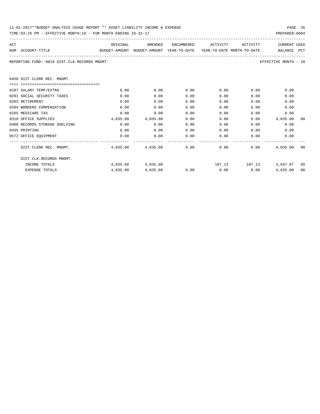| 11-01-2017**BUDGET ANALYSIS USAGE REPORT ** ASSET LIABILITY INCOME & EXPENSE | PAGE 35        |
|------------------------------------------------------------------------------|----------------|
| TIME:03:26 PM - EFFECTIVE MONTH:10 - FOR MONTH ENDING 10-31-17               | PREPARER: 0004 |

| ACT |                                                                                          | ORIGINAL | AMENDED                | ENCUMBERED | ACTIVITY    | ACTIVITY | CURRENT USED              |    |
|-----|------------------------------------------------------------------------------------------|----------|------------------------|------------|-------------|----------|---------------------------|----|
|     | BUDGET-AMOUNT BUDGET-AMOUNT YEAR-TO-DATE YEAR-TO-DATE_MONTH-TO-DATE<br>NUM ACCOUNT-TITLE |          |                        |            |             |          | BALANCE PCT               |    |
|     | REPORTING FUND: 0019 DIST.CLK.RECORDS MNGMT.                                             |          |                        |            |             |          | EFFECTIVE MONTH - 10      |    |
|     | 0450 DIST.CLERK REC. MNGMT.                                                              |          |                        |            |             |          |                           |    |
|     | ----------------------------------                                                       |          |                        |            |             |          |                           |    |
|     | 0107 SALARY TEMP/EXTRA                                                                   | 0.00     | 0.00                   | 0.00       | 0.00        | 0.00     | 0.00                      |    |
|     | 0201 SOCIAL SECURITY TAXES                                                               | 0.00     | 0.00                   | 0.00       | 0.00        | 0.00     | 0.00                      |    |
|     | 0203 RETIREMENT                                                                          | 0.00     | 0.00                   | 0.00       | 0.00        | 0.00     | 0.00                      |    |
|     | 0204 WORKERS COMPENSATION                                                                | 0.00     | 0.00                   | 0.00       | 0.00        | 0.00     | 0.00                      |    |
|     | 0205 MEDICARE TAX                                                                        | 0.00     | 0.00                   | 0.00       | 0.00        | 0.00     | 0.00                      |    |
|     | 0310 OFFICE SUPPLIES                                                                     | 4,035.00 | 4,035.00               | 0.00       | 0.00        |          | 0.00<br>4,035.00          | 00 |
|     | 0400 RECORDS STORAGE SHELVING                                                            | 0.00     | 0.00                   | 0.00       | 0.00        | 0.00     | 0.00                      |    |
|     | 0435 PRINTING                                                                            | 0.00     | 0.00                   | 0.00       | 0.00        | 0.00     | 0.00                      |    |
|     | 0572 OFFICE EQUIPMENT                                                                    | 0.00     | 0.00                   | 0.00       | 0.00        | 0.00     | 0.00                      |    |
|     |                                                                                          |          |                        |            |             |          |                           |    |
|     | DIST.CLERK REC. MNGMT.                                                                   |          | 4,035,00 4,035,00 0.00 |            | 0.00        | 0.00     | 4,035.00                  | 00 |
|     | DIST.CLK.RECORDS MNGMT.                                                                  |          |                        |            |             |          |                           |    |
|     | INCOME TOTALS                                                                            |          | 4,035.00 4,035.00      |            |             |          | 187.13 187.13 3,847.87 05 |    |
|     | <b>EXPENSE TOTALS</b>                                                                    | 4,035.00 | 4,035.00               | 0.00       | $0.00$ 0.00 |          | 4,035.00                  | 00 |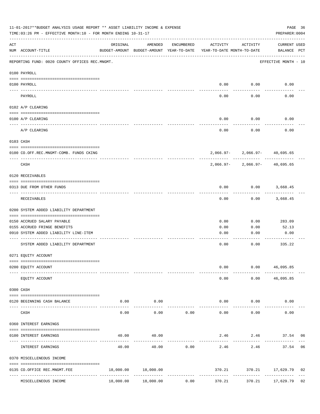|                    | 11-01-2017**BUDGET ANALYSIS USAGE REPORT ** ASSET LIABILITY INCOME & EXPENSE<br>TIME: 03:26 PM - EFFECTIVE MONTH: 10 - FOR MONTH ENDING 10-31-17 |           |                             |                               |                                                                                 |                                                       | PAGE 36<br>PREPARER: 0004   |    |
|--------------------|--------------------------------------------------------------------------------------------------------------------------------------------------|-----------|-----------------------------|-------------------------------|---------------------------------------------------------------------------------|-------------------------------------------------------|-----------------------------|----|
| $\mathop{\rm ACT}$ | NUM ACCOUNT-TITLE                                                                                                                                | ORIGINAL  | AMENDED                     | ENCUMBERED                    | ACTIVITY<br>BUDGET-AMOUNT BUDGET-AMOUNT YEAR-TO-DATE YEAR-TO-DATE MONTH-TO-DATE | ACTIVITY                                              | CURRENT USED<br>BALANCE PCT |    |
|                    | REPORTING FUND: 0020 COUNTY OFFICES REC.MNGMT.                                                                                                   |           |                             |                               |                                                                                 |                                                       | EFFECTIVE MONTH - 10        |    |
|                    | 0100 PAYROLL                                                                                                                                     |           |                             |                               |                                                                                 |                                                       |                             |    |
|                    | 0100 PAYROLL                                                                                                                                     |           |                             |                               |                                                                                 | $0.00$ $0.00$                                         | 0.00                        |    |
|                    | PAYROLL                                                                                                                                          |           |                             |                               | 0.00                                                                            | 0.00                                                  | 0.00                        |    |
|                    | 0102 A/P CLEARING                                                                                                                                |           |                             |                               |                                                                                 |                                                       |                             |    |
|                    | 0100 A/P CLEARING                                                                                                                                |           |                             |                               | 0.00                                                                            | 0.00                                                  | 0.00                        |    |
|                    | A/P CLEARING                                                                                                                                     |           |                             |                               | 0.00                                                                            | 0.00                                                  | 0.00                        |    |
|                    | 0103 CASH                                                                                                                                        |           |                             |                               |                                                                                 |                                                       |                             |    |
|                    | 0100 CO.OFF.REC.MNGMT-COMB. FUNDS CKING                                                                                                          |           |                             |                               |                                                                                 | $2,066.97 - 2,066.97 - 40,695.65$                     |                             |    |
|                    | _______________________________<br>CASH                                                                                                          |           |                             |                               |                                                                                 | ________________<br>$2,066.97 - 2,066.97 - 40,695.65$ | --------                    |    |
|                    | 0120 RECEIVABLES                                                                                                                                 |           |                             |                               |                                                                                 |                                                       |                             |    |
|                    | 0313 DUE FROM OTHER FUNDS                                                                                                                        |           |                             |                               | 0.00                                                                            | $0.00$ 3,668.45                                       |                             |    |
|                    | RECEIVABLES                                                                                                                                      |           |                             |                               | 0.00                                                                            | 0.00                                                  | 3,668.45                    |    |
|                    | 0200 SYSTEM ADDED LIABILITY DEPARTMENT                                                                                                           |           |                             |                               |                                                                                 |                                                       |                             |    |
|                    | 0150 ACCRUED SALARY PAYABLE                                                                                                                      |           |                             |                               | 0.00                                                                            | 0.00                                                  | 283.09                      |    |
|                    | 0155 ACCRUED FRINGE BENEFITS                                                                                                                     |           |                             |                               | 0.00                                                                            | 0.00                                                  | 52.13                       |    |
|                    | 0910 SYSTEM ADDED LIABILITY LINE-ITEM                                                                                                            |           |                             |                               | 0.00                                                                            | 0.00                                                  | 0.00                        |    |
|                    | SYSTEM ADDED LIABILITY DEPARTMENT                                                                                                                |           |                             |                               | 0.00                                                                            | 0.00                                                  | 335.22                      |    |
|                    | 0271 EQUITY ACCOUNT                                                                                                                              |           |                             |                               |                                                                                 |                                                       |                             |    |
|                    | 0200 EQUITY ACCOUNT                                                                                                                              |           |                             |                               | 0.00                                                                            |                                                       | $0.00$ 46,095.85            |    |
|                    | EQUITY ACCOUNT                                                                                                                                   |           |                             |                               | 0.00                                                                            |                                                       | $0.00$ 46,095.85            |    |
|                    | 0300 CASH                                                                                                                                        |           |                             |                               |                                                                                 |                                                       |                             |    |
|                    | 0120 BEGINNING CASH BALANCE                                                                                                                      |           | $0.00$ 0.00<br>. <u>.</u> . |                               |                                                                                 | $0.00$ $0.00$<br>----------                           | 0.00                        |    |
|                    | CASH                                                                                                                                             | 0.00      | 0.00                        | 0.00                          | $- - - - - -$<br>0.00                                                           | 0.00                                                  | 0.00                        |    |
|                    | 0360 INTEREST EARNINGS                                                                                                                           |           |                             |                               |                                                                                 |                                                       |                             |    |
|                    | 0100 INTEREST EARNINGS                                                                                                                           | 40.00     | 40.00                       |                               |                                                                                 |                                                       | 2.46 2.46 37.54 06          |    |
|                    | INTEREST EARNINGS                                                                                                                                | 40.00     | 40.00                       | 0.00                          | 2.46                                                                            | 2.46                                                  | 37.54 06                    |    |
|                    | 0370 MISCELLENEOUS INCOME                                                                                                                        |           |                             |                               |                                                                                 |                                                       |                             |    |
|                    | 0135 CO.OFFICE REC.MNGMT.FEE                                                                                                                     | 18,000.00 | 18,000.00                   | ----------------------------- | 370.21                                                                          |                                                       | 370.21 17,629.79            | 02 |
|                    | MISCELLENEOUS INCOME                                                                                                                             | 18,000.00 | 18,000.00                   | 0.00                          | 370.21                                                                          | 370.21                                                | 17,629.79 02                |    |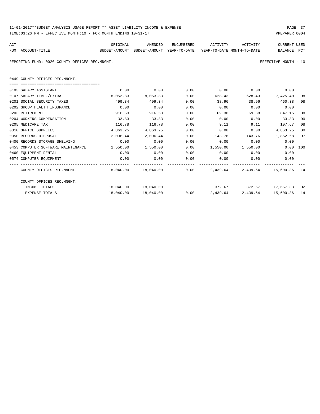| 11-01-2017**BUDGET ANALYSIS USAGE REPORT ** ASSET LIABILITY INCOME & EXPENSE | PAGE.          |  |
|------------------------------------------------------------------------------|----------------|--|
| TIME:03:26 PM - EFFECTIVE MONTH:10 - FOR MONTH ENDING 10-31-17               | PREPARER: 0004 |  |

| ACT                                                                               | ORIGINAL                                                                        | AMENDED                | ENCUMBERED |                                               | ACTIVITY ACTIVITY | <b>CURRENT USED</b>        |        |
|-----------------------------------------------------------------------------------|---------------------------------------------------------------------------------|------------------------|------------|-----------------------------------------------|-------------------|----------------------------|--------|
| NUM ACCOUNT-TITLE                                                                 | BUDGET-AMOUNT BUDGET-AMOUNT YEAR-TO-DATE YEAR-TO-DATE MONTH-TO-DATE BALANCE PCT |                        |            |                                               |                   |                            |        |
| REPORTING FUND: 0020 COUNTY OFFICES REC.MNGMT.                                    |                                                                                 |                        |            |                                               |                   | EFFECTIVE MONTH - 10       |        |
| 0449 COUNTY OFFICES REC.MNGMT.                                                    |                                                                                 |                        |            |                                               |                   |                            |        |
|                                                                                   |                                                                                 |                        |            |                                               |                   |                            |        |
| 0103 SALARY ASSISTANT                                                             | 0.00                                                                            | 0.00                   | 0.00       | $0.00$ $0.00$ $0.00$ $0.00$                   |                   |                            |        |
| 0107 SALARY TEMP./EXTRA                                                           | 8,053.83                                                                        | 8,053.83               | 0.00       | 628.43                                        |                   | 628.43 7,425.40            | 08     |
| 0201 SOCIAL SECURITY TAXES                                                        | 499.34                                                                          | 499.34                 | 0.00       | 38.96                                         |                   | 38.96 460.38               | 08     |
| 0202 GROUP HEALTH INSURANCE                                                       | 0.00                                                                            | 0.00                   | 0.00       | 0.00                                          | 0.00              | 0.00                       |        |
| 0203 RETIREMENT                                                                   | 916.53                                                                          | 916.53                 | 0.00       | 69.38                                         | 69.38             | 847.15                     | 08     |
| 0204 WORKERS COMPENSATION                                                         | 33.83                                                                           | 33.83                  | 0.00       | 0.00                                          | 0.00              | 33.83                      | $00\,$ |
| 0205 MEDICARE TAX                                                                 | 116.78                                                                          | 116.78                 | 0.00       | 9.11                                          | 9.11              | 107.67                     | 08     |
| 0310 OFFICE SUPPLIES                                                              | 4,863.25                                                                        | 4,863.25               | 0.00       | $0.00$ 0.00                                   |                   | 4,863.25                   | 00     |
| 0350 RECORDS DISPOSAL                                                             | 2,006.44                                                                        | 2,006.44               | 0.00       | 143.76 143.76 1,862.68                        |                   |                            | 07     |
| 0400 RECORDS STORAGE SHELVING                                                     | 0.00                                                                            | 0.00                   | 0.00       | 0.00                                          | 0.00              | 0.00                       |        |
| 0453 COMPUTER SOFTWARE MAINTENANCE                                                | 1,550.00                                                                        | 1,550.00 0.00          |            | $1,550.00$ $1,550.00$                         |                   | $0.00$ 100                 |        |
| 0460 EQUIPMENT RENTAL                                                             | 0.00                                                                            | 0.00                   | 0.00       | 0.00                                          | 0.00              | 0.00                       |        |
| 0574 COMPUTER EQUIPMENT                                                           | 0.00                                                                            | 0.00                   | 0.00       | 0.00                                          | 0.00              | 0.00                       |        |
|                                                                                   |                                                                                 |                        |            |                                               |                   |                            |        |
| COUNTY OFFICES REC.MNGMT. 48,040.00 18,040.00 0.00 2,439.64 2,439.64 15,600.36 14 |                                                                                 |                        |            |                                               |                   |                            |        |
| COUNTY OFFICES REC.MNGMT.                                                         |                                                                                 |                        |            |                                               |                   |                            |        |
| INCOME TOTALS                                                                     |                                                                                 | 18,040.00    18,040.00 |            |                                               |                   | 372.67 372.67 17,667.33 02 |        |
| <b>EXPENSE TOTALS</b>                                                             | 18,040.00                                                                       | 18,040.00              |            | $0.00$ $2,439.64$ $2,439.64$ $15,600.36$ $14$ |                   |                            |        |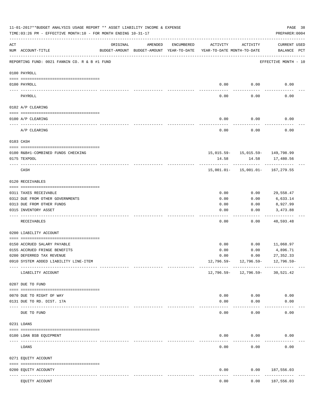|     | 11-01-2017**BUDGET ANALYSIS USAGE REPORT ** ASSET LIABILITY INCOME & EXPENSE<br>TIME: 03:26 PM - EFFECTIVE MONTH: 10 - FOR MONTH ENDING 10-31-17 |          |                                                     |            |                                        |                                                   | PAGE 38<br>PREPARER: 0004              |  |
|-----|--------------------------------------------------------------------------------------------------------------------------------------------------|----------|-----------------------------------------------------|------------|----------------------------------------|---------------------------------------------------|----------------------------------------|--|
| ACT | NUM ACCOUNT-TITLE                                                                                                                                | ORIGINAL | AMENDED<br>BUDGET-AMOUNT BUDGET-AMOUNT YEAR-TO-DATE | ENCUMBERED | ACTIVITY<br>YEAR-TO-DATE MONTH-TO-DATE | ACTIVITY                                          | <b>CURRENT USED</b><br>BALANCE PCT     |  |
|     | REPORTING FUND: 0021 FANNIN CO. R & B #1 FUND                                                                                                    |          |                                                     |            |                                        |                                                   | EFFECTIVE MONTH - 10                   |  |
|     | 0100 PAYROLL                                                                                                                                     |          |                                                     |            |                                        |                                                   |                                        |  |
|     | 0100 PAYROLL                                                                                                                                     |          |                                                     |            | 0.00                                   | 0.00                                              | 0.00                                   |  |
|     | ------------------------ --------<br>PAYROLL                                                                                                     |          |                                                     |            | 0.00                                   | 0.00                                              | 0.00                                   |  |
|     | 0102 A/P CLEARING                                                                                                                                |          |                                                     |            |                                        |                                                   |                                        |  |
|     | 0100 A/P CLEARING                                                                                                                                |          |                                                     |            | 0.00                                   | 0.00                                              | 0.00                                   |  |
|     | A/P CLEARING                                                                                                                                     |          |                                                     |            | 0.00                                   | 0.00                                              | 0.00                                   |  |
|     | 0103 CASH                                                                                                                                        |          |                                                     |            |                                        |                                                   |                                        |  |
|     |                                                                                                                                                  |          |                                                     |            |                                        |                                                   |                                        |  |
|     | 0100 R&B#1-COMBINED FUNDS CHECKING<br>0175 TEXPOOL                                                                                               |          |                                                     |            | 14.58                                  | 15,015.59- 15,015.59- 149,798.99<br>14.58         | 17,480.56                              |  |
|     | CASH                                                                                                                                             |          |                                                     |            |                                        | -------------<br>15,001.01- 15,001.01- 167,279.55 |                                        |  |
|     | 0120 RECEIVABLES                                                                                                                                 |          |                                                     |            |                                        |                                                   |                                        |  |
|     | 0311 TAXES RECEIVABLE                                                                                                                            |          |                                                     |            | 0.00                                   | 0.00                                              | 29,558.47                              |  |
|     | 0312 DUE FROM OTHER GOVERNMENTS                                                                                                                  |          |                                                     |            | 0.00                                   | 0.00                                              | 6,633.14                               |  |
|     | 0313 DUE FROM OTHER FUNDS                                                                                                                        |          |                                                     |            | 0.00                                   | 0.00                                              | 8,927.99                               |  |
|     | 0315 INVENTORY ASSET                                                                                                                             |          |                                                     |            | 0.00                                   | 0.00                                              | 3,473.88<br>$- - - - - - -$            |  |
|     | RECEIVABLES                                                                                                                                      |          |                                                     |            | 0.00                                   | 0.00                                              | 48,593.48                              |  |
|     | 0200 LIABILITY ACCOUNT                                                                                                                           |          |                                                     |            |                                        |                                                   |                                        |  |
|     | 0150 ACCRUED SALARY PAYABLE                                                                                                                      |          |                                                     |            | 0.00                                   | 0.00                                              | 11,068.97                              |  |
|     | 0155 ACCRUED FRINGE BENEFITS                                                                                                                     |          |                                                     |            | 0.00                                   | 0.00                                              | 4,896.71                               |  |
|     | 0200 DEFERRED TAX REVENUE                                                                                                                        |          |                                                     |            | 0.00                                   | 0.00                                              | 27, 352. 33                            |  |
|     | 0910 SYSTEM ADDED LIABILITY LINE-ITEM                                                                                                            |          |                                                     |            | 12,796.59-                             | 12,796.59-                                        | 12,796.59-                             |  |
|     | LIABILITY ACCOUNT                                                                                                                                |          |                                                     |            |                                        | $12,796.59 - 12,796.59 -$                         | ----------- -------------<br>30,521.42 |  |
|     | 0207 DUE TO FUND                                                                                                                                 |          |                                                     |            |                                        |                                                   |                                        |  |
|     | 0070 DUE TO RIGHT OF WAY                                                                                                                         |          |                                                     |            | 0.00                                   | 0.00                                              | 0.00                                   |  |
|     | 0131 DUE TO RD. DIST. 17A                                                                                                                        |          |                                                     |            | 0.00                                   | 0.00                                              | 0.00                                   |  |
|     | ------------------------ -----------<br>---- -------<br>DUE TO FUND                                                                              |          |                                                     |            | 0.00                                   | 0.00                                              | 0.00                                   |  |
|     | 0231 LOANS                                                                                                                                       |          |                                                     |            |                                        |                                                   |                                        |  |
|     |                                                                                                                                                  |          |                                                     |            |                                        |                                                   |                                        |  |
|     | 0100 LOAN BSB EQUIPMENT<br>-------------------- ------------                                                                                     |          |                                                     |            | 0.00                                   | 0.00                                              | 0.00                                   |  |
|     | LOANS                                                                                                                                            |          |                                                     |            | 0.00                                   | 0.00                                              | 0.00                                   |  |
|     | 0271 EQUITY ACCOUNT                                                                                                                              |          |                                                     |            |                                        |                                                   |                                        |  |
|     | 0200 EQUITY ACCOUNTY<br>----------------- --------------                                                                                         |          |                                                     |            | 0.00                                   | 0.00                                              | 187,556.03<br>. <u>.</u> .             |  |
|     | EQUITY ACCOUNT                                                                                                                                   |          |                                                     |            | 0.00                                   | 0.00                                              | 187,556.03                             |  |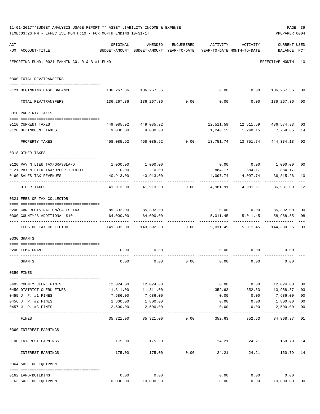|     | 11-01-2017**BUDGET ANALYSIS USAGE REPORT ** ASSET LIABILITY INCOME & EXPENSE      |                                                                                 |                                                                                         |            |              |                                   | PAGE 39                     |                         |
|-----|-----------------------------------------------------------------------------------|---------------------------------------------------------------------------------|-----------------------------------------------------------------------------------------|------------|--------------|-----------------------------------|-----------------------------|-------------------------|
|     | TIME: 03:26 PM - EFFECTIVE MONTH: 10 - FOR MONTH ENDING 10-31-17                  |                                                                                 |                                                                                         |            |              |                                   | PREPARER: 0004              |                         |
| ACT | NUM ACCOUNT-TITLE                                                                 | ORIGINAL<br>BUDGET-AMOUNT BUDGET-AMOUNT YEAR-TO-DATE YEAR-TO-DATE MONTH-TO-DATE | AMENDED                                                                                 | ENCUMBERED |              | ACTIVITY ACTIVITY                 | CURRENT USED<br>BALANCE PCT |                         |
|     | REPORTING FUND: 0021 FANNIN CO. R & B #1 FUND                                     |                                                                                 |                                                                                         |            |              |                                   | EFFECTIVE MONTH - 10        |                         |
|     | 0300 TOTAL REV/TRANSFERS                                                          |                                                                                 |                                                                                         |            |              |                                   |                             |                         |
|     | 0121 BEGINNING CASH BALANCE                                                       | $136, 267.36$ $136, 267.36$ $136, 267.36$ $136, 267.36$                         |                                                                                         |            |              |                                   |                             | 0 <sub>0</sub>          |
|     | TOTAL REV/TRANSFERS                                                               |                                                                                 | $136,267.36$ $136,267.36$ $0.00$ $0.00$ $0.00$ $136,267.36$                             |            |              |                                   |                             | 00                      |
|     | 0310 PROPERTY TAXES                                                               |                                                                                 |                                                                                         |            |              |                                   |                             |                         |
|     |                                                                                   |                                                                                 |                                                                                         |            |              |                                   |                             |                         |
|     | 0110 CURRENT TAXES<br>0120 DELINQUENT TAXES                                       |                                                                                 | $449,085.92$ $449,085.92$ $12,511.59$ $12,511.59$ $436,574.33$<br>$9,000.00$ $9,000.00$ |            |              | 1,240.15 1,240.15 7,759.85        | ------------- ------------- | 03<br>14<br>$---$       |
|     | PROPERTY TAXES                                                                    |                                                                                 | 458,085.92 458,085.92 0.00 13,751.74 13,751.74 444,334.18 03                            |            |              |                                   |                             |                         |
|     | 0318 OTHER TAXES                                                                  |                                                                                 |                                                                                         |            |              |                                   |                             |                         |
|     | 0120 PAY N LIEU TAX/GRASSLAND                                                     |                                                                                 | $1,000.00$ $1,000.00$                                                                   |            |              | $0.00$ $0.00$ $1,000.00$ $00$     |                             |                         |
|     | 0121 PAY N LIEU TAX/UPPER TRINITY                                                 | 0.00                                                                            | 0.00                                                                                    |            | 884.17       | 884.17                            | 884.17+                     |                         |
|     | 0160 SALES TAX REVENUES                                                           | 40,913.00<br>- ------------- -                                                  | 40,913.00                                                                               |            |              | 4,097.74 4,097.74 36,815.26       |                             | 10                      |
|     | OTHER TAXES                                                                       |                                                                                 | $41,913.00$ $41,913.00$ $0.00$ $4,981.91$ $4,981.91$ $36,931.09$                        |            |              |                                   |                             | 12                      |
|     | 0321 FEES OF TAX COLLECTOR                                                        |                                                                                 |                                                                                         |            |              |                                   |                             |                         |
|     | 0200 CAR REGISTRATION/SALES TAX                                                   | 85,392.00 85,392.00                                                             |                                                                                         |            |              | $0.00$ $0.00$ $85,392.00$         |                             | 0 <sub>0</sub>          |
|     | 0300 COUNTY'S ADDITIONAL \$10                                                     |                                                                                 | 64,000.00 64,000.00                                                                     |            |              | 5,011.45 5,011.45 58,988.55<br>.  | ------------                | 08                      |
|     | FEES OF TAX COLLECTOR 600 149,392.00 149,392.00 0.00 5,011.45 5,011.45 144,380.55 |                                                                                 |                                                                                         |            |              |                                   |                             | 03                      |
|     | 0330 GRANTS                                                                       |                                                                                 |                                                                                         |            |              |                                   |                             |                         |
|     | 0200 FEMA GRANT                                                                   | 0.00                                                                            | 0.00                                                                                    |            |              | $0.00$ $0.00$                     | 0.00                        |                         |
|     | GRANTS                                                                            | 0.00                                                                            | 0.00                                                                                    | 0.00       | 0.00         | 0.00                              | 0.00                        |                         |
|     | 0350 FINES                                                                        |                                                                                 |                                                                                         |            |              |                                   |                             |                         |
|     | 0403 COUNTY CLERK FINES                                                           |                                                                                 | 12,024.00 12,024.00                                                                     |            | 0.00         |                                   | $0.00$ $12,024.00$          | 0 <sub>0</sub>          |
|     | 0450 DISTRICT CLERK FINES                                                         | 11,311.00                                                                       | 11,311.00                                                                               |            | 352.63       |                                   | 352.63 10,958.37            | 03                      |
|     | 0455 J. P. #1 FINES                                                               | 7,686.00                                                                        | 7,686.00                                                                                |            | 0.00         | 0.00                              | 7,686.00                    | 0 <sub>0</sub>          |
|     | 0456 J. P. #2 FINES                                                               | 1,800.00                                                                        | 1,800.00                                                                                |            | 0.00         | 0.00                              | 1,800.00                    | 0 <sub>0</sub>          |
|     | 0457 J. P. #3 FINES                                                               | 2,500.00                                                                        | 2,500.00                                                                                |            | 0.00         | 0.00<br>---------                 | 2,500.00                    | 0 <sub>0</sub><br>$---$ |
|     | FINES                                                                             | 35,321.00                                                                       | 35,321.00                                                                               | 0.00       | 352.63       | 352.63                            | 34,968.37                   | 01                      |
|     | 0360 INTEREST EARNINGS                                                            |                                                                                 |                                                                                         |            |              |                                   |                             |                         |
|     | 0100 INTEREST EARNINGS                                                            |                                                                                 | 175.00 175.00                                                                           |            | ------------ | 24.21 24.21 150.79<br>----------- |                             | 14                      |
|     | INTEREST EARNINGS                                                                 | 175.00                                                                          | 175.00                                                                                  |            | $0.00$ 24.21 | 24.21                             | 150.79                      | 14                      |
|     | 0364 SALE OF EQUIPMENT                                                            |                                                                                 |                                                                                         |            |              |                                   |                             |                         |
|     | 0162 LAND/BUILDING                                                                | 0.00                                                                            | 0.00                                                                                    |            | 0.00         |                                   | 0.00<br>0.00                |                         |
|     | 0163 SALE OF EQUIPMENT                                                            |                                                                                 | 10,000.00    10,000.00                                                                  |            | 0.00         | 0.00                              | 10,000.00                   | 00                      |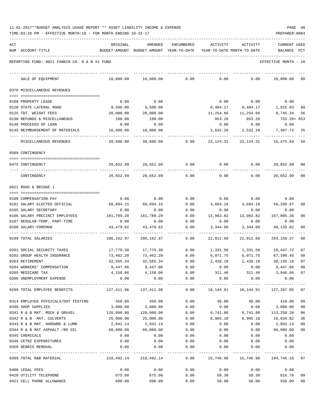| 11-01-2017**BUDGET ANALYSIS USAGE REPORT ** ASSET LIABILITY INCOME & EXPENSE |  |  |  | PAGE |  |
|------------------------------------------------------------------------------|--|--|--|------|--|
|                                                                              |  |  |  |      |  |

| ACT |                                                     | ORIGINAL                                                                                         | AMENDED                                                             | ENCUMBERED                         | ACTIVITY          | ACTIVITY         | <b>CURRENT USED</b>                                          |                |
|-----|-----------------------------------------------------|--------------------------------------------------------------------------------------------------|---------------------------------------------------------------------|------------------------------------|-------------------|------------------|--------------------------------------------------------------|----------------|
|     | NUM ACCOUNT-TITLE                                   |                                                                                                  | BUDGET-AMOUNT BUDGET-AMOUNT YEAR-TO-DATE YEAR-TO-DATE MONTH-TO-DATE |                                    |                   |                  | BALANCE PCT                                                  |                |
|     | REPORTING FUND: 0021 FANNIN CO. R & B #1 FUND       |                                                                                                  |                                                                     |                                    |                   |                  | EFFECTIVE MONTH - 10                                         |                |
|     | SALE OF EQUIPMENT                                   | 10,000.00                                                                                        | 10,000.00                                                           | 0.00                               | 0.00              | 0.00             | 10,000.00                                                    | 00             |
|     | 0370 MISCELLANEOUS REVENUES                         |                                                                                                  |                                                                     |                                    |                   |                  |                                                              |                |
|     |                                                     |                                                                                                  |                                                                     |                                    |                   |                  |                                                              |                |
|     | 0100 PROPERTY LEASE                                 | 0.00                                                                                             | 0.00                                                                |                                    | 0.00              | 0.00             | 0.00                                                         |                |
|     | 0120 STATE LATERAL ROAD                             | 9,500.00                                                                                         | 9,500.00                                                            |                                    | 8,484.17          | 8,484.17         | 1,015.83                                                     | 89             |
|     | 0125 TDT. WEIGHT FEES                               | 20,000.00                                                                                        | 20,000.00                                                           |                                    | 11,254.66         | 11,254.66        | 8,745.34                                                     | 56             |
|     | 0130 REFUNDS & MISCELLANEOUS                        | 100.00                                                                                           | 100.00                                                              |                                    | 853.20            | 853.20           | 753.20+ 853                                                  |                |
|     | 0140 PROCEEDS OF LOAN                               | 0.00                                                                                             | 0.00                                                                |                                    | 0.00              | 0.00             | 0.00                                                         |                |
|     | 0145 REIMBURSEMENT OF MATERIALS                     | 10,000.00                                                                                        | 10,000.00                                                           |                                    | 2,532.28          |                  | 2,532.28 7,467.72                                            | 25             |
|     | MISCELLANEOUS REVENUES                              | 39,600.00                                                                                        | 39,600.00                                                           | 0.00                               | 23,124.31         |                  | 23, 124. 31 16, 475. 69                                      | 58             |
|     | 0509 CONTINGENCY                                    |                                                                                                  |                                                                     |                                    |                   |                  |                                                              |                |
|     | 0475 CONTINGENCY                                    |                                                                                                  | 20,652.99 20,652.99                                                 | 0.00                               | 0.00              |                  | 0.00<br>20,652.99                                            | 00             |
|     | CONTINGENCY                                         | 20,652.99                                                                                        | 20,652.99                                                           | 0.00                               | 0.00              | 0.00             | 20,652.99                                                    | 0 <sub>0</sub> |
|     | 0621 ROAD & BRIDGE 1                                |                                                                                                  |                                                                     |                                    |                   |                  |                                                              |                |
|     |                                                     |                                                                                                  |                                                                     |                                    |                   |                  |                                                              |                |
|     | 0100 COMPENSATION PAY                               | 0.00                                                                                             | 0.00                                                                | 0.00                               | 0.00              | 0.00             | 0.00                                                         |                |
|     | 0101 SALARY ELECTED OFFICIAL                        | 60,894.15                                                                                        | 60,894.15                                                           | 0.00                               | 4,684.18          | 4,684.18         | 56,209.97                                                    | 08             |
|     | 0105 SALARY SECRETARY                               | 0.00                                                                                             | 0.00                                                                | 0.00                               | 0.00              | 0.00             | 0.00                                                         |                |
|     | 0106 SALARY PRECINCT EMPLOYEES                      | 181,789.20                                                                                       | 181,789.20<br>0.00                                                  | 0.00                               | 13,983.82<br>0.00 | 13,983.82        | 167,805.38                                                   | 08             |
|     | 0107 REGULAR-TEMP. PART-TIME<br>0108 SALARY-FOREMAN | 0.00<br>43,479.62                                                                                | 43,479.62                                                           | 0.00<br>0.00                       | 3,344.60          | 0.00<br>3,344.60 | 0.00<br>40,135.02                                            | 08             |
|     |                                                     |                                                                                                  |                                                                     | -----                              |                   |                  |                                                              |                |
|     | 0199 TOTAL SALARIES                                 | 286,162.97                                                                                       | 286,162.97                                                          | 0.00                               | 22,012.60         | 22,012.60        | 264,150.37                                                   | 08             |
|     | 0201 SOCIAL SECURITY TAXES                          | 17,779.30                                                                                        | 17,779.30                                                           | 0.00                               | 1,331.58          | 1,331.58         | 16,447.72                                                    | 07             |
|     | 0202 GROUP HEALTH INSURANCE                         | 73,462.20                                                                                        | 73,462.20                                                           | 0.00                               | 6,071.75          | 6,071.75         | 67,390.45                                                    | 08             |
|     | 0203 RETIREMENT                                     | 32,565.34                                                                                        | 32,565.34                                                           | 0.00                               | 2,430.18          | 2,430.18         | 30, 135. 16                                                  | 07             |
|     | 0204 WORKERS' COMPENSATION                          | 9,447.06                                                                                         | 9,447.06                                                            | 0.00                               | 0.00              | 0.00             | 9,447.06                                                     | 0 <sub>0</sub> |
|     | 0205 MEDICARE TAX                                   |                                                                                                  | 4, 158.06 4, 158.06                                                 | 0.00                               |                   |                  | 311.40 311.40 3,846.66 07                                    |                |
|     | 0206 UNEMPLOYMENT EXPENSE                           | 0.00                                                                                             | 0.00                                                                | 0.00<br>------------               | 0.00              | 0.00             | 0.00                                                         |                |
|     | 0299 TOTAL EMPLOYEE BENEFITS                        | 137,411.96 137,411.96          0.00         10,144.91        10,144.91       127,267.05       07 |                                                                     |                                    |                   |                  |                                                              |                |
|     | 0314 EMPLOYEE PHYSICALS/DOT TESTING                 |                                                                                                  | 450.00 450.00                                                       | 0.00                               | 40.00             |                  | 40.00 410.00                                                 | 09             |
|     | 0340 SHOP SUPPLIES                                  | 3,000.00                                                                                         | 3,000.00                                                            | 0.00                               | 0.00              |                  | $0.00$ 3,000.00                                              | 0 <sub>0</sub> |
|     | 0341 R & B MAT. ROCK & GRAVEL 120,000.00            |                                                                                                  |                                                                     |                                    |                   |                  | $120,000.00$ 0.00 6,741.80 6,741.80 113,258.20               | 06             |
|     | 0342 R & B MAT. CULVERTS                            | 25,000.00                                                                                        | 25,000.00                                                           |                                    | $0.00$ 8,965.18   | 8,965.18         | 16,034.82                                                    | 36             |
|     | 0343 R & B MAT. HARDWRE & LUMB                      | 2,042.14                                                                                         | 2,042.14                                                            | 0.00                               | 0.00              | 0.00             | 2,042.14                                                     | 0 <sub>0</sub> |
|     | 0344 R & B MAT ASPHALT /RD OIL                      | 60,000.00                                                                                        | 60,000.00                                                           | 0.00                               | 0.00              | 0.00             | 60,000.00                                                    | 0 <sub>0</sub> |
|     | 0345 CHEMICALS                                      | 0.00                                                                                             | 0.00                                                                | 0.00                               | 0.00              | 0.00             | 0.00                                                         |                |
|     | 0346 CETRZ EXPENDITURES                             | 0.00                                                                                             |                                                                     | $0.00$ $0.00$ $0.00$ $0.00$ $0.00$ |                   |                  | 0.00                                                         |                |
|     | 0350 DEBRIS REMOVAL                                 | 0.00                                                                                             | 0.00                                                                | 0.00                               | 0.00              | 0.00             | 0.00                                                         |                |
|     | 0399 TOTAL R&B MATERIAL                             |                                                                                                  |                                                                     |                                    |                   |                  | 210,492.14 210,492.14 0.00 15,746.98 15,746.98 194,745.16 07 |                |
|     | 0400 LEGAL FEES                                     |                                                                                                  | $0.00$ 0.00                                                         |                                    |                   |                  | $0.00$ 0.00 0.00 0.00 0.00                                   |                |
|     | 0420 UTILITY TELEPHONE                              | 675.00                                                                                           |                                                                     |                                    |                   |                  | $675.00$ 0.00 58.30 58.30 616.70                             | 09             |
|     | 0421 CELL PHONE ALLOWANCE                           | 600.00                                                                                           | 600.00                                                              | 0.00                               |                   |                  | 50.00 50.00 550.00                                           | 08             |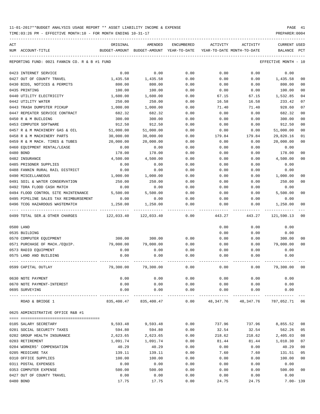TIME:03:26 PM - EFFECTIVE MONTH:10 - FOR MONTH ENDING 10-31-17 PREPARER:0004

| ACT |                                               | ORIGINAL      | AMENDED                    | ENCUMBERED            | ACTIVITY                   | ACTIVITY  | <b>CURRENT USED</b>  |                |
|-----|-----------------------------------------------|---------------|----------------------------|-----------------------|----------------------------|-----------|----------------------|----------------|
|     | NUM ACCOUNT-TITLE                             | BUDGET-AMOUNT | BUDGET-AMOUNT YEAR-TO-DATE |                       | YEAR-TO-DATE MONTH-TO-DATE |           | BALANCE              | PCT            |
|     | REPORTING FUND: 0021 FANNIN CO. R & B #1 FUND |               |                            |                       |                            |           | EFFECTIVE MONTH - 10 |                |
|     | 0423 INTERNET SERVICE                         | 0.00          | 0.00                       | 0.00                  | 0.00                       | 0.00      | 0.00                 |                |
|     | 0427 OUT OF COUNTY TRAVEL                     | 1,435.58      | 1,435.58                   | 0.00                  | 0.00                       | 0.00      | 1,435.58             | 0 <sub>0</sub> |
|     | 0430 BIDS, NOTICES & PERMITS                  | 800.00        | 800.00                     | 0.00                  | 0.00                       | 0.00      | 800.00               | 0 <sub>0</sub> |
|     | 0435 PRINTING                                 | 100.00        | 100.00                     | 0.00                  | 0.00                       | 0.00      | 100.00               | 00             |
|     | 0440 UTILITY ELECTRICITY                      | 1,600.00      | 1,600.00                   | 0.00                  | 67.15                      | 67.15     | 1,532.85             | 0 <sub>4</sub> |
|     | 0442 UTILITY WATER                            | 250.00        | 250.00                     | 0.00                  | 16.58                      | 16.58     | 233.42               | 07             |
|     | 0443 TRASH DUMPSTER PICKUP                    | 1,000.00      | 1,000.00                   | 0.00                  | 71.40                      | 71.40     | 928.60               | 07             |
|     | 0447 REPEATER SERVICE CONTRACT                | 682.32        | 682.32                     | 0.00                  | 0.00                       | 0.00      | 682.32               | 0 <sub>0</sub> |
|     | 0450 R & M BUILDING                           | 300.00        | 300.00                     | 0.00                  | 0.00                       | 0.00      | 300.00               | 0 <sub>0</sub> |
|     | 0453 COMPUTER SOFTWARE                        | 912.50        | 912.50                     | 0.00                  | 0.00                       | 0.00      | 912.50               | 0 <sub>0</sub> |
|     | 0457 R & M MACHINERY GAS & OIL                | 51,000.00     | 51,000.00                  | 0.00                  | 0.00                       | 0.00      | 51,000.00            | 0 <sub>0</sub> |
|     | 0458 R & M MACHINERY PARTS                    | 30,000.00     | 30,000.00                  | 0.00                  | 179.84                     | 179.84    | 29,820.16            | 01             |
|     | 0459 R & M MACH. TIRES & TUBES                | 20,000.00     | 20,000.00                  | 0.00                  | 0.00                       | 0.00      | 20,000.00            | 0 <sub>0</sub> |
|     | 0460 EOUIPMENT RENTAL/LEASE                   | 0.00          | 0.00                       | 0.00                  | 0.00                       | 0.00      | 0.00                 |                |
|     | 0480 BOND                                     | 178.00        | 178.00                     | 0.00                  | 0.00                       | 0.00      | 178.00               | 0 <sub>0</sub> |
|     | 0482 INSURANCE                                | 4,500.00      | 4,500.00                   | 0.00                  | 0.00                       | 0.00      | 4,500.00             | 0 <sub>0</sub> |
|     | 0485 PRISONER SUPPLIES                        | 0.00          | 0.00                       | 0.00                  | 0.00                       | 0.00      | 0.00                 |                |
|     | 0488 FANNIN RURAL RAIL DISTRICT               | 0.00          | 0.00                       | 0.00                  | 0.00                       | 0.00      | 0.00                 |                |
|     | 0490 MISCELLANEOUS                            | 1,000.00      | 1,000.00                   | 0.00                  | 0.00                       | 0.00      | 1,000.00             | 00             |
|     | 0491 SOIL & WATER CONSERVATION                | 250.00        | 250.00                     | 0.00                  | 0.00                       | 0.00      | 250.00               | 0 <sub>0</sub> |
|     | 0492 TDRA FLOOD CASH MATCH                    | 0.00          | 0.00                       | 0.00                  | 0.00                       | 0.00      | 0.00                 |                |
|     | 0494 FLOOD CONTROL SITE MAINTENANCE           | 5,500.00      | 5,500.00                   | 0.00                  | 0.00                       | 0.00      | 5,500.00             | 0 <sub>0</sub> |
|     | 0495 PIPELINE SALES TAX REIMBURSEMENT         | 0.00          | 0.00                       | 0.00                  | 0.00                       | 0.00      | 0.00                 |                |
|     | 0496 TCOG HAZARDOUS WASTEMATCH                | 1,250.00      | 1,250.00                   | 0.00                  | 0.00                       | 0.00      | 1,250.00             | 0 <sub>0</sub> |
|     | 0499 TOTAL SER.& OTHER CHARGES                | 122,033.40    | 122,033.40                 | 0.00                  | 443.27                     | 443.27    | 121,590.13           | 0 <sub>0</sub> |
|     | 0500 LAND                                     |               |                            |                       | 0.00                       | 0.00      | 0.00                 |                |
|     | 0535 BUILDING                                 |               |                            |                       | 0.00                       | 0.00      | 0.00                 |                |
|     | 0570 COMPUTER EQUIPMENT                       | 300.00        | 300.00                     | 0.00                  | 0.00                       | 0.00      | 300.00               | 00             |
|     | 0571 PURCHASE OF MACH./EQUIP.                 | 79,000.00     | 79,000.00                  | 0.00                  | 0.00                       | 0.00      | 79,000.00            | 00             |
|     | 0573 RADIO EQUIPMENT                          | 0.00          | 0.00                       | 0.00                  | 0.00                       | 0.00      | 0.00                 |                |
|     | 0575 LAND AND BUILDING                        | 0.00          | 0.00                       | 0.00                  | 0.00                       | 0.00      | 0.00                 |                |
|     | 0599 CAPITAL OUTLAY                           | 79,300.00     | 79,300.00                  | 0.00                  | 0.00                       | 0.00      | 79,300.00            | 0 <sub>0</sub> |
|     | 0630 NOTE PAYMENT                             | 0.00          | 0.00                       | 0.00                  | 0.00                       | 0.00      | 0.00                 |                |
|     | 0670 NOTE PAYMENT-INTEREST                    | 0.00          | 0.00                       | 0.00                  | 0.00                       | 0.00      | 0.00                 |                |
|     | 0695 SURVEYING                                | 0.00          | 0.00                       | 0.00<br>$- - - - - -$ | 0.00                       | 0.00      | 0.00                 |                |
|     | ROAD & BRIDGE 1                               |               | 835,400.47 835,400.47      | 0.00                  | 48,347.76                  | 48,347.76 | 787,052.71           | 06             |
|     | 0625 ADMINISTRATIVE OFFICE R&B #1             |               |                            |                       |                            |           |                      |                |
|     |                                               |               |                            |                       |                            |           |                      |                |
|     | 0105 SALARY SECRETARY                         | 9,593.48      | 9,593.48                   | 0.00                  | 737.96                     | 737.96    | 8,855.52             | 08             |
|     | 0201 SOCIAL SECURITY TAXES                    | 594.80        | 594.80                     | 0.00                  | 32.54                      | 32.54     | 562.26               | 05             |
|     | 0202 GROUP HEALTH INSURANCE                   | 2,623.65      | 2,623.65                   | 0.00                  | 218.62                     | 218.62    | 2,405.03             | 08             |
|     | 0203 RETIREMENT                               | 1,091.74      | 1,091.74                   | 0.00                  | 81.44                      | 81.44     | 1,010.30             | 07             |
|     | 0204 WORKERS' COMPENSATION                    | 40.29         | 40.29                      | 0.00                  | 0.00                       | 0.00      | 40.29                | 00             |
|     | 0205 MEDICARE TAX                             | 139.11        | 139.11                     | 0.00                  | 7.60                       | 7.60      | 131.51               | 05             |
|     | 0310 OFFICE SUPPLIES                          | 100.00        | 100.00                     | 0.00                  | 0.00                       | 0.00      | 100.00               | 0 <sub>0</sub> |
|     | 0311 POSTAL EXPENSES                          | 0.00          | 0.00                       | 0.00                  | 0.00                       | 0.00      | 0.00                 |                |
|     | 0353 COMPUTER EXPENSE                         | 500.00        | 500.00                     | 0.00                  | 0.00                       | 0.00      | 500.00               | 0 <sub>0</sub> |
|     | 0427 OUT OF COUNTY TRAVEL                     | 0.00          | 0.00                       | 0.00                  | 0.00                       | 0.00      | 0.00                 |                |

0480 BOND 17.75 17.75 0.00 24.75 24.75 7.00- 139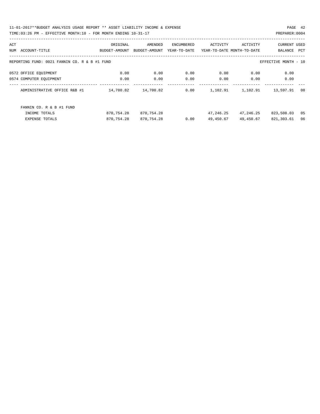11-01-2017\*\*BUDGET ANALYSIS USAGE REPORT \*\* ASSET LIABILITY INCOME & EXPENSE PAGE 42 TIME:03:26 PM - EFFECTIVE MONTH:10 - FOR MONTH ENDING 10-31-17

| ACT |                                                                       | ORIGINAL      | AMENDED       | ENCUMBERED   | ACTIVITY  | ACTIVITY                   | CURRENT USED |     |
|-----|-----------------------------------------------------------------------|---------------|---------------|--------------|-----------|----------------------------|--------------|-----|
| NUM | ACCOUNT-TITLE                                                         | BUDGET-AMOUNT | BUDGET-AMOUNT | YEAR-TO-DATE |           | YEAR-TO-DATE MONTH-TO-DATE | BALANCE      | PCT |
|     |                                                                       |               |               |              |           |                            |              |     |
|     | REPORTING FUND: 0021 FANNIN CO. R & B #1 FUND<br>EFFECTIVE MONTH - 10 |               |               |              |           |                            |              |     |
|     | 0572 OFFICE EQUIPMENT                                                 | 0.00          | 0.00          | 0.00         | 0.00      | 0.00                       | 0.00         |     |
|     |                                                                       | 0.00          | 0.00          | 0.00         | 0.00      | 0.00                       | 0.00         |     |
|     | 0574 COMPUTER EOUIPMENT                                               |               |               |              |           |                            |              |     |
|     | ADMINISTRATIVE OFFICE R&B #1                                          | 14,700.82     | 14,700.82     | 0.00         | 1,102.91  | 1,102.91                   | 13,597.91    | 08  |
|     |                                                                       |               |               |              |           |                            |              |     |
|     | FANNIN CO. R & B #1 FUND                                              |               |               |              |           |                            |              |     |
|     | INCOME TOTALS                                                         | 870,754.28    | 870,754.28    |              | 47,246.25 | 47,246.25                  | 823,508.03   | 05  |
|     | <b>EXPENSE TOTALS</b>                                                 | 870,754.28    | 870,754.28    | 0.00         | 49,450.67 | 49,450.67                  | 821,303.61   | 06  |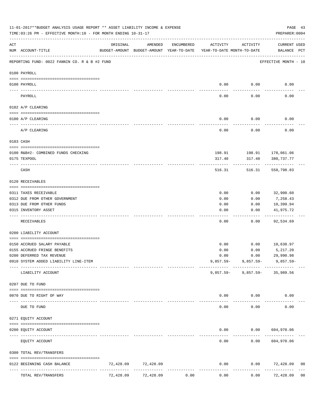|                                                                                                                                                                                                                                                                                                                                                                                                                                                                            | 11-01-2017**BUDGET ANALYSIS USAGE REPORT ** ASSET LIABILITY INCOME & EXPENSE<br>TIME:03:26 PM - EFFECTIVE MONTH:10 - FOR MONTH ENDING 10-31-17 |           |           |            |                                                                                 |                                   | PAGE 43<br>PREPARER: 0004   |                |
|----------------------------------------------------------------------------------------------------------------------------------------------------------------------------------------------------------------------------------------------------------------------------------------------------------------------------------------------------------------------------------------------------------------------------------------------------------------------------|------------------------------------------------------------------------------------------------------------------------------------------------|-----------|-----------|------------|---------------------------------------------------------------------------------|-----------------------------------|-----------------------------|----------------|
| ACT                                                                                                                                                                                                                                                                                                                                                                                                                                                                        | NUM ACCOUNT-TITLE                                                                                                                              | ORIGINAL  | AMENDED   | ENCUMBERED | ACTIVITY<br>BUDGET-AMOUNT BUDGET-AMOUNT YEAR-TO-DATE YEAR-TO-DATE MONTH-TO-DATE | ACTIVITY                          | CURRENT USED<br>BALANCE PCT |                |
|                                                                                                                                                                                                                                                                                                                                                                                                                                                                            | REPORTING FUND: 0022 FANNIN CO. R & B #2 FUND                                                                                                  |           |           |            |                                                                                 |                                   | EFFECTIVE MONTH - 10        |                |
|                                                                                                                                                                                                                                                                                                                                                                                                                                                                            | 0100 PAYROLL                                                                                                                                   |           |           |            |                                                                                 |                                   |                             |                |
|                                                                                                                                                                                                                                                                                                                                                                                                                                                                            | 0100 PAYROLL                                                                                                                                   |           |           |            | 0.00                                                                            | 0.00                              | 0.00                        |                |
| $\frac{1}{2} \left( \frac{1}{2} \right) \left( \frac{1}{2} \right) \left( \frac{1}{2} \right) \left( \frac{1}{2} \right) \left( \frac{1}{2} \right) \left( \frac{1}{2} \right) \left( \frac{1}{2} \right) \left( \frac{1}{2} \right) \left( \frac{1}{2} \right) \left( \frac{1}{2} \right) \left( \frac{1}{2} \right) \left( \frac{1}{2} \right) \left( \frac{1}{2} \right) \left( \frac{1}{2} \right) \left( \frac{1}{2} \right) \left( \frac{1}{2} \right) \left( \frac$ | PAYROLL                                                                                                                                        |           |           |            | 0.00                                                                            | 0.00                              | 0.00                        |                |
|                                                                                                                                                                                                                                                                                                                                                                                                                                                                            | 0102 A/P CLEARING                                                                                                                              |           |           |            |                                                                                 |                                   |                             |                |
|                                                                                                                                                                                                                                                                                                                                                                                                                                                                            | 0100 A/P CLEARING                                                                                                                              |           |           |            | 0.00                                                                            | 0.00                              | 0.00                        |                |
|                                                                                                                                                                                                                                                                                                                                                                                                                                                                            | A/P CLEARING                                                                                                                                   |           |           |            | 0.00                                                                            | 0.00                              | 0.00                        |                |
|                                                                                                                                                                                                                                                                                                                                                                                                                                                                            | 0103 CASH                                                                                                                                      |           |           |            |                                                                                 |                                   |                             |                |
|                                                                                                                                                                                                                                                                                                                                                                                                                                                                            |                                                                                                                                                |           |           |            |                                                                                 |                                   |                             |                |
|                                                                                                                                                                                                                                                                                                                                                                                                                                                                            | 0100 R&B#2- COMBINED FUNDS CHECKING<br>0175 TEXPOOL                                                                                            |           |           |            | 317.40                                                                          | 317.40                            | 380,737.77                  |                |
|                                                                                                                                                                                                                                                                                                                                                                                                                                                                            | CASH                                                                                                                                           |           |           |            | 516.31                                                                          | 516.31                            | 558,798.83                  |                |
|                                                                                                                                                                                                                                                                                                                                                                                                                                                                            | 0120 RECEIVABLES                                                                                                                               |           |           |            |                                                                                 |                                   |                             |                |
|                                                                                                                                                                                                                                                                                                                                                                                                                                                                            |                                                                                                                                                |           |           |            |                                                                                 |                                   |                             |                |
|                                                                                                                                                                                                                                                                                                                                                                                                                                                                            | 0311 TAXES RECEIVABLE                                                                                                                          |           |           |            | 0.00                                                                            | 0.00                              | 32,900.60                   |                |
|                                                                                                                                                                                                                                                                                                                                                                                                                                                                            | 0312 DUE FROM OTHER GOVERNMENT                                                                                                                 |           |           |            | 0.00                                                                            | 0.00                              | 7,258.43                    |                |
|                                                                                                                                                                                                                                                                                                                                                                                                                                                                            | 0313 DUE FROM OTHER FUNDS<br>0315 INVENTORY ASSET                                                                                              |           |           |            | 0.00<br>0.00                                                                    | 0.00<br>0.00                      | 10,399.94<br>41,975.72      |                |
|                                                                                                                                                                                                                                                                                                                                                                                                                                                                            | RECEIVABLES                                                                                                                                    |           |           |            | 0.00                                                                            | 0.00                              | ----------<br>92,534.69     |                |
|                                                                                                                                                                                                                                                                                                                                                                                                                                                                            | 0200 LIABILITY ACCOUNT                                                                                                                         |           |           |            |                                                                                 |                                   |                             |                |
|                                                                                                                                                                                                                                                                                                                                                                                                                                                                            |                                                                                                                                                |           |           |            |                                                                                 |                                   | 10,638.97                   |                |
|                                                                                                                                                                                                                                                                                                                                                                                                                                                                            | 0150 ACCRUED SALARY PAYABLE<br>0155 ACCRUED FRINGE BENEFITS                                                                                    |           |           |            | 0.00<br>0.00                                                                    | 0.00<br>0.00                      | 5,217.20                    |                |
|                                                                                                                                                                                                                                                                                                                                                                                                                                                                            | 0200 DEFERRED TAX REVENUE                                                                                                                      |           |           |            | 0.00                                                                            | 0.00                              | 29,990.98                   |                |
|                                                                                                                                                                                                                                                                                                                                                                                                                                                                            | 0910 SYSTEM ADDED LIABILITY LINE-ITEM                                                                                                          |           |           |            |                                                                                 | $9,857.59 - 9,857.59 -$           | $9,857.59-$                 |                |
|                                                                                                                                                                                                                                                                                                                                                                                                                                                                            | LIABILITY ACCOUNT                                                                                                                              |           |           |            |                                                                                 | $9,857.59 - 9,857.59 - 35,989.56$ | <u>. Bernede Bernede</u>    |                |
|                                                                                                                                                                                                                                                                                                                                                                                                                                                                            | 0207 DUE TO FUND                                                                                                                               |           |           |            |                                                                                 |                                   |                             |                |
|                                                                                                                                                                                                                                                                                                                                                                                                                                                                            | 0070 DUE TO RIGHT OF WAY                                                                                                                       |           |           |            | 0.00                                                                            | 0.00                              | 0.00                        |                |
| $---$                                                                                                                                                                                                                                                                                                                                                                                                                                                                      | DUE TO FUND                                                                                                                                    |           |           |            | 0.00                                                                            | ----------<br>0.00                | 0.00                        |                |
|                                                                                                                                                                                                                                                                                                                                                                                                                                                                            | 0271 EQUITY ACCOUNT                                                                                                                            |           |           |            |                                                                                 |                                   |                             |                |
|                                                                                                                                                                                                                                                                                                                                                                                                                                                                            | 0200 EQUITY ACCOUNT                                                                                                                            |           |           |            | 0.00                                                                            |                                   | 0.00 604,970.06             |                |
|                                                                                                                                                                                                                                                                                                                                                                                                                                                                            | EQUITY ACCOUNT                                                                                                                                 |           |           |            | 0.00                                                                            | 0.00                              | 604,970.06                  |                |
|                                                                                                                                                                                                                                                                                                                                                                                                                                                                            |                                                                                                                                                |           |           |            |                                                                                 |                                   |                             |                |
|                                                                                                                                                                                                                                                                                                                                                                                                                                                                            | 0300 TOTAL REV/TRANSFERS                                                                                                                       |           |           |            |                                                                                 |                                   |                             |                |
|                                                                                                                                                                                                                                                                                                                                                                                                                                                                            | 0122 BEGINNING CASH BALANCE                                                                                                                    | 72,428.09 | 72,428.09 |            | 0.00                                                                            | 0.00                              | 72,428.09                   | 00             |
|                                                                                                                                                                                                                                                                                                                                                                                                                                                                            | TOTAL REV/TRANSFERS                                                                                                                            | 72,428.09 | 72,428.09 | 0.00       | 0.00                                                                            | 0.00                              | 72,428.09                   | 0 <sub>0</sub> |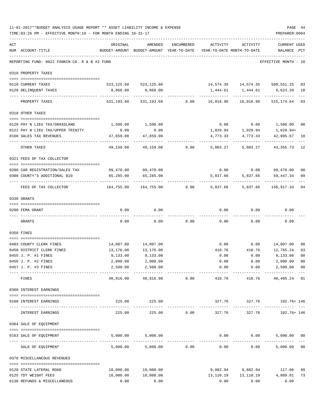|     | 11-01-2017**BUDGET ANALYSIS USAGE REPORT ** ASSET LIABILITY INCOME & EXPENSE<br>TIME: 03:26 PM - EFFECTIVE MONTH: 10 - FOR MONTH ENDING 10-31-17 |                     |                                                     |                      |                                    |                                        | PAGE 44<br>PREPARER: 0004             |                |
|-----|--------------------------------------------------------------------------------------------------------------------------------------------------|---------------------|-----------------------------------------------------|----------------------|------------------------------------|----------------------------------------|---------------------------------------|----------------|
| ACT | NUM ACCOUNT-TITLE                                                                                                                                | ORIGINAL            | AMENDED<br>BUDGET-AMOUNT BUDGET-AMOUNT YEAR-TO-DATE | ENCUMBERED           | ACTIVITY                           | ACTIVITY<br>YEAR-TO-DATE MONTH-TO-DATE | CURRENT USED<br>BALANCE               | $_{\rm PCT}$   |
|     | REPORTING FUND: 0022 FANNIN CO. R & B #2 FUND                                                                                                    |                     |                                                     |                      |                                    |                                        | EFFECTIVE MONTH - 10                  |                |
|     | 0310 PROPERTY TAXES                                                                                                                              |                     |                                                     |                      |                                    |                                        |                                       |                |
|     |                                                                                                                                                  |                     | 523, 125.60 523, 125.60                             |                      |                                    |                                        |                                       |                |
|     | 0110 CURRENT TAXES<br>0120 DELINQUENT TAXES                                                                                                      | 8,068.00            | 8,068.00                                            |                      |                                    |                                        | 6,623.39 18                           |                |
|     | PROPERTY TAXES                                                                                                                                   |                     | 531,193.60 531,193.60 0.00                          |                      |                                    |                                        | 515, 174.64 03                        |                |
|     | 0318 OTHER TAXES                                                                                                                                 |                     |                                                     |                      |                                    |                                        |                                       |                |
|     |                                                                                                                                                  |                     |                                                     |                      |                                    |                                        |                                       |                |
|     | 0120 PAY N LIEU TAX/GRASSLAND                                                                                                                    | 1,500.00            | 1,500.00                                            |                      | 0.00                               | 0.00                                   | 1,500.00 00                           |                |
|     | 0121 PAY N LIEU TAX/UPPER TRINITY                                                                                                                | 0.00                | 0.00                                                |                      |                                    | 1,029.94 1,029.94                      | 1,029.94+                             |                |
|     | 0160 SALES TAX REVENUES                                                                                                                          | 47,659.00<br>.      | 47,659.00                                           |                      | 4,773.33                           | 4,773.33                               | 42,885.67 10<br>----------            |                |
|     | OTHER TAXES                                                                                                                                      | 49,159.00           | 49,159.00                                           | 0.00                 | 5,803.27                           | 5,803.27                               | 43, 355. 73 12                        |                |
|     | 0321 FEES OF TAX COLLECTOR                                                                                                                       |                     |                                                     |                      |                                    |                                        |                                       |                |
|     | 0200 CAR REGISTRATION/SALES TAX                                                                                                                  | 99,470.00 99,470.00 |                                                     |                      |                                    | $0.00$ $0.00$ $99,470.00$              |                                       | 0 <sub>0</sub> |
|     | 0300 COUNTY'S ADDITIONAL \$10                                                                                                                    | 65,285.00           | 65,285.00                                           |                      | 5,837.66                           | 5,837.66                               | 59,447.34                             | 09             |
|     | FEES OF TAX COLLECTOR                                                                                                                            |                     | 164,755.00 164,755.00                               | 0.00                 |                                    | 5,837.66 5,837.66                      | 158,917.34                            | 04             |
|     | 0330 GRANTS                                                                                                                                      |                     |                                                     |                      |                                    |                                        |                                       |                |
|     | 0200 FEMA GRANT                                                                                                                                  | 0.00                | 0.00                                                |                      | 0.00                               |                                        | $0.00$ 0.00                           |                |
|     | GRANTS                                                                                                                                           | 0.00                | 0.00                                                | 0.00                 | 0.00                               | 0.00                                   | 0.00                                  |                |
|     | 0350 FINES                                                                                                                                       |                     |                                                     |                      |                                    |                                        |                                       |                |
|     | 0403 COUNTY CLERK FINES                                                                                                                          | 14,007.00           | 14,007.00                                           |                      | 0.00                               | 0.00                                   | 14,007.00                             | 00             |
|     | 0450 DISTRICT CLERK FINES                                                                                                                        | 13,176.00           | 13,176.00                                           |                      | 410.76                             | 410.76                                 | 12,765.24                             | 03             |
|     | 0455 J. P. #1 FINES                                                                                                                              | 9,133.00            | 9,133.00                                            |                      | 0.00                               | 0.00                                   | 9,133.00                              | 00             |
|     | 0456 J. P. #2 FINES                                                                                                                              |                     | $2,000.00$ $2,000.00$                               |                      | 0.00                               |                                        | $0.00$ $2,000.00$ 00                  |                |
|     | 0457 J. P. #3 FINES                                                                                                                              | 2,500.00            | 2,500.00                                            |                      | 0.00                               |                                        | $0.00$ 2,500.00 00                    |                |
|     | FINES                                                                                                                                            |                     | --------------<br>40,816.00 40,816.00               | ------------<br>0.00 | --------------<br>410.76           |                                        | --------------<br>410.76 40,405.24 01 |                |
|     | 0360 INTEREST EARNINGS                                                                                                                           |                     |                                                     |                      |                                    |                                        |                                       |                |
|     | 0100 INTEREST EARNINGS                                                                                                                           |                     | 225.00 225.00                                       |                      |                                    | 327.76 327.76 102.76 146               |                                       |                |
|     | INTEREST EARNINGS                                                                                                                                |                     | 225.00 225.00 0.00                                  |                      |                                    | 327.76                                 | 327.76 102.76+146                     |                |
|     | 0364 SALE OF EQUIPMENT                                                                                                                           |                     |                                                     |                      |                                    |                                        |                                       |                |
|     | 0163 SALE OF EQUIPMENT                                                                                                                           |                     | 5,000.00 5,000.00                                   |                      |                                    | $0.00$ $0.00$ $5,000.00$ $00$          |                                       |                |
|     | SALE OF EQUIPMENT                                                                                                                                | 5,000.00            |                                                     | 5,000.00 0.00        | ----------- --------------<br>0.00 | ------------<br>0.00                   | 5,000.00 00                           |                |
|     | 0370 MISCELLANEOUS REVENUES                                                                                                                      |                     |                                                     |                      |                                    |                                        |                                       |                |
|     |                                                                                                                                                  |                     |                                                     |                      |                                    |                                        |                                       |                |
|     | 0120 STATE LATERAL ROAD                                                                                                                          |                     | 10,000.00 10,000.00                                 |                      |                                    | 9,882.94 9,882.94                      | 117.06 99                             |                |
|     | 0125 TDT WEIGHT FEES                                                                                                                             | 18,000.00           | 18,000.00                                           |                      |                                    | 13, 110. 19   13, 110. 19              | 4,889.81 73                           |                |
|     | 0130 REFUNDS & MISCELLANEOUS                                                                                                                     | 0.00                | 0.00                                                |                      |                                    | $0.00$ 0.00                            | 0.00                                  |                |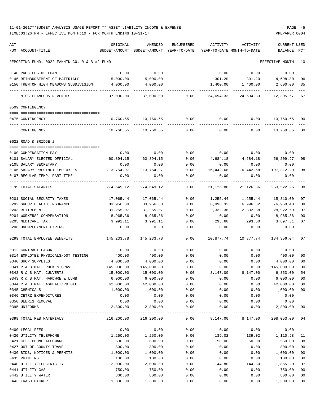| ACT |                                               | ORIGINAL                    | AMENDED                                                             | ENCUMBERED    | ACTIVITY  | ACTIVITY  | <b>CURRENT USED</b>  |                |
|-----|-----------------------------------------------|-----------------------------|---------------------------------------------------------------------|---------------|-----------|-----------|----------------------|----------------|
|     | NUM ACCOUNT-TITLE                             |                             | BUDGET-AMOUNT BUDGET-AMOUNT YEAR-TO-DATE YEAR-TO-DATE MONTH-TO-DATE |               |           |           | BALANCE PCT          |                |
|     |                                               |                             |                                                                     |               |           |           |                      |                |
|     | REPORTING FUND: 0022 FANNIN CO. R & B #2 FUND |                             |                                                                     |               |           |           | EFFECTIVE MONTH - 10 |                |
|     | 0140 PROCEEDS OF LOAN                         | 0.00                        | 0.00                                                                |               | 0.00      | 0.00      | 0.00                 |                |
|     | 0145 REIMBURSEMENT OF MATERIALS               | 5,000.00                    | 5,000.00                                                            |               | 301.20    | 301.20    | 4,698.80             | 06             |
|     | 0150 TRENTON HIGH MEADOWS SUBDIVISION         | 4,000.00                    | 4,000.00                                                            |               | 1,400.00  | 1,400.00  | 2,600.00             | 35             |
|     | MISCELLANEOUS REVENUES                        | 37,000.00                   | 37,000.00                                                           | 0.00          | 24,694.33 | 24,694.33 | 12,305.67            | 67             |
|     | 0509 CONTINGENCY                              |                             |                                                                     |               |           |           |                      |                |
|     |                                               |                             |                                                                     |               |           |           |                      |                |
|     | 0475 CONTINGENCY                              |                             | 10,760.65 10,760.65                                                 | 0.00          | 0.00      |           | $0.00$ 10,760.65 00  |                |
|     | CONTINGENCY                                   | 10,760.65                   | 10,760.65                                                           | 0.00          | 0.00      | 0.00      | 10,760.65            | 00             |
|     | 0622 ROAD & BRIDGE 2                          |                             |                                                                     |               |           |           |                      |                |
|     |                                               |                             |                                                                     |               |           |           |                      |                |
|     | 0100 COMPENSATION PAY                         | 0.00                        | 0.00                                                                | 0.00          | 0.00      | 0.00      | 0.00                 |                |
|     | 0101 SALARY ELECTED OFFICIAL                  | 60,894.15                   | 60,894.15                                                           | 0.00          | 4,684.18  | 4,684.18  | 56,209.97            | 08             |
|     | 0105 SALARY SECRETARY                         | 0.00                        | 0.00                                                                | 0.00          | 0.00      | 0.00      | 0.00                 |                |
|     | 0106 SALARY PRECINCT EMPLOYEES                | 213,754.97                  | 213,754.97                                                          | 0.00          | 16,442.68 | 16,442.68 | 197, 312.29          | 08             |
|     | 0107 REGULAR-TEMP. PART-TIME                  | 0.00                        | 0.00                                                                | 0.00          | 0.00      | 0.00      | 0.00                 |                |
|     | 0199 TOTAL SALARIES                           | 274,649.12                  | 274,649.12                                                          | 0.00          | 21,126.86 | 21,126.86 | 253,522.26           | 08             |
|     | 0201 SOCIAL SECURITY TAXES                    | 17,065.44                   | 17,065.44                                                           | 0.00          | 1,255.44  | 1,255.44  | 15,810.00            | 07             |
|     | 0202 GROUP HEALTH INSURANCE                   | 83,956.80                   | 83,956.80                                                           | 0.00          | 6,996.32  | 6,996.32  | 76,960.48            | 08             |
|     | 0203 RETIREMENT                               | 31,255.07                   | 31,255.07                                                           | 0.00          | 2,332.38  | 2,332.38  | 28,922.69            | 07             |
|     | 0204 WORKERS' COMPENSATION                    | 8,965.36                    | 8,965.36                                                            | 0.00          | 0.00      | 0.00      | 8,965.36             | 00             |
|     | 0205 MEDICARE TAX                             | 3,991.11                    | 3,991.11                                                            | 0.00          | 293.60    | 293.60    | 3,697.51             | 07             |
|     | 0206 UNEMPLOYMENT EXPENSE                     | 0.00                        | 0.00                                                                | 0.00          | 0.00      | 0.00      | 0.00                 |                |
|     | 0299 TOTAL EMPLOYEE BENEFITS                  | 145,233.78                  | 145,233.78                                                          | 0.00          | 10,877.74 | 10,877.74 | 134,356.04           | 07             |
|     | 0312 CONTRACT LABOR                           | 0.00                        | 0.00                                                                | 0.00          | 0.00      | 0.00      | 0.00                 |                |
|     | 0314 EMPLOYEE PHYSICALS/DOT TESTING           | 400.00                      | 400.00                                                              | 0.00          | 0.00      | 0.00      | 400.00               | 0 <sub>0</sub> |
|     | 0340 SHOP SUPPLIES                            | 4,000.00                    | 4,000.00                                                            | 0.00          | 0.00      | 0.00      | 4,000.00             | 0 <sub>0</sub> |
|     | 0341 R & B MAT. ROCK & GRAVEL                 | 145,000.00                  | 145,000.00                                                          | 0.00          | 0.00      | 0.00      | 145,000.00           | 0 <sub>0</sub> |
|     | 0342 R & B MAT. CULVERTS                      | 15,000.00                   | 15,000.00                                                           | 0.00          | 8,147.00  | 8,147.00  | 6,853.00             | 54             |
|     | 0343 R & B MAT. HARDWRE & LUMB                | 6,000.00                    | 6,000.00                                                            | 0.00          | 0.00      | 0.00      | 6,000.00             | 00             |
|     | 0344 R & B MAT. ASPHALT/RD OIL                | 42,000.00                   | 42,000.00                                                           | 0.00          | 0.00      | 0.00      | 42,000.00            | $00\,$         |
|     | 0345 CHEMICALS                                | 1,000.00                    | 1,000.00                                                            | 0.00          | 0.00      | 0.00      | 1,000.00             | 00             |
|     | 0346 CETRZ EXPENDITURES                       | 0.00                        | 0.00                                                                | 0.00          | 0.00      | 0.00      | 0.00                 |                |
|     | 0350 DEBRIS REMOVAL                           | 0.00                        | 0.00                                                                | 0.00          | 0.00      | 0.00      | 0.00                 |                |
|     | 0395 UNIFORMS                                 | 2,800.00                    | 2,800.00                                                            | 0.00          | 0.00      | 0.00      | 2,800.00             | 00             |
|     | 0399 TOTAL R&B MATERIALS                      | -------------<br>216,200.00 | 216,200.00                                                          | $---$<br>0.00 | 8,147.00  | 8,147.00  | 208,053.00           | 04             |
|     | 0400 LEGAL FEES                               | 0.00                        | 0.00                                                                | 0.00          | 0.00      | 0.00      | 0.00                 |                |
|     | 0420 UTILITY TELEPHONE                        | 1,250.00                    | 1,250.00                                                            | 0.00          | 139.02    | 139.02    | 1,110.98             | 11             |
|     | 0421 CELL PHONE ALLOWANCE                     | 600.00                      | 600.00                                                              | 0.00          | 50.00     | 50.00     | 550.00               | 08             |
|     | 0427 OUT OF COUNTY TRAVEL                     | 800.00                      | 800.00                                                              | 0.00          | 0.00      | 0.00      | 800.00               | 0 <sub>0</sub> |
|     | 0430 BIDS, NOTICES & PERMITS                  | 1,000.00                    | 1,000.00                                                            | 0.00          | 0.00      | 0.00      | 1,000.00             | 0 <sub>0</sub> |
|     | 0435 PRINTING                                 | 100.00                      | 100.00                                                              | 0.00          | 0.00      | 0.00      | 100.00               | $00\,$         |
|     | 0440 UTILITY ELECTRICITY                      | 2,000.00                    | 2,000.00                                                            | 0.00          | 144.80    | 144.80    | 1,855.20             | 07             |
|     | 0441 UTILITY GAS                              | 750.00                      | 750.00                                                              | 0.00          | 0.00      | 0.00      | 750.00               | 00             |
|     | 0442 UTILITY WATER                            | 800.00                      | 800.00                                                              | 0.00          | 0.00      | 0.00      | 800.00               | 00             |
|     | 0443 TRASH PICKUP                             | 1,300.00                    | 1,300.00                                                            | 0.00          | 0.00      | 0.00      | 1,300.00             | $00\,$         |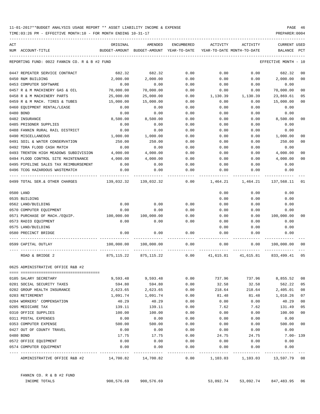TIME:03:26 PM - EFFECTIVE MONTH:10 - FOR MONTH ENDING 10-31-17 PREPARER:0004

| ACT |                                               | ORIGINAL                                 | AMENDED                   | <b>ENCUMBERED</b>     | ACTIVITY | ACTIVITY                   | <b>CURRENT USED</b>  |                |
|-----|-----------------------------------------------|------------------------------------------|---------------------------|-----------------------|----------|----------------------------|----------------------|----------------|
|     | NUM ACCOUNT-TITLE                             | BUDGET-AMOUNT BUDGET-AMOUNT YEAR-TO-DATE |                           |                       |          | YEAR-TO-DATE MONTH-TO-DATE | BALANCE              | PCT            |
|     | REPORTING FUND: 0022 FANNIN CO. R & B #2 FUND |                                          |                           |                       |          |                            | EFFECTIVE MONTH - 10 |                |
|     | 0447 REPEATER SERVICE CONTRACT                | 682.32                                   | 682.32                    | 0.00                  | 0.00     | 0.00                       | 682.32               | 0 <sub>0</sub> |
|     | 0450 R&M BUILDING                             | 2,000.00                                 | 2,000.00                  | 0.00                  | 0.00     | 0.00                       | 2,000.00             | 0 <sub>0</sub> |
|     | 0453 COMPUTER SOFTWARE                        | 0.00                                     | 0.00                      | 0.00                  | 0.00     | 0.00                       | 0.00                 |                |
|     | 0457 R & M MACHINERY GAS & OIL                | 70,000.00                                | 70,000.00                 | 0.00                  | 0.00     | 0.00                       | 70,000.00            | 0 <sub>0</sub> |
|     | 0458 R & M MACHINERY PARTS                    | 25,000.00                                | 25,000.00                 | 0.00                  | 1,130.39 | 1,130.39                   | 23,869.61            | 05             |
|     | 0459 R & M MACH. TIRES & TUBES                | 15,000.00                                | 15,000.00                 | 0.00                  | 0.00     | 0.00                       | 15,000.00            | 0 <sub>0</sub> |
|     | 0460 EQUIPMENT RENTAL/LEASE                   | 0.00                                     | 0.00                      | 0.00                  | 0.00     | 0.00                       | 0.00                 |                |
|     | 0480 BOND                                     | 0.00                                     | 0.00                      | 0.00                  | 0.00     | 0.00                       | 0.00                 |                |
|     | 0482 INSURANCE                                | 8,500.00                                 | 8,500.00                  | 0.00                  | 0.00     | 0.00                       | 8,500.00             | 0 <sub>0</sub> |
|     | 0485 PRISONER SUPPLIES                        | 0.00                                     | 0.00                      | 0.00                  | 0.00     | 0.00                       | 0.00                 |                |
|     | 0488 FANNIN RURAL RAIL DISTRICT               | 0.00                                     | 0.00                      | 0.00                  | 0.00     | 0.00                       | 0.00                 |                |
|     | 0490 MISCELLANEOUS                            | 1,000.00                                 | 1,000.00                  | 0.00                  | 0.00     | 0.00                       | 1,000.00             | 0 <sub>0</sub> |
|     | 0491 SOIL & WATER CONSERVATION                | 250.00                                   | 250.00                    | 0.00                  | 0.00     | 0.00                       | 250.00               | 0 <sub>0</sub> |
|     | 0492 TDRA FLOOD CASH MATCH                    | 0.00                                     | 0.00                      | 0.00                  | 0.00     | 0.00                       | 0.00                 |                |
|     | 0493 TRENTON HIGH MEADOWS SUBDIVISION         | 4,000.00                                 | 4,000.00                  | 0.00                  | 0.00     | 0.00                       | 4,000.00             | 0 <sub>0</sub> |
|     | 0494 FLOOD CONTROL SITE MAINTENANCE           | 4,000.00                                 | 4,000.00                  | 0.00                  | 0.00     | 0.00                       | 4,000.00             | 0 <sub>0</sub> |
|     | 0495 PIPELINE SALES TAX REIMBURSEMENT         | 0.00                                     | 0.00                      | 0.00                  | 0.00     | 0.00                       | 0.00                 |                |
|     | 0496 TCOG HAZARDOUS WASTEMATCH                | 0.00                                     | 0.00                      | 0.00                  | 0.00     | 0.00                       | 0.00                 |                |
|     | 0499 TOTAL SER.& OTHER CHARGES                | 139,032.32                               | 139,032.32                | 0.00                  | 1,464.21 | 1,464.21                   | 137,568.11           | 01             |
|     | 0500 LAND                                     |                                          |                           |                       | 0.00     | 0.00                       | 0.00                 |                |
|     | 0535 BUILDING                                 |                                          |                           |                       | 0.00     | 0.00                       | 0.00                 |                |
|     | 0562 LAND/BUILDING                            | 0.00                                     | 0.00                      | 0.00                  | 0.00     | 0.00                       | 0.00                 |                |
|     | 0570 COMPUTER EQUIPMENT                       | 0.00                                     | 0.00                      | 0.00                  | 0.00     | 0.00                       | 0.00                 |                |
|     | 0571 PURCHASE OF MACH./EQUIP.                 | 100,000.00                               | 100,000.00                | 0.00                  | 0.00     | 0.00                       | 100,000.00           | 00             |
|     | 0573 RADIO EQUIPMENT                          | 0.00                                     | 0.00                      | 0.00                  | 0.00     | 0.00                       | 0.00                 |                |
|     | 0575 LAND/BUILDING                            |                                          |                           |                       | 0.00     | 0.00                       | 0.00                 |                |
|     | 0580 PRECINCT BRIDGE                          | 0.00                                     | 0.00                      | 0.00                  | 0.00     | 0.00                       | 0.00                 |                |
|     | 0599 CAPITAL OUTLAY                           |                                          | 100,000.00 100,000.00     | 0.00                  | 0.00     | 0.00                       | 100,000.00           | 00             |
|     | ROAD & BRIDGE 2                               |                                          | 875, 115. 22 875, 115. 22 | 0.00                  |          | 41,615.81 41,615.81        | 833,499.41           | 05             |
|     | 0625 ADMINISTRATIVE OFFICE R&B #2             |                                          |                           |                       |          |                            |                      |                |
|     | 0105 SALARY SECRETARY                         | 9,593.48                                 | 9,593.48                  | 0.00                  | 737.96   | 737.96                     | 8,855.52             | 08             |
|     | 0201 SOCIAL SECURITY TAXES                    | 594.80                                   | 594.80                    | 0.00                  | 32.58    | 32.58                      | 562.22               | 05             |
|     | 0202 GROUP HEALTH INSURANCE                   | 2,623.65                                 | 2,623.65                  | 0.00                  | 218.64   | 218.64                     | 2,405.01             | 08             |
|     | 0203 RETIREMENT                               | 1,091.74                                 | 1,091.74                  | 0.00                  | 81.48    | 81.48                      | 1,010.26             | 07             |
|     | 0204 WORKERS' COMPENSATION                    | 40.29                                    | 40.29                     | 0.00                  | 0.00     | 0.00                       | 40.29                | 00             |
|     | 0205 MEDICARE TAX                             | 139.11                                   | 139.11                    | 0.00                  | 7.62     | 7.62                       | 131.49               | 05             |
|     | 0310 OFFICE SUPPLIES                          | 100.00                                   | 100.00                    | 0.00                  | 0.00     | 0.00                       | 100.00               | 0 <sub>0</sub> |
|     | 0311 POSTAL EXPENSES                          | 0.00                                     | 0.00                      | 0.00                  | 0.00     | 0.00                       | 0.00                 |                |
|     | 0353 COMPUTER EXPENSE                         | 500.00                                   | 500.00                    | 0.00                  | 0.00     | 0.00                       | 500.00               | 0 <sub>0</sub> |
|     | 0427 OUT OF COUNTY TRAVEL                     | 0.00                                     | 0.00                      | 0.00                  | 0.00     | 0.00                       | 0.00                 |                |
|     | 0480 BOND                                     | 17.75                                    | 17.75                     | 0.00                  | 24.75    | 24.75                      | $7.00 - 139$         |                |
|     | 0572 OFFICE EQUIPMENT                         | 0.00                                     | 0.00                      | 0.00                  | 0.00     | 0.00                       | 0.00                 |                |
|     | 0574 COMPUTER EQUIPMENT                       | 0.00                                     | 0.00                      | 0.00                  | 0.00     | 0.00                       | 0.00                 |                |
|     | ADMINISTRATIVE OFFICE R&B #2                  | 14,700.82                                | 14,700.82                 | $- - - - - -$<br>0.00 |          | 1,103.03 1,103.03          | 13,597.79            | 08             |

FANNIN CO. R & B #2 FUND INCOME TOTALS 900,576.69 900,576.69 53,092.74 53,092.74 847,483.95 06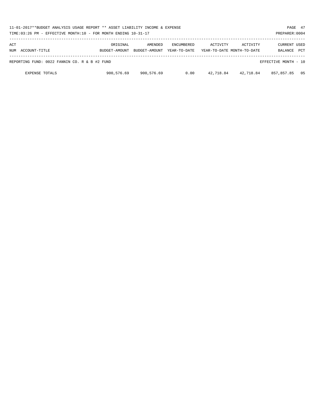|            | 11-01-2017**BUDGET ANALYSIS USAGE REPORT ** ASSET LIABILITY INCOME & EXPENSE<br>PAGE 47<br>TIME:03:26 PM - EFFECTIVE MONTH:10 - FOR MONTH ENDING 10-31-17<br>PREPARER: 0004 |                           |                          |                                   |           |                                        |                                |            |  |  |
|------------|-----------------------------------------------------------------------------------------------------------------------------------------------------------------------------|---------------------------|--------------------------|-----------------------------------|-----------|----------------------------------------|--------------------------------|------------|--|--|
| ACT<br>NUM | ACCOUNT-TITLE                                                                                                                                                               | ORIGINAL<br>BUDGET-AMOUNT | AMENDED<br>BUDGET-AMOUNT | <b>ENCUMBERED</b><br>YEAR-TO-DATE | ACTIVITY  | ACTIVITY<br>YEAR-TO-DATE MONTH-TO-DATE | <b>CURRENT USED</b><br>BALANCE | <b>PCT</b> |  |  |
|            | REPORTING FUND: 0022 FANNIN CO. R & B #2 FUND                                                                                                                               |                           |                          |                                   |           |                                        | EFFECTIVE MONTH - 10           |            |  |  |
|            | <b>EXPENSE TOTALS</b>                                                                                                                                                       | 900,576.69                | 900,576.69               | 0.00                              | 42,718.84 | 42,718.84                              | 857,857.85                     | 05         |  |  |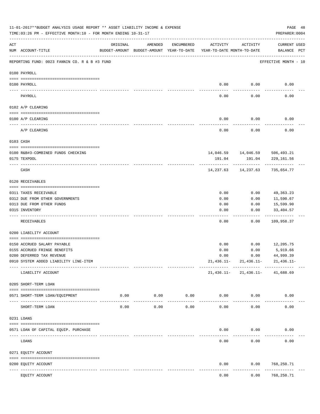|     | 11-01-2017**BUDGET ANALYSIS USAGE REPORT ** ASSET LIABILITY INCOME & EXPENSE<br>TIME:03:26 PM - EFFECTIVE MONTH:10 - FOR MONTH ENDING 10-31-17 |                                  |                    |                    |                                                                                 |                                     | PAGE 48<br>PREPARER: 0004          |  |
|-----|------------------------------------------------------------------------------------------------------------------------------------------------|----------------------------------|--------------------|--------------------|---------------------------------------------------------------------------------|-------------------------------------|------------------------------------|--|
| ACT | NUM ACCOUNT-TITLE                                                                                                                              | ORIGINAL                         | AMENDED            | ENCUMBERED         | ACTIVITY<br>BUDGET-AMOUNT BUDGET-AMOUNT YEAR-TO-DATE YEAR-TO-DATE MONTH-TO-DATE | ACTIVITY                            | <b>CURRENT USED</b><br>BALANCE PCT |  |
|     | REPORTING FUND: 0023 FANNIN CO. R & B #3 FUND                                                                                                  |                                  |                    |                    |                                                                                 |                                     | EFFECTIVE MONTH - 10               |  |
|     | 0100 PAYROLL                                                                                                                                   |                                  |                    |                    |                                                                                 |                                     |                                    |  |
|     | 0100 PAYROLL                                                                                                                                   |                                  |                    |                    | 0.00                                                                            | 0.00                                | 0.00                               |  |
|     | PAYROLL                                                                                                                                        |                                  |                    |                    | 0.00                                                                            | 0.00                                | 0.00                               |  |
|     | 0102 A/P CLEARING                                                                                                                              |                                  |                    |                    |                                                                                 |                                     |                                    |  |
|     | 0100 A/P CLEARING                                                                                                                              |                                  |                    |                    | 0.00                                                                            | 0.00                                | 0.00                               |  |
|     | A/P CLEARING                                                                                                                                   |                                  |                    |                    | 0.00                                                                            | 0.00                                | 0.00                               |  |
|     | 0103 CASH                                                                                                                                      |                                  |                    |                    |                                                                                 |                                     |                                    |  |
|     | 0100 R&B#3-COMBINED FUNDS CHECKING                                                                                                             |                                  |                    |                    |                                                                                 | 14,046.59 14,046.59 506,493.21      |                                    |  |
|     | 0175 TEXPOOL                                                                                                                                   |                                  |                    |                    | 191.04                                                                          | 191.04                              | 229,161.56                         |  |
|     | CASH                                                                                                                                           |                                  |                    |                    | 14,237.63                                                                       | 14,237.63                           | 735,654.77                         |  |
|     | 0120 RECEIVABLES                                                                                                                               |                                  |                    |                    |                                                                                 |                                     |                                    |  |
|     | 0311 TAXES RECEIVABLE                                                                                                                          |                                  |                    |                    | 0.00                                                                            | 0.00                                | 49,363.23                          |  |
|     | 0312 DUE FROM OTHER GOVERNMENTS                                                                                                                |                                  |                    |                    | 0.00                                                                            | 0.00                                | 11,590.67                          |  |
|     | 0313 DUE FROM OTHER FUNDS                                                                                                                      |                                  |                    |                    | 0.00                                                                            | 0.00                                | 15,599.90                          |  |
|     | 0315 INVENTORY                                                                                                                                 |                                  |                    |                    | 0.00                                                                            | 0.00                                | 33,404.57<br>.                     |  |
|     | RECEIVABLES                                                                                                                                    |                                  |                    |                    | 0.00                                                                            | 0.00                                | 109,958.37                         |  |
|     | 0200 LIABILITY ACCOUNT                                                                                                                         |                                  |                    |                    |                                                                                 |                                     |                                    |  |
|     | 0150 ACCRUED SALARY PAYABLE                                                                                                                    |                                  |                    |                    | 0.00                                                                            | 0.00                                | 12,205.75                          |  |
|     | 0155 ACCRUED FRINGE BENEFITS                                                                                                                   |                                  |                    |                    | 0.00                                                                            | 0.00                                | 5,919.66                           |  |
|     | 0200 DEFERRED TAX REVENUE                                                                                                                      |                                  |                    |                    | 0.00                                                                            | 0.00                                | 44,999.39                          |  |
|     | 0910 SYSTEM ADDED LIABILITY LINE-ITEM                                                                                                          |                                  |                    |                    |                                                                                 | $21,436.11 - 21,436.11 -$           | 21,436.11-                         |  |
|     | LIABILITY ACCOUNT                                                                                                                              |                                  |                    |                    |                                                                                 | $21,436.11 - 21,436.11 - 41,688.69$ |                                    |  |
|     | 0205 SHORT-TERM LOAN                                                                                                                           |                                  |                    |                    |                                                                                 |                                     |                                    |  |
|     | 0571 SHORT-TERM LOAN/EOUIPMENT                                                                                                                 | 0.00                             | 0.00<br>---------- | 0.00<br>---------- | 0.00                                                                            | 0.00                                | 0.00                               |  |
|     | SHORT-TERM LOAN                                                                                                                                | 0.00                             | 0.00               | 0.00               | 0.00                                                                            | 0.00                                | 0.00                               |  |
|     | 0231 LOANS                                                                                                                                     |                                  |                    |                    |                                                                                 |                                     |                                    |  |
|     | 0571 LOAN OF CAPITAL EQUIP. PURCHASE                                                                                                           |                                  |                    |                    | 0.00                                                                            | 0.00                                | 0.00                               |  |
|     |                                                                                                                                                |                                  |                    |                    |                                                                                 |                                     |                                    |  |
|     | LOANS                                                                                                                                          |                                  |                    |                    | 0.00                                                                            | 0.00                                | 0.00                               |  |
|     | 0271 EQUITY ACCOUNT                                                                                                                            |                                  |                    |                    |                                                                                 |                                     |                                    |  |
|     | 0200 EQUITY ACCOUNT<br>---- -------------                                                                                                      | -------------------------------- | -------------      |                    | 0.00                                                                            | 0.00                                | 768,250.71<br>----------           |  |
|     | EQUITY ACCOUNT                                                                                                                                 |                                  |                    |                    | 0.00                                                                            | 0.00                                | 768,250.71                         |  |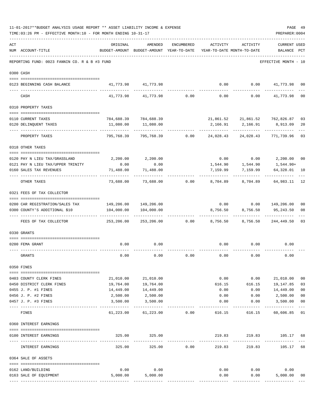|     | TIME: 03:26 PM - EFFECTIVE MONTH: 10 - FOR MONTH ENDING 10-31-17 |            |                                                                                |                 |             |                        | PREPARER: 0004                          |                      |
|-----|------------------------------------------------------------------|------------|--------------------------------------------------------------------------------|-----------------|-------------|------------------------|-----------------------------------------|----------------------|
| ACT | NUM ACCOUNT-TITLE                                                | ORIGINAL   | AMENDED<br>BUDGET-AMOUNT BUDGET-AMOUNT YEAR-TO-DATE YEAR-TO-DATE MONTH-TO-DATE | ENCUMBERED      | ACTIVITY    | ACTIVITY               | <b>CURRENT USED</b><br>BALANCE PCT      |                      |
|     | REPORTING FUND: 0023 FANNIN CO. R & B #3 FUND                    |            |                                                                                |                 |             |                        | EFFECTIVE MONTH - 10                    |                      |
|     | 0300 CASH                                                        |            |                                                                                |                 |             |                        |                                         |                      |
|     | 0123 BEGINNING CASH BALANCE                                      |            | 41,773.98 41,773.98                                                            |                 | 0.00        |                        | $0.00$ $41,773.98$                      | 00                   |
|     | CASH                                                             | 41,773.98  | 41,773.98                                                                      |                 | $0.00$ 0.00 | 0.00                   | 41,773.98                               | 0 <sub>0</sub>       |
|     | 0310 PROPERTY TAXES                                              |            |                                                                                |                 |             |                        |                                         |                      |
|     |                                                                  |            |                                                                                |                 |             |                        |                                         |                      |
|     | 0110 CURRENT TAXES                                               |            | 784,688.39 784,688.39                                                          |                 |             |                        | 21,861.52 21,861.52 762,826.87          | 03<br>20             |
|     | 0120 DELINQUENT TAXES<br>--------------------                    | 11,080.00  | 11,080.00                                                                      |                 | 2,166.91    | 2,166.91<br>---------- | 8,913.09                                |                      |
|     | PROPERTY TAXES                                                   | 795,768.39 | 795,768.39                                                                     | 0.00            | 24,028.43   | 24,028.43              | 771,739.96                              | 03                   |
|     | 0318 OTHER TAXES                                                 |            |                                                                                |                 |             |                        |                                         |                      |
|     | 0120 PAY N LIEU TAX/GRASSLAND                                    | 2,200.00   | 2,200.00                                                                       |                 |             |                        | $0.00$ $0.00$ $2,200.00$                | 00                   |
|     | 0121 PAY N LIEU TAX/UPPER TRINITY                                | 0.00       | 0.00                                                                           |                 | 1,544.90    | 1,544.90               | 1,544.90+                               |                      |
|     | 0160 SALES TAX REVENUES                                          | 71,488.00  | 71,488.00                                                                      |                 | 7,159.99    | 7,159.99               | 64,328.01                               | 10                   |
|     | OTHER TAXES                                                      | 73,688.00  |                                                                                | 73,688.00 0.00  | 8,704.89    | 8,704.89               | . <u>.</u><br>64,983.11                 | 12                   |
|     | 0321 FEES OF TAX COLLECTOR                                       |            |                                                                                |                 |             |                        |                                         |                      |
|     |                                                                  |            |                                                                                |                 |             |                        |                                         |                      |
|     | 0200 CAR REGISTRATION/SALES TAX<br>0300 COUNTY'S ADDITIONAL \$10 |            | 149,206.00 149,206.00<br>104,000.00  104,000.00                                |                 | 8,756.50    | 8,756.50               | $0.00$ $0.00$ $149,206.00$<br>95,243.50 | 0 <sub>0</sub><br>08 |
|     |                                                                  |            |                                                                                |                 |             |                        | -----------                             |                      |
|     | FEES OF TAX COLLECTOR                                            | 253,206.00 |                                                                                | 253,206.00 0.00 | 8,756.50    | 8,756.50               | 244,449.50                              | 03                   |
|     | 0330 GRANTS                                                      |            |                                                                                |                 |             |                        |                                         |                      |
|     |                                                                  |            |                                                                                |                 |             |                        |                                         |                      |
|     | 0200 FEMA GRANT                                                  | 0.00       | 0.00                                                                           |                 | 0.00        | 0.00                   | 0.00                                    |                      |
|     | GRANTS                                                           | 0.00       | 0.00                                                                           | 0.00            | 0.00        | 0.00                   | 0.00                                    |                      |
|     | 0350 FINES                                                       |            |                                                                                |                 |             |                        |                                         |                      |
|     | 0403 COUNTY CLERK FINES                                          | 21,010.00  | 21,010.00                                                                      |                 | 0.00        | 0.00                   | 21,010.00                               | 00                   |
|     | 0450 DISTRICT CLERK FINES                                        | 19,764.00  | 19,764.00                                                                      |                 | 616.15      | 616.15                 | 19,147.85                               | 03                   |
|     | 0455 J. P. #1 FINES                                              | 14,449.00  | 14,449.00                                                                      |                 | 0.00        | 0.00                   | 14,449.00                               | 0 <sub>0</sub>       |
|     | 0456 J. P. #2 FINES                                              | 2,500.00   | 2,500.00                                                                       |                 | 0.00        | 0.00                   | 2,500.00                                | 0 <sub>0</sub>       |
|     | 0457 J. P. #3 FINES                                              | 3,500.00   | 3,500.00                                                                       |                 | 0.00        | 0.00                   | 3,500.00                                | 00                   |
|     | FINES                                                            | 61,223.00  | 61,223.00                                                                      | 0.00            | 616.15      | 616.15                 | 60,606.85                               | 01                   |
|     | 0360 INTEREST EARNINGS                                           |            |                                                                                |                 |             |                        |                                         |                      |
|     | 0100 INTEREST EARNINGS                                           | 325.00     | 325.00                                                                         |                 | 219.83      | ----------             | 219.83 105.17<br>$- - - - - - -$        | 68                   |
|     | INTEREST EARNINGS                                                | 325.00     | 325.00                                                                         | 0.00            | 219.83      | 219.83                 | 105.17                                  | 68                   |
|     | 0364 SALE OF ASSETS                                              |            |                                                                                |                 |             |                        |                                         |                      |
|     | 0162 LAND/BUILDING                                               | 0.00       | 0.00                                                                           |                 |             | $0.00$ 0.00            | 0.00                                    |                      |
|     | 0163 SALE OF EQUIPMENT                                           | 5,000.00   | 5,000.00                                                                       |                 | 0.00        |                        | 0.00<br>5,000.00                        | 00                   |
|     |                                                                  |            |                                                                                |                 |             |                        |                                         |                      |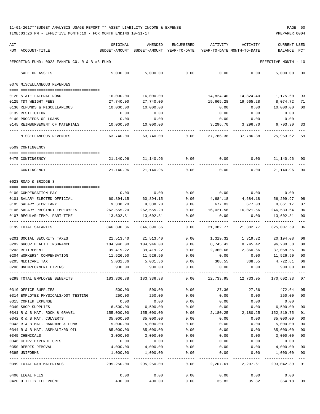| ACT | NUM ACCOUNT-TITLE                                                                            | ORIGINAL<br>BUDGET-AMOUNT BUDGET-AMOUNT YEAR-TO-DATE | AMENDED                 | ENCUMBERED    | ACTIVITY<br>YEAR-TO-DATE MONTH-TO-DATE | ACTIVITY          | CURRENT USED<br>BALANCE | PCT    |
|-----|----------------------------------------------------------------------------------------------|------------------------------------------------------|-------------------------|---------------|----------------------------------------|-------------------|-------------------------|--------|
|     | REPORTING FUND: 0023 FANNIN CO. R & B #3 FUND                                                |                                                      |                         |               |                                        |                   | EFFECTIVE MONTH - 10    |        |
|     | SALE OF ASSETS                                                                               | 5,000.00                                             | 5,000.00                | 0.00          | 0.00                                   | 0.00              | 5,000.00                | 00     |
|     | 0370 MISCELLANEOUS REVENUES                                                                  |                                                      |                         |               |                                        |                   |                         |        |
|     |                                                                                              |                                                      |                         |               |                                        |                   |                         |        |
|     | 0120 STATE LATERAL ROAD                                                                      | 16,000.00                                            | 16,000.00               |               | 14,824.40                              | 14,824.40         | 1,175.60                | 93     |
|     | 0125 TDT WEIGHT FEES                                                                         | 27,740.00                                            | 27,740.00               |               | 19,665.28                              | 19,665.28         | 8,074.72                | 71     |
|     | 0130 REFUNDS & MISCELLANEOUS                                                                 | 10,000.00                                            | 10,000.00               |               | 0.00                                   | 0.00              | 10,000.00               | 00     |
|     | 0139 RESTITUTION                                                                             | 0.00                                                 | 0.00                    |               | 0.00                                   | 0.00              | 0.00                    |        |
|     | 0140 PROCEEDS OF LOANS                                                                       | 0.00                                                 | 0.00                    |               | 0.00                                   | 0.00              | 0.00                    |        |
|     | 0145 REIMBURSEMENT OF MATERIALS                                                              | 10,000.00                                            | 10,000.00               |               | 3,296.70                               | 3,296.70          | 6,703.30                | 33     |
|     | MISCELLANEOUS REVENUES                                                                       | 63,740.00                                            | 63,740.00               | 0.00          | 37,786.38                              | 37,786.38         | 25,953.62               | 59     |
|     | 0509 CONTINGENCY                                                                             |                                                      |                         |               |                                        |                   |                         |        |
|     | 0475 CONTINGENCY                                                                             |                                                      | 21, 140, 96 21, 140, 96 | 0.00          | 0.00                                   | 0.00              | 21,140.96               | 00     |
|     |                                                                                              |                                                      |                         |               |                                        |                   |                         |        |
|     | CONTINGENCY                                                                                  | 21,140.96                                            | 21,140.96               | 0.00          | 0.00                                   | 0.00              | 21,140.96 00            |        |
|     | 0623 ROAD & BRIDGE 3                                                                         |                                                      |                         |               |                                        |                   |                         |        |
|     | 0100 COMPENSATION PAY                                                                        | 0.00                                                 | 0.00                    | 0.00          | 0.00                                   | 0.00              | 0.00                    |        |
|     | 0101 SALARY ELECTED OFFICIAL                                                                 | 60,894.15                                            | 60,894.15               | 0.00          | 4,684.18                               | 4,684.18          | 56,209.97               | 08     |
|     | 0105 SALARY SECRETARY                                                                        | 9,338.20                                             | 9,338.20                | 0.00          | 677.03                                 | 677.03            | 8,661.17                | 07     |
|     | 0106 SALARY PRECINCT EMPLOYEES                                                               | 262,555.20                                           | 262,555.20              | 0.00          | 16,021.56                              | 16,021.56         | 246,533.64              | 06     |
|     | 0107 REGULAR-TEMP. PART-TIME                                                                 | 13,602.81                                            | 13,602.81               | 0.00          | 0.00                                   | 0.00              | 13,602.81               | 00     |
|     | 0199 TOTAL SALARIES                                                                          | 346,390.36                                           | 346,390.36              | $---$<br>0.00 | 21,382.77                              | 21,382.77         | 325,007.59              | 06     |
|     | 0201 SOCIAL SECURITY TAXES                                                                   | 21,513.40                                            | 21,513.40               | 0.00          | 1,319.32                               | 1,319.32          | 20,194.08               | 06     |
|     | 0202 GROUP HEALTH INSURANCE                                                                  | 104,946.00                                           | 104,946.00              | 0.00          | 8,745.42                               | 8,745.42          | 96,200.58               | 08     |
|     | 0203 RETIREMENT                                                                              | 39,419.22                                            | 39,419.22               | 0.00          | 2,360.66                               | 2,360.66          | 37,058.56               | 06     |
|     | 0204 WORKERS' COMPENSATION                                                                   | 11,526.90                                            | 11,526.90               | 0.00          | 0.00                                   | 0.00              | 11,526.90               | 00     |
|     | 0205 MEDICARE TAX                                                                            | 5,031.36                                             | 5,031.36                | 0.00          | 308.55                                 | 308.55            | 4,722.81                | 06     |
|     | 0206 UNEMPLOYMENT EXPENSE                                                                    | 900.00                                               | 900.00                  | 0.00          | 0.00                                   | 0.00              | 900.00                  | 00     |
|     | 0299 TOTAL EMPLOYEE BENEFITS 48,336.88 183,336.88 680 0.00 12,733.95 12,733.95 170,602.93 07 |                                                      |                         |               |                                        |                   |                         |        |
|     | 0310 OFFICE SUPPLIES                                                                         | 500.00                                               | 500.00                  | 0.00          | 27.36                                  | 27.36             | 472.64                  | 05     |
|     | 0314 EMPLOYEE PHYSICALS/DOT TESTING                                                          | 250.00                                               | 250.00                  | 0.00          | 0.00                                   | 0.00              | 250.00                  | 00     |
|     | 0315 COPIER EXPENSE                                                                          | 0.00                                                 | 0.00                    | 0.00          | 0.00                                   | 0.00              | 0.00                    |        |
|     | 0340 SHOP SUPPLIES                                                                           | 6,500.00                                             | 6,500.00                | 0.00          | 0.00                                   | 0.00              | 6,500.00                | $00\,$ |
|     | 0341 R & B MAT. ROCK & GRAVEL                                                                | 155,000.00                                           | 155,000.00              | 0.00          | 2,180.25                               | 2,180.25          | 152,819.75              | 01     |
|     | 0342 R & B MAT. CULVERTS                                                                     | 35,000.00                                            | 35,000.00               | 0.00          | 0.00                                   | 0.00              | 35,000.00               | 00     |
|     | 0343 R & B MAT. HARDWRE & LUMB                                                               | 5,000.00                                             | 5,000.00                | 0.00          | 0.00                                   | 0.00              | 5,000.00                | $00\,$ |
|     | 0344 R & B MAT. ASPHALT/RD OIL                                                               | 85,000.00                                            | 85,000.00               | 0.00          | 0.00                                   | 0.00              | 85,000.00               | 00     |
|     | 0345 CHEMICALS                                                                               | 3,000.00                                             | 3,000.00                | 0.00          | 0.00                                   | 0.00              | 3,000.00                | $00\,$ |
|     | 0346 CETRZ EXPENDITURES                                                                      | 0.00                                                 | 0.00                    | 0.00          | 0.00                                   | 0.00              | 0.00                    |        |
|     | 0350 DEBRIS REMOVAL                                                                          | 4,000.00                                             | 4,000.00                | 0.00          | 0.00                                   | 0.00              | 4,000.00                | 00     |
|     | 0395 UNIFORMS                                                                                | 1,000.00                                             | 1,000.00                | 0.00          | 0.00                                   | 0.00              | 1,000.00                | 00     |
|     | 0399 TOTAL R&B MATERIALS                                                                     | 295,250.00                                           | 295,250.00              | 0.00          |                                        | 2,207.61 2,207.61 | 293,042.39 01           |        |
|     | 0400 LEGAL FEES                                                                              | 0.00                                                 | 0.00                    | 0.00          | 0.00                                   | 0.00              | 0.00                    |        |
|     | 0420 UTILITY TELEPHONE                                                                       | 400.00                                               | 400.00                  | 0.00          | 35.82                                  | 35.82             | 364.18 09               |        |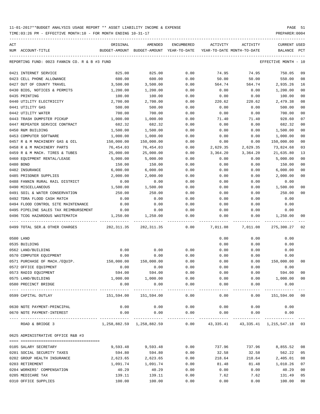| ACT |                                               | ORIGINAL                                                           | AMENDED                               | ENCUMBERED            | ACTIVITY                   | ACTIVITY             | CURRENT USED          |                |
|-----|-----------------------------------------------|--------------------------------------------------------------------|---------------------------------------|-----------------------|----------------------------|----------------------|-----------------------|----------------|
|     | NUM ACCOUNT-TITLE                             |                                                                    | BUDGET-AMOUNT BUDGET-AMOUNT           | YEAR-TO-DATE          | YEAR-TO-DATE MONTH-TO-DATE |                      | BALANCE               | PCT            |
|     | REPORTING FUND: 0023 FANNIN CO. R & B #3 FUND |                                                                    |                                       |                       |                            |                      | EFFECTIVE MONTH - 10  |                |
|     | 0421 INTERNET SERVICE                         | 825.00                                                             | 825.00                                | 0.00                  | 74.95                      | 74.95                | 750.05                | 09             |
|     | 0423 CELL PHONE ALLOWANCE                     | 600.00                                                             | 600.00                                | 0.00                  | 50.00                      | 50.00                | 550.00                | 08             |
|     | 0427 OUT OF COUNTY TRAVEL                     | 3,500.00                                                           | 3,500.00                              | 0.00                  | 564.74                     | 564.74               | 2,935.26              | 16             |
|     | 0430 BIDS, NOTICES & PERMITS                  | 1,200.00                                                           | 1,200.00                              | 0.00                  | 0.00                       | 0.00                 | 1,200.00              | 0 <sub>0</sub> |
|     | 0435 PRINTING                                 | 100.00                                                             | 100.00                                | 0.00                  | 0.00                       | 0.00                 | 100.00                | 0 <sub>0</sub> |
|     | 0440 UTILITY ELECTRICITY                      | 2,700.00                                                           | 2,700.00                              | 0.00                  | 220.62                     | 220.62               | 2,479.38              | 08             |
|     | 0441 UTILITY GAS                              | 500.00                                                             | 500.00                                | 0.00                  | 0.00                       | 0.00                 | 500.00                | 00             |
|     | 0442 UTILITY WATER                            | 700.00                                                             | 700.00                                | 0.00                  | 0.00                       | 0.00                 | 700.00                | 0 <sub>0</sub> |
|     | 0443 TRASH DUMPSTER PICKUP                    | 1,000.00                                                           | 1,000.00                              | 0.00                  | 71.40                      | 71.40                | 928.60                | 07             |
|     | 0447 REPEATER SERVICE CONTRACT                | 682.32                                                             | 682.32                                | 0.00                  | 0.00                       | 0.00                 | 682.32                | 0 <sub>0</sub> |
|     | 0450 R&M BUILDING                             | 1,500.00                                                           | 1,500.00                              | 0.00                  | 0.00                       | 0.00                 | 1,500.00              | 0 <sub>0</sub> |
|     | 0453 COMPUTER SOFTWARE                        | 1,000.00                                                           | 1,000.00                              | 0.00                  | 0.00                       | 0.00                 | 1,000.00              | 0 <sub>0</sub> |
|     | 0457 R & M MACHINERY GAS & OIL                | 150,000.00                                                         | 150,000.00                            | 0.00                  | 0.00                       | 0.00                 | 150,000.00            | 0 <sub>0</sub> |
|     | 0458 R & M MACHINERY PARTS                    | 76,454.03                                                          | 76,454.03                             | 0.00                  | 2,629.35                   | 2,629.35             | 73,824.68             | 03             |
|     | 0459 R & M MACH. TIRES & TUBES                | 25,000.00                                                          | 25,000.00                             | 0.00                  | 3,364.20                   | 3,364.20             | 21,635.80             | 13             |
|     | 0460 EOUIPMENT RENTAL/LEASE                   | 5,000.00                                                           | 5,000.00                              | 0.00                  | 0.00                       | 0.00                 | 5,000.00              | 0 <sub>0</sub> |
|     | 0480 BOND                                     | 150.00                                                             | 150.00                                | 0.00                  | 0.00                       | 0.00                 | 150.00                | 0 <sub>0</sub> |
|     | 0482 INSURANCE                                | 6,000.00                                                           | 6,000.00                              | 0.00                  | 0.00                       | 0.00                 | 6,000.00              | 00             |
|     | 0485 PRISONER SUPPLIES                        | 2,000.00                                                           | 2,000.00                              | 0.00                  | 0.00                       | 0.00                 | 2,000.00              | 0 <sub>0</sub> |
|     | 0488 FANNIN RURAL RAIL DISTRICT               | 0.00                                                               | 0.00                                  | 0.00                  | 0.00                       | 0.00                 | 0.00                  |                |
|     | 0490 MISCELLANEOUS                            | 1,500.00                                                           | 1,500.00                              | 0.00                  | 0.00                       | 0.00                 | 1,500.00              | 0 <sub>0</sub> |
|     | 0491 SOIL & WATER CONSERVATION                | 250.00                                                             | 250.00                                | 0.00                  | 0.00                       | 0.00                 | 250.00                | 0 <sub>0</sub> |
|     | 0492 TDRA FLOOD CASH MATCH                    | 0.00                                                               | 0.00                                  | 0.00                  | 0.00                       | 0.00                 | 0.00                  |                |
|     | 0494 FLOOD CONTROL SITE MAINTENANCE           | 0.00                                                               | 0.00                                  | 0.00                  | 0.00                       | 0.00                 | 0.00                  |                |
|     | 0495 PIPELINE SALES TAX REIMBURSEMENT         | 0.00                                                               | 0.00                                  | 0.00                  | 0.00                       | 0.00                 | 0.00                  |                |
|     | 0496 TCOG HAZARDOUS WASTEMATCH                | 1,250.00                                                           | 1,250.00                              | 0.00                  | 0.00                       | 0.00                 | 1,250.00              | 00             |
|     | 0499 TOTAL SER. & OTHER CHARGES               | 282,311.35                                                         | 282,311.35                            | 0.00                  | 7,011.08                   | 7,011.08             | 275,300.27            | 02             |
|     | 0500 LAND                                     |                                                                    |                                       |                       | 0.00                       | 0.00                 | 0.00                  |                |
|     | 0535 BUILDING                                 |                                                                    |                                       |                       | 0.00                       | 0.00                 | 0.00                  |                |
|     | 0562 LAND/BUILDING                            | 0.00                                                               | 0.00                                  | 0.00                  | 0.00                       | 0.00                 | 0.00                  |                |
|     | 0570 COMPUTER EQUIPMENT                       | 0.00                                                               | 0.00                                  | 0.00                  | 0.00                       | 0.00                 | 0.00                  |                |
|     | 0571 PURCHASE OF MACH./EQUIP.                 | 150,000.00                                                         | 150,000.00                            | 0.00                  | 0.00                       | 0.00                 | 150,000.00            | 0 <sub>0</sub> |
|     | 0572 OFFICE EQUIPMENT                         | 0.00                                                               | 0.00                                  | 0.00                  | 0.00                       | 0.00                 | 0.00                  |                |
|     | 0573 RADIO EQUIPMENT                          | 594.00                                                             | 594.00                                | 0.00                  | 0.00                       | 0.00                 | 594.00 00             |                |
|     | 0575 LAND/BUILDING                            |                                                                    | 1,000.00 1,000.00                     | 0.00                  | 0.00                       |                      | $0.00$ 1,000.00 00    |                |
|     | 0580 PRECINCT BRIDGE                          | 0.00                                                               | 0.00                                  | 0.00<br>------------- | 0.00<br>. <u>.</u>         | 0.00<br>------------ | 0.00<br>------------- |                |
|     | 0599 CAPITAL OUTLAY                           |                                                                    | 151,594.00 151,594.00                 | 0.00                  | 0.00                       | 0.00                 | 151,594.00 00         |                |
|     | 0630 NOTE PAYMENT-PRINCIPAL                   | 0.00                                                               | 0.00                                  | 0.00                  | 0.00                       | 0.00                 | 0.00                  |                |
|     | 0670 NOTE PAYMENT-INTEREST                    | 0.00                                                               | 0.00<br>----------------------------- | 0.00                  | 0.00                       | 0.00                 | 0.00                  |                |
|     | ROAD & BRIDGE 3                               | 1,258,882.59 1,258,882.59 0.00 43,335.41 43,335.41 1,215,547.18 03 |                                       |                       |                            |                      |                       |                |
|     | 0625 ADMINISTRATIVE OFFICE R&B #3             |                                                                    |                                       |                       |                            |                      |                       |                |
|     | 0105 SALARY SECRETARY                         | 9,593.48                                                           | 9,593.48                              | 0.00                  | 737.96                     | 737.96               | 8,855.52              | 08             |
|     | 0201 SOCIAL SECURITY TAXES                    | 594.80                                                             | 594.80                                | 0.00                  | 32.58                      | 32.58                | 562.22                | 05             |
|     | 0202 GROUP HEALTH INSURANCE                   | 2,623.65                                                           | 2,623.65                              | 0.00                  | 218.64                     | 218.64               | 2,405.01              | 08             |
|     | 0203 RETIREMENT                               | 1,091.74                                                           | 1,091.74                              | 0.00                  | 81.48                      | 81.48                | 1,010.26              | 07             |
|     | 0204 WORKERS' COMPENSATION                    | 40.29                                                              | 40.29                                 | 0.00                  | 0.00                       | 0.00                 | 40.29                 | 0 <sub>0</sub> |
|     | 0205 MEDICARE TAX                             | 139.11                                                             | 139.11                                | 0.00                  | 7.62                       | 7.62                 | 131.49                | 0 <sub>5</sub> |
|     | 0310 OFFICE SUPPLIES                          | 100.00                                                             | 100.00                                | 0.00                  | 0.00                       | 0.00                 | 100.00                | 0 <sub>0</sub> |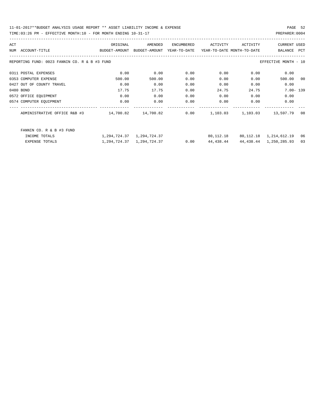11-01-2017\*\*BUDGET ANALYSIS USAGE REPORT \*\* ASSET LIABILITY INCOME & EXPENSE PAGE 52 TIME:03:26 PM - EFFECTIVE MONTH:10 - FOR MONTH ENDING 10-31-17

| ACT |                                               | ORIGINAL      | AMENDED       | ENCUMBERED   | ACTIVITY                   | ACTIVITY | <b>CURRENT USED</b>         |            |
|-----|-----------------------------------------------|---------------|---------------|--------------|----------------------------|----------|-----------------------------|------------|
|     | NUM ACCOUNT-TITLE                             | BUDGET-AMOUNT | BUDGET-AMOUNT | YEAR-TO-DATE | YEAR-TO-DATE MONTH-TO-DATE |          | BALANCE                     | <b>PCT</b> |
|     | REPORTING FUND: 0023 FANNIN CO. R & B #3 FUND |               |               |              |                            |          | EFFECTIVE MONTH - 10        |            |
|     | 0311 POSTAL EXPENSES                          | 0.00          | 0.00          | 0.00         | 0.00                       | 0.00     | 0.00                        |            |
|     | 0353 COMPUTER EXPENSE                         | 500.00        | 500.00        | 0.00         | 0.00                       | 0.00     | 500.00                      | 00         |
|     | 0427 OUT OF COUNTY TRAVEL                     | 0.00          | 0.00          | 0.00         | 0.00                       | 0.00     | 0.00                        |            |
|     | 0480 BOND                                     | 17.75         | 17.75         | 0.00         | 24.75                      | 24.75    | $7.00 - 139$                |            |
|     | 0572 OFFICE EQUIPMENT                         | 0.00          | 0.00          | 0.00         | 0.00                       | 0.00     | 0.00                        |            |
|     | 0574 COMPUTER EQUIPMENT                       | 0.00          | 0.00          | 0.00         | 0.00                       | 0.00     | 0.00                        |            |
|     | ADMINISTRATIVE OFFICE R&B #3                  | 14,700.82     | 14,700.82     | 0.00         | 1,103.03                   | 1,103.03 | 13,597.79                   | 08         |
|     | FANNIN CO. R & B #3 FUND                      |               |               |              |                            |          |                             |            |
|     | INCOME TOTALS                                 | 1,294,724.37  | 1,294,724.37  |              | 80,112.18                  |          | 80, 112, 18 1, 214, 612, 19 | -06        |
|     | EXPENSE TOTALS                                | 1,294,724.37  | 1,294,724.37  | 0.00         | 44,438.44                  |          | 44, 438. 44 1, 250, 285. 93 | 03         |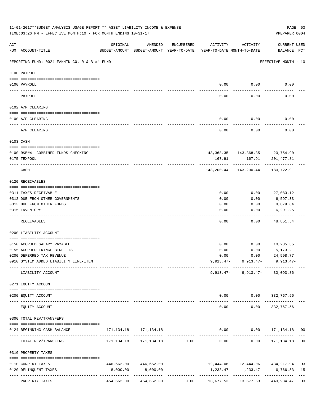|     | 11-01-2017**BUDGET ANALYSIS USAGE REPORT ** ASSET LIABILITY INCOME & EXPENSE<br>TIME: 03:26 PM - EFFECTIVE MONTH: 10 - FOR MONTH ENDING 10-31-17 |            |                                      |                      |                                                                                 |                                                   | PAGE 53<br>PREPARER: 0004          |                |
|-----|--------------------------------------------------------------------------------------------------------------------------------------------------|------------|--------------------------------------|----------------------|---------------------------------------------------------------------------------|---------------------------------------------------|------------------------------------|----------------|
| ACT | NUM ACCOUNT-TITLE                                                                                                                                | ORIGINAL   | AMENDED                              | ENCUMBERED           | ACTIVITY<br>BUDGET-AMOUNT BUDGET-AMOUNT YEAR-TO-DATE YEAR-TO-DATE MONTH-TO-DATE | ACTIVITY                                          | <b>CURRENT USED</b><br>BALANCE PCT |                |
|     | REPORTING FUND: 0024 FANNIN CO. R & B #4 FUND                                                                                                    |            |                                      |                      |                                                                                 |                                                   | EFFECTIVE MONTH - 10               |                |
|     | 0100 PAYROLL                                                                                                                                     |            |                                      |                      |                                                                                 |                                                   |                                    |                |
|     | 0100 PAYROLL                                                                                                                                     |            |                                      |                      | 0.00                                                                            | 0.00                                              | 0.00                               |                |
|     | PAYROLL                                                                                                                                          |            |                                      |                      | 0.00                                                                            | 0.00                                              | 0.00                               |                |
|     | 0102 A/P CLEARING                                                                                                                                |            |                                      |                      |                                                                                 |                                                   |                                    |                |
|     | 0100 A/P CLEARING                                                                                                                                |            |                                      |                      | 0.00                                                                            | 0.00                                              | 0.00                               |                |
|     | A/P CLEARING                                                                                                                                     |            |                                      |                      | 0.00                                                                            | 0.00                                              | 0.00                               |                |
|     | 0103 CASH                                                                                                                                        |            |                                      |                      |                                                                                 |                                                   |                                    |                |
|     |                                                                                                                                                  |            |                                      |                      |                                                                                 |                                                   |                                    |                |
|     | 0100 R&B#4- COMBINED FUNDS CHECKING<br>0175 TEXPOOL                                                                                              |            |                                      |                      | 167.91                                                                          | $143,368.35 - 143,368.35 - 20,754.90 -$<br>167.91 | 201,477.81                         |                |
|     | CASH                                                                                                                                             |            |                                      |                      |                                                                                 | 143, 200.44- 143, 200.44- 180, 722.91             |                                    |                |
|     | 0120 RECEIVABLES                                                                                                                                 |            |                                      |                      |                                                                                 |                                                   |                                    |                |
|     | 0311 TAXES RECEIVABLE                                                                                                                            |            |                                      |                      | 0.00                                                                            | 0.00                                              | 27,083.12                          |                |
|     | 0312 DUE FROM OTHER GOVERNMENTS                                                                                                                  |            |                                      |                      | 0.00                                                                            | 0.00                                              | 6,597.33                           |                |
|     | 0313 DUE FROM OTHER FUNDS                                                                                                                        |            |                                      |                      | 0.00                                                                            | 0.00                                              | 8,879.84                           |                |
|     | 0315 INVENTORY                                                                                                                                   |            |                                      |                      | 0.00                                                                            | 0.00                                              | 6,291.25                           |                |
|     | RECEIVABLES                                                                                                                                      |            |                                      |                      | 0.00                                                                            | 0.00                                              | 48,851.54                          |                |
|     | 0200 LIABILITY ACCOUNT                                                                                                                           |            |                                      |                      |                                                                                 |                                                   |                                    |                |
|     | 0150 ACCRUED SALARY PAYABLE                                                                                                                      |            |                                      |                      | 0.00                                                                            | 0.00                                              | 10,235.35                          |                |
|     | 0155 ACCRUED FRINGE BENEFITS                                                                                                                     |            |                                      |                      | 0.00                                                                            | 0.00                                              | 5,173.21                           |                |
|     | 0200 DEFERRED TAX REVENUE                                                                                                                        |            |                                      |                      | 0.00                                                                            | 0.00                                              | 24,598.77                          |                |
|     | 0910 SYSTEM ADDED LIABILITY LINE-ITEM                                                                                                            |            |                                      |                      |                                                                                 | $9,913.47 - 9,913.47 - 9,913.47$                  |                                    |                |
|     | LIABILITY ACCOUNT                                                                                                                                |            |                                      |                      |                                                                                 | $9,913.47 - 9,913.47 - 30,093.86$                 | __ _____________                   |                |
|     | 0271 EQUITY ACCOUNT                                                                                                                              |            |                                      |                      |                                                                                 |                                                   |                                    |                |
|     | 0200 EQUITY ACCOUNT                                                                                                                              |            | ______________                       |                      | -----------                                                                     | $0.00$ $0.00$ $332,767.56$<br>-----------         | _____________                      |                |
|     | EQUITY ACCOUNT                                                                                                                                   |            |                                      |                      | 0.00                                                                            | 0.00                                              | 332,767.56                         |                |
|     | 0300 TOTAL REV/TRANSFERS                                                                                                                         |            |                                      |                      |                                                                                 |                                                   |                                    |                |
|     | 0124 BEGINNING CASH BALANCE                                                                                                                      |            | 171, 134. 18    171, 134. 18         |                      |                                                                                 | $0.00$ $0.00$ $171,134.18$ 00                     |                                    |                |
|     | TOTAL REV/TRANSFERS                                                                                                                              |            | 171, 134. 18    171, 134. 18    0.00 |                      |                                                                                 | $0.00$ $0.00$ $171,134.18$                        |                                    | 0 <sub>0</sub> |
|     | 0310 PROPERTY TAXES                                                                                                                              |            |                                      |                      |                                                                                 |                                                   |                                    |                |
|     | 0110 CURRENT TAXES                                                                                                                               |            | 446,662.00 446,662.00                |                      |                                                                                 | 12,444.06  12,444.06  434,217.94                  |                                    | 03             |
|     | 0120 DELINQUENT TAXES                                                                                                                            | 8,000.00   | 8,000.00                             |                      |                                                                                 | 1,233.47 1,233.47 6,766.53                        |                                    | 15             |
|     | PROPERTY TAXES                                                                                                                                   | 454,662.00 | 454,662.00                           | ------------<br>0.00 | 13,677.53                                                                       | 13,677.53                                         | 440,984.47 03                      |                |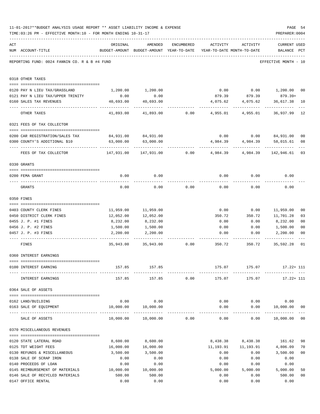|     | 11-01-2017**BUDGET ANALYSIS USAGE REPORT ** ASSET LIABILITY INCOME & EXPENSE<br>TIME:03:26 PM - EFFECTIVE MONTH:10 - FOR MONTH ENDING 10-31-17 |                                                         |                                                                                |             |          |                                           | PAGE 54<br>PREPARER: 0004   |                      |
|-----|------------------------------------------------------------------------------------------------------------------------------------------------|---------------------------------------------------------|--------------------------------------------------------------------------------|-------------|----------|-------------------------------------------|-----------------------------|----------------------|
| ACT | NUM ACCOUNT-TITLE                                                                                                                              | ORIGINAL                                                | AMENDED<br>BUDGET-AMOUNT BUDGET-AMOUNT YEAR-TO-DATE YEAR-TO-DATE MONTH-TO-DATE | ENCUMBERED  | ACTIVITY | ACTIVITY                                  | CURRENT USED<br>BALANCE PCT |                      |
|     | REPORTING FUND: 0024 FANNIN CO. R & B #4 FUND                                                                                                  |                                                         |                                                                                |             |          |                                           | EFFECTIVE MONTH - 10        |                      |
|     | 0318 OTHER TAXES                                                                                                                               |                                                         |                                                                                |             |          |                                           |                             |                      |
|     |                                                                                                                                                |                                                         |                                                                                |             |          |                                           |                             |                      |
|     | 0120 PAY N LIEU TAX/GRASSLAND<br>0121 PAY N LIEU TAX/UPPER TRINITY                                                                             | 0.00                                                    | 1,200.00 1,200.00<br>0.00                                                      |             |          | $0.00$ $0.00$ $1,200.00$<br>879.39 879.39 | $879.39+$                   | 00                   |
|     | 0160 SALES TAX REVENUES                                                                                                                        | 40,693.00                                               | 40,693.00                                                                      |             | 4,075.62 | 4,075.62                                  | 36,617.38                   | 10                   |
|     | OTHER TAXES                                                                                                                                    | .<br>41,893.00                                          | 41,893.00                                                                      | 0.00        | 4,955.01 | 4,955.01                                  | 36,937.99                   | 12                   |
|     | 0321 FEES OF TAX COLLECTOR                                                                                                                     |                                                         |                                                                                |             |          |                                           |                             |                      |
|     |                                                                                                                                                |                                                         |                                                                                |             |          |                                           |                             |                      |
|     | 0200 CAR REGISTRATION/SALES TAX<br>0300 COUNTY'S ADDITIONAL \$10                                                                               | 84,931.00<br>63,000.00                                  | 84,931.00<br>63,000.00                                                         |             | 4,984.39 | $0.00$ 0.00<br>4,984.39                   | 84,931.00<br>58,015.61      | 0 <sub>0</sub><br>08 |
|     | FEES OF TAX COLLECTOR                                                                                                                          | 147,931.00 147,931.00 0.00 4,984.39 4,984.39 142,946.61 |                                                                                |             |          | ----------                                |                             | 03                   |
|     | 0330 GRANTS                                                                                                                                    |                                                         |                                                                                |             |          |                                           |                             |                      |
|     |                                                                                                                                                |                                                         |                                                                                |             |          |                                           |                             |                      |
|     | 0200 FEMA GRANT                                                                                                                                | 0.00                                                    | 0.00                                                                           |             | 0.00     | 0.00                                      | 0.00                        |                      |
|     | GRANTS                                                                                                                                         | 0.00                                                    | 0.00                                                                           | 0.00        | 0.00     | 0.00                                      | 0.00                        |                      |
|     | 0350 FINES                                                                                                                                     |                                                         |                                                                                |             |          |                                           |                             |                      |
|     | 0403 COUNTY CLERK FINES                                                                                                                        |                                                         | 11,959.00 11,959.00                                                            |             |          | $0.00$ $0.00$ $11,959.00$                 |                             | 00                   |
|     | 0450 DISTRICT CLERK FINES                                                                                                                      | 12,052.00                                               | 12,052.00                                                                      |             |          | 350.72 350.72 11,701.28                   |                             | 03                   |
|     | 0455 J. P. #1 FINES                                                                                                                            | 8,232.00                                                | 8,232.00                                                                       |             | 0.00     | 0.00                                      | 8,232.00                    | 0 <sub>0</sub>       |
|     | 0456 J. P. #2 FINES                                                                                                                            | 1,500.00                                                | 1,500.00                                                                       |             | 0.00     | 0.00                                      | 1,500.00                    | 0 <sub>0</sub>       |
|     | 0457 J. P. #3 FINES                                                                                                                            | 2,200.00<br>---------                                   | 2,200.00                                                                       |             | 0.00     | 0.00                                      | 2,200.00                    | 0 <sub>0</sub>       |
|     | FINES                                                                                                                                          |                                                         | 35,943.00 35,943.00 0.00                                                       |             |          | 350.72<br>350.72                          | 35,592.28                   | 01                   |
|     | 0360 INTEREST EARNINGS                                                                                                                         |                                                         |                                                                                |             |          |                                           |                             |                      |
|     | 0100 INTEREST EARNING                                                                                                                          |                                                         | 157.85 157.85                                                                  |             |          | 175.07 175.07 17.22+ 111                  |                             |                      |
|     | INTEREST EARNINGS                                                                                                                              |                                                         | 157.85                                                                         | 157.85 0.00 | 175.07   |                                           | 175.07 17.22+ 111           |                      |
|     | 0364 SALE OF ASSETS                                                                                                                            |                                                         |                                                                                |             |          |                                           |                             |                      |
|     | 0162 LAND/BUILDING                                                                                                                             |                                                         | $0.00$ 0.00                                                                    |             |          | $0.00$ $0.00$ $0.00$ $0.00$               |                             |                      |
|     | 0163 SALE OF EQUIPMENT                                                                                                                         |                                                         | 10,000.00 10,000.00                                                            |             |          | $0.00$ $0.00$ $10,000.00$                 |                             | 0 <sub>0</sub>       |
|     | SALE OF ASSETS                                                                                                                                 |                                                         | $10,000.00$ $10,000.00$ 0.00                                                   |             |          | -------------<br>0.00                     | $0.00$ 10,000.00 00         |                      |
|     | 0370 MISCELLANEOUS REVENUES                                                                                                                    |                                                         |                                                                                |             |          |                                           |                             |                      |
|     | 0120 STATE LATERAL ROAD                                                                                                                        | 8,600.00                                                | 8,600.00                                                                       |             |          | 8,438.38 8,438.38 161.62                  |                             | 98                   |
|     | 0125 TDT WEIGHT FEES                                                                                                                           | 16,000.00                                               | 16,000.00                                                                      |             |          | 11, 193.91 11, 193.91                     | 4,806.09                    | 70                   |
|     | 0130 REFUNDS & MISCELLANEOUS                                                                                                                   | 3,500.00                                                | 3,500.00                                                                       |             | 0.00     | 0.00                                      | 3,500.00                    | 0 <sub>0</sub>       |
|     | 0138 SALE OF SCRAP IRON                                                                                                                        | 0.00                                                    | 0.00                                                                           |             | 0.00     | 0.00                                      | 0.00                        |                      |
|     | 0140 PROCEEDS OF LOAN                                                                                                                          | 0.00                                                    | 0.00                                                                           |             | 0.00     | 0.00                                      | 0.00                        |                      |
|     | 0145 REIMBURSEMENT OF MATERIALS 10,000.00                                                                                                      |                                                         | 10,000.00                                                                      |             | 5,000.00 | 5,000.00                                  | 5,000.00                    | 50                   |
|     | 0146 SALE OF RECYCLED MATERIALS                                                                                                                | 500.00                                                  | 500.00                                                                         |             | 0.00     | 0.00                                      | 500.00                      | 0 <sub>0</sub>       |
|     | 0147 OFFICE RENTAL                                                                                                                             | 0.00                                                    | 0.00                                                                           |             | 0.00     | 0.00                                      | 0.00                        |                      |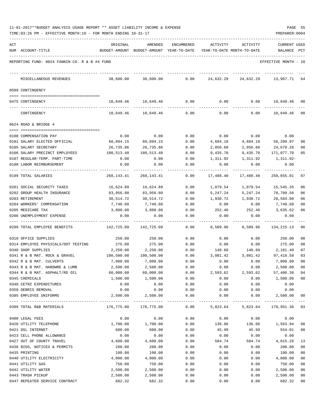| 11-01-2017**BUDGET ANALYSIS USAGE REPORT ** ASSET LIABILITY INCOME & EXPENSE |  |  |  |  | PAGE |  |
|------------------------------------------------------------------------------|--|--|--|--|------|--|
|                                                                              |  |  |  |  |      |  |

| ACT                                           | ORIGINAL   | AMENDED                                  | <b>ENCUMBERED</b>     | ACTIVITY              | <b>ACTIVITY</b>            | <b>CURRENT USED</b>        |                |
|-----------------------------------------------|------------|------------------------------------------|-----------------------|-----------------------|----------------------------|----------------------------|----------------|
| NUM ACCOUNT-TITLE                             |            | BUDGET-AMOUNT BUDGET-AMOUNT YEAR-TO-DATE |                       |                       | YEAR-TO-DATE MONTH-TO-DATE | BALANCE                    | PCT            |
| REPORTING FUND: 0024 FANNIN CO. R & B #4 FUND |            |                                          |                       |                       |                            | EFFECTIVE MONTH - 10       |                |
| MISCELLANEOUS REVENUES                        | 38,600.00  | 38,600.00                                | 0.00                  | 24,632.29             | 24,632.29                  | 13,967.71                  | 64             |
|                                               |            |                                          |                       |                       |                            |                            |                |
| 0509 CONTINGENCY                              |            |                                          |                       |                       |                            |                            |                |
| 0475 CONTINGENCY                              | 10,649.46  | 10,649.46                                | 0.00                  | 0.00                  |                            | $0.00$ 10,649.46           | 00             |
| CONTINGENCY                                   | 10,649.46  | 10,649.46                                | 0.00                  | 0.00                  | 0.00                       | 10,649.46                  | 00             |
| 0624 ROAD & BRIDGE 4                          |            |                                          |                       |                       |                            |                            |                |
|                                               |            |                                          |                       |                       |                            |                            |                |
| 0100 COMPENSATION PAY                         | 0.00       | 0.00                                     | 0.00                  | 0.00                  | 0.00                       | 0.00                       |                |
| 0101 SALARY ELECTED OFFICIAL                  | 60,894.15  | 60,894.15                                | 0.00                  | 4,684.18              | 4,684.18                   | 56,209.97                  | 08             |
| 0105 SALARY SECRETARY                         | 26,735.86  | 26,735.86                                | 0.00                  | 2,056.60              | 2,056.60                   | 24,679.26                  | 08             |
| 0106 SALARY PRECINCT EMPLOYEES                | 180,513.40 | 180,513.40                               | 0.00                  | 9,435.70              | 9,435.70                   | 171,077.70                 | 05             |
| 0107 REGULAR-TEMP. PART-TIME                  | 0.00       | 0.00                                     | 0.00                  | 1,311.92              | 1,311.92                   | 1,311.92-                  |                |
| 0108 LABOR REIMBURSEMENT                      | 0.00       | 0.00                                     | 0.00                  | 0.00                  | 0.00                       | 0.00                       |                |
| 0199 TOTAL SALARIES                           | 268,143.41 | 268, 143. 41                             | 0.00                  | 17,488.40             | 17,488.40                  | 250,655.01                 | 07             |
| 0201 SOCIAL SECURITY TAXES                    | 16,624.89  | 16,624.89                                | 0.00                  | 1,079.54              | 1,079.54                   | 15,545.35                  | 06             |
| 0202 GROUP HEALTH INSURANCE                   | 83,956.80  | 83,956.80                                | 0.00                  | 5,247.24              | 5,247.24                   | 78,709.56                  | 06             |
| 0203 RETIREMENT                               | 30,514.72  | 30,514.72                                | 0.00                  | 1,930.72              | 1,930.72                   | 28,584.00                  | 06             |
| 0204 WORKERS' COMPENSATION                    | 7,740.60   | 7,740.60                                 | 0.00                  | 0.00                  | 0.00                       | 7,740.60                   | 00             |
| 0205 MEDICARE TAX                             | 3,888.08   | 3,888.08                                 | 0.00                  | 252.46                | 252.46                     | 3,635.62                   | 06             |
| 0206 UNEMPLOYMENT EXPENSE                     | 0.00       | 0.00                                     | 0.00                  | 0.00                  | 0.00                       | 0.00                       |                |
| 0299 TOTAL EMPLOYEE BENEFITS                  | 142,725.09 | 142,725.09                               | 0.00                  | 8,509.96              | 8,509.96                   | 134, 215. 13               | 06             |
| 0310 OFFICE SUPPLIES                          | 250.00     | 250.00                                   | 0.00                  | 0.00                  | 0.00                       | 250.00                     | 00             |
| 0314 EMPLOYEE PHYSICALS/DOT TESTING           | 275.00     | 275.00                                   | 0.00                  | 0.00                  | 0.00                       | 275.00                     | 0 <sub>0</sub> |
| 0340 SHOP SUPPLIES                            | 2,250.00   | 2,250.00                                 | 0.00                  | 148.60                | 148.60                     | 2,101.40                   | 07             |
| 0341 R & B MAT. ROCK & GRAVEL                 | 100,500.00 | 100,500.00                               | 0.00                  | 3,081.42              | 3,081.42                   | 97, 418.58                 | 03             |
| 0342 R & B MAT. CULVERTS                      | 7,000.00   | 7,000.00                                 | 0.00                  | 0.00                  | 0.00                       | 7,000.00                   | 0 <sub>0</sub> |
| 0343 R & B MAT, HARDWRE & LUMB                | 2,500.00   | 2,500.00                                 | 0.00                  | 0.00                  | 0.00                       | 2,500.00                   | 00             |
| 0344 R & B MAT. ASPHALT/RD OIL                | 60,000.00  | 60,000.00                                | 0.00                  | 2,593.62              | 2,593.62                   | 57,406.38                  | 04             |
| 0345 CHEMICALS                                | 1,500.00   | 1,500.00                                 | 0.00                  | 0.00                  | 0.00                       | 1,500.00                   | 0 <sub>0</sub> |
| 0346 CETRZ EXPENDITURES                       | 0.00       | 0.00                                     | 0.00                  | 0.00                  | 0.00                       | 0.00                       |                |
| 0350 DEBRIS REMOVAL                           | 0.00       | 0.00                                     | 0.00                  | 0.00                  | 0.00                       | 0.00                       |                |
| 0395 EMPLOYEE UNIFORMS                        | 2,500.00   | 2,500.00                                 | 0.00                  | 0.00                  | 0.00                       | 2,500.00                   | 00             |
| 0399 TOTAL R&B MATERIALS                      | 176,775.00 | _____________<br>176,775.00              | _____________<br>0.00 | ---------<br>5,823.64 | ------------<br>5,823.64   | ------------<br>170,951.36 | 03             |
| 0400 LEGAL FEES                               | 0.00       | 0.00                                     | 0.00                  | 0.00                  | 0.00                       | 0.00                       |                |
| 0420 UTILITY TELEPHONE                        | 1,700.00   | 1,700.00                                 | 0.00                  | 136.06                | 136.06                     | 1,563.94                   | 08             |
| 0421 DSL INTERNET                             | 600.00     | 600.00                                   | 0.00                  | 45.99                 | 45.99                      | 554.01                     | 08             |
| 0423 CELL PHONE ALLOWANCE                     | 0.00       | 0.00                                     | 0.00                  | 0.00                  | 0.00                       | 0.00                       |                |
| 0427 OUT OF COUNTY TRAVEL                     | 4,600.00   | 4,600.00                                 | 0.00                  | 584.74                | 584.74                     | 4,015.26                   | 13             |
| 0430 BIDS, NOTICES & PERMITS                  | 200.00     | 200.00                                   | 0.00                  | 0.00                  | 0.00                       | 200.00                     | 0 <sub>0</sub> |
| 0435 PRINTING                                 | 100.00     | 100.00                                   | 0.00                  | 0.00                  | 0.00                       | 100.00                     | 0 <sub>0</sub> |
| 0440 UTILITY ELECTRICITY                      | 4,000.00   | 4,000.00                                 | 0.00                  | 0.00                  | 0.00                       | 4,000.00                   | 0 <sub>0</sub> |
| 0441 UTILITY GAS                              | 750.00     | 750.00                                   | 0.00                  | 0.00                  | 0.00                       | 750.00                     | 0 <sub>0</sub> |
| 0442 UTILITY WATER                            | 2,500.00   | 2,500.00                                 | 0.00                  | 0.00                  | 0.00                       | 2,500.00                   | 0 <sub>0</sub> |
| 0443 TRASH PICKUP                             | 2,500.00   | 2,500.00                                 | 0.00                  | 0.00                  | 0.00                       | 2,500.00                   | 0 <sub>0</sub> |
| 0447 REPEATER SERVICE CONTRACT                | 682.32     | 682.32                                   | 0.00                  | 0.00                  | 0.00                       | 682.32                     | 0 <sub>0</sub> |
|                                               |            |                                          |                       |                       |                            |                            |                |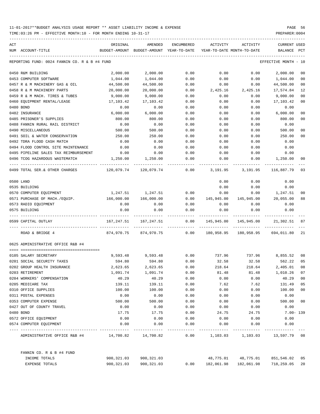| ACT |                                               | ORIGINAL   | AMENDED                                  | <b>ENCUMBERED</b> | ACTIVITY                   | ACTIVITY                           | CURRENT USED         |                |
|-----|-----------------------------------------------|------------|------------------------------------------|-------------------|----------------------------|------------------------------------|----------------------|----------------|
|     | NUM ACCOUNT-TITLE                             |            | BUDGET-AMOUNT BUDGET-AMOUNT YEAR-TO-DATE |                   | YEAR-TO-DATE MONTH-TO-DATE |                                    | BALANCE              | PCT            |
|     | REPORTING FUND: 0024 FANNIN CO. R & B #4 FUND |            |                                          |                   |                            |                                    | EFFECTIVE MONTH - 10 |                |
|     | 0450 R&M BUILDING                             | 2,000.00   | 2,000.00                                 | 0.00              | 0.00                       | 0.00                               | 2,000.00             | 00             |
|     | 0453 COMPUTER SOFTWARE                        | 1,044.00   | 1,044.00                                 | 0.00              | 0.00                       | 0.00                               | 1,044.00             | 00             |
|     | 0457 R & M MACHINERY GAS & OIL                | 44,500.00  | 44,500.00                                | 0.00              | 0.00                       | 0.00                               | 44,500.00            | 0 <sub>0</sub> |
|     | 0458 R & M MACHINERY PARTS                    | 20,000.00  | 20,000.00                                | 0.00              | 2,425.16                   | 2,425.16                           | 17,574.84            | 12             |
|     | 0459 R & M MACH. TIRES & TUBES                | 9,000.00   | 9,000.00                                 | 0.00              | 0.00                       | 0.00                               | 9,000,00             | 0 <sub>0</sub> |
|     | 0460 EQUIPMENT RENTAL/LEASE                   | 17,103.42  | 17,103.42                                | 0.00              | 0.00                       | 0.00                               | 17,103.42            | 00             |
|     | 0480 BOND                                     | 0.00       | 0.00                                     | 0.00              | 0.00                       | 0.00                               | 0.00                 |                |
|     | 0482 INSURANCE                                | 6,000.00   | 6,000.00                                 | 0.00              | 0.00                       | 0.00                               | 6,000.00             | 0 <sub>0</sub> |
|     | 0485 PRISONER'S SUPPLIES                      | 800.00     | 800.00                                   | 0.00              | 0.00                       | 0.00                               | 800.00               | 0 <sub>0</sub> |
|     | 0488 FANNIN RURAL RAIL DISTRICT               | 0.00       | 0.00                                     | 0.00              | 0.00                       | 0.00                               | 0.00                 |                |
|     | 0490 MISCELLANEOUS                            | 500.00     | 500.00                                   | 0.00              | 0.00                       | 0.00                               | 500.00               | 0 <sup>0</sup> |
|     | 0491 SOIL & WATER CONSERVATION                | 250.00     | 250.00                                   | 0.00              | 0.00                       | 0.00                               | 250.00               | 00             |
|     | 0492 TDRA FLOOD CASH MATCH                    | 0.00       | 0.00                                     | 0.00              | 0.00                       | 0.00                               | 0.00                 |                |
|     | 0494 FLOOD CONTROL SITE MAINTENANCE           | 0.00       | 0.00                                     | 0.00              | 0.00                       | 0.00                               | 0.00                 |                |
|     | 0495 PIPELINE SALES TAX REIMBURSEMENT         | 0.00       | 0.00                                     | 0.00              | 0.00                       | 0.00                               | 0.00                 |                |
|     | 0496 TCOG HAZARDOUS WASTEMATCH                | 1,250.00   | 1,250.00                                 | 0.00              | 0.00                       | 0.00                               | 1,250.00             | 00             |
|     | 0499 TOTAL SER.& OTHER CHARGES                |            |                                          | 0.00              | 3,191.95                   | 3,191.95                           | 116,887.79           | 03             |
|     | 0500 LAND                                     |            |                                          |                   | 0.00                       | 0.00                               | 0.00                 |                |
|     | 0535 BUILDING                                 |            |                                          |                   | 0.00                       | 0.00                               | 0.00                 |                |
|     | 0570 COMPUTER EQUIPMENT                       |            | 1,247.51 1,247.51                        | 0.00              | 0.00                       | 0.00                               | 1,247.51             | 0 <sub>0</sub> |
|     | 0571 PURCHASE OF MACH./EQUIP.                 | 166,000.00 | 166,000.00                               | 0.00              | 145,945.00                 | 145,945.00                         | 20,055.00            | 88             |
|     | 0573 RADIO EQUIPMENT                          | 0.00       | 0.00                                     | 0.00              | 0.00                       | 0.00                               | 0.00                 |                |
|     | 0575 BUILDING                                 | 0.00       | 0.00                                     | 0.00              | 0.00                       | 0.00                               | 0.00                 |                |
|     | 0599 CAPITAL OUTLAY                           | 167,247.51 | 167,247.51                               | 0.00              | 145,945.00                 | 145,945.00                         | 21,302.51            | 87             |
|     | ROAD & BRIDGE 4                               | 874,970.75 | 874,970.75                               | 0.00              |                            | 180,958.95  180,958.95  694,011.80 |                      | -21            |
|     | 0625 ADMINISTRATIVE OFFICE R&B #4             |            |                                          |                   |                            |                                    |                      |                |
|     | 0105 SALARY SECRETARY                         | 9,593.48   | 9,593.48                                 | 0.00              | 737.96                     | 737.96                             | 8,855.52             | 08             |
|     | 0201 SOCIAL SECURITY TAXES                    | 594.80     | 594.80                                   | 0.00              | 32.58                      | 32.58                              | 562.22               | 05             |
|     | 0202 GROUP HEALTH INSURANCE                   | 2,623.65   | 2,623.65                                 | 0.00              | 218.64                     | 218.64                             | 2,405.01             | 08             |
|     | 0203 RETIREMENT                               | 1,091.74   | 1,091.74                                 | 0.00              | 81.48                      | 81.48                              | 1,010.26             | 07             |
|     | 0204 WORKERS' COMPENSATION                    | 40.29      | 40.29                                    | 0.00              | 0.00                       | 0.00                               | 40.29                | 00             |
|     | 0205 MEDICARE TAX                             | 139.11     | 139.11                                   | 0.00              | 7.62                       | 7.62                               | 131.49               | 05             |
|     | 0310 OFFICE SUPPLIES                          | 100.00     | 100.00                                   | 0.00              | 0.00                       | 0.00                               | 100.00               | 00             |
|     | 0311 POSTAL EXPENSES                          | 0.00       | 0.00                                     | 0.00              | 0.00                       | 0.00                               | 0.00                 |                |
|     | 0353 COMPUTER EXPENSE                         | 500.00     | 500.00                                   | 0.00              | 0.00                       | 0.00                               | 500.00               | 00             |
|     | 0427 OUT OF COUNTY TRAVEL                     | 0.00       | 0.00                                     | 0.00              | 0.00                       | 0.00                               | 0.00                 |                |
|     | 0480 BOND                                     | 17.75      | 17.75                                    | 0.00              | 24.75                      | 24.75                              | $7.00 - 139$         |                |
|     | 0572 OFFICE EQUIPMENT                         | 0.00       | 0.00                                     | 0.00              | 0.00                       | 0.00                               | 0.00                 |                |
|     | 0574 COMPUTER EQUIPMENT                       | 0.00       | 0.00                                     | 0.00              | 0.00                       | 0.00                               | 0.00                 |                |
|     | ADMINISTRATIVE OFFICE R&B #4 14,700.82        |            | 14,700.82                                | 0.00              |                            | 1,103.03 1,103.03                  | 13,597.79 08         |                |
|     | FANNIN CO. R & B #4 FUND                      |            |                                          |                   |                            |                                    |                      |                |
|     | INCOME TOTALS                                 | 900,321.03 | 900, 321.03                              |                   | 48,775.01                  | 48,775.01                          | 851,546.02 05        |                |
|     | EXPENSE TOTALS                                | 900,321.03 | 900, 321.03                              | 0.00              | 182,061.98                 | 182,061.98                         | 718,259.05           | 20             |
|     |                                               |            |                                          |                   |                            |                                    |                      |                |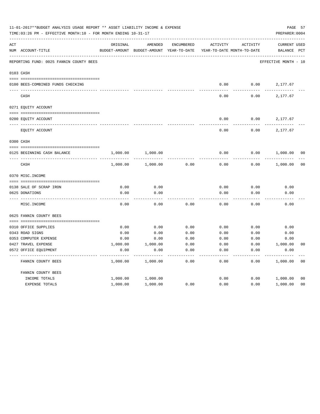|     | 11-01-2017**BUDGET ANALYSIS USAGE REPORT ** ASSET LIABILITY INCOME & EXPENSE<br>TIME: 03:26 PM - EFFECTIVE MONTH: 10 - FOR MONTH ENDING 10-31-17 |               |               |                   |                            |          | PREPARER: 0004       | PAGE 57        |
|-----|--------------------------------------------------------------------------------------------------------------------------------------------------|---------------|---------------|-------------------|----------------------------|----------|----------------------|----------------|
| ACT |                                                                                                                                                  | ORIGINAL      | AMENDED       | <b>ENCUMBERED</b> | ACTIVITY                   | ACTIVITY | <b>CURRENT USED</b>  |                |
|     | NUM ACCOUNT-TITLE                                                                                                                                | BUDGET-AMOUNT | BUDGET-AMOUNT | YEAR-TO-DATE      | YEAR-TO-DATE MONTH-TO-DATE |          | BALANCE              | $_{\rm PCT}$   |
|     | REPORTING FUND: 0025 FANNIN COUNTY BEES                                                                                                          |               |               |                   |                            |          | EFFECTIVE MONTH - 10 |                |
|     | 0103 CASH                                                                                                                                        |               |               |                   |                            |          |                      |                |
|     | 0100 BEES-COMBINED FUNDS CHECKING                                                                                                                |               |               |                   | 0.00                       | 0.00     | 2,177.67             |                |
|     | CASH                                                                                                                                             |               |               |                   | 0.00                       | 0.00     | 2,177.67             |                |
|     | 0271 EQUITY ACCOUNT                                                                                                                              |               |               |                   |                            |          |                      |                |
|     | 0200 EQUITY ACCOUNT                                                                                                                              |               |               |                   | 0.00                       | 0.00     | 2,177.67             |                |
|     | EQUITY ACCOUNT                                                                                                                                   |               |               |                   | 0.00                       | 0.00     | 2,177.67             |                |
|     | 0300 CASH                                                                                                                                        |               |               |                   |                            |          |                      |                |
|     | 0125 BEGINNING CASH BALANCE                                                                                                                      | 1,000.00      | 1,000.00      |                   | 0.00                       | 0.00     | 1,000.00             | 00             |
|     | CASH                                                                                                                                             | 1,000.00      | 1,000.00      | 0.00              | 0.00                       | 0.00     | 1,000.00             | 0 <sub>0</sub> |
|     | 0370 MISC. INCOME                                                                                                                                |               |               |                   |                            |          |                      |                |
|     | 0138 SALE OF SCRAP IRON                                                                                                                          | 0.00          | 0.00          |                   | 0.00                       | 0.00     | 0.00                 |                |
|     | 0625 DONATIONS                                                                                                                                   | 0.00          | 0.00          |                   | 0.00                       | 0.00     | 0.00                 |                |
|     | MISC. INCOME                                                                                                                                     | 0.00          | 0.00          | 0.00              | 0.00                       | 0.00     | 0.00                 |                |
|     | 0625 FANNIN COUNTY BEES                                                                                                                          |               |               |                   |                            |          |                      |                |
|     | 0310 OFFICE SUPPLIES                                                                                                                             | 0.00          | 0.00          | 0.00              | 0.00                       | 0.00     | 0.00                 |                |
|     | 0343 ROAD SIGNS                                                                                                                                  | 0.00          | 0.00          | 0.00              | 0.00                       | 0.00     | 0.00                 |                |
|     | 0353 COMPUTER EXPENSE                                                                                                                            | 0.00          | 0.00          | 0.00              | 0.00                       | 0.00     | 0.00                 |                |
|     | 0427 TRAVEL EXPENSE                                                                                                                              | 1,000.00      | 1,000.00      | 0.00              | 0.00                       | 0.00     | 1,000.00             | 0 <sub>0</sub> |
|     | 0572 OFFICE EQUIPMENT                                                                                                                            | 0.00          | 0.00          | 0.00              | 0.00                       | 0.00     | 0.00                 |                |
|     | FANNIN COUNTY BEES                                                                                                                               | 1,000.00      | 1,000.00      | 0.00              | 0.00                       | 0.00     | 1,000.00             | 0 <sub>0</sub> |
|     | FANNIN COUNTY BEES                                                                                                                               |               |               |                   |                            |          |                      |                |
|     | INCOME TOTALS                                                                                                                                    | 1,000.00      | 1,000.00      |                   | 0.00                       | 0.00     | 1,000.00             | 0 <sub>0</sub> |
|     | EXPENSE TOTALS                                                                                                                                   | 1,000.00      | 1,000.00      | 0.00              | 0.00                       | 0.00     | 1,000.00             | 0 <sub>0</sub> |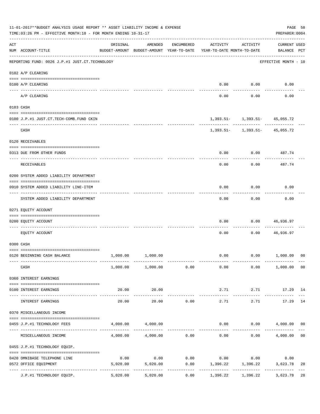|     | 11-01-2017**BUDGET ANALYSIS USAGE REPORT ** ASSET LIABILITY INCOME & EXPENSE<br>TIME: 03:26 PM - EFFECTIVE MONTH: 10 - FOR MONTH ENDING 10-31-17 |          |                                                     |             |                                                   |                                                                      | PAGE 58<br>PREPARER: 0004          |                |
|-----|--------------------------------------------------------------------------------------------------------------------------------------------------|----------|-----------------------------------------------------|-------------|---------------------------------------------------|----------------------------------------------------------------------|------------------------------------|----------------|
| ACT | NUM ACCOUNT-TITLE                                                                                                                                | ORIGINAL | AMENDED<br>BUDGET-AMOUNT BUDGET-AMOUNT YEAR-TO-DATE | ENCUMBERED  | ACTIVITY<br>YEAR-TO-DATE MONTH-TO-DATE            | ACTIVITY                                                             | <b>CURRENT USED</b><br>BALANCE PCT |                |
|     | REPORTING FUND: 0026 J.P.#1 JUST.CT.TECHNOLOGY                                                                                                   |          |                                                     |             |                                                   |                                                                      | EFFECTIVE MONTH - 10               |                |
|     | 0102 A/P CLEARING                                                                                                                                |          |                                                     |             |                                                   |                                                                      |                                    |                |
|     | 0100 A/P CLEARING                                                                                                                                |          |                                                     |             | 0.00                                              | 0.00                                                                 | 0.00                               |                |
|     | ---- ---------<br>A/P CLEARING                                                                                                                   |          |                                                     |             | 0.00                                              | 0.00                                                                 | 0.00                               |                |
|     | 0103 CASH                                                                                                                                        |          |                                                     |             |                                                   |                                                                      |                                    |                |
|     | 0100 J.P.#1 JUST.CT.TECH-COMB.FUND CKIN                                                                                                          |          |                                                     |             |                                                   | $1,393.51 - 1,393.51 - 45,055.72$<br>-------- ------------ --------- |                                    |                |
|     | CASH                                                                                                                                             |          |                                                     |             |                                                   | $1,393.51 - 1,393.51 - 45,055.72$                                    |                                    |                |
|     | 0120 RECEIVABLES                                                                                                                                 |          |                                                     |             |                                                   |                                                                      |                                    |                |
|     | 0313 DUE FROM OTHER FUNDS                                                                                                                        |          |                                                     |             | 0.00                                              | 0.00                                                                 | 487.74                             |                |
|     | RECEIVABLES                                                                                                                                      |          |                                                     |             | 0.00                                              | 0.00                                                                 | 487.74                             |                |
|     | 0200 SYSTEM ADDED LIABILITY DEPARTMENT                                                                                                           |          |                                                     |             |                                                   |                                                                      |                                    |                |
|     | 0910 SYSTEM ADDED LIABILITY LINE-ITEM                                                                                                            |          |                                                     |             | 0.00                                              | 0.00                                                                 | 0.00                               |                |
|     | SYSTEM ADDED LIABILITY DEPARTMENT                                                                                                                |          |                                                     |             | 0.00                                              | 0.00                                                                 | 0.00                               |                |
|     | 0271 EQUITY ACCOUNT                                                                                                                              |          |                                                     |             |                                                   |                                                                      |                                    |                |
|     | 0200 EQUITY ACCOUNT                                                                                                                              |          |                                                     |             | 0.00                                              | 0.00                                                                 | 46,936.97                          |                |
|     | EQUITY ACCOUNT                                                                                                                                   |          |                                                     |             | 0.00                                              | 0.00                                                                 | 46,936.97                          |                |
|     | 0300 CASH                                                                                                                                        |          |                                                     |             |                                                   |                                                                      |                                    |                |
|     | 0126 BEGINNING CASH BALANCE                                                                                                                      | 1,000.00 | 1,000.00                                            |             | 0.00                                              | 0.00 1,000.00                                                        |                                    | 0 <sup>0</sup> |
|     | CASH                                                                                                                                             |          | $1,000.00$ $1,000.00$ $0.00$                        |             |                                                   | $0.00$ 0.00                                                          | 1,000.00 00                        |                |
|     | 0360 INTEREST EARNINGS                                                                                                                           |          |                                                     |             |                                                   |                                                                      |                                    |                |
|     | 0100 INTEREST EARNINGS                                                                                                                           | 20.00    | 20.00                                               |             |                                                   | 2.71 2.71 17.29 14                                                   |                                    |                |
|     | INTEREST EARNINGS                                                                                                                                | 20.00    | -------------<br>20.00                              | 0.00        | 2.71                                              | 2.71                                                                 | 17.29                              | 14             |
|     | 0370 MISCELLANEOUS INCOME                                                                                                                        |          |                                                     |             |                                                   |                                                                      |                                    |                |
|     | 0455 J.P.#1 TECHNOLOGY FEES                                                                                                                      |          | 4,000.00 4,000.00                                   |             |                                                   | $0.00$ $0.00$ $4,000.00$ 00                                          |                                    |                |
|     | ------------------ -------<br>MISCELLANEOUS INCOME                                                                                               |          |                                                     |             | $4,000.00$ $4,000.00$ $0.00$ $0.00$ $0.00$ $0.00$ | ----------                                                           | 4,000.00                           | 0 <sub>0</sub> |
|     | 0455 J.P.#1 TECHNOLOGY EQUIP.                                                                                                                    |          |                                                     |             |                                                   |                                                                      |                                    |                |
|     | 0420 OMNIBASE TELEPHONE LINE                                                                                                                     | 0.00     |                                                     |             | $0.00$ $0.00$ $0.00$ $0.00$ $0.00$ $0.00$         |                                                                      | 0.00                               |                |
|     | 0572 OFFICE EQUIPMENT                                                                                                                            | 5,020.00 | 5,020.00<br>-------------                           | ----------- | $0.00$ 1,396.22 1,396.22 3,623.78                 |                                                                      |                                    | 28             |
|     | J.P.#1 TECHNOLOGY EQUIP.                                                                                                                         | 5,020.00 | 5,020.00                                            | 0.00        | 1,396.22                                          | 1,396.22                                                             | 3,623.78                           | 28             |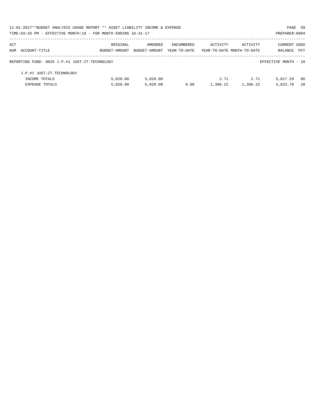| 11-01-2017**BUDGET ANALYSIS USAGE REPORT ** ASSET LIABILITY INCOME & EXPENSE |               |               |                   |          |                            | PAGE 59              |      |
|------------------------------------------------------------------------------|---------------|---------------|-------------------|----------|----------------------------|----------------------|------|
| TIME: 03:26 PM - EFFECTIVE MONTH: 10 - FOR MONTH ENDING 10-31-17             |               |               |                   |          |                            | PREPARER: 0004       |      |
| ACT                                                                          | ORIGINAL      | AMENDED       | <b>ENCUMBERED</b> | ACTIVITY | ACTIVITY                   | <b>CURRENT USED</b>  |      |
| NUM ACCOUNT-TITLE                                                            | BUDGET-AMOUNT | BUDGET-AMOUNT | YEAR-TO-DATE      |          | YEAR-TO-DATE MONTH-TO-DATE | BALANCE              | PCT  |
| REPORTING FUND: 0026 J.P.#1 JUST.CT.TECHNOLOGY                               |               |               |                   |          |                            | EFFECTIVE MONTH - 10 |      |
| J.P.#1 JUST.CT.TECHNOLOGY                                                    |               |               |                   |          |                            |                      |      |
| INCOME TOTALS                                                                | 5.020.00      | 5,020.00      |                   | 2.71     | 2.71                       | 5,017.29             | - 00 |
| EXPENSE TOTALS                                                               | 5.020.00      | 5.020.00      | 0.00              | 1.396.22 | 1,396.22                   | 3,623.78             | 28   |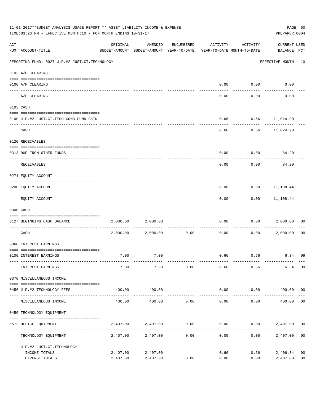|     | 11-01-2017**BUDGET ANALYSIS USAGE REPORT ** ASSET LIABILITY INCOME & EXPENSE<br>TIME:03:26 PM - EFFECTIVE MONTH:10 - FOR MONTH ENDING 10-31-17 |                                         |                                                                                |            |          |                  | PREPARER: 0004                     | PAGE 60        |
|-----|------------------------------------------------------------------------------------------------------------------------------------------------|-----------------------------------------|--------------------------------------------------------------------------------|------------|----------|------------------|------------------------------------|----------------|
| ACT | NUM ACCOUNT-TITLE                                                                                                                              | ORIGINAL                                | AMENDED<br>BUDGET-AMOUNT BUDGET-AMOUNT YEAR-TO-DATE YEAR-TO-DATE MONTH-TO-DATE | ENCUMBERED | ACTIVITY | ACTIVITY         | <b>CURRENT USED</b><br>BALANCE PCT |                |
|     | REPORTING FUND: 0027 J.P.#2 JUST.CT.TECHNOLOGY                                                                                                 |                                         |                                                                                |            |          |                  | EFFECTIVE MONTH - 10               |                |
|     | 0102 A/P CLEARING                                                                                                                              |                                         |                                                                                |            |          |                  |                                    |                |
|     | 0100 A/P CLEARING                                                                                                                              |                                         |                                                                                |            |          | $0.00$ $0.00$    | 0.00                               |                |
|     | A/P CLEARING                                                                                                                                   |                                         |                                                                                |            | 0.00     | 0.00             | 0.00                               |                |
|     | 0103 CASH                                                                                                                                      |                                         |                                                                                |            |          |                  |                                    |                |
|     | 0100 J.P.#2 JUST.CT.TECH-COMB.FUND CKIN                                                                                                        |                                         |                                                                                |            |          |                  | $0.66$ $0.66$ $11,024.90$          |                |
|     | CASH                                                                                                                                           |                                         |                                                                                |            | 0.66     | . <u>.</u>       | $0.66$ 11,024.90                   |                |
|     | 0120 RECEIVABLES                                                                                                                               |                                         |                                                                                |            |          |                  |                                    |                |
|     | 0313 DUE FROM OTHER FUNDS                                                                                                                      |                                         |                                                                                |            | 0.00     |                  | 0.00<br>84.20                      |                |
|     | RECEIVABLES                                                                                                                                    |                                         |                                                                                |            | 0.00     | 0.00             | 84.20                              |                |
|     | 0271 EQUITY ACCOUNT                                                                                                                            |                                         |                                                                                |            |          |                  |                                    |                |
|     | 0200 EQUITY ACCOUNT                                                                                                                            |                                         |                                                                                |            | 0.00     |                  | $0.00$ 11,108.44                   |                |
|     | EQUITY ACCOUNT                                                                                                                                 |                                         |                                                                                |            | 0.00     | ---------        | -----------<br>$0.00$ 11,108.44    |                |
|     | 0300 CASH                                                                                                                                      |                                         |                                                                                |            |          |                  |                                    |                |
|     | 0127 BEGINNING CASH BALANCE                                                                                                                    |                                         | 2,000.00 2,000.00                                                              |            | 0.00     |                  | 0.00<br>2,000.00                   | 00             |
|     | ----------------------------- -----<br>CASH                                                                                                    |                                         | 2,000.00 2,000.00                                                              | 0.00       | 0.00     | 0.00             | 2,000.00                           | 0 <sub>0</sub> |
|     | 0360 INTEREST EARNINGS                                                                                                                         |                                         |                                                                                |            |          |                  |                                    |                |
|     | 0100 INTEREST EARNINGS                                                                                                                         | 7.00                                    | 7.00                                                                           |            |          | $0.66$ 0.66      | 6.34                               | 09             |
|     |                                                                                                                                                |                                         |                                                                                |            |          |                  |                                    |                |
|     | INTEREST EARNINGS                                                                                                                              | 7.00                                    | 7.00                                                                           | 0.00       | 0.66     | 0.66             | 6.34                               | 09             |
|     | 0370 MISCELLANEOUS INCOME                                                                                                                      |                                         |                                                                                |            |          |                  |                                    |                |
|     | 0456 J.P.#2 TECHNOLOGY FEES                                                                                                                    | 400.00                                  | 400.00                                                                         |            | 0.00     | 0.00             | 400.00 00                          |                |
|     | MISCELLANEOUS INCOME                                                                                                                           | -----------------------------<br>400.00 | -----------<br>400.00                                                          | 0.00       | 0.00     | --------<br>0.00 | 400.00                             | 0 <sub>0</sub> |
|     | 0456 TECHNOLOGY EQUIPMENT                                                                                                                      |                                         |                                                                                |            |          |                  |                                    |                |
|     | 0572 OFFICE EQUIPMENT                                                                                                                          | 2,407.00                                | 2,407.00                                                                       | 0.00       | 0.00     |                  | 0.00<br>2,407.00 00                |                |
|     | TECHNOLOGY EQUIPMENT                                                                                                                           | 2,407.00                                | 2,407.00                                                                       | 0.00       | 0.00     | 0.00             | 2,407.00                           | 0 <sub>0</sub> |
|     | J.P.#2 JUST.CT.TECHNOLOGY                                                                                                                      |                                         |                                                                                |            |          |                  |                                    |                |
|     | INCOME TOTALS                                                                                                                                  | 2,407.00                                | 2,407.00                                                                       |            | 0.66     | 0.66             | 2,406.34                           | 0 <sub>0</sub> |
|     | EXPENSE TOTALS                                                                                                                                 | 2,407.00                                | 2,407.00                                                                       | 0.00       | 0.00     | 0.00             | 2,407.00                           | 0 <sub>0</sub> |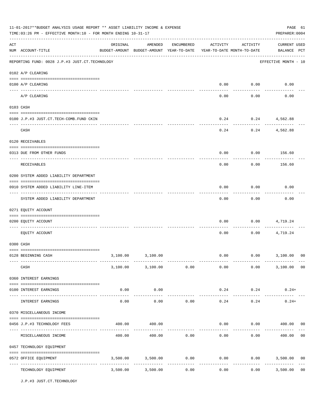|     | 11-01-2017**BUDGET ANALYSIS USAGE REPORT ** ASSET LIABILITY INCOME & EXPENSE<br>TIME: 03:26 PM - EFFECTIVE MONTH: 10 - FOR MONTH ENDING 10-31-17 |                                                                                 |                           |                       |          |                    | PAGE 61<br>PREPARER: 0004                           |
|-----|--------------------------------------------------------------------------------------------------------------------------------------------------|---------------------------------------------------------------------------------|---------------------------|-----------------------|----------|--------------------|-----------------------------------------------------|
| ACT | NUM ACCOUNT-TITLE                                                                                                                                | ORIGINAL<br>BUDGET-AMOUNT BUDGET-AMOUNT YEAR-TO-DATE YEAR-TO-DATE MONTH-TO-DATE | AMENDED                   | ENCUMBERED            | ACTIVITY | ACTIVITY           | <b>CURRENT USED</b><br>BALANCE PCT                  |
|     | -------------------------------------<br>REPORTING FUND: 0028 J.P.#3 JUST.CT.TECHNOLOGY                                                          |                                                                                 |                           |                       |          |                    | EFFECTIVE MONTH - 10                                |
|     | 0102 A/P CLEARING                                                                                                                                |                                                                                 |                           |                       |          |                    |                                                     |
|     | 0100 A/P CLEARING                                                                                                                                |                                                                                 |                           |                       | 0.00     | 0.00               | 0.00                                                |
|     | A/P CLEARING                                                                                                                                     |                                                                                 |                           |                       | 0.00     | 0.00               | 0.00                                                |
|     | 0103 CASH                                                                                                                                        |                                                                                 |                           |                       |          |                    |                                                     |
|     | 0100 J.P.#3 JUST.CT.TECH-COMB.FUND CKIN                                                                                                          |                                                                                 |                           |                       | 0.24     |                    | $0.24$ $4,562.88$                                   |
|     | CASH                                                                                                                                             |                                                                                 |                           |                       | 0.24     | ----------<br>0.24 | .<br>4,562.88                                       |
|     | 0120 RECEIVABLES                                                                                                                                 |                                                                                 |                           |                       |          |                    |                                                     |
|     | 0313 DUE FROM OTHER FUNDS                                                                                                                        |                                                                                 |                           |                       | 0.00     | 0.00               | 156.60                                              |
|     | RECEIVABLES                                                                                                                                      |                                                                                 |                           |                       | 0.00     | 0.00               | 156.60                                              |
|     | 0200 SYSTEM ADDED LIABILITY DEPARTMENT                                                                                                           |                                                                                 |                           |                       |          |                    |                                                     |
|     | 0910 SYSTEM ADDED LIABILITY LINE-ITEM                                                                                                            |                                                                                 |                           |                       | 0.00     | 0.00               | 0.00                                                |
|     | SYSTEM ADDED LIABILITY DEPARTMENT                                                                                                                |                                                                                 |                           |                       | 0.00     | 0.00               | 0.00                                                |
|     | 0271 EQUITY ACCOUNT                                                                                                                              |                                                                                 |                           |                       |          |                    |                                                     |
|     | 0200 EQUITY ACCOUNT                                                                                                                              |                                                                                 |                           |                       | 0.00     | 0.00               | 4,719.24                                            |
|     | EQUITY ACCOUNT                                                                                                                                   |                                                                                 |                           |                       | 0.00     | 0.00               | 4,719.24                                            |
|     | 0300 CASH                                                                                                                                        |                                                                                 |                           |                       |          |                    |                                                     |
|     | 0128 BEGINNING CASH                                                                                                                              | 3,100.00                                                                        | 3,100.00                  |                       |          |                    | $0.00$ $0.00$ $3,100.00$<br>00                      |
|     | CASH                                                                                                                                             |                                                                                 | 3,100.00 3,100.00 0.00    |                       |          | $0.00$ 0.00        | 3,100.00 00                                         |
|     | 0360 INTEREST EARNINGS                                                                                                                           |                                                                                 |                           |                       |          |                    |                                                     |
|     | 0100 INTEREST EARNINGS                                                                                                                           | 0.00                                                                            | 0.00                      |                       | 0.24     | 0.24               | $0.24+$                                             |
|     | INTEREST EARNINGS                                                                                                                                | .<br>0.00                                                                       | ----------<br>0.00        | 0.00                  | 0.24     | ----------<br>0.24 | $0.24+$                                             |
|     | 0370 MISCELLANEOUS INCOME                                                                                                                        |                                                                                 |                           |                       |          |                    |                                                     |
|     | 0456 J.P.#3 TECHNOLOGY FEES                                                                                                                      | 400.00                                                                          | 400.00                    |                       | 0.00     | 0.00               | 400.00 00                                           |
|     | MISCELLANEOUS INCOME                                                                                                                             | 400.00                                                                          | 400.00                    | 0.00                  | 0.00     | 0.00               | 400.00<br>0 <sub>0</sub>                            |
|     | 0457 TECHNOLOGY EQUIPMENT                                                                                                                        |                                                                                 |                           |                       |          |                    |                                                     |
|     | 0572 OFFICE EQUIPMENT                                                                                                                            | 3,500.00                                                                        | 3,500.00                  | 0.00                  | 0.00     |                    | 0.00<br>3,500.00 00                                 |
|     | TECHNOLOGY EQUIPMENT                                                                                                                             | 3,500.00                                                                        | -------------<br>3,500.00 | -------------<br>0.00 | 0.00     |                    | -------------<br>0 <sub>0</sub><br>0.00<br>3,500.00 |

J.P.#3 JUST.CT.TECHNOLOGY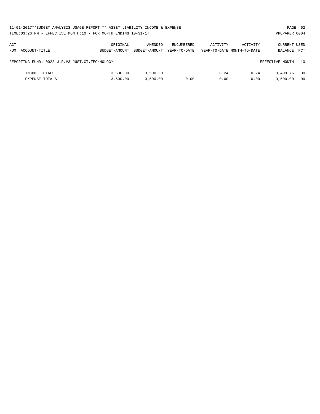|     | 11-01-2017**BUDGET ANALYSIS USAGE REPORT ** ASSET LIABILITY INCOME & EXPENSE |               |               |                   |          |                            |                      | PAGE 62        |
|-----|------------------------------------------------------------------------------|---------------|---------------|-------------------|----------|----------------------------|----------------------|----------------|
|     | TIME:03:26 PM - EFFECTIVE MONTH:10 - FOR MONTH ENDING 10-31-17               |               |               |                   |          |                            | PREPARER: 0004       |                |
|     |                                                                              |               |               |                   |          |                            |                      |                |
| ACT |                                                                              | ORIGINAL      | AMENDED       | <b>ENCUMBERED</b> | ACTIVITY | ACTIVITY                   | CURRENT USED         |                |
|     | NUM ACCOUNT-TITLE                                                            | BUDGET-AMOUNT | BUDGET-AMOUNT | YEAR-TO-DATE      |          | YEAR-TO-DATE MONTH-TO-DATE | BALANCE              | PCT            |
|     |                                                                              |               |               |                   |          |                            |                      |                |
|     | REPORTING FUND: 0028 J.P.#3 JUST.CT.TECHNOLOGY                               |               |               |                   |          |                            | EFFECTIVE MONTH - 10 |                |
|     |                                                                              |               |               |                   |          |                            |                      |                |
|     | INCOME TOTALS                                                                | 3.500.00      | 3,500.00      |                   | 0.24     | 0.24                       | 3,499.76             | 00             |
|     | <b>EXPENSE TOTALS</b>                                                        | 3.500.00      | 3.500.00      | 0.00              | 0.00     | 0.00                       | 3,500.00             | 0 <sub>0</sub> |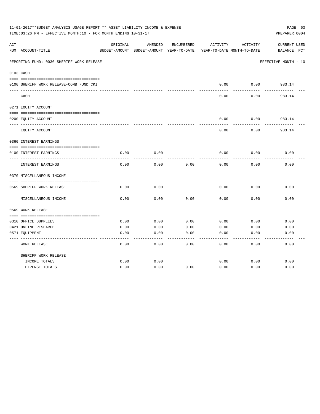|     | 11-01-2017**BUDGET ANALYSIS USAGE REPORT ** ASSET LIABILITY INCOME & EXPENSE<br>TIME:03:26 PM - EFFECTIVE MONTH:10 - FOR MONTH ENDING 10-31-17 |                   |                                                     |            |          |                                        | PAGE 63<br>PREPARER: 0004   |
|-----|------------------------------------------------------------------------------------------------------------------------------------------------|-------------------|-----------------------------------------------------|------------|----------|----------------------------------------|-----------------------------|
| ACT | NUM ACCOUNT-TITLE                                                                                                                              | ORIGINAL          | AMENDED<br>BUDGET-AMOUNT BUDGET-AMOUNT YEAR-TO-DATE | ENCUMBERED | ACTIVITY | ACTIVITY<br>YEAR-TO-DATE MONTH-TO-DATE | CURRENT USED<br>BALANCE PCT |
|     | REPORTING FUND: 0030 SHERIFF WORK RELEASE                                                                                                      | ----------------- |                                                     |            |          |                                        | EFFECTIVE MONTH - 10        |
|     | 0103 CASH                                                                                                                                      |                   |                                                     |            |          |                                        |                             |
|     |                                                                                                                                                |                   |                                                     |            |          |                                        |                             |
|     | 0100 SHERIFF WORK RELEASE-COMB FUND CKI                                                                                                        |                   |                                                     |            | 0.00     | 0.00                                   | 983.14                      |
|     | CASH                                                                                                                                           |                   |                                                     |            | 0.00     | 0.00                                   | 983.14                      |
|     | 0271 EQUITY ACCOUNT                                                                                                                            |                   |                                                     |            |          |                                        |                             |
|     | 0200 EQUITY ACCOUNT                                                                                                                            |                   |                                                     |            | 0.00     | 0.00                                   | 983.14                      |
|     | EQUITY ACCOUNT                                                                                                                                 |                   |                                                     |            | 0.00     | 0.00                                   | 983.14                      |
|     | 0360 INTEREST EARNINGS                                                                                                                         |                   |                                                     |            |          |                                        |                             |
|     |                                                                                                                                                |                   |                                                     |            |          |                                        |                             |
|     | 0100 INTEREST EARNINGS                                                                                                                         | 0.00              | 0.00                                                |            | 0.00     | 0.00                                   | 0.00                        |
|     | <b>INTEREST EARNINGS</b>                                                                                                                       | 0.00              | 0.00                                                | 0.00       | 0.00     | 0.00                                   | 0.00                        |
|     | 0370 MISCELLANEOUS INCOME                                                                                                                      |                   |                                                     |            |          |                                        |                             |
|     |                                                                                                                                                |                   |                                                     |            |          |                                        |                             |
|     | 0569 SHERIFF WORK RELEASE<br>-----------                                                                                                       | 0.00              | 0.00                                                |            | 0.00     | 0.00                                   | 0.00                        |
|     | MISCELLANEOUS INCOME                                                                                                                           | 0.00              | 0.00                                                | 0.00       | 0.00     | 0.00                                   | 0.00                        |
|     | 0569 WORK RELEASE                                                                                                                              |                   |                                                     |            |          |                                        |                             |
|     |                                                                                                                                                |                   |                                                     |            |          |                                        |                             |
|     | 0310 OFFICE SUPPLIES                                                                                                                           | 0.00              | 0.00                                                | 0.00       | 0.00     | 0.00                                   | 0.00                        |
|     | 0421 ONLINE RESEARCH                                                                                                                           | 0.00              | 0.00                                                | 0.00       | 0.00     | 0.00                                   | 0.00                        |
|     | 0571 EQUIPMENT                                                                                                                                 | 0.00              | 0.00                                                | 0.00       | 0.00     | 0.00                                   | 0.00                        |
|     | <b>WORK RELEASE</b>                                                                                                                            | 0.00              | 0.00                                                | 0.00       | 0.00     | 0.00                                   | 0.00                        |
|     | SHERIFF WORK RELEASE                                                                                                                           |                   |                                                     |            |          |                                        |                             |
|     | INCOME TOTALS                                                                                                                                  | 0.00              | 0.00                                                |            | 0.00     | 0.00                                   | 0.00                        |
|     | <b>EXPENSE TOTALS</b>                                                                                                                          | 0.00              | 0.00                                                | 0.00       | 0.00     | 0.00                                   | 0.00                        |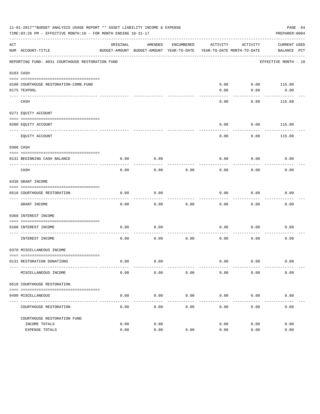|     | 11-01-2017**BUDGET ANALYSIS USAGE REPORT ** ASSET LIABILITY INCOME & EXPENSE<br>TIME: 03:26 PM - EFFECTIVE MONTH: 10 - FOR MONTH ENDING 10-31-17 |          |                                                     |               |              |                                        | PAGE 64<br>PREPARER: 0004          |  |
|-----|--------------------------------------------------------------------------------------------------------------------------------------------------|----------|-----------------------------------------------------|---------------|--------------|----------------------------------------|------------------------------------|--|
| ACT | NUM ACCOUNT-TITLE                                                                                                                                | ORIGINAL | AMENDED<br>BUDGET-AMOUNT BUDGET-AMOUNT YEAR-TO-DATE | ENCUMBERED    | ACTIVITY     | ACTIVITY<br>YEAR-TO-DATE MONTH-TO-DATE | <b>CURRENT USED</b><br>BALANCE PCT |  |
|     | REPORTING FUND: 0031 COURTHOUSE RESTORATION FUND                                                                                                 |          |                                                     |               |              |                                        | EFFECTIVE MONTH - 10               |  |
|     | 0103 CASH                                                                                                                                        |          |                                                     |               |              |                                        |                                    |  |
|     | 0100 COURTHOUSE RESTORATION-COMB.FUND<br>0175 TEXPOOL                                                                                            |          |                                                     |               | 0.00<br>0.00 | 0.00<br>0.00                           | 115.00<br>0.00                     |  |
|     | CASH                                                                                                                                             |          |                                                     |               | 0.00         | 0.00                                   | 115.00                             |  |
|     | 0271 EQUITY ACCOUNT                                                                                                                              |          |                                                     |               |              |                                        |                                    |  |
|     | 0200 EQUITY ACCOUNT                                                                                                                              |          |                                                     |               | 0.00         | 0.00                                   | 115.00                             |  |
|     | EQUITY ACCOUNT                                                                                                                                   |          |                                                     |               | 0.00         | 0.00                                   | 115.00                             |  |
|     | 0300 CASH                                                                                                                                        |          |                                                     |               |              |                                        |                                    |  |
|     | 0131 BEGINNING CASH BALANCE                                                                                                                      | 0.00     | 0.00                                                |               | 0.00         | 0.00                                   | 0.00                               |  |
|     | CASH                                                                                                                                             | 0.00     | 0.00                                                | 0.00          | 0.00         | 0.00                                   | 0.00                               |  |
|     | 0330 GRANT INCOME                                                                                                                                |          |                                                     |               |              |                                        |                                    |  |
|     | 0510 COURTHOUSE RESTORATION                                                                                                                      | 0.00     | 0.00                                                |               | 0.00         | 0.00                                   | 0.00                               |  |
|     | GRANT INCOME                                                                                                                                     | 0.00     | 0.00                                                | 0.00          | 0.00         | 0.00                                   | 0.00                               |  |
|     | 0360 INTEREST INCOME                                                                                                                             |          |                                                     |               |              |                                        |                                    |  |
|     |                                                                                                                                                  |          |                                                     |               |              |                                        |                                    |  |
|     | 0100 INTEREST INCOME                                                                                                                             | 0.00     | 0.00                                                |               | 0.00         | 0.00                                   | 0.00                               |  |
|     | INTEREST INCOME                                                                                                                                  | 0.00     | 0.00                                                | 0.00          | 0.00         | 0.00                                   | 0.00                               |  |
|     | 0370 MISCELLANEOUS INCOME                                                                                                                        |          |                                                     |               |              |                                        |                                    |  |
|     | 0131 RESTORATION DONATIONS                                                                                                                       | 0.00     | 0.00                                                |               | 0.00         | 0.00                                   | 0.00                               |  |
|     | MISCELLANEOUS INCOME                                                                                                                             | 0.00     | 0.00                                                | 0.00          | 0.00         | 0.00                                   | 0.00                               |  |
|     | 0510 COURTHOUSE RESTORATION                                                                                                                      |          |                                                     |               |              |                                        |                                    |  |
|     | 0490 MISCELLANEOUS<br>-------------------------------------                                                                                      | 0.00     | 0.00<br>$- - - - -$                                 | 0.00<br>----- | 0.00         | 0.00                                   | 0.00                               |  |
|     | COURTHOUSE RESTORATION                                                                                                                           | 0.00     | 0.00                                                | 0.00          | 0.00         | 0.00                                   | 0.00                               |  |
|     | COURTHOUSE RESTORATION FUND                                                                                                                      |          |                                                     |               |              |                                        |                                    |  |
|     | INCOME TOTALS                                                                                                                                    | 0.00     | 0.00                                                |               | 0.00         | 0.00                                   | 0.00                               |  |
|     | EXPENSE TOTALS                                                                                                                                   | 0.00     | 0.00                                                | 0.00          | 0.00         | 0.00                                   | 0.00                               |  |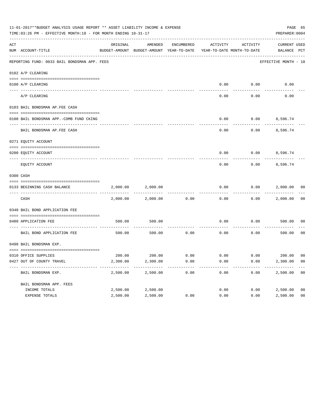|     | 11-01-2017**BUDGET ANALYSIS USAGE REPORT ** ASSET LIABILITY INCOME & EXPENSE<br>TIME: 03:26 PM - EFFECTIVE MONTH: 10 - FOR MONTH ENDING 10-31-17 |          |                                                     |            |                                        |          | PAGE 65<br>PREPARER: 0004   |                |
|-----|--------------------------------------------------------------------------------------------------------------------------------------------------|----------|-----------------------------------------------------|------------|----------------------------------------|----------|-----------------------------|----------------|
| ACT | NUM ACCOUNT-TITLE                                                                                                                                | ORIGINAL | AMENDED<br>BUDGET-AMOUNT BUDGET-AMOUNT YEAR-TO-DATE | ENCUMBERED | ACTIVITY<br>YEAR-TO-DATE MONTH-TO-DATE | ACTIVITY | CURRENT USED<br>BALANCE PCT |                |
|     | REPORTING FUND: 0033 BAIL BONDSMAN APP. FEES                                                                                                     |          |                                                     |            |                                        |          | EFFECTIVE MONTH - 10        |                |
|     | 0102 A/P CLEARING                                                                                                                                |          |                                                     |            |                                        |          |                             |                |
|     | 0100 A/P CLEARING                                                                                                                                |          |                                                     |            | 0.00                                   | 0.00     | 0.00                        |                |
|     | ---- --------<br>A/P CLEARING                                                                                                                    |          |                                                     |            | 0.00                                   | 0.00     | 0.00                        |                |
|     | 0103 BAIL BONDSMAN AP.FEE CASH                                                                                                                   |          |                                                     |            |                                        |          |                             |                |
|     | 0100 BAIL BONDSMAN APP.-COMB FUND CKING                                                                                                          |          |                                                     |            | 0.00                                   |          | $0.00$ 8,596.74             |                |
|     | BAIL BONDSMAN AP.FEE CASH                                                                                                                        |          |                                                     |            | 0.00                                   | 0.00     | 8,596.74                    |                |
|     | 0271 EQUITY ACCOUNT                                                                                                                              |          |                                                     |            |                                        |          |                             |                |
|     | 0200 EQUITY ACCOUNT                                                                                                                              |          |                                                     |            | 0.00                                   |          | $0.00$ 8,596.74             |                |
|     | EQUITY ACCOUNT                                                                                                                                   |          |                                                     |            | 0.00                                   | 0.00     | 8,596.74                    |                |
|     | 0300 CASH                                                                                                                                        |          |                                                     |            |                                        |          |                             |                |
|     | 0133 BEGINNING CASH BALANCE                                                                                                                      | 2,000.00 | 2,000.00                                            |            | 0.00                                   | 0.00     | 2,000.00 00                 |                |
|     | CASH                                                                                                                                             | 2,000.00 | 2,000.00                                            | 0.00       | 0.00                                   | 0.00     | 2,000.00                    | 00             |
|     | 0340 BAIL BOND APPLICATION FEE                                                                                                                   |          |                                                     |            |                                        |          |                             |                |
|     | 0480 APPLICATION FEE                                                                                                                             | 500.00   | 500.00                                              |            | 0.00                                   | 0.00     | 500.00                      | 00             |
|     | BAIL BOND APPLICATION FEE                                                                                                                        | 500.00   | 500.00                                              | 0.00       | 0.00                                   | 0.00     | 500.00                      | 0 <sub>0</sub> |
|     | 0498 BAIL BONDSMAN EXP.                                                                                                                          |          |                                                     |            |                                        |          |                             |                |
|     | 0310 OFFICE SUPPLIES                                                                                                                             |          | 200.00 200.00 0.00                                  |            | $0.00$ $0.00$ $200.00$ $00$            |          |                             |                |
|     | 0427 OUT OF COUNTY TRAVEL                                                                                                                        | 2,300.00 | 2,300.00                                            | 0.00       | 0.00                                   | 0.00     | 2,300.00 00                 |                |
|     | BAIL BONDSMAN EXP.                                                                                                                               | 2,500.00 | 2,500.00                                            | 0.00       | 0.00                                   | 0.00     | 2,500.00                    | 0 <sub>0</sub> |
|     | BAIL BONDSMAN APP. FEES                                                                                                                          |          |                                                     |            |                                        |          |                             |                |
|     | INCOME TOTALS                                                                                                                                    | 2,500.00 | 2,500.00                                            |            | 0.00                                   | 0.00     | 2,500.00                    | 0 <sub>0</sub> |
|     | EXPENSE TOTALS                                                                                                                                   | 2,500.00 | 2,500.00                                            | 0.00       | 0.00                                   | 0.00     | 2,500.00                    | 0 <sub>0</sub> |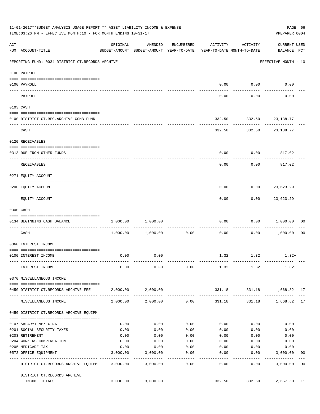|     | 11-01-2017**BUDGET ANALYSIS USAGE REPORT ** ASSET LIABILITY INCOME & EXPENSE<br>TIME: 03:26 PM - EFFECTIVE MONTH: 10 - FOR MONTH ENDING 10-31-17 |          |                                                                                |                     |                 |                                         | PAGE 66<br>PREPARER: 0004           |                |
|-----|--------------------------------------------------------------------------------------------------------------------------------------------------|----------|--------------------------------------------------------------------------------|---------------------|-----------------|-----------------------------------------|-------------------------------------|----------------|
| ACT | NUM ACCOUNT-TITLE                                                                                                                                | ORIGINAL | AMENDED<br>BUDGET-AMOUNT BUDGET-AMOUNT YEAR-TO-DATE YEAR-TO-DATE MONTH-TO-DATE | ENCUMBERED          | ACTIVITY        | ACTIVITY                                | <b>CURRENT USED</b><br>BALANCE PCT  |                |
|     | REPORTING FUND: 0034 DISTRICT CT.RECORDS ARCHIVE                                                                                                 |          |                                                                                |                     |                 |                                         | EFFECTIVE MONTH - 10                |                |
|     | 0100 PAYROLL                                                                                                                                     |          |                                                                                |                     |                 |                                         |                                     |                |
|     | 0100 PAYROLL                                                                                                                                     |          |                                                                                |                     | 0.00            | 0.00                                    | 0.00                                |                |
|     | ---- -------<br>-------------------------<br>PAYROLL                                                                                             |          |                                                                                |                     | 0.00            | ----------<br>0.00                      | 0.00                                |                |
|     | 0103 CASH                                                                                                                                        |          |                                                                                |                     |                 |                                         |                                     |                |
|     | 0100 DISTRICT CT.REC.ARCHIVE COMB.FUND                                                                                                           |          |                                                                                |                     |                 | 332.50 332.50 23,138.77                 |                                     |                |
|     | CASH                                                                                                                                             |          |                                                                                |                     |                 | ------------<br>332.50 332.50 23,138.77 |                                     |                |
|     | 0120 RECEIVABLES                                                                                                                                 |          |                                                                                |                     |                 |                                         |                                     |                |
|     | 0313 DUE FROM OTHER FUNDS                                                                                                                        |          |                                                                                |                     | 0.00            | 0.00                                    | 817.02                              |                |
|     | RECEIVABLES                                                                                                                                      |          |                                                                                |                     | 0.00            | 0.00                                    | 817.02                              |                |
|     | 0271 EQUITY ACCOUNT                                                                                                                              |          |                                                                                |                     |                 |                                         |                                     |                |
|     | 0200 EQUITY ACCOUNT                                                                                                                              |          |                                                                                |                     | 0.00            | 0.00                                    | 23,623.29                           |                |
|     | EQUITY ACCOUNT                                                                                                                                   |          |                                                                                |                     | 0.00            |                                         | $0.00$ 23,623.29                    |                |
|     | 0300 CASH                                                                                                                                        |          |                                                                                |                     |                 |                                         |                                     |                |
|     | 0134 BEGINNING CASH BALANCE                                                                                                                      | 1,000.00 | 1,000.00                                                                       |                     | 0.00            |                                         | $0.00$ 1,000.00                     | 00             |
|     | ------------------------------ -----<br>CASH                                                                                                     | 1,000.00 | 1,000.00                                                                       | -----------<br>0.00 | 0.00            | 0.00                                    | 1,000.00                            | 0 <sub>0</sub> |
|     | 0360 INTEREST INCOME                                                                                                                             |          |                                                                                |                     |                 |                                         |                                     |                |
|     | 0100 INTEREST INCOME                                                                                                                             | 0.00     | 0.00                                                                           |                     |                 | $1.32$ $1.32$                           | $1.32+$                             |                |
|     | INTEREST INCOME                                                                                                                                  | 0.00     | 0.00                                                                           | 0.00                | 1.32            | 1.32                                    | $1.32+$                             |                |
|     | 0370 MISCELLANEOUS INCOME                                                                                                                        |          |                                                                                |                     |                 |                                         |                                     |                |
|     | 0450 DISTRICT CT.RECORDS ARCHIVE FEE                                                                                                             |          | 2,000.00 2,000.00                                                              |                     |                 | 331.18 331.18 1,668.82 17               |                                     |                |
|     | MISCELLANEOUS INCOME                                                                                                                             | 2,000.00 | 2,000.00                                                                       | 0.00                | 331.18          |                                         | 331.18 1,668.82 17                  |                |
|     | 0450 DISTRICT CT.RECORDS ARCHIVE EQUIPM                                                                                                          |          |                                                                                |                     |                 |                                         |                                     |                |
|     | 0107 SALARYTEMP/EXTRA                                                                                                                            | 0.00     | 0.00                                                                           | 0.00                | 0.00            | 0.00                                    | 0.00                                |                |
|     | 0201 SOCIAL SECURITY TAXES                                                                                                                       | 0.00     | 0.00                                                                           | 0.00                | 0.00            | 0.00                                    | 0.00                                |                |
|     | 0203 RETIREMENT                                                                                                                                  | 0.00     | 0.00                                                                           | 0.00                | 0.00            | 0.00                                    | 0.00                                |                |
|     | 0204 WORKERS COMPENSATION                                                                                                                        | 0.00     | 0.00                                                                           | 0.00                | 0.00            | 0.00                                    | 0.00                                |                |
|     | 0205 MEDICARE TAX                                                                                                                                | 0.00     | 0.00                                                                           | 0.00                | 0.00            | 0.00                                    | 0.00                                |                |
|     | 0572 OFFICE EQUIPMENT<br>--------------------- --------------                                                                                    | 3,000.00 | 3,000.00<br>------------                                                       | 0.00<br>---------   | 0.00            | 0.00<br>----------                      | 3,000.00                            | 0 <sub>0</sub> |
|     | DISTRICT CT.RECORDS ARCHIVE EQUIPM 3,000.00                                                                                                      |          | 3,000.00                                                                       | 0.00                | -------<br>0.00 | 0.00                                    | . _ _ _ _ _ _ _ _ _ _ _<br>3,000.00 | 0 <sub>0</sub> |
|     | DISTRICT CT.RECORDS ARCHIVE<br>INCOME TOTALS                                                                                                     |          | 3,000.00 3,000.00                                                              |                     |                 | 332.50<br>332.50                        | 2,667.50 11                         |                |
|     |                                                                                                                                                  |          |                                                                                |                     |                 |                                         |                                     |                |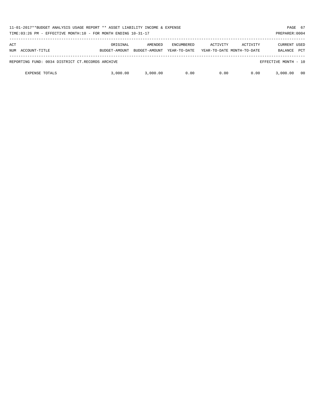| 11-01-2017**BUDGET ANALYSIS USAGE REPORT ** ASSET LIABILITY INCOME & EXPENSE<br>TIME:03:26 PM - EFFECTIVE MONTH:10 - FOR MONTH ENDING 10-31-17 |                           |                          |                                   |          |                                        | PREPARER: 0004                 | PAGE 67    |
|------------------------------------------------------------------------------------------------------------------------------------------------|---------------------------|--------------------------|-----------------------------------|----------|----------------------------------------|--------------------------------|------------|
| ACT<br>NUM ACCOUNT-TITLE                                                                                                                       | ORIGINAL<br>BUDGET-AMOUNT | AMENDED<br>BUDGET-AMOUNT | <b>ENCUMBERED</b><br>YEAR-TO-DATE | ACTIVITY | ACTIVITY<br>YEAR-TO-DATE MONTH-TO-DATE | <b>CURRENT USED</b><br>BALANCE | <b>PCT</b> |
| REPORTING FUND: 0034 DISTRICT CT.RECORDS ARCHIVE                                                                                               |                           |                          |                                   |          |                                        | EFFECTIVE MONTH - 10           |            |
| <b>EXPENSE TOTALS</b>                                                                                                                          | 3,000.00                  | 3.000.00                 | 0.00                              | 0.00     | 0.00                                   | 3,000,00                       | 00         |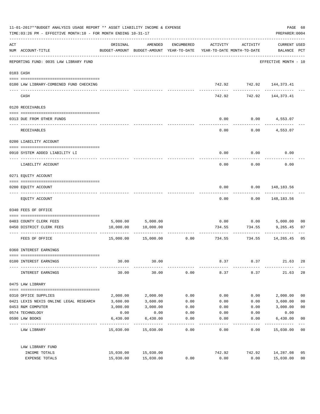|     | 11-01-2017**BUDGET ANALYSIS USAGE REPORT ** ASSET LIABILITY INCOME & EXPENSE<br>TIME: 03:26 PM - EFFECTIVE MONTH: 10 - FOR MONTH ENDING 10-31-17 |           |                                          |            |                         |                                                                                 | PREPARER: 0004                                 | PAGE 68        |
|-----|--------------------------------------------------------------------------------------------------------------------------------------------------|-----------|------------------------------------------|------------|-------------------------|---------------------------------------------------------------------------------|------------------------------------------------|----------------|
| ACT | NUM ACCOUNT-TITLE                                                                                                                                | ORIGINAL  | AMENDED                                  | ENCUMBERED | ACTIVITY                | ACTIVITY<br>BUDGET-AMOUNT BUDGET-AMOUNT YEAR-TO-DATE YEAR-TO-DATE MONTH-TO-DATE | CURRENT USED<br>BALANCE PCT                    |                |
|     | REPORTING FUND: 0035 LAW LIBRARY FUND                                                                                                            |           |                                          |            |                         |                                                                                 | ---------------------<br>EFFECTIVE MONTH - 10  |                |
|     | 0103 CASH                                                                                                                                        |           |                                          |            |                         |                                                                                 |                                                |                |
|     | 0100 LAW LIBRARY-COMBINED FUND CHECKING                                                                                                          |           |                                          |            | . _ _ _ _ _ _ _ _ _ _ _ | 742.92 742.92 144,373.41                                                        |                                                |                |
|     | CASH                                                                                                                                             |           |                                          |            | 742.92                  |                                                                                 | 742.92 144.373.41                              |                |
|     | 0120 RECEIVABLES                                                                                                                                 |           |                                          |            |                         |                                                                                 |                                                |                |
|     | 0313 DUE FROM OTHER FUNDS                                                                                                                        |           |                                          |            |                         | $0.00$ $0.00$ $4,553.07$                                                        |                                                |                |
|     | RECEIVABLES                                                                                                                                      |           |                                          |            | 0.00                    |                                                                                 | ----------- -------------<br>$0.00$ $4,553.07$ |                |
|     | 0200 LIABILITY ACCOUNT                                                                                                                           |           |                                          |            |                         |                                                                                 |                                                |                |
|     | 0910 SYSTEM ADDED LIABILITY LI                                                                                                                   |           |                                          |            | 0.00                    | 0.00                                                                            | 0.00                                           |                |
|     | LIABILITY ACCOUNT                                                                                                                                |           |                                          |            | 0.00                    | 0.00                                                                            | 0.00                                           |                |
|     | 0271 EQUITY ACCOUNT                                                                                                                              |           |                                          |            |                         |                                                                                 |                                                |                |
|     | 0200 EQUITY ACCOUNT                                                                                                                              |           |                                          |            | 0.00                    |                                                                                 | $0.00$ 148, 183.56                             |                |
|     | EQUITY ACCOUNT                                                                                                                                   |           |                                          |            | 0.00                    | ---------                                                                       | . <u>.</u> .<br>$0.00$ 148, 183.56             |                |
|     | 0340 FEES OF OFFICE                                                                                                                              |           |                                          |            |                         |                                                                                 |                                                |                |
|     | 0403 COUNTY CLERK FEES                                                                                                                           |           |                                          |            |                         |                                                                                 |                                                | 0 <sub>0</sub> |
|     | 0450 DISTRICT CLERK FEES                                                                                                                         |           | 5,000.00 5,000.00<br>10,000.00 10,000.00 |            | 734.55                  | $0.00$ $0.00$ $5,000.00$<br>734.55                                              | 9,265.45                                       | 07             |
|     | FEES OF OFFICE                                                                                                                                   |           | $15,000.00$ $15,000.00$ $0.00$ $734.55$  |            |                         |                                                                                 | . <u>.</u><br>734.55 14,265.45                 | 05             |
|     | 0360 INTEREST EARNINGS                                                                                                                           |           |                                          |            |                         |                                                                                 |                                                |                |
|     | 0100 INTEREST EARNINGS                                                                                                                           | 30.00     | 30.00                                    |            | 8.37                    | 8.37                                                                            | 21.63                                          | 28             |
|     | INTEREST EARNINGS                                                                                                                                | 30.00     | 30.00                                    | 0.00       | 8.37                    | 8.37                                                                            | 21.63                                          | 28             |
|     | 0475 LAW LIBRARY                                                                                                                                 |           |                                          |            |                         |                                                                                 |                                                |                |
|     | 0310 OFFICE SUPPLIES                                                                                                                             | 2,000.00  | 2,000.00                                 | 0.00       | 0.00                    | 0.00                                                                            | 2,000.00                                       | 0 <sub>0</sub> |
|     | 0421 LEXIS NEXIS ONLINE LEGAL RESEARCH                                                                                                           | 3,600.00  | 3,600.00                                 | 0.00       | 0.00                    | 0.00                                                                            | 3,600.00                                       | 0 <sub>0</sub> |
|     | 0453 R&M COMPUTER                                                                                                                                | 3,000.00  | 3,000.00                                 | 0.00       | 0.00                    | 0.00                                                                            | 3,000.00                                       | 0 <sub>0</sub> |
|     | 0574 TECHNOLOGY                                                                                                                                  | 0.00      | 0.00                                     | 0.00       | 0.00                    | 0.00                                                                            | 0.00                                           |                |
|     | 0590 LAW BOOKS                                                                                                                                   | 6,430.00  | 6,430.00                                 | 0.00       | 0.00                    | 0.00                                                                            | 6,430.00                                       | 0 <sub>0</sub> |
|     | LAW LIBRARY                                                                                                                                      | 15,030.00 | 15,030.00                                | 0.00       | 0.00                    | 0.00                                                                            | 15,030.00                                      | 0 <sub>0</sub> |
|     | LAW LIBRARY FUND                                                                                                                                 |           |                                          |            |                         |                                                                                 |                                                |                |
|     | INCOME TOTALS                                                                                                                                    | 15,030.00 | 15,030.00                                |            | 742.92                  | 742.92                                                                          | 14,287.08                                      | 05             |
|     | EXPENSE TOTALS                                                                                                                                   | 15,030.00 | 15,030.00                                | 0.00       | 0.00                    | 0.00                                                                            | 15,030.00                                      | 0 <sub>0</sub> |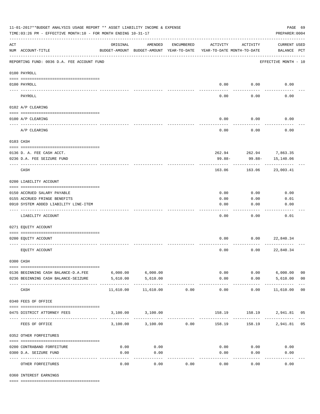| 11-01-2017**BUDGET ANALYSIS USAGE REPORT ** ASSET LIABILITY INCOME & EXPENSE<br>PAGE 69<br>TIME:03:26 PM - EFFECTIVE MONTH:10 - FOR MONTH ENDING 10-31-17<br>PREPARER: 0004 |                                            |                                |                                                     |            |                                        |                        |                                    |                |
|-----------------------------------------------------------------------------------------------------------------------------------------------------------------------------|--------------------------------------------|--------------------------------|-----------------------------------------------------|------------|----------------------------------------|------------------------|------------------------------------|----------------|
| $\mathop{\rm ACT}$                                                                                                                                                          | NUM ACCOUNT-TITLE                          | ORIGINAL                       | AMENDED<br>BUDGET-AMOUNT BUDGET-AMOUNT YEAR-TO-DATE | ENCUMBERED | ACTIVITY<br>YEAR-TO-DATE MONTH-TO-DATE | ACTIVITY               | <b>CURRENT USED</b><br>BALANCE PCT |                |
|                                                                                                                                                                             | REPORTING FUND: 0036 D.A. FEE ACCOUNT FUND |                                |                                                     |            |                                        |                        | EFFECTIVE MONTH - 10               |                |
|                                                                                                                                                                             | 0100 PAYROLL                               |                                |                                                     |            |                                        |                        |                                    |                |
|                                                                                                                                                                             | 0100 PAYROLL                               |                                |                                                     |            | 0.00                                   | 0.00                   | 0.00                               |                |
|                                                                                                                                                                             | PAYROLL                                    |                                |                                                     |            | 0.00                                   | 0.00                   | 0.00                               |                |
|                                                                                                                                                                             | 0102 A/P CLEARING                          |                                |                                                     |            |                                        |                        |                                    |                |
|                                                                                                                                                                             | 0100 A/P CLEARING                          |                                |                                                     |            | 0.00                                   | 0.00                   | 0.00                               |                |
|                                                                                                                                                                             |                                            |                                |                                                     |            |                                        |                        |                                    |                |
|                                                                                                                                                                             | A/P CLEARING                               |                                |                                                     |            | 0.00                                   | 0.00                   | 0.00                               |                |
|                                                                                                                                                                             | 0103 CASH                                  |                                |                                                     |            |                                        |                        |                                    |                |
|                                                                                                                                                                             | 0136 D. A. FEE CASH ACCT.                  |                                |                                                     |            |                                        | 262.94 262.94 7,863.35 |                                    |                |
|                                                                                                                                                                             | 0236 D.A. FEE SEIZURE FUND                 |                                |                                                     |            | 99.88-                                 | 99.88-                 | 15,140.06                          |                |
|                                                                                                                                                                             | CASH                                       |                                |                                                     |            | 163.06                                 | 163.06                 | 23,003.41                          |                |
|                                                                                                                                                                             | 0200 LIABILITY ACCOUNT                     |                                |                                                     |            |                                        |                        |                                    |                |
|                                                                                                                                                                             | 0150 ACCRUED SALARY PAYABLE                |                                |                                                     |            | 0.00                                   | 0.00                   | 0.00                               |                |
|                                                                                                                                                                             | 0155 ACCRUED FRINGE BENEFITS               |                                |                                                     |            | 0.00                                   | 0.00                   | 0.01                               |                |
|                                                                                                                                                                             | 0910 SYSTEM ADDED LIABILITY LINE-ITEM      |                                |                                                     |            | 0.00                                   | 0.00                   | 0.00                               |                |
|                                                                                                                                                                             | LIABILITY ACCOUNT                          |                                |                                                     |            | 0.00                                   | 0.00                   | 0.01                               |                |
|                                                                                                                                                                             | 0271 EQUITY ACCOUNT                        |                                |                                                     |            |                                        |                        |                                    |                |
|                                                                                                                                                                             | 0200 EQUITY ACCOUNT                        |                                |                                                     |            | 0.00                                   | 0.00                   | 22,840.34                          |                |
|                                                                                                                                                                             | EQUITY ACCOUNT                             |                                |                                                     |            | 0.00                                   | 0.00                   | 22,840.34                          |                |
|                                                                                                                                                                             | 0300 CASH                                  |                                |                                                     |            |                                        |                        |                                    |                |
|                                                                                                                                                                             | 0136 BEGINNING CASH BALANCE-D.A.FEE        | $6,000.00$ $6,000.00$          |                                                     |            |                                        | 0.00                   | $0.00$ 6,000.00                    | 0 <sub>0</sub> |
|                                                                                                                                                                             | 0236 BEGINNING CASH BALANCE-SEIZURE        | 5,610.00                       | 5,610.00                                            |            | 0.00                                   |                        | $0.00$ 5,610.00                    | 00             |
|                                                                                                                                                                             | CASH                                       | --- -------------<br>11,610.00 | -------------<br>11,610.00                          | 0.00       | .<br>0.00                              | 0.00                   | ------------<br>11,610.00 00       |                |
|                                                                                                                                                                             | 0340 FEES OF OFFICE                        |                                |                                                     |            |                                        |                        |                                    |                |
|                                                                                                                                                                             | 0475 DISTRICT ATTORNEY FEES                |                                | 3,100.00 3,100.00                                   | ---------- | 158.19                                 |                        | 158.19 2,941.81 05                 |                |
|                                                                                                                                                                             | FEES OF OFFICE                             |                                | 3,100.00 3,100.00                                   | 0.00       | 158.19                                 |                        | 158.19 2,941.81 05                 |                |
|                                                                                                                                                                             | 0352 OTHER FORFEITURES                     |                                |                                                     |            |                                        |                        |                                    |                |
|                                                                                                                                                                             | 0200 CONTRABAND FORFEITURE                 | 0.00                           | 0.00                                                |            | 0.00                                   | 0.00                   | 0.00                               |                |
|                                                                                                                                                                             | 0300 D.A. SEIZURE FUND                     | 0.00                           | 0.00                                                |            | 0.00                                   | 0.00                   | 0.00                               |                |
|                                                                                                                                                                             | OTHER FORFEITURES                          | 0.00                           | ----------<br>0.00                                  | 0.00       | -----<br>0.00                          | -----<br>0.00          | ----------<br>0.00                 |                |

0360 INTEREST EARNINGS

==== ===================================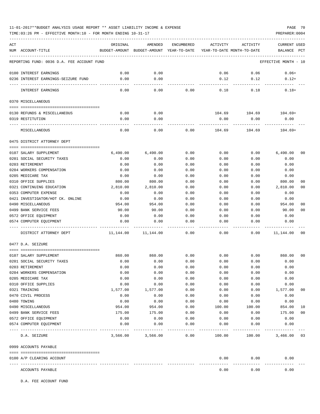TIME:03:26 PM - EFFECTIVE MONTH:10 - FOR MONTH ENDING 10-31-17

| ACT |                                                      | ORIGINAL       | AMENDED                                  | ENCUMBERED        | ACTIVITY     | ACTIVITY                   | CURRENT USED         |                |
|-----|------------------------------------------------------|----------------|------------------------------------------|-------------------|--------------|----------------------------|----------------------|----------------|
|     | NUM ACCOUNT-TITLE                                    |                | BUDGET-AMOUNT BUDGET-AMOUNT YEAR-TO-DATE |                   |              | YEAR-TO-DATE MONTH-TO-DATE | BALANCE              | PCT            |
|     | REPORTING FUND: 0036 D.A. FEE ACCOUNT FUND           |                |                                          |                   |              |                            | EFFECTIVE MONTH - 10 |                |
|     | 0100 INTEREST EARNINGS                               | 0.00           | 0.00                                     |                   | 0.06         | 0.06                       | $0.06+$              |                |
|     | 0236 INTEREST EARNINGS-SEIZURE FUND                  | 0.00           | 0.00                                     |                   | 0.12         | 0.12                       | $0.12+$              |                |
|     | INTEREST EARNINGS                                    | 0.00           | ----<br>0.00                             | 0.00              | 0.18         | 0.18                       | $0.18+$              |                |
|     | 0370 MISCELLANEOUS                                   |                |                                          |                   |              |                            |                      |                |
|     |                                                      |                |                                          |                   |              |                            |                      |                |
|     | 0130 REFUNDS & MISCELLANEOUS                         | 0.00           | 0.00                                     |                   | 104.69       | 104.69                     | $104.69+$            |                |
|     | 0319 RESTITUTION                                     | 0.00           | 0.00                                     |                   | 0.00         | 0.00                       | 0.00                 |                |
|     |                                                      |                |                                          |                   |              |                            |                      |                |
|     | MISCELLANEOUS                                        | 0.00           | 0.00                                     | 0.00              | 104.69       | 104.69                     | $104.69+$            |                |
|     | 0475 DISTRICT ATTORNEY DEPT                          |                |                                          |                   |              |                            |                      |                |
|     | 0107 SALARY SUPPLEMENT                               | 6,490.00       | 6.490.00                                 | 0.00              | 0.00         | 0.00                       | 6,490.00             | 0 <sub>0</sub> |
|     | 0201 SOCIAL SECURITY TAXES                           | 0.00           | 0.00                                     | 0.00              | 0.00         | 0.00                       | 0.00                 |                |
|     | 0203 RETIREMENT                                      | 0.00           | 0.00                                     | 0.00              | 0.00         | 0.00                       | 0.00                 |                |
|     | 0204 WORKERS COMPENSATION                            | 0.00           | 0.00                                     | 0.00              | 0.00         | 0.00                       | 0.00                 |                |
|     | 0205 MEDICARE TAX                                    | 0.00           | 0.00                                     | 0.00              | 0.00         | 0.00                       | 0.00                 |                |
|     | 0310 OFFICE SUPPLIES                                 | 800.00         | 800.00                                   | 0.00              | 0.00         | 0.00                       | 800.00               | 00             |
|     | 0321 CONTINUING EDUCATION                            | 2,810.00       | 2,810.00                                 | 0.00              | 0.00         | 0.00                       | 2,810.00             | 0 <sub>0</sub> |
|     | 0353 COMPUTER EXPENSE                                | 0.00           | 0.00                                     | 0.00              | 0.00         | 0.00                       | 0.00                 |                |
|     | 0421 INVESTIGATOR/HOT CK. ONLINE                     | 0.00           | 0.00                                     | 0.00              | 0.00         | 0.00                       | 0.00                 |                |
|     | 0490 MISCELLANEOUS                                   | 954.00         | 954.00                                   | 0.00              | 0.00         | 0.00                       | 954.00               | 0 <sub>0</sub> |
|     | 0499 BANK SERVICE FEES                               | 90.00          | 90.00                                    | 0.00              | 0.00         | 0.00                       | 90.00                | 0 <sub>0</sub> |
|     | 0572 OFFICE EQUIPMENT                                | 0.00           | 0.00                                     | 0.00              | 0.00         | 0.00                       | 0.00                 |                |
|     | 0574 COMPUTER EQUIPMENT                              | 0.00           | 0.00                                     | 0.00<br>$- - - -$ | 0.00         | 0.00                       | 0.00                 |                |
|     | DISTRICT ATTORNEY DEPT                               | 11,144.00      | 11,144.00                                | 0.00              | 0.00         | 0.00                       | 11,144.00            | 0 <sub>0</sub> |
|     | 0477 D.A. SEIZURE                                    |                |                                          |                   |              |                            |                      |                |
|     |                                                      |                | 860.00                                   | 0.00              |              |                            |                      | 0 <sub>0</sub> |
|     | 0107 SALARY SUPPLEMENT<br>0201 SOCIAL SECURITY TAXES | 860.00<br>0.00 | 0.00                                     | 0.00              | 0.00<br>0.00 | 0.00<br>0.00               | 860.00<br>0.00       |                |
|     | 0203 RETIREMENT                                      | 0.00           | 0.00                                     | 0.00              | 0.00         | 0.00                       | 0.00                 |                |
|     | 0204 WORKERS COMPENSATION                            | 0.00           | 0.00                                     | 0.00              | 0.00         | 0.00                       | 0.00                 |                |
|     | 0205 MEDICARE TAX                                    | 0.00           | 0.00                                     | 0.00              | 0.00         | 0.00                       | 0.00                 |                |
|     | 0310 OFFICE SUPPLIES                                 | 0.00           | 0.00                                     | 0.00              | 0.00         | 0.00                       | 0.00                 |                |
|     | 0321 TRAINING                                        | 1,577.00       | 1,577.00                                 | 0.00              | 0.00         | 0.00                       | 1,577.00             | 00             |
|     | 0470 CIVIL PROCESS                                   | 0.00           | 0.00                                     | 0.00              | 0.00         | 0.00                       | 0.00                 |                |
|     | 0480 TOWING                                          | 0.00           | 0.00                                     | 0.00              | 0.00         | 0.00                       | 0.00                 |                |
|     | 0490 MISCELLANEOUS                                   | 954.00         | 954.00                                   | 0.00              | 100.00       | 100.00                     | 854.00               | 10             |
|     | 0499 BANK SERVICE FEES                               | 175.00         | 175.00                                   | 0.00              | 0.00         | 0.00                       | 175.00               | 0 <sub>0</sub> |
|     | 0572 OFFICE EQUIPMENT                                | 0.00           | 0.00                                     | 0.00              | 0.00         | 0.00                       | 0.00                 |                |
|     | 0574 COMPUTER EQUIPMENT                              | 0.00           | 0.00                                     | 0.00              | 0.00         | 0.00                       | 0.00                 |                |
|     | D.A. SEIZURE                                         | 3,566.00       | 3,566.00                                 | 0.00              | 100.00       | 100.00                     | 3,466.00 03          |                |
|     | 0999 ACCOUNTS PAYABLE                                |                |                                          |                   |              |                            |                      |                |
|     | 0100 A/P CLEARING ACCOUNT                            |                |                                          |                   | 0.00         | 0.00                       | 0.00                 |                |
|     | ACCOUNTS PAYABLE                                     |                |                                          |                   | 0.00         | 0.00                       | 0.00                 |                |

D.A. FEE ACCOUNT FUND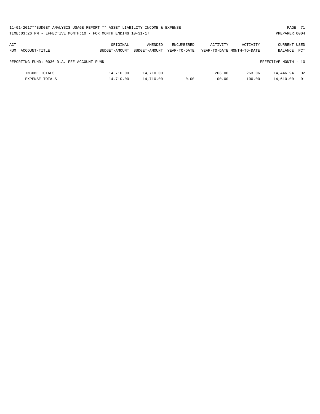| 11-01-2017**BUDGET ANALYSIS USAGE REPORT ** ASSET LIABILITY INCOME & EXPENSE | PAGE 71        |
|------------------------------------------------------------------------------|----------------|
| TIME: 03:26 PM - EFFECTIVE MONTH: 10 - FOR MONTH ENDING 10-31-17             | PREPARER: 0004 |

| ACT                                                                |                | ORIGINAL      | AMENDED       | ENCUMBERED   | ACTIVITY | ACTIVITY                   | CURRENT USED |            |
|--------------------------------------------------------------------|----------------|---------------|---------------|--------------|----------|----------------------------|--------------|------------|
| NUM                                                                | ACCOUNT-TITLE  | BUDGET-AMOUNT | BUDGET-AMOUNT | YEAR-TO-DATE |          | YEAR-TO-DATE MONTH-TO-DATE | BALANCE      | <b>PCT</b> |
|                                                                    |                |               |               |              |          |                            |              |            |
| EFFECTIVE MONTH - 10<br>REPORTING FUND: 0036 D.A. FEE ACCOUNT FUND |                |               |               |              |          |                            |              |            |
|                                                                    |                |               |               |              |          |                            |              |            |
|                                                                    | INCOME TOTALS  | 14,710.00     | 14,710.00     |              | 263.06   | 263.06                     | 14,446.94    | 02         |
|                                                                    | EXPENSE TOTALS | 14,710.00     | 14,710.00     | 0.00         | 100.00   | 100.00                     | 14,610.00    | 01         |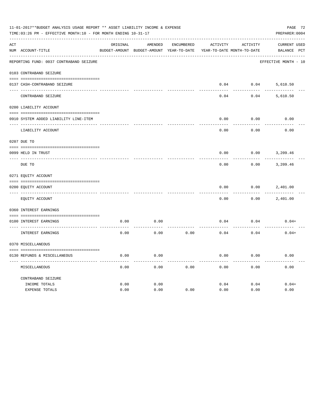|     | 11-01-2017**BUDGET ANALYSIS USAGE REPORT ** ASSET LIABILITY INCOME & EXPENSE<br>TIME:03:26 PM - EFFECTIVE MONTH:10 - FOR MONTH ENDING 10-31-17 |              |                                                     |            |          |                                        |                                    |  |  |  |
|-----|------------------------------------------------------------------------------------------------------------------------------------------------|--------------|-----------------------------------------------------|------------|----------|----------------------------------------|------------------------------------|--|--|--|
| ACT | NUM ACCOUNT-TITLE                                                                                                                              | ORIGINAL     | AMENDED<br>BUDGET-AMOUNT BUDGET-AMOUNT YEAR-TO-DATE | ENCUMBERED | ACTIVITY | ACTIVITY<br>YEAR-TO-DATE MONTH-TO-DATE | <b>CURRENT USED</b><br>BALANCE PCT |  |  |  |
|     | REPORTING FUND: 0037 CONTRABAND SEIZURE                                                                                                        |              |                                                     |            |          |                                        | EFFECTIVE MONTH - 10               |  |  |  |
|     | 0103 CONTRABAND SEIZURE                                                                                                                        |              |                                                     |            |          |                                        |                                    |  |  |  |
|     | 0137 CASH-CONTRABAND SEIZURE                                                                                                                   |              |                                                     |            | 0.04     | 0.04                                   | 5,610.50                           |  |  |  |
|     | CONTRABAND SEIZURE                                                                                                                             |              |                                                     |            | 0.04     | 0.04                                   | 5,610.50                           |  |  |  |
|     | 0200 LIABILITY ACCOUNT                                                                                                                         |              |                                                     |            |          |                                        |                                    |  |  |  |
|     | 0910 SYSTEM ADDED LIABILITY LINE-ITEM                                                                                                          |              |                                                     |            | 0.00     | 0.00                                   | 0.00                               |  |  |  |
|     | LIABILITY ACCOUNT                                                                                                                              |              |                                                     |            | 0.00     | 0.00                                   | 0.00                               |  |  |  |
|     | 0207 DUE TO                                                                                                                                    |              |                                                     |            |          |                                        |                                    |  |  |  |
|     | 0099 HELD IN TRUST                                                                                                                             |              |                                                     |            | 0.00     | 0.00                                   | 3,209.46                           |  |  |  |
|     | DUE TO                                                                                                                                         |              |                                                     |            | 0.00     | 0.00                                   | 3,209.46                           |  |  |  |
|     | 0271 EQUITY ACCOUNT                                                                                                                            |              |                                                     |            |          |                                        |                                    |  |  |  |
|     | 0200 EQUITY ACCOUNT                                                                                                                            |              |                                                     |            | 0.00     | 0.00                                   | 2,401.00                           |  |  |  |
|     | EQUITY ACCOUNT                                                                                                                                 |              |                                                     |            | 0.00     | 0.00                                   | 2,401.00                           |  |  |  |
|     | 0360 INTEREST EARNINGS                                                                                                                         |              |                                                     |            |          |                                        |                                    |  |  |  |
|     | 0100 INTEREST EARNINGS                                                                                                                         | 0.00         | 0.00                                                |            | 0.04     | 0.04                                   | $0.04+$                            |  |  |  |
|     | INTEREST EARNINGS                                                                                                                              | 0.00         | 0.00                                                | 0.00       | 0.04     | 0.04                                   | $0.04+$                            |  |  |  |
|     | 0370 MISCELLANEOUS                                                                                                                             |              |                                                     |            |          |                                        |                                    |  |  |  |
|     | 0130 REFUNDS & MISCELLANEOUS                                                                                                                   | 0.00         | 0.00                                                |            | 0.00     | 0.00                                   | 0.00                               |  |  |  |
|     | MISCELLANEOUS                                                                                                                                  | 0.00         | 0.00                                                | 0.00       | 0.00     | 0.00                                   | 0.00                               |  |  |  |
|     | CONTRABAND SEIZURE                                                                                                                             |              |                                                     |            |          |                                        |                                    |  |  |  |
|     | INCOME TOTALS                                                                                                                                  | 0.00<br>0.00 | 0.00                                                | 0.00       | 0.04     | 0.04                                   | $0.04+$<br>0.00                    |  |  |  |
|     | EXPENSE TOTALS                                                                                                                                 |              | 0.00                                                |            | 0.00     | 0.00                                   |                                    |  |  |  |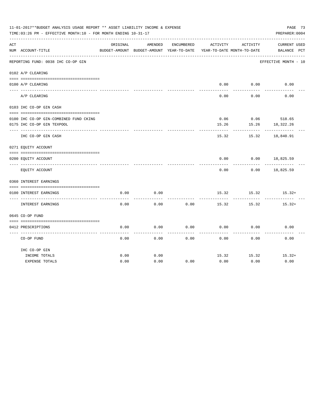|     | 11-01-2017**BUDGET ANALYSIS USAGE REPORT ** ASSET LIABILITY INCOME & EXPENSE<br>TIME: 03:26 PM - EFFECTIVE MONTH: 10 - FOR MONTH ENDING 10-31-17 |          |                                          |            |                            |          | PAGE 73<br>PREPARER: 0004 |  |
|-----|--------------------------------------------------------------------------------------------------------------------------------------------------|----------|------------------------------------------|------------|----------------------------|----------|---------------------------|--|
| ACT |                                                                                                                                                  | ORIGINAL | AMENDED                                  | ENCUMBERED | ACTIVITY                   | ACTIVITY | <b>CURRENT USED</b>       |  |
|     | NUM ACCOUNT-TITLE                                                                                                                                |          | BUDGET-AMOUNT BUDGET-AMOUNT YEAR-TO-DATE |            | YEAR-TO-DATE MONTH-TO-DATE |          | BALANCE PCT               |  |
|     | REPORTING FUND: 0038 IHC CO-OP GIN                                                                                                               |          |                                          |            |                            |          | EFFECTIVE MONTH - 10      |  |
|     | 0102 A/P CLEARING                                                                                                                                |          |                                          |            |                            |          |                           |  |
|     | 0100 A/P CLEARING                                                                                                                                |          |                                          |            | 0.00                       | 0.00     | 0.00                      |  |
|     |                                                                                                                                                  |          |                                          |            |                            |          |                           |  |
|     | A/P CLEARING                                                                                                                                     |          |                                          |            | 0.00                       | 0.00     | 0.00                      |  |
|     | 0103 IHC CO-OP GIN CASH                                                                                                                          |          |                                          |            |                            |          |                           |  |
|     |                                                                                                                                                  |          |                                          |            |                            |          |                           |  |
|     | 0100 IHC CO-OP GIN-COMBINED FUND CKING                                                                                                           |          |                                          |            | 0.06                       |          | $0.06$ 518.65             |  |
|     | 0175 IHC CO-OP GIN TEXPOOL                                                                                                                       |          |                                          |            | 15.26                      | 15.26    | 18,322.26                 |  |
|     | IHC CO-OP GIN CASH                                                                                                                               |          |                                          |            | 15.32                      | 15.32    | 18,840.91                 |  |
|     | 0271 EQUITY ACCOUNT                                                                                                                              |          |                                          |            |                            |          |                           |  |
|     | 0200 EQUITY ACCOUNT                                                                                                                              |          |                                          |            | 0.00                       | 0.00     | 18,825.59                 |  |
|     | EQUITY ACCOUNT                                                                                                                                   |          |                                          |            | 0.00                       | 0.00     | 18,825.59                 |  |
|     | 0360 INTEREST EARNINGS                                                                                                                           |          |                                          |            |                            |          |                           |  |
|     |                                                                                                                                                  |          |                                          |            |                            |          |                           |  |
|     | 0100 INTEREST EARNINGS                                                                                                                           | 0.00     | 0.00                                     |            | 15.32                      | 15.32    | $15.32+$                  |  |
|     | INTEREST EARNINGS                                                                                                                                | 0.00     | 0.00                                     | 0.00       | 15.32                      | 15.32    | $15.32+$                  |  |
|     | 0645 CO-OP FUND                                                                                                                                  |          |                                          |            |                            |          |                           |  |
|     |                                                                                                                                                  |          |                                          |            |                            |          |                           |  |
|     | 0412 PRESCRIPTIONS                                                                                                                               | 0.00     | 0.00                                     | 0.00       | 0.00                       | 0.00     | 0.00                      |  |
|     | CO-OP FUND                                                                                                                                       | 0.00     | 0.00                                     | 0.00       | 0.00                       | 0.00     | 0.00                      |  |
|     | IHC CO-OP GIN                                                                                                                                    |          |                                          |            |                            |          |                           |  |
|     | INCOME TOTALS                                                                                                                                    | 0.00     | 0.00                                     |            | 15.32                      | 15.32    | $15.32+$                  |  |
|     | <b>EXPENSE TOTALS</b>                                                                                                                            | 0.00     | 0.00                                     | 0.00       | 0.00                       | 0.00     | 0.00                      |  |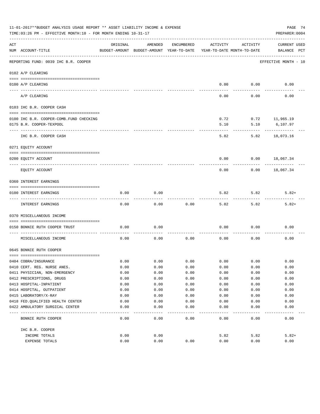|     | 11-01-2017**BUDGET ANALYSIS USAGE REPORT ** ASSET LIABILITY INCOME & EXPENSE<br>TIME: 03:26 PM - EFFECTIVE MONTH: 10 - FOR MONTH ENDING 10-31-17 |                    |                                                     |            |                                        |          | PAGE 74<br>PREPARER: 0004          |
|-----|--------------------------------------------------------------------------------------------------------------------------------------------------|--------------------|-----------------------------------------------------|------------|----------------------------------------|----------|------------------------------------|
| ACT | NUM ACCOUNT-TITLE                                                                                                                                | ORIGINAL           | AMENDED<br>BUDGET-AMOUNT BUDGET-AMOUNT YEAR-TO-DATE | ENCUMBERED | ACTIVITY<br>YEAR-TO-DATE MONTH-TO-DATE | ACTIVITY | <b>CURRENT USED</b><br>BALANCE PCT |
|     | REPORTING FUND: 0039 IHC B.R. COOPER                                                                                                             | ------------------ |                                                     |            |                                        |          | EFFECTIVE MONTH - 10               |
|     | 0102 A/P CLEARING                                                                                                                                |                    |                                                     |            |                                        |          |                                    |
|     |                                                                                                                                                  |                    |                                                     |            |                                        |          |                                    |
|     | 0100 A/P CLEARING                                                                                                                                |                    |                                                     |            | 0.00                                   | 0.00     | 0.00                               |
|     | A/P CLEARING                                                                                                                                     |                    |                                                     |            | 0.00                                   | 0.00     | 0.00                               |
|     | 0103 IHC B.R. COOPER CASH                                                                                                                        |                    |                                                     |            |                                        |          |                                    |
|     | 0100 IHC B.R. COOPER-COMB. FUND CHECKING                                                                                                         |                    |                                                     |            | 0.72                                   |          | $0.72$ 11,965.19                   |
|     | 0175 B.R. COOPER-TEXPOOL                                                                                                                         |                    |                                                     |            | 5.10                                   | 5.10     | 6,107.97                           |
|     |                                                                                                                                                  |                    |                                                     |            |                                        |          |                                    |
|     | IHC B.R. COOPER CASH                                                                                                                             |                    |                                                     |            | 5.82                                   | 5.82     | 18,073.16                          |
|     | 0271 EQUITY ACCOUNT                                                                                                                              |                    |                                                     |            |                                        |          |                                    |
|     | 0200 EQUITY ACCOUNT                                                                                                                              |                    |                                                     |            | 0.00                                   |          | $0.00$ 18,067.34                   |
|     | EQUITY ACCOUNT                                                                                                                                   |                    |                                                     |            | 0.00                                   | 0.00     | 18,067.34                          |
|     | 0360 INTEREST EARNINGS                                                                                                                           |                    |                                                     |            |                                        |          |                                    |
|     |                                                                                                                                                  |                    |                                                     |            |                                        |          |                                    |
|     | 0100 INTEREST EARNINGS                                                                                                                           | 0.00               | 0.00                                                |            | 5.82                                   | 5.82     | $5.82+$                            |
|     | INTEREST EARNINGS                                                                                                                                | 0.00               | 0.00                                                | 0.00       | 5.82                                   | 5.82     | $5.82+$                            |
|     | 0370 MISCELLANEOUS INCOME                                                                                                                        |                    |                                                     |            |                                        |          |                                    |
|     | 0150 BONNIE RUTH COOPER TRUST                                                                                                                    | 0.00               | 0.00                                                |            | 0.00                                   | 0.00     | 0.00                               |
|     | MISCELLANEOUS INCOME                                                                                                                             | 0.00               | 0.00                                                | 0.00       | 0.00                                   | 0.00     | 0.00                               |
|     | 0645 BONNIE RUTH COOPER                                                                                                                          |                    |                                                     |            |                                        |          |                                    |
|     |                                                                                                                                                  |                    |                                                     |            |                                        |          |                                    |
|     | 0404 COBRA/INSURANCE                                                                                                                             | 0.00               | 0.00                                                | 0.00       | 0.00                                   | 0.00     | 0.00                               |
|     | 0410 CERT. REG. NURSE ANES.                                                                                                                      | 0.00               | 0.00                                                | 0.00       | 0.00                                   | 0.00     | 0.00                               |
|     | 0411 PHYSICIAN, NON-EMERGENCY                                                                                                                    | 0.00               | 0.00                                                | 0.00       | 0.00                                   | 0.00     | 0.00                               |
|     | 0412 PRESCRIPTIONS, DRUGS                                                                                                                        | 0.00               | 0.00                                                | 0.00       | 0.00                                   | 0.00     | 0.00                               |
|     | 0413 HOSPITAL-INPATIENT                                                                                                                          | 0.00               | 0.00                                                | 0.00       | 0.00                                   | 0.00     | 0.00                               |
|     | 0414 HOSPITAL, OUTPATIENT                                                                                                                        | 0.00               | 0.00                                                | 0.00       | 0.00                                   | 0.00     | 0.00                               |
|     | 0415 LABORATORY/X-RAY                                                                                                                            | 0.00               | 0.00                                                | 0.00       | 0.00                                   | 0.00     | 0.00                               |
|     | 0418 FED. QUALIFIED HEALTH CENTER                                                                                                                | 0.00               | 0.00                                                | 0.00       | 0.00                                   | 0.00     | 0.00                               |
|     | 0422 AMBULATORY SURGICAL CENTER                                                                                                                  | 0.00               | 0.00                                                | 0.00       | 0.00                                   | 0.00     | 0.00                               |
|     | BONNIE RUTH COOPER                                                                                                                               | 0.00               | 0.00                                                | 0.00       | 0.00                                   | 0.00     | 0.00                               |
|     | IHC B.R. COOPER                                                                                                                                  |                    |                                                     |            |                                        |          |                                    |
|     | INCOME TOTALS                                                                                                                                    | 0.00               | 0.00                                                |            | 5.82                                   | 5.82     | $5.82+$                            |
|     | EXPENSE TOTALS                                                                                                                                   | 0.00               | 0.00                                                | 0.00       | 0.00                                   | 0.00     | 0.00                               |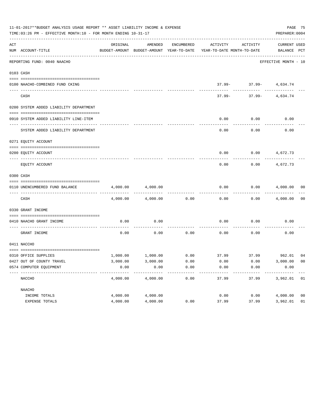|     | 11-01-2017**BUDGET ANALYSIS USAGE REPORT ** ASSET LIABILITY INCOME & EXPENSE<br>TIME:03:26 PM - EFFECTIVE MONTH:10 - FOR MONTH ENDING 10-31-17 |          |          |            |                                                                     |                            | PREPARER: 0004                    | PAGE 75        |
|-----|------------------------------------------------------------------------------------------------------------------------------------------------|----------|----------|------------|---------------------------------------------------------------------|----------------------------|-----------------------------------|----------------|
| ACT | NUM ACCOUNT-TITLE                                                                                                                              | ORIGINAL | AMENDED  | ENCUMBERED | BUDGET-AMOUNT BUDGET-AMOUNT YEAR-TO-DATE YEAR-TO-DATE MONTH-TO-DATE | ACTIVITY ACTIVITY          | CURRENT USED<br>BALANCE PCT       |                |
|     | REPORTING FUND: 0040 NAACHO                                                                                                                    |          |          |            |                                                                     |                            | EFFECTIVE MONTH - 10              |                |
|     |                                                                                                                                                |          |          |            |                                                                     |                            |                                   |                |
|     | 0103 CASH                                                                                                                                      |          |          |            |                                                                     |                            |                                   |                |
|     | 0100 NAACHO-COMBINED FUND CKING                                                                                                                |          |          |            |                                                                     | $37.99 - 37.99 - 4,634.74$ |                                   |                |
|     | CASH                                                                                                                                           |          |          |            | $37.99 -$                                                           | ----------                 | -----------<br>$37.99 - 4.634.74$ |                |
|     | 0200 SYSTEM ADDED LIABILITY DEPARTMENT                                                                                                         |          |          |            |                                                                     |                            |                                   |                |
|     |                                                                                                                                                |          |          |            |                                                                     |                            |                                   |                |
|     | 0910 SYSTEM ADDED LIABILITY LINE-ITEM                                                                                                          |          |          |            | 0.00                                                                | 0.00                       | 0.00                              |                |
|     | SYSTEM ADDED LIABILITY DEPARTMENT                                                                                                              |          |          |            | 0.00                                                                | 0.00                       | 0.00                              |                |
|     | 0271 EOUITY ACCOUNT                                                                                                                            |          |          |            |                                                                     |                            |                                   |                |
|     | 0200 EQUITY ACCOUNT                                                                                                                            |          |          |            |                                                                     | $0.00$ $0.00$ $4,672.73$   |                                   |                |
|     | EQUITY ACCOUNT                                                                                                                                 |          |          |            | 0.00                                                                | 0.00                       | 4,672.73                          |                |
|     | 0300 CASH                                                                                                                                      |          |          |            |                                                                     |                            |                                   |                |
|     | 0110 UNENCUMBERED FUND BALANCE                                                                                                                 | 4,000.00 | 4,000.00 |            | 0.00                                                                |                            | $0.00$ $4,000.00$ 00              |                |
|     | CASH                                                                                                                                           | 4,000.00 | 4,000.00 | 0.00       | 0.00                                                                |                            | $0.00$ 4,000.00                   | 0 <sub>0</sub> |
|     | 0330 GRANT INCOME                                                                                                                              |          |          |            |                                                                     |                            |                                   |                |
|     | 0410 NAACHO GRANT INCOME                                                                                                                       | 0.00     | 0.00     |            | 0.00                                                                | 0.00                       | 0.00                              |                |
|     | GRANT INCOME                                                                                                                                   | 0.00     | 0.00     | 0.00       | 0.00                                                                | 0.00                       | 0.00                              |                |
|     | 0411 NACCHO                                                                                                                                    |          |          |            |                                                                     |                            |                                   |                |
|     | 0310 OFFICE SUPPLIES                                                                                                                           |          |          |            | $1,000.00$ $1,000.00$ $0.00$ $37.99$ $37.99$ $962.01$ $04$          |                            |                                   |                |
|     | 0427 OUT OF COUNTY TRAVEL                                                                                                                      | 3,000.00 | 3,000.00 | 0.00       | 0.00                                                                | 0.00                       | 3,000.00 00                       |                |
|     | 0574 COMPUTER EQUIPMENT                                                                                                                        | 0.00     | 0.00     | 0.00       | 0.00                                                                | 0.00                       | 0.00                              |                |
|     | NACCHO                                                                                                                                         | 4,000.00 | 4,000.00 | 0.00       | 37.99                                                               | 37.99                      | 3,962.01 01                       |                |
|     | NAACHO                                                                                                                                         |          |          |            |                                                                     |                            |                                   |                |
|     | INCOME TOTALS                                                                                                                                  | 4,000.00 | 4,000.00 |            | 0.00                                                                | 0.00                       | 4,000.00                          | 0 <sub>0</sub> |
|     | EXPENSE TOTALS                                                                                                                                 | 4,000.00 | 4,000.00 | 0.00       | 37.99                                                               | 37.99                      | 3,962.01                          | 01             |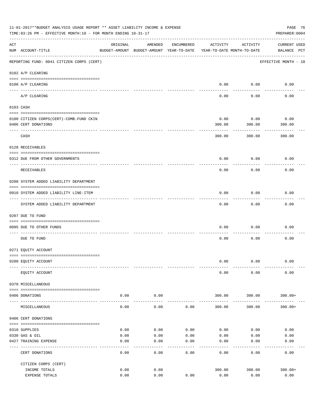|     | 11-01-2017**BUDGET ANALYSIS USAGE REPORT ** ASSET LIABILITY INCOME & EXPENSE<br>TIME:03:26 PM - EFFECTIVE MONTH:10 - FOR MONTH ENDING 10-31-17 |              |                                                     |              |                                        |                 | PAGE 76<br>PREPARER: 0004   |
|-----|------------------------------------------------------------------------------------------------------------------------------------------------|--------------|-----------------------------------------------------|--------------|----------------------------------------|-----------------|-----------------------------|
| ACT | NUM ACCOUNT-TITLE                                                                                                                              | ORIGINAL     | AMENDED<br>BUDGET-AMOUNT BUDGET-AMOUNT YEAR-TO-DATE | ENCUMBERED   | ACTIVITY<br>YEAR-TO-DATE MONTH-TO-DATE | ACTIVITY        | CURRENT USED<br>BALANCE PCT |
|     | REPORTING FUND: 0041 CITIZEN CORPS (CERT)                                                                                                      |              |                                                     |              |                                        |                 | EFFECTIVE MONTH - 10        |
|     | 0102 A/P CLEARING                                                                                                                              |              |                                                     |              |                                        |                 |                             |
|     | 0100 A/P CLEARING<br>---- ---------                                                                                                            |              |                                                     |              |                                        | $0.00$ $0.00$   | 0.00                        |
|     | A/P CLEARING                                                                                                                                   |              |                                                     |              | 0.00                                   | 0.00            | 0.00                        |
|     | 0103 CASH                                                                                                                                      |              |                                                     |              |                                        |                 |                             |
|     |                                                                                                                                                |              |                                                     |              | 0.00                                   | 0.00            | 0.00                        |
|     | 0100 CITIZEN CORPS (CERT) - COMB. FUND CKIN<br>0406 CERT DONATIONS                                                                             |              |                                                     |              | 300.00                                 | 300.00          | 300.00                      |
|     |                                                                                                                                                |              |                                                     |              |                                        | --------        |                             |
|     | CASH                                                                                                                                           |              |                                                     |              | 300.00                                 | 300.00          | 300.00                      |
|     | 0120 RECEIVABLES                                                                                                                               |              |                                                     |              |                                        |                 |                             |
|     | 0312 DUE FROM OTHER GOVERNMENTS                                                                                                                |              |                                                     |              | 0.00                                   | 0.00            | 0.00                        |
|     | RECEIVABLES                                                                                                                                    |              |                                                     |              | 0.00                                   | 0.00            | 0.00                        |
|     | 0200 SYSTEM ADDED LIABILITY DEPARTMENT                                                                                                         |              |                                                     |              |                                        |                 |                             |
|     | 0910 SYSTEM ADDED LIABILITY LINE-ITEM                                                                                                          |              |                                                     |              | 0.00                                   | 0.00            | 0.00                        |
|     | SYSTEM ADDED LIABILITY DEPARTMENT                                                                                                              |              |                                                     |              | $- - - - -$<br>0.00                    | -------<br>0.00 | 0.00                        |
|     | 0207 DUE TO FUND                                                                                                                               |              |                                                     |              |                                        |                 |                             |
|     | 0095 DUE TO OTHER FUNDS                                                                                                                        |              |                                                     |              | 0.00                                   | 0.00            | 0.00                        |
|     | DUE TO FUND                                                                                                                                    |              |                                                     |              | 0.00                                   | 0.00            | 0.00                        |
|     | 0271 EQUITY ACCOUNT                                                                                                                            |              |                                                     |              |                                        |                 |                             |
|     | 0200 EQUITY ACCOUNT                                                                                                                            |              |                                                     |              | 0.00                                   | 0.00            | 0.00                        |
|     | EQUITY ACCOUNT                                                                                                                                 |              |                                                     |              | 0.00                                   | 0.00            | 0.00                        |
|     | 0370 MISCELLANEOUS                                                                                                                             |              |                                                     |              |                                        |                 |                             |
|     | 0406 DONATIONS                                                                                                                                 | 0.00         | 0.00                                                |              | 300.00                                 | 300.00          | $300.00+$                   |
|     | MISCELLANEOUS                                                                                                                                  | 0.00         | 0.00                                                | 0.00         | 300.00                                 | 300.00          | $300.00+$                   |
|     | 0406 CERT DONATIONS                                                                                                                            |              |                                                     |              |                                        |                 |                             |
|     |                                                                                                                                                |              | 0.00                                                |              |                                        |                 | 0.00                        |
|     | 0310 SUPPLIES<br>0330 GAS & OIL                                                                                                                | 0.00<br>0.00 | 0.00                                                | 0.00<br>0.00 | 0.00<br>0.00                           | 0.00<br>0.00    | 0.00                        |
|     | 0427 TRAINING EXPENSE                                                                                                                          | 0.00         | 0.00                                                | 0.00         | 0.00                                   | 0.00            | 0.00                        |
|     | CERT DONATIONS                                                                                                                                 | 0.00         | 0.00                                                | 0.00         | 0.00                                   | 0.00            | 0.00                        |
|     | CITIZEN CORPS (CERT)                                                                                                                           |              |                                                     |              |                                        |                 |                             |
|     | INCOME TOTALS<br>EXPENSE TOTALS                                                                                                                | 0.00<br>0.00 | 0.00<br>0.00                                        | 0.00         | 300.00<br>0.00                         | 300.00<br>0.00  | $300.00+$<br>0.00           |
|     |                                                                                                                                                |              |                                                     |              |                                        |                 |                             |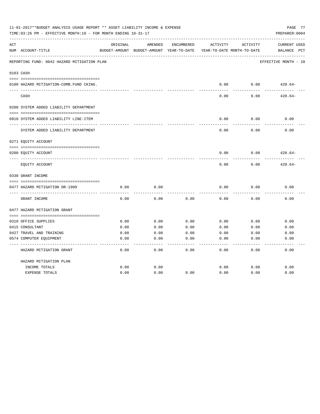|     | 11-01-2017**BUDGET ANALYSIS USAGE REPORT ** ASSET LIABILITY INCOME & EXPENSE<br>TIME: 03:26 PM - EFFECTIVE MONTH: 10 - FOR MONTH ENDING 10-31-17 |          |                                                     |            |          |                                        | PAGE 77<br>PREPARER: 0004                      |
|-----|--------------------------------------------------------------------------------------------------------------------------------------------------|----------|-----------------------------------------------------|------------|----------|----------------------------------------|------------------------------------------------|
| ACT | NUM ACCOUNT-TITLE                                                                                                                                | ORIGINAL | AMENDED<br>BUDGET-AMOUNT BUDGET-AMOUNT YEAR-TO-DATE | ENCUMBERED | ACTIVITY | ACTIVITY<br>YEAR-TO-DATE MONTH-TO-DATE | <b>CURRENT USED</b><br>$_{\rm PCT}$<br>BALANCE |
|     | REPORTING FUND: 0042 HAZARD MITIGATION PLAN                                                                                                      |          |                                                     |            |          |                                        | EFFECTIVE MONTH - 10                           |
|     | 0103 CASH                                                                                                                                        |          |                                                     |            |          |                                        |                                                |
|     | 0100 HAZARD MITIGATION-COMB.FUND CKING.                                                                                                          |          |                                                     |            | 0.00     | 0.00                                   | $428.64-$                                      |
|     | CASH                                                                                                                                             |          |                                                     |            | 0.00     | 0.00                                   | $428.64-$                                      |
|     | 0200 SYSTEM ADDED LIABILITY DEPARTMENT                                                                                                           |          |                                                     |            |          |                                        |                                                |
|     | 0910 SYSTEM ADDED LIABILITY LINE-ITEM                                                                                                            |          |                                                     |            | 0.00     | 0.00                                   | 0.00                                           |
|     | SYSTEM ADDED LIABILITY DEPARTMENT                                                                                                                |          |                                                     |            | 0.00     | 0.00                                   | 0.00                                           |
|     | 0271 EQUITY ACCOUNT                                                                                                                              |          |                                                     |            |          |                                        |                                                |
|     | 0200 EQUITY ACCOUNT                                                                                                                              |          |                                                     |            | 0.00     | 0.00                                   | $428.64-$                                      |
|     | EQUITY ACCOUNT                                                                                                                                   |          |                                                     |            | 0.00     | 0.00                                   | $428.64-$                                      |
|     | 0330 GRANT INCOME                                                                                                                                |          |                                                     |            |          |                                        |                                                |
|     | 0477 HAZARD MITIGATION DR-1999                                                                                                                   | 0.00     | 0.00                                                |            | 0.00     | 0.00                                   | 0.00                                           |
|     | GRANT INCOME                                                                                                                                     | 0.00     | 0.00                                                | 0.00       | 0.00     | 0.00                                   | 0.00                                           |
|     | 0477 HAZARD MITIGATION GRANT                                                                                                                     |          |                                                     |            |          |                                        |                                                |
|     | 0310 OFFICE SUPPLIES                                                                                                                             | 0.00     | 0.00                                                | 0.00       | 0.00     | 0.00                                   | 0.00                                           |
|     | 0415 CONSULTANT                                                                                                                                  | 0.00     | 0.00                                                | 0.00       | 0.00     | 0.00                                   | 0.00                                           |
|     | 0427 TRAVEL AND TRAINING                                                                                                                         | 0.00     | 0.00                                                | 0.00       | 0.00     | 0.00                                   | 0.00                                           |
|     | 0574 COMPUTER EQUIPMENT                                                                                                                          | 0.00     | 0.00                                                | 0.00       | 0.00     | 0.00                                   | 0.00                                           |
|     |                                                                                                                                                  |          |                                                     |            |          |                                        |                                                |
|     | HAZARD MITIGATION GRANT                                                                                                                          | 0.00     | 0.00                                                | 0.00       | 0.00     | 0.00                                   | 0.00                                           |
|     | HAZARD MITIGATION PLAN                                                                                                                           |          |                                                     |            |          |                                        |                                                |
|     | INCOME TOTALS                                                                                                                                    | 0.00     | 0.00                                                |            | 0.00     | 0.00                                   | 0.00                                           |
|     | <b>EXPENSE TOTALS</b>                                                                                                                            | 0.00     | 0.00                                                | 0.00       | 0.00     | 0.00                                   | 0.00                                           |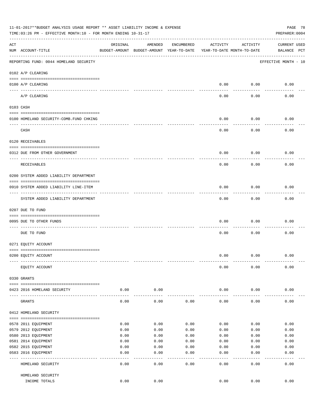|     | 11-01-2017**BUDGET ANALYSIS USAGE REPORT ** ASSET LIABILITY INCOME & EXPENSE<br>TIME:03:26 PM - EFFECTIVE MONTH:10 - FOR MONTH ENDING 10-31-17 |                     |                                                     |              |                                        |           | PAGE 78<br>PREPARER: 0004          |
|-----|------------------------------------------------------------------------------------------------------------------------------------------------|---------------------|-----------------------------------------------------|--------------|----------------------------------------|-----------|------------------------------------|
| ACT | NUM ACCOUNT-TITLE                                                                                                                              | ORIGINAL            | AMENDED<br>BUDGET-AMOUNT BUDGET-AMOUNT YEAR-TO-DATE | ENCUMBERED   | ACTIVITY<br>YEAR-TO-DATE MONTH-TO-DATE | ACTIVITY  | <b>CURRENT USED</b><br>BALANCE PCT |
|     | REPORTING FUND: 0044 HOMELAND SECURITY                                                                                                         |                     |                                                     |              |                                        |           | EFFECTIVE MONTH - 10               |
|     | 0102 A/P CLEARING                                                                                                                              |                     |                                                     |              |                                        |           |                                    |
|     | 0100 A/P CLEARING<br>----- ----------                                                                                                          |                     |                                                     |              | 0.00                                   | 0.00      | 0.00                               |
|     | A/P CLEARING                                                                                                                                   |                     |                                                     |              | 0.00                                   | 0.00      | 0.00                               |
|     | 0103 CASH                                                                                                                                      |                     |                                                     |              |                                        |           |                                    |
|     | 0100 HOMELAND SECURITY-COMB.FUND CHKING                                                                                                        |                     |                                                     |              | 0.00                                   | 0.00      | 0.00                               |
|     | CASH                                                                                                                                           |                     |                                                     |              | 0.00                                   | 0.00      | 0.00                               |
|     | 0120 RECEIVABLES                                                                                                                               |                     |                                                     |              |                                        |           |                                    |
|     |                                                                                                                                                |                     |                                                     |              |                                        |           |                                    |
|     | 0312 DUE FROM OTHER GOVERNMENT                                                                                                                 |                     |                                                     |              | 0.00                                   | 0.00      | 0.00                               |
|     | RECEIVABLES                                                                                                                                    |                     |                                                     |              | 0.00                                   | 0.00      | 0.00                               |
|     | 0200 SYSTEM ADDED LIABILITY DEPARTMENT                                                                                                         |                     |                                                     |              |                                        |           |                                    |
|     | 0910 SYSTEM ADDED LIABILITY LINE-ITEM                                                                                                          |                     |                                                     |              | 0.00                                   | 0.00      | 0.00                               |
|     | SYSTEM ADDED LIABILITY DEPARTMENT                                                                                                              |                     |                                                     |              | 0.00                                   | 0.00      | 0.00                               |
|     | 0207 DUE TO FUND                                                                                                                               |                     |                                                     |              |                                        |           |                                    |
|     | 0095 DUE TO OTHER FUNDS                                                                                                                        |                     |                                                     |              | 0.00                                   | 0.00      | 0.00                               |
|     | DUE TO FUND                                                                                                                                    |                     |                                                     |              | 0.00                                   | 0.00      | 0.00                               |
|     | 0271 EQUITY ACCOUNT                                                                                                                            |                     |                                                     |              |                                        |           |                                    |
|     | 0200 EQUITY ACCOUNT                                                                                                                            |                     |                                                     |              | 0.00                                   | 0.00      | 0.00                               |
|     | EQUITY ACCOUNT                                                                                                                                 |                     |                                                     |              | 0.00                                   | 0.00      | 0.00                               |
|     | 0330 GRANTS                                                                                                                                    |                     |                                                     |              |                                        |           |                                    |
|     |                                                                                                                                                |                     |                                                     |              |                                        |           |                                    |
|     | 0423 2016 HOMELAND SECURITY                                                                                                                    | 0.00<br>$- - - - -$ | 0.00                                                |              | 0.00                                   | 0.00      | 0.00                               |
|     | GRANTS                                                                                                                                         | 0.00                | 0.00                                                | 0.00         | 0.00                                   | 0.00      | 0.00                               |
|     | 0412 HOMELAND SECURITY                                                                                                                         |                     |                                                     |              |                                        |           |                                    |
|     | 0578 2011 EQUIPMENT                                                                                                                            | 0.00                | 0.00                                                | 0.00         | 0.00                                   | 0.00      | 0.00                               |
|     | 0579 2012 EQUIPMENT                                                                                                                            | 0.00                | 0.00                                                | 0.00         | 0.00                                   | 0.00      | 0.00                               |
|     | 0580 2013 EQUIPMENT                                                                                                                            | 0.00                | 0.00                                                | 0.00         | 0.00                                   | 0.00      | 0.00                               |
|     | 0581 2014 EQUIPMENT                                                                                                                            | 0.00                | 0.00                                                | 0.00         | 0.00                                   | 0.00      | 0.00                               |
|     | 0582 2015 EQUIPMENT                                                                                                                            | 0.00                | 0.00                                                | 0.00         | 0.00                                   | 0.00      | 0.00                               |
|     | 0583 2016 EQUIPMENT                                                                                                                            | 0.00                | 0.00                                                | 0.00         | 0.00                                   | 0.00      | 0.00                               |
|     | HOMELAND SECURITY                                                                                                                              | 0.00                | ----<br>0.00                                        | ----<br>0.00 | $--- - - -$<br>0.00                    | .<br>0.00 | -----<br>0.00                      |
|     | HOMELAND SECURITY                                                                                                                              |                     |                                                     |              |                                        |           |                                    |
|     | INCOME TOTALS                                                                                                                                  | 0.00                | 0.00                                                |              | 0.00                                   | 0.00      | 0.00                               |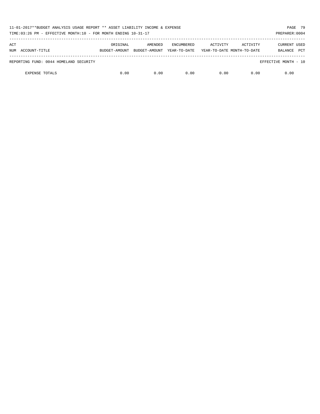| 11-01-2017**BUDGET ANALYSIS USAGE REPORT ** ASSET LIABILITY INCOME & EXPENSE<br>TIME:03:26 PM - EFFECTIVE MONTH:10 - FOR MONTH ENDING 10-31-17 |               |               |                   |          |                            | PAGE 79<br>PREPARER: 0004 |
|------------------------------------------------------------------------------------------------------------------------------------------------|---------------|---------------|-------------------|----------|----------------------------|---------------------------|
| ACT                                                                                                                                            | ORIGINAL      | AMENDED       | <b>ENCUMBERED</b> | ACTIVITY | ACTIVITY                   | <b>CURRENT USED</b>       |
| ACCOUNT-TITLE<br>NUM                                                                                                                           | BUDGET-AMOUNT | BUDGET-AMOUNT | YEAR-TO-DATE      |          | YEAR-TO-DATE MONTH-TO-DATE | <b>PCT</b><br>BALANCE     |
| REPORTING FUND: 0044 HOMELAND SECURITY                                                                                                         |               |               |                   |          |                            | EFFECTIVE MONTH - 10      |
| <b>EXPENSE TOTALS</b>                                                                                                                          | 0.00          | 0.00          | 0.00              | 0.00     | 0.00                       | 0.00                      |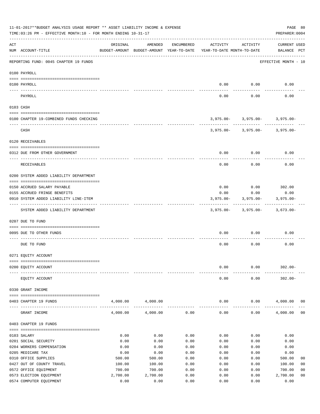|     | 11-01-2017**BUDGET ANALYSIS USAGE REPORT ** ASSET LIABILITY INCOME & EXPENSE<br>TIME: 03:26 PM - EFFECTIVE MONTH: 10 - FOR MONTH ENDING 10-31-17 |                    |                                                     |              |                                        |                                    | PAGE 80<br>PREPARER: 0004          |                                  |
|-----|--------------------------------------------------------------------------------------------------------------------------------------------------|--------------------|-----------------------------------------------------|--------------|----------------------------------------|------------------------------------|------------------------------------|----------------------------------|
| ACT | NUM ACCOUNT-TITLE                                                                                                                                | ORIGINAL           | AMENDED<br>BUDGET-AMOUNT BUDGET-AMOUNT YEAR-TO-DATE | ENCUMBERED   | ACTIVITY<br>YEAR-TO-DATE MONTH-TO-DATE | ACTIVITY                           | <b>CURRENT USED</b><br>BALANCE PCT |                                  |
|     | REPORTING FUND: 0045 CHAPTER 19 FUNDS                                                                                                            |                    |                                                     |              |                                        |                                    | EFFECTIVE MONTH - 10               |                                  |
|     | 0100 PAYROLL                                                                                                                                     |                    |                                                     |              |                                        |                                    |                                    |                                  |
|     | 0100 PAYROLL                                                                                                                                     |                    |                                                     |              | 0.00                                   | 0.00                               | 0.00                               |                                  |
|     | PAYROLL                                                                                                                                          |                    |                                                     |              | 0.00                                   | 0.00                               | 0.00                               |                                  |
|     | 0103 CASH                                                                                                                                        |                    |                                                     |              |                                        |                                    |                                    |                                  |
|     | 0100 CHAPTER 19-COMBINED FUNDS CHECKING                                                                                                          |                    |                                                     |              |                                        | $3,975.00 - 3,975.00 - 3,975.00 -$ |                                    |                                  |
|     | CASH                                                                                                                                             |                    |                                                     |              |                                        | $3,975.00 - 3,975.00 - 3,975.00 -$ |                                    |                                  |
|     | 0120 RECEIVABLES                                                                                                                                 |                    |                                                     |              |                                        |                                    |                                    |                                  |
|     |                                                                                                                                                  |                    |                                                     |              |                                        |                                    |                                    |                                  |
|     | 0312 DUE FROM OTHER GOVERNMENT                                                                                                                   |                    |                                                     |              | 0.00                                   | 0.00                               | 0.00                               |                                  |
|     | RECEIVABLES                                                                                                                                      |                    |                                                     |              | 0.00                                   | 0.00                               | 0.00                               |                                  |
|     | 0200 SYSTEM ADDED LIABILITY DEPARTMENT                                                                                                           |                    |                                                     |              |                                        |                                    |                                    |                                  |
|     | 0150 ACCRUED SALARY PAYABLE                                                                                                                      |                    |                                                     |              | 0.00                                   | $0.00$ 302.00                      |                                    |                                  |
|     | 0155 ACCRUED FRINGE BENEFITS                                                                                                                     |                    |                                                     |              | 0.00                                   | 0.00                               | 0.00                               |                                  |
|     | 0910 SYSTEM ADDED LIABILITY LINE-ITEM                                                                                                            |                    |                                                     |              | $3,975.00 -$                           | $3,975.00 -$                       | $3,975.00 -$                       |                                  |
|     | SYSTEM ADDED LIABILITY DEPARTMENT                                                                                                                |                    |                                                     |              | 3,975.00-                              | 3,975.00- 3,673.00-                |                                    |                                  |
|     | 0207 DUE TO FUND                                                                                                                                 |                    |                                                     |              |                                        |                                    |                                    |                                  |
|     | 0095 DUE TO OTHER FUNDS                                                                                                                          |                    |                                                     |              | 0.00                                   | 0.00                               | 0.00                               |                                  |
|     | DUE TO FUND                                                                                                                                      |                    |                                                     |              | 0.00                                   | 0.00                               | 0.00                               |                                  |
|     | 0271 EQUITY ACCOUNT                                                                                                                              |                    |                                                     |              |                                        |                                    |                                    |                                  |
|     | 0200 EQUITY ACCOUNT                                                                                                                              |                    |                                                     |              | 0.00                                   | 0.00                               | $302.00 -$                         |                                  |
|     |                                                                                                                                                  |                    |                                                     |              |                                        |                                    |                                    |                                  |
|     | EQUITY ACCOUNT                                                                                                                                   |                    |                                                     |              | 0.00                                   | 0.00                               | $302.00 -$                         |                                  |
|     | 0330 GRANT INCOME                                                                                                                                |                    |                                                     |              |                                        |                                    |                                    |                                  |
|     | 0403 CHAPTER 19 FUNDS                                                                                                                            | 4,000.00           | 4,000.00                                            |              | 0.00                                   | 0.00                               | 4,000.00 00                        |                                  |
|     | GRANT INCOME                                                                                                                                     | 4,000.00           | 4,000.00                                            | 0.00         | 0.00                                   | 0.00                               | 4,000.00                           | 0 <sub>0</sub>                   |
|     | 0403 CHAPTER 19 FUNDS                                                                                                                            |                    |                                                     |              |                                        |                                    |                                    |                                  |
|     | 0103 SALARY                                                                                                                                      | 0.00               | 0.00                                                | 0.00         | 0.00                                   | 0.00                               | 0.00                               |                                  |
|     | 0201 SOCIAL SECURITY                                                                                                                             | 0.00               | 0.00                                                | 0.00         | 0.00                                   | 0.00                               | 0.00                               |                                  |
|     | 0204 WORKERS COMPENSATION                                                                                                                        | 0.00               | 0.00                                                | 0.00         | 0.00                                   | 0.00                               | 0.00                               |                                  |
|     | 0205 MEDICARE TAX                                                                                                                                | 0.00               | 0.00                                                | 0.00         | 0.00                                   | 0.00                               | 0.00                               |                                  |
|     | 0310 OFFICE SUPPLIES                                                                                                                             | 500.00             | 500.00                                              | 0.00         | 0.00                                   | 0.00                               | 500.00                             | 0 <sub>0</sub>                   |
|     | 0427 OUT OF COUNTY TRAVEL                                                                                                                        | 100.00             | 100.00                                              | 0.00         | 0.00                                   | 0.00                               | 100.00                             | 00                               |
|     | 0572 OFFICE EQUIPMENT<br>0573 ELECTION EQUIPMENT                                                                                                 | 700.00<br>2,700.00 | 700.00<br>2,700.00                                  | 0.00<br>0.00 | 0.00<br>0.00                           | 0.00<br>0.00                       | 700.00<br>2,700.00                 | 0 <sub>0</sub><br>0 <sub>0</sub> |
|     | 0574 COMPUTER EQUIPMENT                                                                                                                          | 0.00               | 0.00                                                | 0.00         | 0.00                                   | 0.00                               | 0.00                               |                                  |
|     |                                                                                                                                                  |                    |                                                     |              |                                        |                                    |                                    |                                  |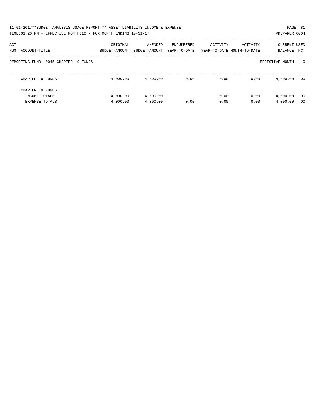| 11-01-2017**BUDGET ANALYSIS USAGE REPORT ** ASSET LIABILITY INCOME & EXPENSE<br>TIME:03:26 PM - EFFECTIVE MONTH:10 - FOR MONTH ENDING 10-31-17 |                           |                          |                            |                                        |          | PAGE 81<br>PREPARER: 0004          |  |
|------------------------------------------------------------------------------------------------------------------------------------------------|---------------------------|--------------------------|----------------------------|----------------------------------------|----------|------------------------------------|--|
| ACT<br>ACCOUNT-TITLE<br>NUM                                                                                                                    | ORIGINAL<br>BUDGET-AMOUNT | AMENDED<br>BUDGET-AMOUNT | ENCUMBERED<br>YEAR-TO-DATE | ACTIVITY<br>YEAR-TO-DATE MONTH-TO-DATE | ACTIVITY | <b>CURRENT USED</b><br>BALANCE PCT |  |
| REPORTING FUND: 0045 CHAPTER 19 FUNDS                                                                                                          |                           |                          |                            |                                        |          | EFFECTIVE MONTH - 10               |  |
| CHAPTER 19 FUNDS                                                                                                                               | 4,000.00                  | 4,000.00                 | 0.00                       | 0.00                                   | 0.00     | 00<br>4,000.00                     |  |
| CHAPTER 19 FUNDS                                                                                                                               |                           |                          |                            |                                        |          |                                    |  |
| INCOME TOTALS                                                                                                                                  | 4,000.00                  | 4,000.00                 |                            | 0.00                                   | 0.00     | 00<br>4,000.00                     |  |
| <b>EXPENSE TOTALS</b>                                                                                                                          | 4,000.00                  | 4,000.00                 | 0.00                       | 0.00                                   | 0.00     | 4,000.00<br>0 <sup>0</sup>         |  |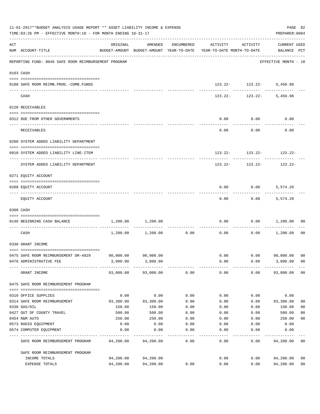|     | 11-01-2017**BUDGET ANALYSIS USAGE REPORT ** ASSET LIABILITY INCOME & EXPENSE<br>TIME: 03:26 PM - EFFECTIVE MONTH: 10 - FOR MONTH ENDING 10-31-17 |           |                     |                               |                                                                                 |                                               | PAGE 82<br>PREPARER: 0004   |                |
|-----|--------------------------------------------------------------------------------------------------------------------------------------------------|-----------|---------------------|-------------------------------|---------------------------------------------------------------------------------|-----------------------------------------------|-----------------------------|----------------|
| ACT | NUM ACCOUNT-TITLE                                                                                                                                | ORIGINAL  | AMENDED             | ENCUMBERED                    | ACTIVITY<br>BUDGET-AMOUNT BUDGET-AMOUNT YEAR-TO-DATE YEAR-TO-DATE MONTH-TO-DATE | ACTIVITY                                      | CURRENT USED<br>BALANCE PCT |                |
|     | REPORTING FUND: 0046 SAFE ROOM REIMBURSEMENT PROGRAM                                                                                             |           |                     |                               |                                                                                 |                                               | EFFECTIVE MONTH - 10        |                |
|     | 0103 CASH                                                                                                                                        |           |                     |                               |                                                                                 |                                               |                             |                |
|     | 0100 SAFE ROOM REIMB.PROG.-COMB.FUNDS                                                                                                            |           |                     |                               |                                                                                 | $123.22 - 123.22 - 5.450.98$<br>------------- |                             |                |
|     | CASH                                                                                                                                             |           |                     |                               |                                                                                 | $123.22 - 123.22 - 5,450.98$                  |                             |                |
|     | 0120 RECEIVABLES                                                                                                                                 |           |                     |                               |                                                                                 |                                               |                             |                |
|     | 0312 DUE FROM OTHER GOVERNMENTS                                                                                                                  |           |                     |                               | 0.00                                                                            | 0.00                                          | 0.00                        |                |
|     | RECEIVABLES                                                                                                                                      |           |                     |                               | 0.00                                                                            | 0.00                                          | 0.00                        |                |
|     | 0200 SYSTEM ADDED LIABILITY DEPARTMENT                                                                                                           |           |                     |                               |                                                                                 |                                               |                             |                |
|     | 0910 SYSTEM ADDED LIABILITY LINE-ITEM                                                                                                            |           |                     |                               |                                                                                 | $123.22 - 123.22 - 123.22$                    |                             |                |
|     | SYSTEM ADDED LIABILITY DEPARTMENT                                                                                                                |           |                     |                               | -----------                                                                     | -------------<br>$123.22 - 123.22 -$          | -------------<br>123.22-    |                |
|     | 0271 EQUITY ACCOUNT                                                                                                                              |           |                     |                               |                                                                                 |                                               |                             |                |
|     | 0200 EQUITY ACCOUNT                                                                                                                              |           |                     |                               | 0.00                                                                            | $0.00$ 5,574.20                               |                             |                |
|     | EQUITY ACCOUNT                                                                                                                                   |           |                     |                               | 0.00                                                                            |                                               | $0.00$ 5,574.20             |                |
|     | 0300 CASH                                                                                                                                        |           |                     |                               |                                                                                 |                                               |                             |                |
|     | 0146 BEGINNING CASH BALANCE                                                                                                                      | 1,200.00  | 1,200.00            | ----------------------------- |                                                                                 | $0.00$ $0.00$<br>----------                   | 1,200.00                    | 00             |
|     | CASH                                                                                                                                             | 1,200.00  |                     | $1,200.00$ 0.00               | 0.00                                                                            |                                               | $0.00$ 1,200.00             | 00             |
|     | 0330 GRANT INCOME                                                                                                                                |           |                     |                               |                                                                                 |                                               |                             |                |
|     | 0475 SAFE ROOM REIMBURSEMENT DR-4029                                                                                                             |           | 90,000.00 90,000.00 |                               |                                                                                 | $0.00$ $0.00$ $90,000.00$ 00                  |                             |                |
|     | 0476 ADMINISTRATIVE FEE                                                                                                                          |           | 3,000.00 3,000.00   |                               | 0.00                                                                            | 0.00                                          | 3,000.00 00                 |                |
|     | GRANT INCOME                                                                                                                                     |           | 93,000.00 93,000.00 | 0.00                          | 0.00                                                                            | 0.00                                          | 93,000.00                   | 00             |
|     | 0475 SAFE ROOM REIMBURSEMENT PROGRAM                                                                                                             |           |                     |                               |                                                                                 |                                               |                             |                |
|     | 0310 OFFICE SUPPLIES                                                                                                                             | 0.00      | 0.00                | 0.00                          | 0.00                                                                            | 0.00                                          | 0.00                        |                |
|     | 0314 SAFE ROOM REIMBURSEMENT                                                                                                                     | 93,300.00 | 93,300.00           | 0.00                          | 0.00                                                                            | 0.00                                          | 93,300.00                   | 0 <sub>0</sub> |
|     | 0330 GAS/OIL                                                                                                                                     | 150.00    | 150.00              | 0.00                          | 0.00                                                                            | 0.00                                          | 150.00                      | 0 <sub>0</sub> |
|     | 0427 OUT OF COUNTY TRAVEL                                                                                                                        | 500.00    | 500.00              | 0.00                          | 0.00                                                                            | 0.00                                          | 500.00                      | 0 <sub>0</sub> |
|     | 0454 R&M AUTO                                                                                                                                    | 250.00    | 250.00              | 0.00                          | 0.00                                                                            | 0.00                                          | 250.00                      | 0 <sub>0</sub> |
|     | 0573 RADIO EQUIPMENT                                                                                                                             | 0.00      | 0.00                | 0.00                          | 0.00                                                                            | 0.00                                          | 0.00                        |                |
|     | 0574 COMPUTER EQUIPMENT                                                                                                                          | 0.00      | 0.00                | 0.00                          | 0.00<br>$--- - - -$                                                             | 0.00                                          | 0.00                        |                |
|     | SAFE ROOM REIMBURSEMENT PROGRAM                                                                                                                  | 94,200.00 | 94,200.00           | 0.00                          | 0.00                                                                            | 0.00                                          | 94,200.00                   | 00             |
|     | SAFE ROOM REIMBURSEMENT PROGRAM                                                                                                                  |           |                     |                               |                                                                                 |                                               |                             |                |
|     | INCOME TOTALS                                                                                                                                    | 94,200.00 | 94,200.00           |                               | 0.00                                                                            | 0.00                                          | 94,200.00                   | 00             |
|     | EXPENSE TOTALS                                                                                                                                   | 94,200.00 | 94,200.00           | 0.00                          | 0.00                                                                            | 0.00                                          | 94,200.00                   | 0 <sub>0</sub> |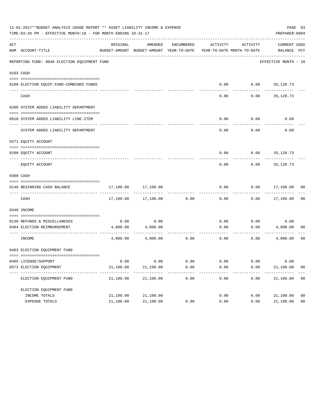|     | 11-01-2017**BUDGET ANALYSIS USAGE REPORT ** ASSET LIABILITY INCOME & EXPENSE<br>TIME: 03:26 PM - EFFECTIVE MONTH: 10 - FOR MONTH ENDING 10-31-17 |           |                                                     |            |                                        |          | PREPARER: 0004                     | PAGE 83        |
|-----|--------------------------------------------------------------------------------------------------------------------------------------------------|-----------|-----------------------------------------------------|------------|----------------------------------------|----------|------------------------------------|----------------|
| ACT | NUM ACCOUNT-TITLE                                                                                                                                | ORIGINAL  | AMENDED<br>BUDGET-AMOUNT BUDGET-AMOUNT YEAR-TO-DATE | ENCUMBERED | ACTIVITY<br>YEAR-TO-DATE MONTH-TO-DATE | ACTIVITY | <b>CURRENT USED</b><br>BALANCE PCT |                |
|     | REPORTING FUND: 0048 ELECTION EQUIPMENT FUND                                                                                                     |           |                                                     |            |                                        |          | EFFECTIVE MONTH - 10               |                |
|     | 0103 CASH                                                                                                                                        |           |                                                     |            |                                        |          |                                    |                |
|     |                                                                                                                                                  |           |                                                     |            |                                        |          |                                    |                |
|     | 0100 ELECTION EQUIP. FUND-COMBINED FUNDS                                                                                                         |           |                                                     |            | 0.00                                   | 0.00     | 35,128.73                          |                |
|     | CASH                                                                                                                                             |           |                                                     |            | 0.00                                   | 0.00     | 35,128.73                          |                |
|     | 0200 SYSTEM ADDED LIABILITY DEPARTMENT                                                                                                           |           |                                                     |            |                                        |          |                                    |                |
|     | 0910 SYSTEM ADDED LIABILITY LINE-ITEM                                                                                                            |           |                                                     |            | 0.00                                   | 0.00     | 0.00                               |                |
|     | SYSTEM ADDED LIABILITY DEPARTMENT                                                                                                                |           |                                                     |            | 0.00                                   | 0.00     | 0.00                               |                |
|     | 0271 EQUITY ACCOUNT                                                                                                                              |           |                                                     |            |                                        |          |                                    |                |
|     |                                                                                                                                                  |           |                                                     |            |                                        |          |                                    |                |
|     | 0200 EOUITY ACCOUNT                                                                                                                              |           |                                                     |            | 0.00                                   | 0.00     | 35,128.73                          |                |
|     | EQUITY ACCOUNT                                                                                                                                   |           |                                                     |            | 0.00                                   | 0.00     | 35, 128. 73                        |                |
|     | 0300 CASH                                                                                                                                        |           |                                                     |            |                                        |          |                                    |                |
|     | 0148 BEGINNING CASH BALANCE                                                                                                                      | 17,100.00 | 17,100.00                                           |            | 0.00                                   | 0.00     | 17,100.00                          | 00             |
|     | CASH                                                                                                                                             | 17,100.00 | 17,100.00                                           | 0.00       | 0.00                                   | 0.00     | 17,100.00                          | 0 <sub>0</sub> |
|     | 0340 INCOME                                                                                                                                      |           |                                                     |            |                                        |          |                                    |                |
|     | 0130 REFUNDS & MISCELLANEOUS                                                                                                                     | 0.00      | 0.00                                                |            | 0.00                                   | 0.00     | 0.00                               |                |
|     | 0484 ELECTION REIMBURSEMENT                                                                                                                      | 4,000.00  | 4,000.00                                            |            | 0.00                                   | 0.00     | 4,000.00                           | 00             |
|     | INCOME                                                                                                                                           | 4,000.00  | 4,000.00                                            | 0.00       | 0.00                                   | 0.00     | 4,000.00                           | 00             |
|     | 0403 ELECTION EOUIPMENT FUND                                                                                                                     |           |                                                     |            |                                        |          |                                    |                |
|     |                                                                                                                                                  |           |                                                     |            |                                        |          |                                    |                |
|     | 0485 LICENSE/SUPPORT                                                                                                                             | 0.00      | 0.00                                                | 0.00       | 0.00                                   | 0.00     | 0.00                               |                |
|     | 0573 ELECTION EQUIPMENT<br>-----------------                                                                                                     | 21,100.00 | 21,100.00                                           | 0.00       | 0.00                                   | 0.00     | 21,100.00                          | 0 <sub>0</sub> |
|     | ELECTION EQUIPMENT FUND                                                                                                                          | 21,100.00 | 21,100.00                                           | 0.00       | 0.00                                   | 0.00     | 21,100.00                          | 0 <sub>0</sub> |
|     | ELECTION EQUIPMENT FUND                                                                                                                          |           |                                                     |            |                                        |          |                                    |                |
|     | INCOME TOTALS                                                                                                                                    | 21,100.00 | 21,100.00                                           |            | 0.00                                   | 0.00     | 21,100.00                          | 0 <sub>0</sub> |
|     | EXPENSE TOTALS                                                                                                                                   | 21,100.00 | 21,100.00                                           | 0.00       | 0.00                                   | 0.00     | 21,100.00                          | 0 <sub>0</sub> |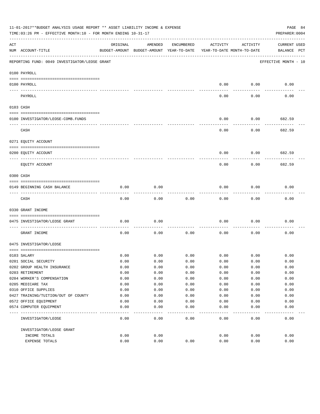|     | 11-01-2017**BUDGET ANALYSIS USAGE REPORT ** ASSET LIABILITY INCOME & EXPENSE<br>TIME:03:26 PM - EFFECTIVE MONTH:10 - FOR MONTH ENDING 10-31-17 |          |                                                     |            |                                        |          | PAGE 84<br>PREPARER: 0004          |
|-----|------------------------------------------------------------------------------------------------------------------------------------------------|----------|-----------------------------------------------------|------------|----------------------------------------|----------|------------------------------------|
| ACT | NUM ACCOUNT-TITLE                                                                                                                              | ORIGINAL | AMENDED<br>BUDGET-AMOUNT BUDGET-AMOUNT YEAR-TO-DATE | ENCUMBERED | ACTIVITY<br>YEAR-TO-DATE MONTH-TO-DATE | ACTIVITY | <b>CURRENT USED</b><br>BALANCE PCT |
|     | REPORTING FUND: 0049 INVESTIGATOR/LEOSE GRANT                                                                                                  |          |                                                     |            |                                        |          | EFFECTIVE MONTH - 10               |
|     | 0100 PAYROLL                                                                                                                                   |          |                                                     |            |                                        |          |                                    |
|     | 0100 PAYROLL                                                                                                                                   |          |                                                     |            | 0.00                                   | 0.00     | 0.00                               |
|     | ---- ----<br>PAYROLL                                                                                                                           |          |                                                     |            | 0.00                                   | 0.00     | 0.00                               |
|     | 0103 CASH                                                                                                                                      |          |                                                     |            |                                        |          |                                    |
|     | 0100 INVESTIGATOR/LEOSE-COMB.FUNDS                                                                                                             |          |                                                     |            | 0.00                                   | 0.00     | 682.59                             |
|     | CASH                                                                                                                                           |          |                                                     |            | 0.00                                   | 0.00     | 682.59                             |
|     | 0271 EQUITY ACCOUNT                                                                                                                            |          |                                                     |            |                                        |          |                                    |
|     | 0200 EQUITY ACCOUNT<br>_____ _____________                                                                                                     |          |                                                     |            | 0.00                                   | 0.00     | 682.59                             |
|     | EQUITY ACCOUNT                                                                                                                                 |          |                                                     |            | 0.00                                   | 0.00     | 682.59                             |
|     | 0300 CASH                                                                                                                                      |          |                                                     |            |                                        |          |                                    |
|     | 0149 BEGINNING CASH BALANCE                                                                                                                    | 0.00     | 0.00                                                |            | 0.00                                   | 0.00     | 0.00                               |
|     | CASH                                                                                                                                           | 0.00     | 0.00                                                | 0.00       | 0.00                                   | 0.00     | 0.00                               |
|     | 0330 GRANT INCOME                                                                                                                              |          |                                                     |            |                                        |          |                                    |
|     | 0475 INVESTIGATOR/LEOSE GRANT                                                                                                                  | 0.00     | 0.00                                                |            | 0.00                                   | 0.00     | 0.00                               |
|     | GRANT INCOME                                                                                                                                   | 0.00     | 0.00                                                | 0.00       | 0.00                                   | 0.00     | 0.00                               |
|     | 0475 INVESTIGATOR/LEOSE                                                                                                                        |          |                                                     |            |                                        |          |                                    |
|     | 0103 SALARY                                                                                                                                    | 0.00     | 0.00                                                | 0.00       | 0.00                                   | 0.00     | 0.00                               |
|     | 0201 SOCIAL SECURITY                                                                                                                           | 0.00     | 0.00                                                | 0.00       | 0.00                                   | 0.00     | 0.00                               |
|     | 0202 GROUP HEALTH INSURANCE                                                                                                                    | 0.00     | 0.00                                                | 0.00       | 0.00                                   | 0.00     | 0.00                               |
|     | 0203 RETIREMENT                                                                                                                                | 0.00     | 0.00                                                | 0.00       | 0.00                                   | 0.00     | 0.00                               |
|     | 0204 WORKER'S COMPENSATION                                                                                                                     | 0.00     | 0.00                                                | 0.00       | 0.00                                   | 0.00     | 0.00                               |
|     | 0205 MEDICARE TAX                                                                                                                              | 0.00     | 0.00                                                | 0.00       | 0.00                                   | 0.00     | 0.00                               |
|     | 0310 OFFICE SUPPLIES                                                                                                                           | 0.00     | 0.00                                                | 0.00       | 0.00                                   | 0.00     | 0.00                               |
|     | 0427 TRAINING/TUITION/OUT OF COUNTY                                                                                                            | 0.00     | 0.00                                                | 0.00       | 0.00                                   | 0.00     | 0.00                               |
|     | 0572 OFFICE EQUIPMENT                                                                                                                          | 0.00     | 0.00                                                | 0.00       | 0.00                                   | 0.00     | 0.00                               |
|     | 0574 COMPUTER EQUIPMENT                                                                                                                        | 0.00     | 0.00                                                | 0.00       | 0.00                                   | 0.00     | 0.00                               |
|     | INVESTIGATOR/LEOSE                                                                                                                             | 0.00     | 0.00                                                | 0.00       | 0.00                                   | 0.00     | 0.00                               |
|     | INVESTIGATOR/LEOSE GRANT                                                                                                                       |          |                                                     |            |                                        |          |                                    |
|     | INCOME TOTALS                                                                                                                                  | 0.00     | 0.00                                                |            | 0.00                                   | 0.00     | 0.00                               |
|     | EXPENSE TOTALS                                                                                                                                 | 0.00     | 0.00                                                | 0.00       | 0.00                                   | 0.00     | 0.00                               |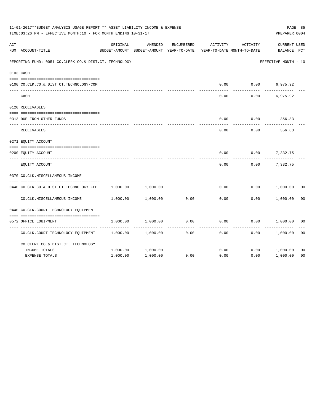|     | 11-01-2017**BUDGET ANALYSIS USAGE REPORT ** ASSET LIABILITY INCOME & EXPENSE<br>TIME: 03:26 PM - EFFECTIVE MONTH: 10 - FOR MONTH ENDING 10-31-17 |          |                                                     |                   |                                        |          | PAGE 85<br>PREPARER: 0004          |
|-----|--------------------------------------------------------------------------------------------------------------------------------------------------|----------|-----------------------------------------------------|-------------------|----------------------------------------|----------|------------------------------------|
| ACT | NUM ACCOUNT-TITLE                                                                                                                                | ORIGINAL | AMENDED<br>BUDGET-AMOUNT BUDGET-AMOUNT YEAR-TO-DATE | <b>ENCUMBERED</b> | ACTIVITY<br>YEAR-TO-DATE MONTH-TO-DATE | ACTIVITY | <b>CURRENT USED</b><br>BALANCE PCT |
|     | REPORTING FUND: 0051 CO.CLERK CO.& DIST.CT. TECHNOLOGY                                                                                           |          |                                                     |                   |                                        |          | EFFECTIVE MONTH - 10               |
|     | 0103 CASH                                                                                                                                        |          |                                                     |                   |                                        |          |                                    |
|     | 0100 CO.CLK.CO.& DIST.CT.TECHNOLOGY-COM                                                                                                          |          |                                                     |                   | 0.00                                   | 0.00     | 6,975.92                           |
|     | CASH                                                                                                                                             |          |                                                     |                   | 0.00                                   | 0.00     | 6,975.92                           |
|     | 0120 RECEIVABLES                                                                                                                                 |          |                                                     |                   |                                        |          |                                    |
|     | 0313 DUE FROM OTHER FUNDS                                                                                                                        |          |                                                     |                   | 0.00                                   | 0.00     | 356.83                             |
|     | RECEIVABLES                                                                                                                                      |          |                                                     |                   | 0.00                                   | 0.00     | 356.83                             |
|     | 0271 EQUITY ACCOUNT                                                                                                                              |          |                                                     |                   |                                        |          |                                    |
|     | 0200 EQUITY ACCOUNT                                                                                                                              |          |                                                     |                   | 0.00                                   | 0.00     | 7,332.75                           |
|     | EQUITY ACCOUNT                                                                                                                                   |          |                                                     |                   | 0.00                                   | 0.00     | 7,332.75                           |
|     | 0370 CO.CLK.MISCELLANEOUS INCOME                                                                                                                 |          |                                                     |                   |                                        |          |                                    |
|     | 0440 CO.CLK.CO.& DIST.CT.TECHNOLOGY FEE                                                                                                          | 1,000.00 | 1,000.00                                            |                   | 0.00                                   | 0.00     | 1,000.00<br>0 <sub>0</sub>         |
|     | CO. CLK. MISCELLANEOUS INCOME                                                                                                                    | 1,000.00 | 1,000.00                                            | 0.00              | 0.00                                   | 0.00     | 0 <sub>0</sub><br>1,000.00         |
|     | 0440 CO.CLK.COURT TECHNOLOGY EQUIPMENT                                                                                                           |          |                                                     |                   |                                        |          |                                    |
|     | 0572 OFFICE EQUIPMENT                                                                                                                            | 1,000.00 | 1,000.00                                            | 0.00              | 0.00                                   | 0.00     | 1,000.00<br>0 <sub>0</sub>         |
|     | CO.CLK.COURT TECHNOLOGY EQUIPMENT                                                                                                                | 1,000.00 | 1,000.00                                            | 0.00              | 0.00                                   | 0.00     | 0 <sub>0</sub><br>1,000.00         |
|     | CO. CLERK CO. & DIST. CT. TECHNOLOGY                                                                                                             |          |                                                     |                   |                                        |          |                                    |
|     | INCOME TOTALS                                                                                                                                    | 1,000.00 | 1,000.00                                            |                   | 0.00                                   | 0.00     | 1,000.00<br>0 <sub>0</sub>         |
|     | <b>EXPENSE TOTALS</b>                                                                                                                            | 1,000.00 | 1,000.00                                            | 0.00              | 0.00                                   | 0.00     | 0 <sub>0</sub><br>1,000.00         |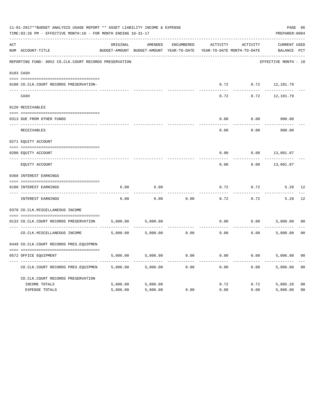|     | 11-01-2017**BUDGET ANALYSIS USAGE REPORT ** ASSET LIABILITY INCOME & EXPENSE<br>TIME: 03:26 PM - EFFECTIVE MONTH: 10 - FOR MONTH ENDING 10-31-17 |          |                                                     |            |          |                                        | PAGE 86<br>PREPARER: 0004          |                |
|-----|--------------------------------------------------------------------------------------------------------------------------------------------------|----------|-----------------------------------------------------|------------|----------|----------------------------------------|------------------------------------|----------------|
| ACT | NUM ACCOUNT-TITLE                                                                                                                                | ORIGINAL | AMENDED<br>BUDGET-AMOUNT BUDGET-AMOUNT YEAR-TO-DATE | ENCUMBERED | ACTIVITY | ACTIVITY<br>YEAR-TO-DATE MONTH-TO-DATE | <b>CURRENT USED</b><br>BALANCE PCT |                |
|     | REPORTING FUND: 0052 CO.CLK.COURT RECORDS PRESERVATION                                                                                           |          |                                                     |            |          |                                        | EFFECTIVE MONTH - 10               |                |
|     | 0103 CASH                                                                                                                                        |          |                                                     |            |          |                                        |                                    |                |
|     | 0100 CO.CLK.COURT RECORDS PRESERVATION-                                                                                                          |          |                                                     |            |          |                                        | $0.72$ $0.72$ $12,101.79$          |                |
|     | CASH                                                                                                                                             |          |                                                     |            | 0.72     | 0.72                                   | 12,101.79                          |                |
|     | 0120 RECEIVABLES                                                                                                                                 |          |                                                     |            |          |                                        |                                    |                |
|     | 0313 DUE FROM OTHER FUNDS                                                                                                                        |          |                                                     |            | 0.00     | 0.00                                   | 900.00                             |                |
|     | RECEIVABLES                                                                                                                                      |          |                                                     |            | 0.00     | 0.00                                   | 900.00                             |                |
|     | 0271 EQUITY ACCOUNT                                                                                                                              |          |                                                     |            |          |                                        |                                    |                |
|     | 0200 EQUITY ACCOUNT                                                                                                                              |          |                                                     |            | 0.00     | 0.00                                   | 13,001.07                          |                |
|     | _____ ______________<br>EQUITY ACCOUNT                                                                                                           |          |                                                     |            | 0.00     | 0.00                                   | 13,001.07                          |                |
|     | 0360 INTEREST EARNINGS                                                                                                                           |          |                                                     |            |          |                                        |                                    |                |
|     | 0100 INTEREST EARNINGS                                                                                                                           | 6.00     | 6.00                                                |            | 0.72     | 0.72                                   | 5.28                               | 12             |
|     | <b>INTEREST EARNINGS</b>                                                                                                                         | 6.00     | 6.00                                                | 0.00       | 0.72     | 0.72                                   | 5.28                               | 12             |
|     | 0370 CO.CLK.MISCELLANEOUS INCOME                                                                                                                 |          |                                                     |            |          |                                        |                                    |                |
|     | 0133 CO.CLK.COURT RECORDS PRESERVATION                                                                                                           | 5,000.00 | 5,000.00                                            |            | 0.00     | 0.00                                   | 5,000.00 00                        |                |
|     | CO. CLK. MISCELLANEOUS INCOME                                                                                                                    | 5,000.00 | 5,000.00                                            | 0.00       | 0.00     | 0.00                                   | 5,000.00                           | 0 <sub>0</sub> |
|     | 0449 CO.CLK.COURT RECORDS PRES.EQUIPMEN                                                                                                          |          |                                                     |            |          |                                        |                                    |                |
|     | 0572 OFFICE EQUIPMENT                                                                                                                            | 5,006.00 | 5,006.00                                            | 0.00       | 0.00     |                                        | 0.00<br>5,006.00                   | 0 <sub>0</sub> |
|     | CO.CLK.COURT RECORDS PRES.EQUIPMEN                                                                                                               | 5,006.00 | 5,006.00                                            | 0.00       | 0.00     | 0.00                                   | 5,006.00                           | 0 <sub>0</sub> |
|     | CO.CLK.COURT RECORDS PRESERVATION                                                                                                                |          |                                                     |            |          |                                        |                                    |                |
|     | INCOME TOTALS                                                                                                                                    | 5,006.00 | 5,006.00                                            |            | 0.72     |                                        | 0.72<br>5,005.28                   | 0 <sub>0</sub> |
|     | <b>EXPENSE TOTALS</b>                                                                                                                            | 5,006.00 | 5,006.00                                            | 0.00       | 0.00     | 0.00                                   | 5,006.00                           | 0 <sub>0</sub> |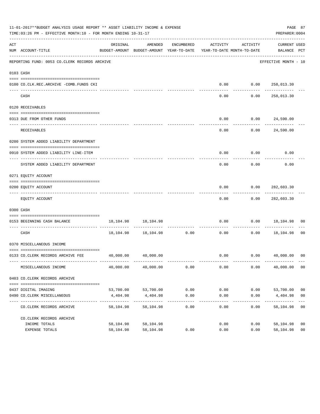|     | 11-01-2017**BUDGET ANALYSIS USAGE REPORT ** ASSET LIABILITY INCOME & EXPENSE<br>TIME:03:26 PM - EFFECTIVE MONTH:10 - FOR MONTH ENDING 10-31-17 |                                                                                 |                                |                    |                    |                            | PAGE 87<br>PREPARER: 0004          |                |
|-----|------------------------------------------------------------------------------------------------------------------------------------------------|---------------------------------------------------------------------------------|--------------------------------|--------------------|--------------------|----------------------------|------------------------------------|----------------|
| ACT | NUM ACCOUNT-TITLE                                                                                                                              | ORIGINAL<br>BUDGET-AMOUNT BUDGET-AMOUNT YEAR-TO-DATE YEAR-TO-DATE MONTH-TO-DATE | AMENDED                        | ENCUMBERED         | ACTIVITY           | ACTIVITY                   | CURRENT USED<br>BALANCE PCT        |                |
|     | REPORTING FUND: 0053 CO.CLERK RECORDS ARCHIVE                                                                                                  |                                                                                 |                                |                    |                    |                            | EFFECTIVE MONTH - 10               |                |
|     | 0103 CASH                                                                                                                                      |                                                                                 |                                |                    |                    |                            |                                    |                |
|     | 0100 CO.CLK.REC.ARCHIVE -COMB.FUNDS CKI                                                                                                        |                                                                                 |                                |                    |                    | $0.00$ $0.00$ $258,013.30$ |                                    |                |
|     | CASH                                                                                                                                           |                                                                                 |                                |                    | -----<br>0.00      | -----------<br>0.00        | -------------<br>258,013.30        |                |
|     | 0120 RECEIVABLES                                                                                                                               |                                                                                 |                                |                    |                    |                            |                                    |                |
|     |                                                                                                                                                |                                                                                 |                                |                    |                    |                            |                                    |                |
|     | 0313 DUE FROM OTHER FUNDS                                                                                                                      |                                                                                 |                                |                    | 0.00               | 0.00 24,590.00             |                                    |                |
|     | RECEIVABLES                                                                                                                                    |                                                                                 |                                |                    | 0.00               |                            | 0.00 24,590.00                     |                |
|     | 0200 SYSTEM ADDED LIABILITY DEPARTMENT                                                                                                         |                                                                                 |                                |                    |                    |                            |                                    |                |
|     | 0910 SYSTEM ADDED LIABILITY LINE-ITEM                                                                                                          |                                                                                 |                                |                    | 0.00               | 0.00                       | 0.00                               |                |
|     | ---- ----------------------------<br>SYSTEM ADDED LIABILITY DEPARTMENT                                                                         |                                                                                 |                                |                    | 0.00               | 0.00                       | 0.00                               |                |
|     | 0271 EQUITY ACCOUNT                                                                                                                            |                                                                                 |                                |                    |                    |                            |                                    |                |
|     | 0200 EQUITY ACCOUNT                                                                                                                            |                                                                                 |                                |                    | 0.00               | $0.00$ 282,603.30          |                                    |                |
|     | EQUITY ACCOUNT                                                                                                                                 |                                                                                 |                                |                    | ----------<br>0.00 | ---------                  | -------------<br>$0.00$ 282,603.30 |                |
|     | 0300 CASH                                                                                                                                      |                                                                                 |                                |                    |                    |                            |                                    |                |
|     | 0153 BEGINNING CASH BALANCE                                                                                                                    |                                                                                 | 18, 104. 98   18, 104. 98      |                    | 0.00               |                            | $0.00$ 18,104.98                   | 00             |
|     | CASH                                                                                                                                           |                                                                                 | 18, 104.98   18, 104.98   0.00 |                    | 0.00               |                            | $0.00$ 18,104.98 00                |                |
|     | 0370 MISCELLANEOUS INCOME                                                                                                                      |                                                                                 |                                |                    |                    |                            |                                    |                |
|     |                                                                                                                                                |                                                                                 |                                |                    |                    |                            |                                    |                |
|     | 0133 CO.CLERK RECORDS ARCHIVE FEE                                                                                                              |                                                                                 | 40,000.00 40,000.00            |                    |                    |                            | $0.00$ $0.00$ $40,000.00$ 00       |                |
|     | MISCELLANEOUS INCOME                                                                                                                           | 40,000.00                                                                       | 40,000.00                      | 0.00               | 0.00               | 0.00                       | 40,000.00 00                       |                |
|     | 0403 CO. CLERK RECORDS ARCHIVE                                                                                                                 |                                                                                 |                                |                    |                    |                            |                                    |                |
|     | 0437 DIGITAL IMAGING                                                                                                                           | 53,700.00                                                                       | 53,700.00                      | 0.00               | 0.00               | 0.00                       | 53,700.00                          | 00             |
|     | 0490 CO. CLERK MISCELLANEOUS                                                                                                                   | 4,404.98                                                                        | 4,404.98                       | 0.00               | 0.00               | 0.00                       | 4,404.98                           | 0 <sub>0</sub> |
|     | CO. CLERK RECORDS ARCHIVE                                                                                                                      | -------------<br>58,104.98                                                      | -------------<br>58,104.98     | ----------<br>0.00 | -----<br>0.00      | $------$<br>0.00           | -----------<br>58,104.98           | 0 <sub>0</sub> |
|     | CO. CLERK RECORDS ARCHIVE                                                                                                                      |                                                                                 |                                |                    |                    |                            |                                    |                |
|     | INCOME TOTALS                                                                                                                                  | 58,104.98                                                                       | 58,104.98                      |                    | 0.00               | 0.00                       | 58,104.98                          | 00             |
|     | EXPENSE TOTALS                                                                                                                                 | 58,104.98                                                                       | 58,104.98                      | 0.00               | 0.00               | 0.00                       | 58,104.98                          | 0 <sub>0</sub> |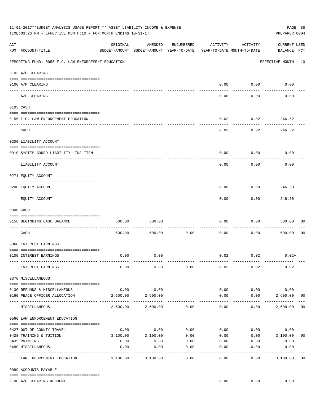|     | 11-01-2017**BUDGET ANALYSIS USAGE REPORT ** ASSET LIABILITY INCOME & EXPENSE<br>TIME:03:26 PM - EFFECTIVE MONTH:10 - FOR MONTH ENDING 10-31-17 |                   |                                                                                |                 |                     |                          | PAGE 88<br>PREPARER: 0004          |                |
|-----|------------------------------------------------------------------------------------------------------------------------------------------------|-------------------|--------------------------------------------------------------------------------|-----------------|---------------------|--------------------------|------------------------------------|----------------|
| ACT | NUM ACCOUNT-TITLE                                                                                                                              | ORIGINAL          | AMENDED<br>BUDGET-AMOUNT BUDGET-AMOUNT YEAR-TO-DATE YEAR-TO-DATE MONTH-TO-DATE | ENCUMBERED      | ACTIVITY            | ACTIVITY                 | <b>CURRENT USED</b><br>BALANCE PCT |                |
|     | REPORTING FUND: 0055 F.C. LAW ENFORCEMENT EDUCATION                                                                                            |                   |                                                                                |                 |                     |                          | EFFECTIVE MONTH - 10               |                |
|     | 0102 A/P CLEARING                                                                                                                              |                   |                                                                                |                 |                     |                          |                                    |                |
|     | 0100 A/P CLEARING                                                                                                                              |                   |                                                                                |                 | 0.00                | 0.00                     | 0.00                               |                |
|     | A/P CLEARING                                                                                                                                   |                   |                                                                                |                 | 0.00                | 0.00                     | 0.00                               |                |
|     | 0103 CASH                                                                                                                                      |                   |                                                                                |                 |                     |                          |                                    |                |
|     | 0155 F.C. LAW ENFORCEMENT EDUCATION                                                                                                            |                   |                                                                                |                 | 0.02                | 0.02                     | 246.52                             |                |
|     | CASH                                                                                                                                           |                   |                                                                                |                 | 0.02                | 0.02                     | 246.52                             |                |
|     | 0200 LIABILITY ACCOUNT                                                                                                                         |                   |                                                                                |                 |                     |                          |                                    |                |
|     | 0910 SYSTEM ADDED LIABILITY LINE-ITEM                                                                                                          |                   |                                                                                |                 | 0.00                | 0.00                     | 0.00                               |                |
|     | LIABILITY ACCOUNT                                                                                                                              |                   |                                                                                |                 | 0.00                | 0.00                     | 0.00                               |                |
|     | 0271 EQUITY ACCOUNT                                                                                                                            |                   |                                                                                |                 |                     |                          |                                    |                |
|     | 0200 EQUITY ACCOUNT                                                                                                                            |                   |                                                                                |                 | 0.00                | 0.00                     | 246.50                             |                |
|     | EQUITY ACCOUNT                                                                                                                                 |                   |                                                                                |                 | 0.00                | .<br>0.00                | ----------<br>246.50               |                |
|     | 0300 CASH                                                                                                                                      |                   |                                                                                |                 |                     |                          |                                    |                |
|     | 0156 BEGINNING CASH BALANCE                                                                                                                    | 500.00            | 500.00                                                                         |                 | 0.00                | 0.00                     | 500.00                             | 00             |
|     | CASH                                                                                                                                           | 500.00            | 500.00                                                                         | 0.00            | 0.00                | 0.00                     | 500.00                             | 0 <sub>0</sub> |
|     | 0360 INTEREST EARNINGS                                                                                                                         |                   |                                                                                |                 |                     |                          |                                    |                |
|     | 0100 INTEREST EARNINGS                                                                                                                         | 0.00              | 0.00                                                                           |                 |                     | $0.02$ $0.02$            | $0.02+$                            |                |
|     | INTEREST EARNINGS                                                                                                                              | 0.00              | 0.00                                                                           | 0.00            | 0.02                | 0.02                     | $0.02+$                            |                |
|     | 0370 MISCELLANEOUS                                                                                                                             |                   |                                                                                |                 |                     |                          |                                    |                |
|     | 0130 REFUNDS & MISCELLANEOUS                                                                                                                   | 0.00              | 0.00                                                                           |                 | 0.00                | 0.00                     | 0.00                               |                |
|     | 0160 PEACE OFFICER ALLOCATION                                                                                                                  | 2,600.00          | 2,600.00                                                                       |                 | 0.00<br>$- - - - -$ | 0.00<br>----------       | 2,600.00<br>--------------         | 0 <sub>0</sub> |
|     | MISCELLANEOUS                                                                                                                                  | 2,600.00          | 2,600.00                                                                       | 0.00            | 0.00                | 0.00                     | 2,600.00                           | 0 <sub>0</sub> |
|     | 0560 LAW ENFORCEMENT EDUCATION                                                                                                                 |                   |                                                                                |                 |                     |                          |                                    |                |
|     | 0427 OUT OF COUNTY TRAVEL                                                                                                                      | 0.00              | 0.00                                                                           | 0.00            | 0.00                | 0.00                     | 0.00                               |                |
|     | 0428 TRAINING & TUITION                                                                                                                        |                   | 3,100.00 3,100.00                                                              | 0.00            |                     | $0.00$ $0.00$ $3,100.00$ |                                    | 0 <sub>0</sub> |
|     | 0435 PRINTING                                                                                                                                  | 0.00              | 0.00                                                                           | 0.00            |                     | $0.00$ 0.00              | 0.00                               |                |
|     | 0490 MISCELLANEOUS                                                                                                                             | 0.00<br>--------- | 0.00                                                                           | 0.00<br>------- | 0.00                | 0.00                     | 0.00                               |                |
|     | LAW ENFORCEMENT EDUCATION                                                                                                                      | 3,100.00          | 3,100.00                                                                       | 0.00            | 0.00                | 0.00                     | 3,100.00                           | 0 <sub>0</sub> |
|     | 0999 ACCOUNTS PAYABLE                                                                                                                          |                   |                                                                                |                 |                     |                          |                                    |                |
|     | 0100 A/P CLEARING ACCOUNT                                                                                                                      |                   |                                                                                |                 | 0.00                | 0.00                     | 0.00                               |                |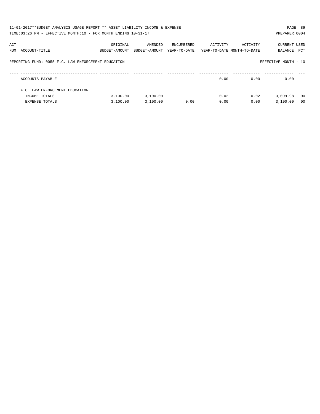|     | 11-01-2017**BUDGET ANALYSIS USAGE REPORT ** ASSET LIABILITY INCOME & EXPENSE<br>TIME: 03:26 PM - EFFECTIVE MONTH: 10 - FOR MONTH ENDING 10-31-17 |                           |                          |                            |                                        |          | PAGE 89<br>PREPARER: 0004 |                |
|-----|--------------------------------------------------------------------------------------------------------------------------------------------------|---------------------------|--------------------------|----------------------------|----------------------------------------|----------|---------------------------|----------------|
| ACT | NUM ACCOUNT-TITLE                                                                                                                                | ORIGINAL<br>BUDGET-AMOUNT | AMENDED<br>BUDGET-AMOUNT | ENCUMBERED<br>YEAR-TO-DATE | ACTIVITY<br>YEAR-TO-DATE MONTH-TO-DATE | ACTIVITY | CURRENT USED<br>BALANCE   | PCT            |
|     | REPORTING FUND: 0055 F.C. LAW ENFORCEMENT EDUCATION                                                                                              |                           |                          |                            |                                        |          | EFFECTIVE MONTH - 10      |                |
|     | ACCOUNTS PAYABLE                                                                                                                                 |                           |                          |                            | 0.00                                   | 0.00     | 0.00                      |                |
|     | F.C. LAW ENFORCEMENT EDUCATION                                                                                                                   |                           |                          |                            |                                        |          |                           |                |
|     | INCOME TOTALS                                                                                                                                    | 3,100.00                  | 3,100.00                 |                            | 0.02                                   | 0.02     | 3,099.98                  | - 00           |
|     | <b>EXPENSE TOTALS</b>                                                                                                                            | 3.100.00                  | 3,100.00                 | 0.00                       | 0.00                                   | 0.00     | 3.100.00                  | 0 <sub>0</sub> |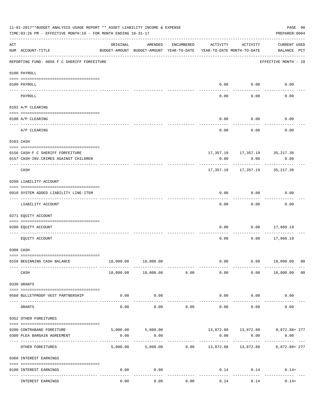|                    | 11-01-2017**BUDGET ANALYSIS USAGE REPORT ** ASSET LIABILITY INCOME & EXPENSE<br>TIME: 03:26 PM - EFFECTIVE MONTH: 10 - FOR MONTH ENDING 10-31-17 |                                                      |                                      |            |                                        |               | PAGE 90<br>PREPARER: 0004                                 |  |
|--------------------|--------------------------------------------------------------------------------------------------------------------------------------------------|------------------------------------------------------|--------------------------------------|------------|----------------------------------------|---------------|-----------------------------------------------------------|--|
| $\mathop{\rm ACT}$ | NUM ACCOUNT-TITLE                                                                                                                                | ORIGINAL<br>BUDGET-AMOUNT BUDGET-AMOUNT YEAR-TO-DATE | AMENDED                              | ENCUMBERED | ACTIVITY<br>YEAR-TO-DATE MONTH-TO-DATE | ACTIVITY      | <b>CURRENT USED</b><br>BALANCE PCT                        |  |
|                    | REPORTING FUND: 0056 F C SHERIFF FORFEITURE                                                                                                      |                                                      |                                      |            |                                        |               | EFFECTIVE MONTH - 10                                      |  |
|                    | 0100 PAYROLL                                                                                                                                     |                                                      |                                      |            |                                        |               |                                                           |  |
|                    | 0100 PAYROLL                                                                                                                                     |                                                      |                                      |            |                                        | $0.00$ 0.00   | 0.00                                                      |  |
|                    | PAYROLL                                                                                                                                          |                                                      |                                      |            | 0.00                                   | 0.00          | 0.00                                                      |  |
|                    | 0102 A/P CLEARING                                                                                                                                |                                                      |                                      |            |                                        |               |                                                           |  |
|                    | 0100 A/P CLEARING                                                                                                                                |                                                      |                                      |            | 0.00                                   | 0.00          | 0.00                                                      |  |
|                    | A/P CLEARING                                                                                                                                     |                                                      |                                      |            | 0.00                                   | 0.00          | 0.00                                                      |  |
|                    | 0103 CASH                                                                                                                                        |                                                      |                                      |            |                                        |               |                                                           |  |
|                    | 0156 CASH-F C SHERIFF FORFEITURE                                                                                                                 |                                                      |                                      |            |                                        |               | $17,357.19 \qquad 17,357.19 \qquad 35,217.38$             |  |
|                    | 0157 CASH-INV. CRIMES AGAINST CHILDREN                                                                                                           |                                                      |                                      |            | 0.00                                   | 0.00          | 0.00                                                      |  |
|                    | CASH                                                                                                                                             |                                                      |                                      |            | 17,357.19                              | 17,357.19     | 35,217.38                                                 |  |
|                    | 0200 LIABILITY ACCOUNT                                                                                                                           |                                                      |                                      |            |                                        |               |                                                           |  |
|                    | 0910 SYSTEM ADDED LIABILITY LINE-ITEM                                                                                                            |                                                      |                                      |            | 0.00                                   | 0.00          | 0.00                                                      |  |
|                    | LIABILITY ACCOUNT                                                                                                                                |                                                      |                                      |            | 0.00                                   | 0.00          | 0.00                                                      |  |
|                    | 0271 EQUITY ACCOUNT                                                                                                                              |                                                      |                                      |            |                                        |               |                                                           |  |
|                    | 0200 EQUITY ACCOUNT                                                                                                                              |                                                      |                                      |            | 0.00                                   |               | $0.00$ 17,860.19                                          |  |
|                    | EQUITY ACCOUNT                                                                                                                                   |                                                      |                                      |            | 0.00                                   | 0.00          | 17,860.19                                                 |  |
|                    | 0300 CASH                                                                                                                                        |                                                      |                                      |            |                                        |               |                                                           |  |
|                    | 0156 BEGINNING CASH BALANCE                                                                                                                      |                                                      | 18,000.00  18,000.00                 |            | 0.00                                   |               | $0.00$ 18,000.00 00                                       |  |
|                    | CASH                                                                                                                                             |                                                      | -------------<br>18,000.00 18,000.00 | 0.00       | 0.00                                   |               | ------------<br>$0.00$ 18,000.00 00                       |  |
|                    | 0330 GRANTS                                                                                                                                      |                                                      |                                      |            |                                        |               |                                                           |  |
|                    | 0560 BULLETPROOF VEST PARTNERSHIP                                                                                                                | 0.00                                                 | 0.00                                 |            | 0.00                                   | 0.00          | 0.00                                                      |  |
|                    | GRANTS                                                                                                                                           | 0.00                                                 | -----------<br>0.00                  | 0.00       | -------------<br>0.00                  | .<br>0.00     | 0.00                                                      |  |
|                    | 0352 OTHER FOREITURES                                                                                                                            |                                                      |                                      |            |                                        |               |                                                           |  |
|                    |                                                                                                                                                  |                                                      |                                      |            |                                        |               |                                                           |  |
|                    | 0200 CONTRABAND FOREITURE<br>0300 PLEA BARGAIN AGREEMENT                                                                                         | 0.00                                                 | 5,000.00 5,000.00<br>0.00            |            | 0.00                                   | 0.00          | 13,872.88  13,872.88  8,872.88  277<br>0.00               |  |
|                    | OTHER FOREITURES                                                                                                                                 | 5,000.00                                             |                                      |            | ------------                           | ------------- | 5,000.00   0.00   13,872.88   13,872.88   8,872.88+   277 |  |
|                    | 0360 INTEREST EARNINGS                                                                                                                           |                                                      |                                      |            |                                        |               |                                                           |  |
|                    | 0100 INTEREST EARNINGS                                                                                                                           | 0.00                                                 | 0.00                                 |            | 0.14                                   | 0.14          | $0.14+$                                                   |  |
|                    | INTEREST EARNINGS                                                                                                                                | 0.00                                                 | 0.00                                 | 0.00       | 0.14                                   | 0.14          | $0.14+$                                                   |  |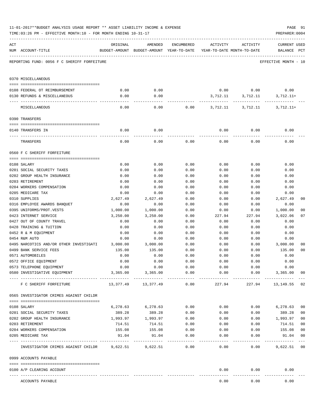|     | 11-01-2017**BUDGET ANALYSIS USAGE REPORT ** ASSET LIABILITY INCOME & EXPENSE<br>TIME: 03:26 PM - EFFECTIVE MONTH: 10 - FOR MONTH ENDING 10-31-17 |                          |                                                                                |              |              |                   | PREPARER: 0004                           | PAGE 91        |
|-----|--------------------------------------------------------------------------------------------------------------------------------------------------|--------------------------|--------------------------------------------------------------------------------|--------------|--------------|-------------------|------------------------------------------|----------------|
| ACT | NUM ACCOUNT-TITLE                                                                                                                                | ORIGINAL                 | AMENDED<br>BUDGET-AMOUNT BUDGET-AMOUNT YEAR-TO-DATE YEAR-TO-DATE MONTH-TO-DATE | ENCUMBERED   | ACTIVITY     | ACTIVITY          | <b>CURRENT USED</b><br>BALANCE PCT       |                |
|     | REPORTING FUND: 0056 F C SHERIFF FORFEITURE                                                                                                      |                          |                                                                                |              |              |                   | EFFECTIVE MONTH - 10                     |                |
|     | 0370 MISCELLANEOUS                                                                                                                               |                          |                                                                                |              |              |                   |                                          |                |
|     |                                                                                                                                                  |                          |                                                                                |              |              |                   |                                          |                |
|     | 0108 FEDERAL OT REIMBURSEMENT<br>0130 REFUNDS & MISCELLANEOUS                                                                                    | 0.00<br>0.00             | 0.00<br>0.00                                                                   |              |              | $0.00$ 0.00       | 0.00<br>$3,712.11+$                      |                |
|     |                                                                                                                                                  |                          | ----------                                                                     |              |              | 3,712.11 3,712.11 |                                          |                |
|     | MISCELLANEOUS                                                                                                                                    | 0.00                     | 0.00                                                                           |              |              |                   | $0.00$ $3,712.11$ $3,712.11$ $3,712.11+$ |                |
|     | 0390 TRANSFERS                                                                                                                                   |                          |                                                                                |              |              |                   |                                          |                |
|     |                                                                                                                                                  |                          |                                                                                |              |              |                   |                                          |                |
|     | 0140 TRANSFERS IN                                                                                                                                | 0.00                     | 0.00                                                                           |              | 0.00         | 0.00              | 0.00                                     |                |
|     | TRANSFERS                                                                                                                                        | 0.00                     | 0.00                                                                           | 0.00         | 0.00         | 0.00              | 0.00                                     |                |
|     | 0560 F C SHERIFF FORFEITURE                                                                                                                      |                          |                                                                                |              |              |                   |                                          |                |
|     |                                                                                                                                                  |                          |                                                                                |              |              |                   |                                          |                |
|     | 0108 SALARY                                                                                                                                      | 0.00                     | 0.00                                                                           | 0.00         | 0.00         | 0.00              | 0.00                                     |                |
|     | 0201 SOCIAL SECURITY TAXES<br>0202 GROUP HEALTH INSURANCE                                                                                        | 0.00<br>0.00             | 0.00<br>0.00                                                                   | 0.00<br>0.00 | 0.00<br>0.00 | 0.00<br>0.00      | 0.00<br>0.00                             |                |
|     | 0203 RETIREMENT                                                                                                                                  | 0.00                     | 0.00                                                                           | 0.00         | 0.00         | 0.00              | 0.00                                     |                |
|     | 0204 WORKERS COMPENSATION                                                                                                                        | 0.00                     | 0.00                                                                           | 0.00         | 0.00         | 0.00              | 0.00                                     |                |
|     | 0205 MEDICARE TAX                                                                                                                                | 0.00                     | 0.00                                                                           | 0.00         | 0.00         | 0.00              | 0.00                                     |                |
|     | 0310 SUPPLIES                                                                                                                                    | 2,627.49                 | 2,627.49                                                                       | 0.00         | 0.00         | 0.00              | 2,627.49                                 | 00             |
|     | 0316 EMPLOYEE AWARDS BANQUET                                                                                                                     | 0.00                     | 0.00                                                                           | 0.00         | 0.00         | 0.00              | 0.00                                     |                |
|     | 0395 UNIFORMS/PROT.VESTS                                                                                                                         | 1,000.00                 | 1,000.00                                                                       | 0.00         | 0.00         | 0.00              | 1,000.00                                 | 00             |
|     | 0423 INTERNET SERVICE                                                                                                                            | 3,250.00                 | 3,250.00                                                                       | 0.00         | 227.94       | 227.94            | 3,022.06                                 | 07             |
|     | 0427 OUT OF COUNTY TRAVEL                                                                                                                        | 0.00                     | 0.00                                                                           | 0.00         | 0.00         | 0.00              | 0.00                                     |                |
|     | 0428 TRAINING & TUITION                                                                                                                          | 0.00                     | 0.00                                                                           | 0.00         | 0.00         | 0.00              | 0.00                                     |                |
|     | 0452 R & M EQUIPMENT                                                                                                                             | 0.00                     | 0.00                                                                           | 0.00         | 0.00         | 0.00              | 0.00                                     |                |
|     | 0454 R&M AUTO                                                                                                                                    | 0.00                     | 0.00                                                                           | 0.00         | 0.00         | 0.00              | 0.00                                     |                |
|     | 0495 NARCOTICS AND/OR OTHER INVESTIGATI                                                                                                          | 3,000.00                 | 3,000.00                                                                       | 0.00         | 0.00         | 0.00              | 3,000.00                                 | 00             |
|     | 0499 BANK SERVICE FEES                                                                                                                           | 135.00                   | 135.00                                                                         | 0.00         | 0.00         | 0.00              | 135.00                                   | 0 <sub>0</sub> |
|     | 0571 AUTOMOBILES                                                                                                                                 | 0.00                     | 0.00                                                                           | 0.00         | 0.00         | 0.00              | 0.00                                     |                |
|     | 0572 OFFICE EQUIPMENT                                                                                                                            | 0.00                     | 0.00                                                                           | 0.00         | 0.00         | 0.00              | 0.00                                     |                |
|     | 0573 TELEPHONE EQUIPMENT                                                                                                                         | 0.00                     | 0.00                                                                           | 0.00         | 0.00         | 0.00              | 0.00                                     |                |
|     | 0580 INVESTIGATIVE EQUIPMENT                                                                                                                     | 3,365.00<br>-----------  | 3,365.00<br>-----------                                                        | 0.00         | 0.00         | 0.00              | 3,365.00                                 | 00             |
|     | F C SHERIFF FORFEITURE                                                                                                                           | 13,377.49                | 13,377.49                                                                      | 0.00         | 227.94       | 227.94            | 13,149.55                                | 02             |
|     | 0565 INVESTIGATOR CRIMES AGAINST CHILDR                                                                                                          |                          |                                                                                |              |              |                   |                                          |                |
|     | 0108 SALARY                                                                                                                                      | 6,278.63                 | 6,278.63                                                                       | 0.00         | 0.00         |                   | 0.00<br>6,278.63                         | 0 <sub>0</sub> |
|     | 0201 SOCIAL SECURITY TAXES                                                                                                                       | 389.28                   | 389.28                                                                         | 0.00         | 0.00         | 0.00              | 389.28                                   | 0 <sub>0</sub> |
|     | 0202 GROUP HEALTH INSURANCE                                                                                                                      | 1,993.97                 | 1,993.97                                                                       | 0.00         | 0.00         | 0.00              | 1,993.97                                 | 0 <sub>0</sub> |
|     | 0203 RETIREMENT                                                                                                                                  | 714.51                   | 714.51                                                                         | 0.00         | 0.00         | 0.00              | 714.51                                   | 0 <sub>0</sub> |
|     | 0204 WORKERS COMPENSATION                                                                                                                        | 155.08                   | 155.08                                                                         | 0.00         | 0.00         | 0.00              | 155.08                                   | 0 <sub>0</sub> |
|     | 0205 MEDICARE TAX                                                                                                                                | 91.04                    | 91.04                                                                          | 0.00         | 0.00         | 0.00              | 91.04                                    | 0 <sub>0</sub> |
|     | INVESTIGATOR CRIMES AGAINST CHILDR                                                                                                               | . <u>.</u> .<br>9,622.51 | 9,622.51                                                                       | 0.00         | 0.00         | 0.00              | 9,622.51                                 | 0 <sub>0</sub> |
|     | 0999 ACCOUNTS PAYABLE                                                                                                                            |                          |                                                                                |              |              |                   |                                          |                |
|     |                                                                                                                                                  |                          |                                                                                |              |              |                   |                                          |                |
|     | 0100 A/P CLEARING ACCOUNT                                                                                                                        |                          |                                                                                |              | 0.00         | 0.00              | 0.00                                     |                |
|     | ACCOUNTS PAYABLE                                                                                                                                 |                          |                                                                                |              | 0.00         | 0.00              | 0.00                                     |                |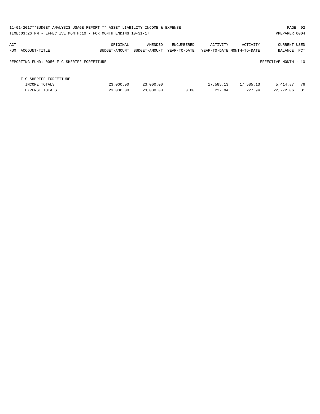| 11-01-2017**BUDGET ANALYSIS USAGE REPORT ** ASSET LIABILITY INCOME & EXPENSE<br>PAGE 92<br>TIME:03:26 PM - EFFECTIVE MONTH:10 - FOR MONTH ENDING 10-31-17<br>PREPARER: 0004 |               |               |              |           |                            |                      |      |  |
|-----------------------------------------------------------------------------------------------------------------------------------------------------------------------------|---------------|---------------|--------------|-----------|----------------------------|----------------------|------|--|
| ACT                                                                                                                                                                         | ORIGINAL      | AMENDED       | ENCUMBERED   | ACTIVITY  | ACTIVITY                   | <b>CURRENT USED</b>  |      |  |
| ACCOUNT-TITLE<br>NUM                                                                                                                                                        | BUDGET-AMOUNT | BUDGET-AMOUNT | YEAR-TO-DATE |           | YEAR-TO-DATE MONTH-TO-DATE | BALANCE              | PCT  |  |
| REPORTING FUND: 0056 F C SHERIFF FORFEITURE                                                                                                                                 |               |               |              |           |                            | EFFECTIVE MONTH - 10 |      |  |
| F C SHERIFF FORFEITURE                                                                                                                                                      |               |               |              |           |                            |                      |      |  |
| INCOME TOTALS                                                                                                                                                               | 23,000.00     | 23,000.00     |              | 17,585.13 | 17,585.13                  | 5,414.87             | 76   |  |
| <b>EXPENSE TOTALS</b>                                                                                                                                                       | 23,000.00     | 23,000.00     | 0.00         | 227.94    | 227.94                     | 22,772.06            | - 01 |  |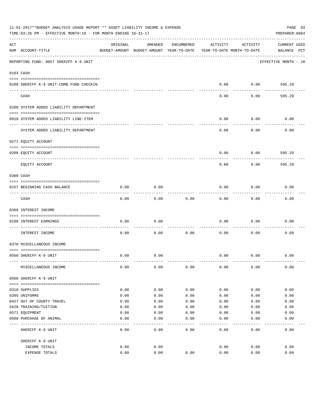|     | 11-01-2017**BUDGET ANALYSIS USAGE REPORT ** ASSET LIABILITY INCOME & EXPENSE<br>TIME: 03:26 PM - EFFECTIVE MONTH: 10 - FOR MONTH ENDING 10-31-17 |          |                                                     |            |          |                                        | PAGE 93<br>PREPARER: 0004          |
|-----|--------------------------------------------------------------------------------------------------------------------------------------------------|----------|-----------------------------------------------------|------------|----------|----------------------------------------|------------------------------------|
| ACT | NUM ACCOUNT-TITLE                                                                                                                                | ORIGINAL | AMENDED<br>BUDGET-AMOUNT BUDGET-AMOUNT YEAR-TO-DATE | ENCUMBERED | ACTIVITY | ACTIVITY<br>YEAR-TO-DATE MONTH-TO-DATE | <b>CURRENT USED</b><br>BALANCE PCT |
|     | REPORTING FUND: 0057 SHERIFF K-9 UNIT                                                                                                            |          |                                                     |            |          |                                        | EFFECTIVE MONTH - 10               |
|     | 0103 CASH                                                                                                                                        |          |                                                     |            |          |                                        |                                    |
|     | 0100 SHERIFF K-9 UNIT-COMB.FUND CHECKIN                                                                                                          |          |                                                     |            | 0.00     | 0.00                                   | 595.29                             |
|     | CASH                                                                                                                                             |          |                                                     |            | 0.00     | 0.00                                   | 595.29                             |
|     | 0200 SYSTEM ADDED LIABILITY DEPARTMENT                                                                                                           |          |                                                     |            |          |                                        |                                    |
|     | 0910 SYSTEM ADDED LIABILITY LINE-ITEM                                                                                                            |          |                                                     |            | 0.00     | 0.00                                   | 0.00                               |
|     | SYSTEM ADDED LIABILITY DEPARTMENT                                                                                                                |          |                                                     |            | 0.00     | 0.00                                   | 0.00                               |
|     | 0271 EQUITY ACCOUNT                                                                                                                              |          |                                                     |            |          |                                        |                                    |
|     | 0200 EQUITY ACCOUNT                                                                                                                              |          |                                                     |            | 0.00     | 0.00                                   | 595.29                             |
|     | EQUITY ACCOUNT                                                                                                                                   |          |                                                     |            | 0.00     | 0.00                                   | 595.29                             |
|     | 0300 CASH                                                                                                                                        |          |                                                     |            |          |                                        |                                    |
|     | 0157 BEGINNING CASH BALANCE                                                                                                                      | 0.00     | 0.00                                                |            | 0.00     | 0.00                                   | 0.00                               |
|     | CASH                                                                                                                                             | 0.00     | 0.00                                                | 0.00       | 0.00     | 0.00                                   | 0.00                               |
|     | 0360 INTEREST INCOME                                                                                                                             |          |                                                     |            |          |                                        |                                    |
|     | 0100 INTEREST EARNINGS<br>----------------- ---                                                                                                  | 0.00     | 0.00                                                |            | 0.00     | 0.00                                   | 0.00                               |
|     | INTEREST INCOME                                                                                                                                  | 0.00     | 0.00                                                | 0.00       | 0.00     | 0.00                                   | 0.00                               |
|     | 0370 MISCELLANEOUS INCOME                                                                                                                        |          |                                                     |            |          |                                        |                                    |
|     | 0560 SHERIFF K-9 UNIT                                                                                                                            | 0.00     | 0.00                                                |            | 0.00     | 0.00                                   | 0.00                               |
|     | MISCELLANEOUS INCOME                                                                                                                             | 0.00     | 0.00                                                | 0.00       | 0.00     | 0.00                                   | 0.00                               |
|     | 0560 SHERIFF K-9 UNIT                                                                                                                            |          |                                                     |            |          |                                        |                                    |
|     | 0310 SUPPLIES                                                                                                                                    | 0.00     | 0.00                                                | 0.00       | 0.00     | 0.00                                   | 0.00                               |
|     | 0395 UNIFORMS                                                                                                                                    | 0.00     | 0.00                                                | 0.00       | 0.00     | 0.00                                   | 0.00                               |
|     | 0427 OUT OF COUNTY TRAVEL                                                                                                                        | 0.00     | 0.00                                                | 0.00       | 0.00     | 0.00                                   | 0.00                               |
|     | 0428 TRAINING/TUITION                                                                                                                            | 0.00     | 0.00                                                | 0.00       | 0.00     | 0.00                                   | 0.00                               |
|     | 0571 EQUIPMENT                                                                                                                                   | 0.00     | 0.00                                                | 0.00       | 0.00     | 0.00                                   | 0.00                               |
|     | 0580 PURCHASE OF ANIMAL                                                                                                                          | 0.00     | 0.00                                                | 0.00       | 0.00     | 0.00                                   | 0.00                               |
|     | SHERIFF K-9 UNIT                                                                                                                                 | 0.00     | 0.00                                                | 0.00       | 0.00     | 0.00                                   | 0.00                               |
|     | SHERIFF K-9 UNIT                                                                                                                                 |          |                                                     |            |          |                                        |                                    |
|     | INCOME TOTALS                                                                                                                                    | 0.00     | 0.00                                                |            | 0.00     | 0.00                                   | 0.00                               |
|     | EXPENSE TOTALS                                                                                                                                   | 0.00     | 0.00                                                | 0.00       | 0.00     | 0.00                                   | 0.00                               |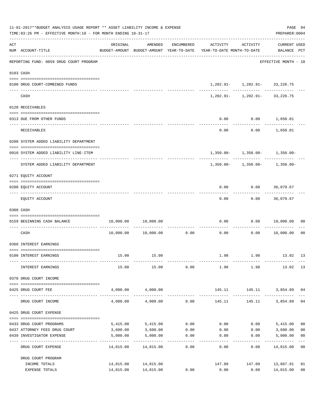|     | 11-01-2017**BUDGET ANALYSIS USAGE REPORT ** ASSET LIABILITY INCOME & EXPENSE<br>TIME: 03:26 PM - EFFECTIVE MONTH: 10 - FOR MONTH ENDING 10-31-17 |           |                                            |                       |                                                                                 |                                                                     | PAGE 94<br>PREPARER: 0004          |                         |
|-----|--------------------------------------------------------------------------------------------------------------------------------------------------|-----------|--------------------------------------------|-----------------------|---------------------------------------------------------------------------------|---------------------------------------------------------------------|------------------------------------|-------------------------|
| ACT | NUM ACCOUNT-TITLE                                                                                                                                | ORIGINAL  | AMENDED                                    | ENCUMBERED            | ACTIVITY<br>BUDGET-AMOUNT BUDGET-AMOUNT YEAR-TO-DATE YEAR-TO-DATE MONTH-TO-DATE | ACTIVITY                                                            | <b>CURRENT USED</b><br>BALANCE PCT |                         |
|     | REPORTING FUND: 0059 DRUG COURT PROGRAM                                                                                                          |           |                                            |                       |                                                                                 |                                                                     | EFFECTIVE MONTH - 10               |                         |
|     | 0103 CASH                                                                                                                                        |           |                                            |                       |                                                                                 |                                                                     |                                    |                         |
|     | 0100 DRUG COURT-COMBINED FUNDS                                                                                                                   |           |                                            |                       |                                                                                 | $1,202.91 - 1,202.91 - 33,226.75$                                   |                                    |                         |
|     | CASH                                                                                                                                             |           |                                            |                       |                                                                                 | -------- ------------ --------<br>$1,202.91 - 1,202.91 - 33,226.75$ |                                    |                         |
|     | 0120 RECEIVABLES                                                                                                                                 |           |                                            |                       |                                                                                 |                                                                     |                                    |                         |
|     |                                                                                                                                                  |           |                                            |                       |                                                                                 |                                                                     |                                    |                         |
|     | 0313 DUE FROM OTHER FUNDS                                                                                                                        |           |                                            |                       | 0.00                                                                            | $0.00$ 1,650.01<br>---------                                        |                                    |                         |
|     | RECEIVABLES                                                                                                                                      |           |                                            |                       | 0.00                                                                            |                                                                     | $0.00$ 1,650.01                    |                         |
|     | 0200 SYSTEM ADDED LIABILITY DEPARTMENT                                                                                                           |           |                                            |                       |                                                                                 |                                                                     |                                    |                         |
|     | 0910 SYSTEM ADDED LIABILITY LINE-ITEM                                                                                                            |           |                                            |                       |                                                                                 | $1,350.00 - 1,350.00 - 1,350.00 -$                                  |                                    |                         |
|     | SYSTEM ADDED LIABILITY DEPARTMENT                                                                                                                |           |                                            |                       |                                                                                 | $1,350.00 - 1,350.00 - 1,350.00 -$                                  |                                    |                         |
|     | 0271 EQUITY ACCOUNT                                                                                                                              |           |                                            |                       |                                                                                 |                                                                     |                                    |                         |
|     | 0200 EQUITY ACCOUNT                                                                                                                              |           |                                            |                       | 0.00                                                                            | $0.00$ 36,079.67                                                    |                                    |                         |
|     | EQUITY ACCOUNT                                                                                                                                   |           |                                            |                       | 0.00                                                                            |                                                                     | $0.00$ 36,079.67                   |                         |
|     | 0300 CASH                                                                                                                                        |           |                                            |                       |                                                                                 |                                                                     |                                    |                         |
|     | 0159 BEGINNING CASH BALANCE                                                                                                                      | 10,000.00 | 10,000.00                                  |                       | 0.00                                                                            | 0.00                                                                | 10,000.00                          | 00                      |
|     | CASH                                                                                                                                             | 10,000.00 | 10,000.00                                  | 0.00                  | ------------ -------------<br>0.00                                              | 0.00                                                                | 10,000.00                          | 0 <sub>0</sub>          |
|     |                                                                                                                                                  |           |                                            |                       |                                                                                 |                                                                     |                                    |                         |
|     | 0360 INTEREST EARNINGS                                                                                                                           |           |                                            |                       |                                                                                 |                                                                     |                                    |                         |
|     | 0100 INTEREST EARNINGS                                                                                                                           |           | 15.00 15.00                                |                       |                                                                                 | 1.98 1.98 13.02 13                                                  |                                    |                         |
|     | INTEREST EARNINGS                                                                                                                                | 15.00     | 15.00                                      |                       | $0.00$ 1.98 1.98                                                                |                                                                     | 13.02 13                           |                         |
|     | 0370 DRUG COURT INCOME                                                                                                                           |           |                                            |                       |                                                                                 |                                                                     |                                    |                         |
|     | 0425 DRUG COURT FEE                                                                                                                              |           | 4,000.00 4,000.00                          |                       |                                                                                 | 145.11 145.11 3,854.89 04                                           |                                    |                         |
|     | DRUG COURT INCOME                                                                                                                                | 4,000.00  |                                            | $4,000.00$ 0.00       | 145.11                                                                          |                                                                     | 145.11 3,854.89                    | 04                      |
|     | 0425 DRUG COURT EXPENSE                                                                                                                          |           |                                            |                       |                                                                                 |                                                                     |                                    |                         |
|     | 0433 DRUG COURT PROGRAMS                                                                                                                         |           | 5,415.00 5,415.00                          |                       | $0.00$ $0.00$ $0.00$ $0.00$                                                     |                                                                     | 5,415.00                           | 0 <sub>0</sub>          |
|     | 0437 ATTORNEY FEES DRUG COURT                                                                                                                    |           | 3,600.00 3,600.00                          | 0.00                  |                                                                                 | $0.00$ $0.00$ $3,600.00$                                            |                                    | 0 <sub>0</sub>          |
|     | 0439 INVESTIGATOR EXPENSE                                                                                                                        | 5,000.00  | 5,000.00                                   | 0.00<br>------------- | 0.00<br>------------                                                            | 0.00<br>. _ _ _ _ _ _ _ _ _ _ _                                     | 5,000.00<br>-------------          | 0 <sub>0</sub><br>$---$ |
|     | DRUG COURT EXPENSE                                                                                                                               |           | 14,015.00 14,015.00                        | 0.00                  | 0.00                                                                            | 0.00                                                                | 14,015.00 00                       |                         |
|     | DRUG COURT PROGRAM                                                                                                                               |           |                                            |                       |                                                                                 |                                                                     |                                    |                         |
|     | INCOME TOTALS<br>EXPENSE TOTALS                                                                                                                  |           | 14,015.00 14,015.00<br>14,015.00 14,015.00 | 0.00                  | 0.00                                                                            | 147.09 147.09 13,867.91                                             | 0.00 14,015.00                     | 01<br>0 <sub>0</sub>    |
|     |                                                                                                                                                  |           |                                            |                       |                                                                                 |                                                                     |                                    |                         |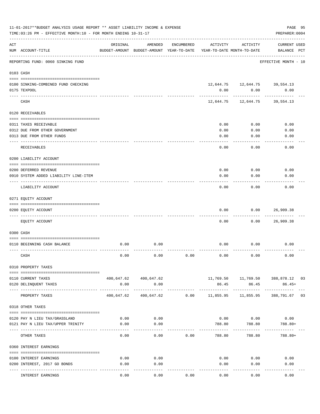|                    | 11-01-2017**BUDGET ANALYSIS USAGE REPORT ** ASSET LIABILITY INCOME & EXPENSE<br>TIME: 03:26 PM - EFFECTIVE MONTH: 10 - FOR MONTH ENDING 10-31-17 |          |                                                             |            |                                        |                                                     | PAGE 95<br>PREPARER: 0004                         |  |
|--------------------|--------------------------------------------------------------------------------------------------------------------------------------------------|----------|-------------------------------------------------------------|------------|----------------------------------------|-----------------------------------------------------|---------------------------------------------------|--|
| $\mathop{\rm ACT}$ | NUM ACCOUNT-TITLE                                                                                                                                | ORIGINAL | AMENDED<br>BUDGET-AMOUNT BUDGET-AMOUNT YEAR-TO-DATE         | ENCUMBERED | ACTIVITY<br>YEAR-TO-DATE MONTH-TO-DATE | ACTIVITY                                            | <b>CURRENT USED</b><br>BALANCE PCT                |  |
|                    | -----------------------<br>REPORTING FUND: 0060 SINKING FUND                                                                                     |          |                                                             |            |                                        |                                                     | EFFECTIVE MONTH - 10                              |  |
|                    | 0103 CASH                                                                                                                                        |          |                                                             |            |                                        |                                                     |                                                   |  |
|                    | 0100 SINKING-COMBINED FUND CHECKING<br>0175 TEXPOOL<br>---- ----                                                                                 |          |                                                             |            | 0.00                                   | 12,644.75 12,644.75 39,554.13<br>0.00<br>---------- | 0.00                                              |  |
|                    | CASH                                                                                                                                             |          |                                                             |            | 12,644.75                              |                                                     | 12,644.75 39,554.13                               |  |
|                    | 0120 RECEIVABLES                                                                                                                                 |          |                                                             |            |                                        |                                                     |                                                   |  |
|                    | 0311 TAXES RECEIVABLE<br>0312 DUE FROM OTHER GOVERNMENT<br>0313 DUE FROM OTHER FUNDS                                                             |          |                                                             |            | 0.00<br>0.00<br>0.00                   | 0.00<br>0.00<br>0.00                                | 0.00<br>0.00<br>0.00                              |  |
|                    | RECEIVABLES                                                                                                                                      |          |                                                             |            | 0.00                                   | 0.00                                                | 0.00                                              |  |
|                    | 0200 LIABILITY ACCOUNT<br>0200 DEFERRED REVENUE<br>0910 SYSTEM ADDED LIABILITY LINE-ITEM                                                         |          |                                                             |            | 0.00<br>0.00                           | 0.00<br>0.00                                        | 0.00<br>0.00                                      |  |
|                    | LIABILITY ACCOUNT                                                                                                                                |          |                                                             |            | 0.00                                   | 0.00                                                | 0.00                                              |  |
|                    | 0271 EQUITY ACCOUNT                                                                                                                              |          |                                                             |            |                                        |                                                     |                                                   |  |
|                    | 0200 EQUITY ACCOUNT                                                                                                                              |          |                                                             |            | 0.00                                   | 0.00                                                | 26,909.38                                         |  |
|                    | EQUITY ACCOUNT                                                                                                                                   |          |                                                             |            | 0.00                                   | 0.00                                                | 26,909.38                                         |  |
|                    | 0300 CASH                                                                                                                                        |          |                                                             |            |                                        |                                                     |                                                   |  |
|                    | 0110 BEGINNING CASH BALANCE                                                                                                                      | 0.00     | 0.00                                                        |            | 0.00                                   | 0.00                                                | 0.00                                              |  |
|                    | CASH                                                                                                                                             | 0.00     | 0.00                                                        | 0.00       | 0.00                                   | 0.00                                                | 0.00                                              |  |
|                    | 0310 PROPERTY TAXES                                                                                                                              |          |                                                             |            |                                        |                                                     |                                                   |  |
|                    | 0110 CURRENT TAXES<br>0120 DELINQUENT TAXES                                                                                                      | 0.00     | 400,647.62 400,647.62<br>0.00<br>----------- -------------- |            | 86.45                                  | 86.45                                               | 11,769.50   11,769.50   388,878.12   03<br>86.45+ |  |
|                    | PROPERTY TAXES                                                                                                                                   |          | 400,647.62 400,647.62                                       | 0.00       | 11,855.95                              | 11,855.95                                           | 388,791.67 03                                     |  |
|                    | 0318 OTHER TAXES                                                                                                                                 |          |                                                             |            |                                        |                                                     |                                                   |  |
|                    | 0120 PAY N LIEU TAX/GRASSLAND                                                                                                                    | 0.00     | 0.00                                                        |            |                                        | $0.00$ $0.00$ $0.00$                                |                                                   |  |
|                    | 0121 PAY N LIEU TAX/UPPER TRINITY                                                                                                                | 0.00     | 0.00                                                        |            | 788.80                                 | 788.80                                              | 788.80+                                           |  |
|                    | OTHER TAXES                                                                                                                                      | 0.00     | 0.00                                                        | 0.00       | 788.80                                 | 788.80                                              | 788.80+                                           |  |
|                    | 0360 INTEREST EARNINGS                                                                                                                           |          |                                                             |            |                                        |                                                     |                                                   |  |
|                    | 0100 INTEREST EARNINGS                                                                                                                           | 0.00     | 0.00                                                        |            | 0.00                                   | 0.00                                                | 0.00                                              |  |
|                    | 0200 INTEREST, 2017 GO BONDS                                                                                                                     | 0.00     | 0.00                                                        |            | 0.00                                   | 0.00                                                | 0.00                                              |  |
|                    | INTEREST EARNINGS                                                                                                                                | 0.00     | -----<br>0.00                                               | 0.00       | 0.00                                   | 0.00                                                | 0.00                                              |  |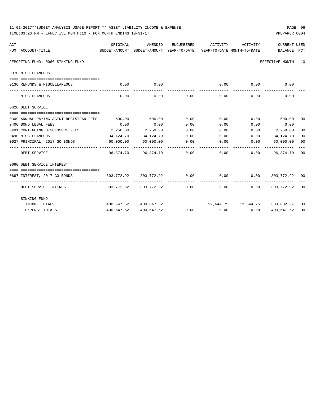| 11-01-2017**BUDGET ANALYSIS USAGE REPORT ** ASSET LIABILITY INCOME & EXPENSE<br>TIME:03:26 PM - EFFECTIVE MONTH:10 - FOR MONTH ENDING 10-31-17 |           |                          |               |                                                                                 |                      | PREPARER: 0004       | PAGE 96 |
|------------------------------------------------------------------------------------------------------------------------------------------------|-----------|--------------------------|---------------|---------------------------------------------------------------------------------|----------------------|----------------------|---------|
| ACT                                                                                                                                            | ORIGINAL  | AMENDED                  | ENCUMBERED    | ACTIVITY                                                                        | ACTIVITY             | CURRENT USED         |         |
| NUM ACCOUNT-TITLE                                                                                                                              |           |                          |               | BUDGET-AMOUNT BUDGET-AMOUNT YEAR-TO-DATE YEAR-TO-DATE MONTH-TO-DATE BALANCE PCT |                      |                      |         |
| REPORTING FUND: 0060 SINKING FUND                                                                                                              |           |                          |               |                                                                                 |                      | EFFECTIVE MONTH - 10 |         |
| 0370 MISCELLANEOUS                                                                                                                             |           |                          |               |                                                                                 |                      |                      |         |
|                                                                                                                                                |           |                          |               |                                                                                 |                      |                      |         |
| 0130 REFUNDS & MISCELLANEOUS                                                                                                                   | 0.00      | 0.00<br>-----------      |               | 0.00<br>-------------                                                           | 0.00<br>------------ | 0.00                 |         |
| MISCELLANEOUS                                                                                                                                  | 0.00      | 0.00                     | 0.00          | 0.00                                                                            | 0.00                 | 0.00                 |         |
| 0620 DEBT SERVICE                                                                                                                              |           |                          |               |                                                                                 |                      |                      |         |
|                                                                                                                                                |           |                          |               |                                                                                 |                      |                      |         |
| 0309 ANNUAL PAYING AGENT REGISTRAR FEES                                                                                                        | 500.00    | 500.00                   | 0.00          | 0.00                                                                            |                      | $0.00$ 500.00        | 00      |
| 0400 BOND LEGAL FEES                                                                                                                           | 0.00      | 0.00                     | 0.00          | 0.00                                                                            | 0.00                 | 0.00                 |         |
| 0401 CONTINUING DISCLOSURE FEES                                                                                                                | 2,250.00  | 2,250.00                 | 0.00          | 0.00                                                                            |                      | $0.00$ 2,250.00      | 00      |
| 0490 MISCELLANEOUS                                                                                                                             | 34,124.70 | 34,124.70                | 0.00          | 0.00                                                                            | 0.00                 | 34, 124. 70          | 00      |
| 0627 PRINCIPAL, 2017 GO BONDS<br>------------------- ------------                                                                              | 60,000.00 | 60,000.00                | 0.00          | $0.00$ 0.00                                                                     |                      | 60,000.00            | 00      |
| DEBT SERVICE                                                                                                                                   |           | 96,874.70 96,874.70 0.00 |               |                                                                                 | 0.00                 | $0.00$ 96,874.70 00  |         |
| 0660 DEBT SERVICE INTEREST                                                                                                                     |           |                          |               |                                                                                 |                      |                      |         |
|                                                                                                                                                |           |                          |               |                                                                                 |                      |                      |         |
| 0667 INTEREST, 2017 GO BONDS                                                                                                                   |           | 303,772.92 303,772.92    |               | $0.00$ $0.00$ $0.00$ $0.00$ $303,772.92$ $00$                                   |                      |                      |         |
| DEBT SERVICE INTEREST                                                                                                                          |           |                          | ------------- | $303,772.92$ $303,772.92$ $0.00$ $0.00$                                         | ------------<br>0.00 | 303,772.92 00        |         |
| SINKING FUND                                                                                                                                   |           |                          |               |                                                                                 |                      |                      |         |
| INCOME TOTALS                                                                                                                                  |           | 400,647.62 400,647.62    |               | $12,644.75$ $12,644.75$ $388,002.87$ 03                                         |                      |                      |         |
| <b>EXPENSE TOTALS</b>                                                                                                                          |           | 400,647.62 400,647.62    |               | $0.00$ $0.00$ $0.00$ $0.00$                                                     |                      | 400,647.62           | 00      |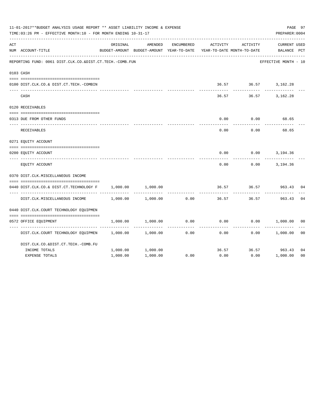|     | 11-01-2017**BUDGET ANALYSIS USAGE REPORT ** ASSET LIABILITY INCOME & EXPENSE<br>TIME: 03:26 PM - EFFECTIVE MONTH: 10 - FOR MONTH ENDING 10-31-17 |          |                                                     |            |                                        |          | PREPARER: 0004                     | PAGE 97        |
|-----|--------------------------------------------------------------------------------------------------------------------------------------------------|----------|-----------------------------------------------------|------------|----------------------------------------|----------|------------------------------------|----------------|
| ACT | NUM ACCOUNT-TITLE                                                                                                                                | ORIGINAL | AMENDED<br>BUDGET-AMOUNT BUDGET-AMOUNT YEAR-TO-DATE | ENCUMBERED | ACTIVITY<br>YEAR-TO-DATE MONTH-TO-DATE | ACTIVITY | <b>CURRENT USED</b><br>BALANCE PCT |                |
|     | REPORTING FUND: 0061 DIST.CLK.CO.&DIST.CT.TECH.-COMB.FUN                                                                                         |          |                                                     |            |                                        |          | EFFECTIVE MONTH - 10               |                |
|     | 0103 CASH                                                                                                                                        |          |                                                     |            |                                        |          |                                    |                |
|     |                                                                                                                                                  |          |                                                     |            |                                        |          |                                    |                |
|     | 0100 DIST.CLK.CO.& DIST.CT.TECH.-COMBIN                                                                                                          |          |                                                     |            |                                        |          | 36.57 36.57 3,162.28               |                |
|     | CASH                                                                                                                                             |          |                                                     |            | 36.57                                  |          | 36.57 3,162.28                     |                |
|     | 0120 RECEIVABLES                                                                                                                                 |          |                                                     |            |                                        |          |                                    |                |
|     | 0313 DUE FROM OTHER FUNDS                                                                                                                        |          |                                                     |            | 0.00                                   | 0.00     | 68.65                              |                |
|     | RECEIVABLES                                                                                                                                      |          |                                                     |            | 0.00                                   | 0.00     | 68.65                              |                |
|     | 0271 EQUITY ACCOUNT                                                                                                                              |          |                                                     |            |                                        |          |                                    |                |
|     |                                                                                                                                                  |          |                                                     |            |                                        |          |                                    |                |
|     | 0200 EQUITY ACCOUNT                                                                                                                              |          |                                                     |            | 0.00                                   |          | $0.00$ 3, 194.36                   |                |
|     | EQUITY ACCOUNT                                                                                                                                   |          |                                                     |            | 0.00                                   | 0.00     | 3,194.36                           |                |
|     | 0370 DIST.CLK.MISCELLANEOUS INCOME                                                                                                               |          |                                                     |            |                                        |          |                                    |                |
|     | 0440 DIST.CLK.CO.& DIST.CT.TECHNOLOGY F                                                                                                          | 1,000.00 | 1,000.00                                            |            | 36.57                                  | 36.57    | 963.43                             | 04             |
|     | DIST.CLK.MISCELLANEOUS INCOME                                                                                                                    | 1,000.00 | 1,000.00                                            | 0.00       | 36.57                                  | 36.57    | 963.43                             | 04             |
|     | 0440 DIST.CLK.COURT TECHNOLOGY EOUIPMEN                                                                                                          |          |                                                     |            |                                        |          |                                    |                |
|     |                                                                                                                                                  |          |                                                     |            |                                        |          |                                    |                |
|     | 0572 OFFICE EQUIPMENT                                                                                                                            | 1,000.00 | 1,000.00                                            | 0.00       | 0.00                                   |          | 0.00<br>1,000.00                   | 0 <sub>0</sub> |
|     | DIST.CLK.COURT TECHNOLOGY EQUIPMEN                                                                                                               | 1,000.00 | 1,000.00                                            | 0.00       | 0.00                                   |          | 0.00<br>1,000.00                   | 0 <sub>0</sub> |
|     | DIST.CLK.CO.&DIST.CT.TECH.-COMB.FU                                                                                                               |          |                                                     |            |                                        |          |                                    |                |
|     | INCOME TOTALS                                                                                                                                    | 1,000.00 | 1,000.00                                            |            | 36.57                                  |          | 36.57 963.43                       | 04             |
|     | <b>EXPENSE TOTALS</b>                                                                                                                            | 1,000.00 | 1,000.00                                            | 0.00       | 0.00                                   | 0.00     | 1,000.00                           | 0 <sub>0</sub> |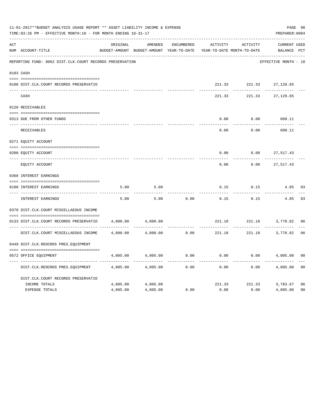|     | 11-01-2017**BUDGET ANALYSIS USAGE REPORT ** ASSET LIABILITY INCOME & EXPENSE<br>TIME: 03:26 PM - EFFECTIVE MONTH: 10 - FOR MONTH ENDING 10-31-17 |          |                                          |            |                            |                 | PREPARER: 0004                | PAGE 98        |
|-----|--------------------------------------------------------------------------------------------------------------------------------------------------|----------|------------------------------------------|------------|----------------------------|-----------------|-------------------------------|----------------|
| ACT |                                                                                                                                                  | ORIGINAL | AMENDED                                  | ENCUMBERED | ACTIVITY                   | ACTIVITY        | <b>CURRENT USED</b>           |                |
|     | NUM ACCOUNT-TITLE                                                                                                                                |          | BUDGET-AMOUNT BUDGET-AMOUNT YEAR-TO-DATE |            | YEAR-TO-DATE MONTH-TO-DATE |                 | BALANCE PCT                   |                |
|     | REPORTING FUND: 0062 DIST.CLK.COURT RECORDS PRESERVATION                                                                                         |          |                                          |            |                            |                 | EFFECTIVE MONTH - 10          |                |
|     | 0103 CASH                                                                                                                                        |          |                                          |            |                            |                 |                               |                |
|     | 0100 DIST.CLK.COURT RECORDS PRESERVATIO                                                                                                          |          |                                          |            |                            |                 | 221.33 221.33 27,129.65       |                |
|     | CASH                                                                                                                                             |          |                                          |            | 221.33                     | ---------       | 221.33 27,129.65              |                |
|     | 0120 RECEIVABLES                                                                                                                                 |          |                                          |            |                            |                 |                               |                |
|     | 0313 DUE FROM OTHER FUNDS                                                                                                                        |          |                                          |            | 0.00                       | 0.00            | 609.11                        |                |
|     | RECEIVABLES                                                                                                                                      |          |                                          |            | -----<br>0.00              | -------<br>0.00 | 609.11                        |                |
|     | 0271 EQUITY ACCOUNT                                                                                                                              |          |                                          |            |                            |                 |                               |                |
|     | 0200 EQUITY ACCOUNT                                                                                                                              |          |                                          |            | 0.00                       | 0.00            | 27,517.43                     |                |
|     | ______________________<br>EQUITY ACCOUNT                                                                                                         |          |                                          |            | ------<br>0.00             | 0.00            | 27,517.43                     |                |
|     | 0360 INTEREST EARNINGS                                                                                                                           |          |                                          |            |                            |                 |                               |                |
|     | 0100 INTEREST EARNINGS<br>---- ----------------                                                                                                  | 5.00     | 5.00                                     |            | 0.15                       | 0.15            | 4.85                          | 03             |
|     | INTEREST EARNINGS                                                                                                                                | 5.00     | 5.00                                     | 0.00       | 0.15                       | 0.15            | 4.85                          | 03             |
|     | 0370 DIST.CLK.COURT MISCELLAEOUS INCOME                                                                                                          |          |                                          |            |                            |                 |                               |                |
|     | 0133 DIST.CLK.COURT RECORDS PRESERVATIO                                                                                                          | 4,000.00 | 4,000.00                                 |            |                            | 221.18 221.18   | 3,778.82 06                   |                |
|     | DIST.CLK.COURT MISCELLAEOUS INCOME                                                                                                               |          | 4,000.00 4,000.00                        |            |                            | ----------      | $0.00$ 221.18 221.18 3,778.82 | 06             |
|     | 0449 DIST.CLK.REOCRDS PRES.EOUIPMENT                                                                                                             |          |                                          |            |                            |                 |                               |                |
|     | 0572 OFFICE EQUIPMENT                                                                                                                            | 4,005.00 | 4,005.00                                 | 0.00       | 0.00                       |                 | $0.00$ 4,005.00               | 0 <sub>0</sub> |
|     | DIST.CLK.REOCRDS PRES.EQUIPMENT                                                                                                                  | 4,005.00 | 4,005.00                                 | 0.00       | 0.00                       | 0.00            | 4,005.00                      | 0 <sub>0</sub> |
|     | DIST.CLK.COURT RECORDS PRESERVATIO                                                                                                               |          |                                          |            |                            |                 |                               |                |
|     | INCOME TOTALS                                                                                                                                    | 4,005.00 | 4,005.00                                 |            |                            |                 | 221.33 221.33 3,783.67        | 06             |
|     | EXPENSE TOTALS                                                                                                                                   | 4,005.00 | 4,005.00                                 | 0.00       | 0.00                       | 0.00            | 4,005.00                      | 0 <sub>0</sub> |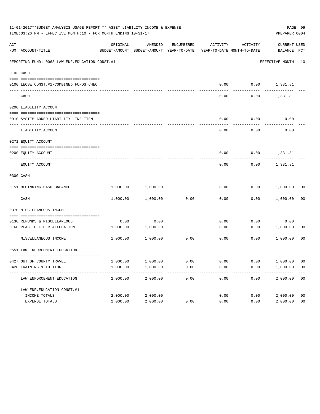|     | 11-01-2017**BUDGET ANALYSIS USAGE REPORT ** ASSET LIABILITY INCOME & EXPENSE<br>TIME:03:26 PM - EFFECTIVE MONTH:10 - FOR MONTH ENDING 10-31-17 |                      |                                                                                |              |              |              | PREPARER: 0004              | PAGE 99              |
|-----|------------------------------------------------------------------------------------------------------------------------------------------------|----------------------|--------------------------------------------------------------------------------|--------------|--------------|--------------|-----------------------------|----------------------|
| ACT | NUM ACCOUNT-TITLE                                                                                                                              | ORIGINAL             | AMENDED<br>BUDGET-AMOUNT BUDGET-AMOUNT YEAR-TO-DATE YEAR-TO-DATE MONTH-TO-DATE | ENCUMBERED   | ACTIVITY     | ACTIVITY     | CURRENT USED<br>BALANCE PCT |                      |
|     | REPORTING FUND: 0063 LAW ENF. EDUCATION CONST. #1                                                                                              |                      |                                                                                |              |              |              | EFFECTIVE MONTH - 10        |                      |
|     | 0103 CASH                                                                                                                                      |                      |                                                                                |              |              |              |                             |                      |
|     | 0100 LEOSE CONST.#1-COMBINED FUNDS CHEC                                                                                                        |                      |                                                                                |              | 0.00         |              | $0.00$ 1,331.81             |                      |
|     | CASH                                                                                                                                           |                      |                                                                                |              | 0.00         | 0.00         | 1,331.81                    |                      |
|     | 0200 LIABILITY ACCOUNT                                                                                                                         |                      |                                                                                |              |              |              |                             |                      |
|     | 0910 SYSTEM ADDED LIABILITY LINE ITEM                                                                                                          |                      |                                                                                |              | 0.00         | 0.00         | 0.00                        |                      |
|     | LIABILITY ACCOUNT                                                                                                                              |                      |                                                                                |              | 0.00         | 0.00         | 0.00                        |                      |
|     | 0271 EQUITY ACCOUNT                                                                                                                            |                      |                                                                                |              |              |              |                             |                      |
|     | 0200 EQUITY ACCOUNT                                                                                                                            |                      |                                                                                |              | 0.00         |              | $0.00$ 1,331.81             |                      |
|     | EQUITY ACCOUNT                                                                                                                                 |                      |                                                                                |              | 0.00         | 0.00         | 1,331.81                    |                      |
|     | 0300 CASH                                                                                                                                      |                      |                                                                                |              |              |              |                             |                      |
|     | 0151 BEGINNING CASH BALANCE                                                                                                                    | 1,000.00             | 1,000.00                                                                       |              | 0.00         |              | $0.00$ 1,000.00 00          |                      |
|     | CASH                                                                                                                                           | 1,000.00             | 1,000.00                                                                       | 0.00         | 0.00         |              | $0.00$ 1,000.00             | - 00                 |
|     | 0370 MISCELLANEOUS INCOME                                                                                                                      |                      |                                                                                |              |              |              |                             |                      |
|     | 0130 REFUNDS & MISCELLANEOUS                                                                                                                   | 0.00                 | 0.00                                                                           |              | 0.00         | 0.00         | 0.00                        |                      |
|     | 0160 PEACE OFFICER ALLOCATION                                                                                                                  | 1,000.00             | 1,000.00                                                                       |              | 0.00         | 0.00         | 1,000.00                    | 00                   |
|     | MISCELLANEOUS INCOME                                                                                                                           | 1,000.00             | ------------<br>1,000.00                                                       | 0.00         | 0.00         | 0.00         | ------------<br>1,000.00    | 00                   |
|     | 0551 LAW ENFORCEMENT EDUCATION                                                                                                                 |                      |                                                                                |              |              |              |                             |                      |
|     |                                                                                                                                                |                      |                                                                                |              |              |              |                             |                      |
|     | 0427 OUT OF COUNTY TRAVEL<br>0428 TRAINING & TUITION                                                                                           | 1,000.00<br>1,000.00 | 1,000.00<br>1,000.00                                                           | 0.00<br>0.00 | 0.00<br>0.00 | 0.00<br>0.00 | 1,000.00<br>1,000.00        | 00<br>0 <sub>0</sub> |
|     | LAW ENFORCEMENT EDUCATION                                                                                                                      | 2,000.00             | 2,000.00                                                                       | 0.00         | 0.00         | 0.00         | 2,000.00                    | 0 <sub>0</sub>       |
|     | LAW ENF. EDUCATION CONST. #1                                                                                                                   |                      |                                                                                |              |              |              |                             |                      |
|     | INCOME TOTALS                                                                                                                                  | 2,000.00             | 2,000.00                                                                       |              | 0.00         | 0.00         | 2,000.00                    | 0 <sub>0</sub>       |
|     | EXPENSE TOTALS                                                                                                                                 | 2,000.00             | 2,000.00                                                                       | 0.00         | 0.00         | 0.00         | 2,000.00                    | 0 <sub>0</sub>       |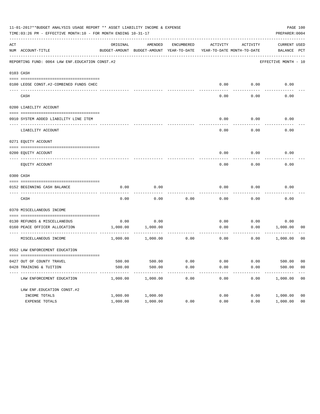|     | 11-01-2017**BUDGET ANALYSIS USAGE REPORT ** ASSET LIABILITY INCOME & EXPENSE<br>TIME: 03:26 PM - EFFECTIVE MONTH: 10 - FOR MONTH ENDING 10-31-17 |          |                                                     |                         |                                        |             | PREPARER: 0004               | PAGE 100       |
|-----|--------------------------------------------------------------------------------------------------------------------------------------------------|----------|-----------------------------------------------------|-------------------------|----------------------------------------|-------------|------------------------------|----------------|
| ACT | NUM ACCOUNT-TITLE                                                                                                                                | ORIGINAL | AMENDED<br>BUDGET-AMOUNT BUDGET-AMOUNT YEAR-TO-DATE | ENCUMBERED              | ACTIVITY<br>YEAR-TO-DATE MONTH-TO-DATE | ACTIVITY    | CURRENT USED<br>BALANCE PCT  |                |
|     | REPORTING FUND: 0064 LAW ENF. EDUCATION CONST. #2                                                                                                |          |                                                     |                         |                                        |             | EFFECTIVE MONTH - 10         |                |
|     | 0103 CASH                                                                                                                                        |          |                                                     |                         |                                        |             |                              |                |
|     | 0100 LEOSE CONST.#2-COMBINED FUNDS CHEC                                                                                                          |          |                                                     |                         |                                        | $0.00$ 0.00 | 0.00                         |                |
|     | CASH                                                                                                                                             |          |                                                     |                         | 0.00                                   | 0.00        | 0.00                         |                |
|     | 0200 LIABILITY ACCOUNT                                                                                                                           |          |                                                     |                         |                                        |             |                              |                |
|     | 0910 SYSTEM ADDED LIABILITY LINE ITEM                                                                                                            |          |                                                     |                         | 0.00                                   | 0.00        | 0.00                         |                |
|     | LIABILITY ACCOUNT                                                                                                                                |          |                                                     |                         | 0.00                                   | 0.00        | 0.00                         |                |
|     | 0271 EQUITY ACCOUNT                                                                                                                              |          |                                                     |                         |                                        |             |                              |                |
|     | 0200 EQUITY ACCOUNT                                                                                                                              |          |                                                     |                         | 0.00                                   | 0.00        | 0.00                         |                |
|     | EQUITY ACCOUNT                                                                                                                                   |          |                                                     |                         | 0.00                                   | 0.00        | 0.00                         |                |
|     | 0300 CASH                                                                                                                                        |          |                                                     |                         |                                        |             |                              |                |
|     | 0152 BEGINNING CASH BALANCE                                                                                                                      | 0.00     | 0.00                                                |                         | 0.00                                   | 0.00        | 0.00                         |                |
|     | CASH                                                                                                                                             | 0.00     | 0.00                                                | 0.00                    | 0.00                                   | 0.00        | 0.00                         |                |
|     | 0370 MISCELLANEOUS INCOME                                                                                                                        |          |                                                     |                         |                                        |             |                              |                |
|     | 0130 REFUNDS & MISCELLANEOUS                                                                                                                     | 0.00     | 0.00                                                |                         | 0.00                                   | 0.00        | 0.00                         |                |
|     | 0160 PEACE OFFICER ALLOCATION                                                                                                                    |          | 1,000.00 1,000.00                                   |                         | 0.00                                   | ---------   | 0.00 1,000.00<br>----------- | 00             |
|     | MISCELLANEOUS INCOME                                                                                                                             | 1,000.00 | 1,000.00                                            | 0.00                    | 0.00                                   | 0.00        | 1,000.00                     | 00             |
|     | 0552 LAW ENFORCEMENT EDUCATION                                                                                                                   |          |                                                     |                         |                                        |             |                              |                |
|     | 0427 OUT OF COUNTY TRAVEL                                                                                                                        | 500.00   | 500.00                                              | 0.00                    | 0.00                                   | 0.00        | 500.00                       | 00             |
|     | 0428 TRAINING & TUITION                                                                                                                          | 500.00   | 500.00                                              | 0.00                    | 0.00                                   | 0.00        | 500.00                       | 0 <sub>0</sub> |
|     | LAW ENFORCEMENT EDUCATION                                                                                                                        | 1,000.00 | -------------<br>1,000.00                           | $- - - - - - -$<br>0.00 | ---------<br>0.00                      | 0.00        | 1,000.00                     | 00             |
|     | LAW ENF. EDUCATION CONST. #2                                                                                                                     |          |                                                     |                         |                                        |             |                              |                |
|     | INCOME TOTALS                                                                                                                                    | 1,000.00 | 1,000.00                                            |                         | 0.00                                   | 0.00        | 1,000.00                     | 0 <sub>0</sub> |
|     | EXPENSE TOTALS                                                                                                                                   | 1,000.00 | 1,000.00                                            | 0.00                    | 0.00                                   | 0.00        | 1,000.00                     | 0 <sub>0</sub> |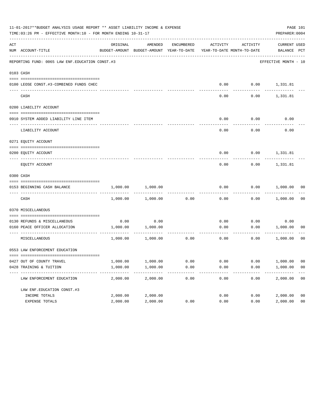|     | 11-01-2017**BUDGET ANALYSIS USAGE REPORT ** ASSET LIABILITY INCOME & EXPENSE<br>TIME: 03:26 PM - EFFECTIVE MONTH: 10 - FOR MONTH ENDING 10-31-17 |          |                                                                                |            |      |                   | PREPARER: 0004              | PAGE 101       |
|-----|--------------------------------------------------------------------------------------------------------------------------------------------------|----------|--------------------------------------------------------------------------------|------------|------|-------------------|-----------------------------|----------------|
| ACT | NUM ACCOUNT-TITLE                                                                                                                                | ORIGINAL | AMENDED<br>BUDGET-AMOUNT BUDGET-AMOUNT YEAR-TO-DATE YEAR-TO-DATE MONTH-TO-DATE | ENCUMBERED |      | ACTIVITY ACTIVITY | CURRENT USED<br>BALANCE PCT |                |
|     | REPORTING FUND: 0065 LAW ENF. EDUCATION CONST.#3                                                                                                 |          |                                                                                |            |      |                   | EFFECTIVE MONTH - 10        |                |
|     | 0103 CASH                                                                                                                                        |          |                                                                                |            |      |                   |                             |                |
|     | 0100 LEOSE CONST.#3-COMBINED FUNDS CHEC                                                                                                          |          |                                                                                |            |      |                   | $0.00$ $0.00$ $1,331.81$    |                |
|     | CASH                                                                                                                                             |          |                                                                                |            | 0.00 | 0.00              | 1,331.81                    |                |
|     | 0200 LIABILITY ACCOUNT                                                                                                                           |          |                                                                                |            |      |                   |                             |                |
|     | 0910 SYSTEM ADDED LIABILITY LINE ITEM                                                                                                            |          |                                                                                |            | 0.00 | 0.00              | 0.00                        |                |
|     | LIABILITY ACCOUNT                                                                                                                                |          |                                                                                |            | 0.00 | 0.00              | 0.00                        |                |
|     | 0271 EQUITY ACCOUNT                                                                                                                              |          |                                                                                |            |      |                   |                             |                |
|     | 0200 EQUITY ACCOUNT                                                                                                                              |          |                                                                                |            | 0.00 |                   | $0.00$ 1,331.81             |                |
|     | EQUITY ACCOUNT                                                                                                                                   |          |                                                                                |            | 0.00 | 0.00              | 1,331.81                    |                |
|     | 0300 CASH                                                                                                                                        |          |                                                                                |            |      |                   |                             |                |
|     | 0153 BEGINNING CASH BALANCE                                                                                                                      | 1,000.00 | 1,000.00                                                                       |            | 0.00 |                   | $0.00$ $1,000.00$ 00        |                |
|     | CASH                                                                                                                                             | 1,000.00 | 1,000.00                                                                       | 0.00       | 0.00 |                   | $0.00$ 1,000.00             | 0 <sub>0</sub> |
|     | 0370 MISCELLANEOUS                                                                                                                               |          |                                                                                |            |      |                   |                             |                |
|     | 0130 REFUNDS & MISCELLANEOUS                                                                                                                     | 0.00     | 0.00                                                                           |            | 0.00 | 0.00              | 0.00                        |                |
|     | 0160 PEACE OFFICER ALLOCATION                                                                                                                    | 1,000.00 | 1,000.00<br>------------                                                       |            | 0.00 | 0.00              | 1,000.00<br>------------    | 00             |
|     | MISCELLANEOUS                                                                                                                                    |          | 1,000.00 1,000.00                                                              | 0.00       | 0.00 | 0.00              | 1,000.00                    | 0 <sub>0</sub> |
|     | 0553 LAW ENFORCEMENT EDUCATION                                                                                                                   |          |                                                                                |            |      |                   |                             |                |
|     | 0427 OUT OF COUNTY TRAVEL                                                                                                                        | 1,000.00 | 1,000.00                                                                       | 0.00       | 0.00 | 0.00              | 1,000.00                    | 00             |
|     | 0428 TRAINING & TUITION                                                                                                                          | 1,000.00 | 1,000.00                                                                       | 0.00       | 0.00 | 0.00              | 1,000.00                    | 0 <sub>0</sub> |
|     | LAW ENFORCEMENT EDUCATION                                                                                                                        | 2,000.00 | 2,000.00                                                                       | 0.00       | 0.00 | 0.00              | 2,000.00                    | 0 <sub>0</sub> |
|     | LAW ENF. EDUCATION CONST. #3                                                                                                                     |          |                                                                                |            |      |                   |                             |                |
|     | INCOME TOTALS                                                                                                                                    | 2,000.00 | 2,000.00                                                                       |            | 0.00 | 0.00              | 2,000.00                    | 0 <sub>0</sub> |
|     | EXPENSE TOTALS                                                                                                                                   | 2,000.00 | 2,000.00                                                                       | 0.00       | 0.00 | 0.00              | 2,000.00                    | 0 <sub>0</sub> |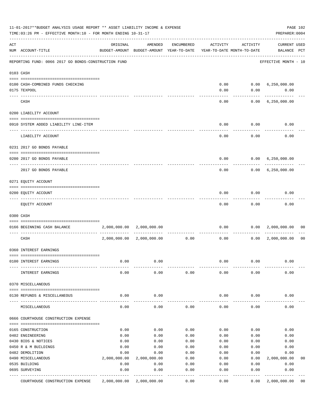|     | 11-01-2017**BUDGET ANALYSIS USAGE REPORT ** ASSET LIABILITY INCOME & EXPENSE<br>TIME: 03:26 PM - EFFECTIVE MONTH: 10 - FOR MONTH ENDING 10-31-17 |                      |                                                     |                                        |                                        |                    | PREPARER: 0004                     | PAGE 102       |
|-----|--------------------------------------------------------------------------------------------------------------------------------------------------|----------------------|-----------------------------------------------------|----------------------------------------|----------------------------------------|--------------------|------------------------------------|----------------|
| ACT | NUM ACCOUNT-TITLE                                                                                                                                | ORIGINAL             | AMENDED<br>BUDGET-AMOUNT BUDGET-AMOUNT YEAR-TO-DATE | ENCUMBERED                             | ACTIVITY<br>YEAR-TO-DATE MONTH-TO-DATE | ACTIVITY           | <b>CURRENT USED</b><br>BALANCE PCT |                |
|     | REPORTING FUND: 0066 2017 GO BONDS-CONSTRUCTION FUND                                                                                             |                      |                                                     |                                        |                                        |                    | EFFECTIVE MONTH - 10               |                |
|     | 0103 CASH                                                                                                                                        |                      |                                                     |                                        |                                        |                    |                                    |                |
|     |                                                                                                                                                  |                      |                                                     |                                        |                                        |                    |                                    |                |
|     | 0100 CASH-COMBINED FUNDS CHECKING                                                                                                                |                      |                                                     |                                        |                                        |                    | $0.00$ $0.00$ $6,250,000.00$       |                |
|     | 0175 TEXPOOL                                                                                                                                     |                      |                                                     |                                        | 0.00                                   | 0.00               | 0.00                               |                |
|     | CASH                                                                                                                                             |                      |                                                     |                                        | 0.00                                   |                    | $0.00 \quad 6,250,000.00$          |                |
|     | 0200 LIABILITY ACCOUNT                                                                                                                           |                      |                                                     |                                        |                                        |                    |                                    |                |
|     | 0910 SYSTEM ADDED LIABILITY LINE-ITEM                                                                                                            |                      |                                                     |                                        | 0.00                                   | 0.00               | 0.00                               |                |
|     | LIABILITY ACCOUNT                                                                                                                                |                      |                                                     |                                        | 0.00                                   | 0.00               | 0.00                               |                |
|     |                                                                                                                                                  |                      |                                                     |                                        |                                        |                    |                                    |                |
|     | 0231 2017 GO BONDS PAYABLE                                                                                                                       |                      |                                                     |                                        |                                        |                    |                                    |                |
|     |                                                                                                                                                  |                      |                                                     |                                        |                                        |                    |                                    |                |
|     | 0200 2017 GO BONDS PAYABLE                                                                                                                       |                      |                                                     |                                        | 0.00                                   | . <u>.</u>         | $0.00 \quad 6,250,000.00$          |                |
|     | 2017 GO BONDS PAYABLE                                                                                                                            |                      |                                                     |                                        | 0.00                                   |                    | 0.00 6, 250, 000.00                |                |
|     | 0271 EQUITY ACCOUNT                                                                                                                              |                      |                                                     |                                        |                                        |                    |                                    |                |
|     | 0200 EQUITY ACCOUNT                                                                                                                              |                      |                                                     |                                        | 0.00                                   | 0.00               | 0.00                               |                |
|     |                                                                                                                                                  |                      |                                                     |                                        |                                        |                    |                                    |                |
|     | EQUITY ACCOUNT                                                                                                                                   |                      |                                                     |                                        | 0.00                                   | 0.00               | 0.00                               |                |
|     | 0300 CASH                                                                                                                                        |                      |                                                     |                                        |                                        |                    |                                    |                |
|     | 0166 BEGINNING CASH BALANCE                                                                                                                      |                      | 2,000,000.00 2,000,000.00                           |                                        | 0.00                                   | 0.00               | 2,000,000.00                       | 00             |
|     | ------------------ --------------<br>CASH                                                                                                        | 2,000,000.00         | 2,000,000.00 0.00                                   | -----------  ------------  ----------- |                                        | ----------<br>0.00 | -------------<br>0.00 2,000,000.00 | 0 <sub>0</sub> |
|     | 0360 INTEREST EARNINGS                                                                                                                           |                      |                                                     |                                        |                                        |                    |                                    |                |
|     | 0100 INTEREST EARNINGS                                                                                                                           | 0.00                 | 0.00                                                |                                        | 0.00                                   | 0.00               | 0.00                               |                |
|     |                                                                                                                                                  |                      |                                                     |                                        |                                        |                    |                                    |                |
|     | INTEREST EARNINGS                                                                                                                                | 0.00                 | 0.00                                                | 0.00                                   | 0.00                                   | 0.00               | 0.00                               |                |
|     | 0370 MISCELLANEOUS                                                                                                                               |                      |                                                     |                                        |                                        |                    |                                    |                |
|     | 0130 REFUNDS & MISCELLANEOUS                                                                                                                     | 0.00                 | 0.00                                                |                                        | 0.00                                   | 0.00               | 0.00                               |                |
|     | MISCELLANEOUS                                                                                                                                    | 0.00                 | 0.00                                                | 0.00                                   | 0.00                                   | 0.00               | 0.00                               |                |
|     | 0666 COURTHOUSE CONSTRUCTION EXPENSE                                                                                                             |                      |                                                     |                                        |                                        |                    |                                    |                |
|     |                                                                                                                                                  |                      |                                                     |                                        |                                        |                    |                                    |                |
|     | 0165 CONSTRUCTION                                                                                                                                | 0.00                 | 0.00                                                | 0.00                                   | 0.00                                   | 0.00               | 0.00                               |                |
|     | 0402 ENGINEERING                                                                                                                                 | 0.00                 | 0.00                                                | 0.00                                   | 0.00                                   | 0.00               | 0.00                               |                |
|     | 0430 BIDS & NOTICES                                                                                                                              | 0.00                 | 0.00                                                | 0.00                                   | 0.00                                   | 0.00               | 0.00                               |                |
|     | 0450 R & M BUILDINGS                                                                                                                             | 0.00                 | 0.00                                                | 0.00                                   | 0.00                                   | 0.00               | 0.00                               |                |
|     | 0482 DEMOLITION                                                                                                                                  | 0.00                 | 0.00                                                | 0.00                                   | 0.00                                   | 0.00               | 0.00                               |                |
|     | 0490 MISCELLANEOUS                                                                                                                               | 2,000,000.00<br>0.00 | 2,000,000.00                                        | 0.00                                   | 0.00                                   | 0.00<br>0.00       | 2,000,000.00                       | 00             |
|     | 0535 BUILDING<br>0695 SURVEYING                                                                                                                  | 0.00                 | 0.00<br>0.00                                        | 0.00<br>0.00                           | 0.00<br>0.00                           | 0.00               | 0.00<br>0.00                       |                |
|     |                                                                                                                                                  |                      |                                                     |                                        |                                        |                    |                                    |                |
|     | COURTHOUSE CONSTRUCTION EXPENSE                                                                                                                  |                      | 2,000,000.00 2,000,000.00                           | 0.00                                   | 0.00                                   | 0.00               | 2,000,000.00                       | 0 <sub>0</sub> |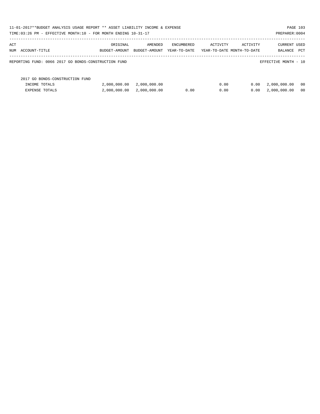|     | 11-01-2017**BUDGET ANALYSIS USAGE REPORT ** ASSET LIABILITY INCOME & EXPENSE |               |               |              |          |                            |                      | PAGE 103       |
|-----|------------------------------------------------------------------------------|---------------|---------------|--------------|----------|----------------------------|----------------------|----------------|
|     | TIME:03:26 PM - EFFECTIVE MONTH:10 - FOR MONTH ENDING 10-31-17               |               |               |              |          |                            | PREPARER: 0004       |                |
|     |                                                                              |               |               |              |          |                            |                      |                |
| ACT |                                                                              | ORIGINAL      | AMENDED       | ENCUMBERED   | ACTIVITY | ACTIVITY                   | <b>CURRENT USED</b>  |                |
|     | NUM ACCOUNT-TITLE                                                            | BUDGET-AMOUNT | BUDGET-AMOUNT | YEAR-TO-DATE |          | YEAR-TO-DATE MONTH-TO-DATE | BALANCE              | PCT            |
|     |                                                                              |               |               |              |          |                            |                      |                |
|     | REPORTING FUND: 0066 2017 GO BONDS-CONSTRUCTION FUND                         |               |               |              |          |                            | EFFECTIVE MONTH - 10 |                |
|     |                                                                              |               |               |              |          |                            |                      |                |
|     | 2017 GO BONDS-CONSTRUCTION FUND                                              |               |               |              |          |                            |                      |                |
|     | INCOME TOTALS                                                                | 2,000,000.00  | 2,000,000.00  |              | 0.00     | 0.00                       | 2,000,000.00         | - 00           |
|     | <b>EXPENSE TOTALS</b>                                                        | 2,000,000.00  | 2,000,000.00  | 0.00         | 0.00     | 0.00                       | 2,000,000.00         | 0 <sub>0</sub> |
|     |                                                                              |               |               |              |          |                            |                      |                |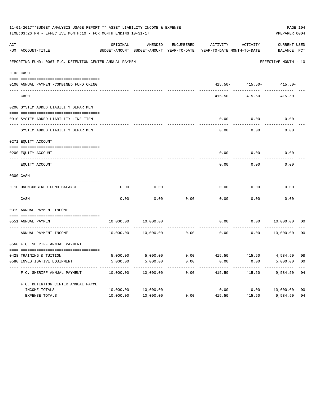|     | 11-01-2017**BUDGET ANALYSIS USAGE REPORT ** ASSET LIABILITY INCOME & EXPENSE<br>TIME: 03:26 PM - EFFECTIVE MONTH: 10 - FOR MONTH ENDING 10-31-17 |           |                                                     |            |                                                  |                            | PAGE 104<br>PREPARER: 0004  |                |
|-----|--------------------------------------------------------------------------------------------------------------------------------------------------|-----------|-----------------------------------------------------|------------|--------------------------------------------------|----------------------------|-----------------------------|----------------|
| ACT | NUM ACCOUNT-TITLE                                                                                                                                | ORIGINAL  | AMENDED<br>BUDGET-AMOUNT BUDGET-AMOUNT YEAR-TO-DATE | ENCUMBERED | ACTIVITY<br>YEAR-TO-DATE MONTH-TO-DATE           | ACTIVITY                   | CURRENT USED<br>BALANCE PCT |                |
|     | REPORTING FUND: 0067 F.C. DETENTION CENTER ANNUAL PAYMEN                                                                                         |           |                                                     |            |                                                  |                            | EFFECTIVE MONTH - 10        |                |
|     | 0103 CASH                                                                                                                                        |           |                                                     |            |                                                  |                            |                             |                |
|     | 0100 ANNUAL PAYMENT-COMBINED FUND CKING                                                                                                          |           |                                                     |            |                                                  | $415.50 - 415.50 - 415.50$ |                             |                |
|     | CASH                                                                                                                                             |           |                                                     |            | $415.50 -$                                       | 415.50-                    | $415.50 -$                  |                |
|     | 0200 SYSTEM ADDED LIABILITY DEPARTMENT                                                                                                           |           |                                                     |            |                                                  |                            |                             |                |
|     |                                                                                                                                                  |           |                                                     |            |                                                  |                            |                             |                |
|     | 0910 SYSTEM ADDED LIABILITY LINE-ITEM                                                                                                            |           |                                                     |            | 0.00                                             | 0.00                       | 0.00                        |                |
|     | SYSTEM ADDED LIABILITY DEPARTMENT                                                                                                                |           |                                                     |            | 0.00                                             | 0.00                       | 0.00                        |                |
|     | 0271 EQUITY ACCOUNT                                                                                                                              |           |                                                     |            |                                                  |                            |                             |                |
|     | 0200 EQUITY ACCOUNT                                                                                                                              |           |                                                     |            | 0.00                                             | 0.00                       | 0.00                        |                |
|     | EQUITY ACCOUNT                                                                                                                                   |           |                                                     |            | 0.00                                             | 0.00                       | 0.00                        |                |
|     | 0300 CASH                                                                                                                                        |           |                                                     |            |                                                  |                            |                             |                |
|     | 0110 UNENCUMBERED FUND BALANCE                                                                                                                   | 0.00      | 0.00                                                |            | 0.00                                             | 0.00                       | 0.00                        |                |
|     | CASH                                                                                                                                             | 0.00      | 0.00                                                | 0.00       | 0.00                                             | 0.00                       | 0.00                        |                |
|     | 0319 ANNUAL PAYMENT INCOME                                                                                                                       |           |                                                     |            |                                                  |                            |                             |                |
|     | 0551 ANNUAL PAYMENT                                                                                                                              | 10,000.00 | 10,000.00                                           |            | 0.00                                             |                            | 0.00 10,000.00              | 00             |
|     | ANNUAL PAYMENT INCOME                                                                                                                            | 10,000.00 | 10,000.00                                           | 0.00       | 0.00                                             | 0.00                       | 10,000.00                   | 0 <sup>0</sup> |
|     | 0560 F.C. SHERIFF ANNUAL PAYMENT                                                                                                                 |           |                                                     |            |                                                  |                            |                             |                |
|     |                                                                                                                                                  |           |                                                     |            |                                                  |                            |                             |                |
|     | 0428 TRAINING & TUITION                                                                                                                          |           |                                                     |            | 5,000.00 5,000.00 0.00 415.50 415.50 4,584.50 08 |                            |                             |                |
|     | 0580 INVESTIGATIVE EQUIPMENT                                                                                                                     | 5,000.00  | 5,000.00                                            | 0.00       | 0.00                                             | 0.00                       | 5,000.00                    | - 00           |
|     | F.C. SHERIFF ANNUAL PAYMENT                                                                                                                      | 10,000.00 | 10,000.00                                           | 0.00       | 415.50                                           | 415.50                     | 9,584.50                    | 04             |
|     | F.C. DETENTION CENTER ANNUAL PAYME                                                                                                               |           |                                                     |            |                                                  |                            |                             |                |
|     | INCOME TOTALS                                                                                                                                    | 10,000.00 | 10,000.00                                           |            | 0.00                                             | 0.00                       | 10,000.00                   | 0 <sub>0</sub> |
|     | EXPENSE TOTALS                                                                                                                                   | 10,000.00 | 10,000.00                                           | 0.00       | 415.50                                           | 415.50                     | 9,584.50                    | 04             |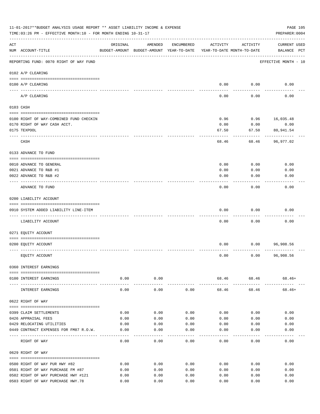|                | 11-01-2017**BUDGET ANALYSIS USAGE REPORT ** ASSET LIABILITY INCOME & EXPENSE<br>TIME: 03:26 PM - EFFECTIVE MONTH: 10 - FOR MONTH ENDING 10-31-17 |              |                                                     |              |                                        |                                   | PAGE 105<br>PREPARER: 0004         |
|----------------|--------------------------------------------------------------------------------------------------------------------------------------------------|--------------|-----------------------------------------------------|--------------|----------------------------------------|-----------------------------------|------------------------------------|
| $\mathtt{ACT}$ | NUM ACCOUNT-TITLE                                                                                                                                | ORIGINAL     | AMENDED<br>BUDGET-AMOUNT BUDGET-AMOUNT YEAR-TO-DATE | ENCUMBERED   | ACTIVITY<br>YEAR-TO-DATE MONTH-TO-DATE | ACTIVITY                          | <b>CURRENT USED</b><br>BALANCE PCT |
|                | REPORTING FUND: 0070 RIGHT OF WAY FUND                                                                                                           |              |                                                     |              |                                        |                                   | EFFECTIVE MONTH - 10               |
|                | 0102 A/P CLEARING                                                                                                                                |              |                                                     |              |                                        |                                   |                                    |
|                | 0100 A/P CLEARING<br>---- ---------                                                                                                              |              |                                                     |              |                                        | $0.00$ 0.00                       | 0.00                               |
|                | A/P CLEARING                                                                                                                                     |              |                                                     |              | 0.00                                   | 0.00                              | 0.00                               |
|                | 0103 CASH                                                                                                                                        |              |                                                     |              |                                        |                                   |                                    |
|                | 0100 RIGHT OF WAY-COMBINED FUND CHECKIN                                                                                                          |              |                                                     |              | 0.96                                   | 0.96                              | 16,035.48                          |
|                | 0170 RIGHT OF WAY CASH ACCT.                                                                                                                     |              |                                                     |              | 0.00                                   | 0.00                              | 0.00                               |
|                | 0175 TEXPOOL                                                                                                                                     |              |                                                     |              | 67.50                                  | 67.50                             | 80,941.54                          |
|                | CASH                                                                                                                                             |              |                                                     |              | 68.46                                  | 68.46                             | 96,977.02                          |
|                | 0133 ADVANCE TO FUND                                                                                                                             |              |                                                     |              |                                        |                                   |                                    |
|                |                                                                                                                                                  |              |                                                     |              |                                        |                                   |                                    |
|                | 0010 ADVANCE TO GENERAL                                                                                                                          |              |                                                     |              | 0.00                                   | 0.00                              | 0.00                               |
|                | 0021 ADVANCE TO R&B #1                                                                                                                           |              |                                                     |              | 0.00                                   | 0.00                              | 0.00                               |
|                | 0022 ADVANCE TO R&B #2<br>-----------                                                                                                            |              |                                                     |              | 0.00                                   | 0.00                              | 0.00                               |
|                | ADVANCE TO FUND                                                                                                                                  |              |                                                     |              | 0.00                                   | 0.00                              | 0.00                               |
|                | 0200 LIABILITY ACCOUNT                                                                                                                           |              |                                                     |              |                                        |                                   |                                    |
|                |                                                                                                                                                  |              |                                                     |              |                                        |                                   |                                    |
|                | 0910 SYSTEM ADDED LIABILITY LINE-ITEM                                                                                                            |              |                                                     |              | 0.00                                   | 0.00                              | 0.00                               |
|                | LIABILITY ACCOUNT                                                                                                                                |              |                                                     |              | 0.00                                   | 0.00                              | 0.00                               |
|                | 0271 EQUITY ACCOUNT                                                                                                                              |              |                                                     |              |                                        |                                   |                                    |
|                |                                                                                                                                                  |              |                                                     |              |                                        |                                   |                                    |
|                | 0200 EQUITY ACCOUNT                                                                                                                              |              |                                                     |              | 0.00                                   | 0.00                              | 96,908.56                          |
|                |                                                                                                                                                  |              |                                                     |              |                                        |                                   |                                    |
|                | EQUITY ACCOUNT                                                                                                                                   |              |                                                     |              | 0.00                                   | 0.00                              | 96,908.56                          |
|                | 0360 INTEREST EARNINGS                                                                                                                           |              |                                                     |              |                                        |                                   |                                    |
|                |                                                                                                                                                  |              |                                                     |              |                                        |                                   |                                    |
|                | 0100 INTEREST EARNINGS                                                                                                                           | 0.00         | 0.00<br>.                                           |              | -------------                          | 68.46 68.46 68.46+<br>----------- |                                    |
|                | INTEREST EARNINGS                                                                                                                                | 0.00         | 0.00                                                | 0.00         | 68.46                                  | 68.46                             | $68.46+$                           |
|                | 0622 RIGHT OF WAY                                                                                                                                |              |                                                     |              |                                        |                                   |                                    |
|                | 0399 CLAIM SETTLEMENTS                                                                                                                           | 0.00         | 0.00                                                | 0.00         | 0.00                                   | 0.00                              | 0.00                               |
|                | 0426 APPRAISAL FEES                                                                                                                              | 0.00         | 0.00                                                | 0.00         | 0.00                                   | 0.00                              | 0.00                               |
|                | 0429 RELOCATING UTILITIES                                                                                                                        | 0.00         | 0.00                                                | 0.00         | 0.00                                   | 0.00                              | 0.00                               |
|                | 0449 CONTRACT EXPENSES FOR FM87 R.O.W.                                                                                                           | 0.00         | 0.00                                                | 0.00         | 0.00                                   | 0.00                              | 0.00                               |
|                | RIGHT OF WAY                                                                                                                                     | 0.00         | 0.00                                                | 0.00         | 0.00                                   | 0.00                              | 0.00                               |
|                | 0629 RIGHT OF WAY                                                                                                                                |              |                                                     |              |                                        |                                   |                                    |
|                |                                                                                                                                                  |              |                                                     |              |                                        |                                   |                                    |
|                | 0500 RIGHT OF WAY PUR HWY #82                                                                                                                    | 0.00         | 0.00                                                | 0.00         | 0.00                                   | 0.00                              | 0.00                               |
|                | 0501 RIGHT OF WAY PURCHASE FM #87                                                                                                                | 0.00         | 0.00                                                | 0.00         | 0.00                                   | 0.00                              | 0.00                               |
|                | 0502 RIGHT OF WAY PURCHASE HWY #121<br>0503 RIGHT OF WAY PURCHASE HWY.78                                                                         | 0.00<br>0.00 | 0.00<br>0.00                                        | 0.00<br>0.00 | 0.00<br>0.00                           | 0.00<br>0.00                      | 0.00<br>0.00                       |
|                |                                                                                                                                                  |              |                                                     |              |                                        |                                   |                                    |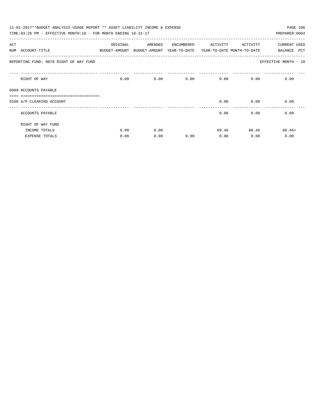|     | 11-01-2017**BUDGET ANALYSIS USAGE REPORT ** ASSET LIABILITY INCOME & EXPENSE<br>TIME: 03:26 PM - EFFECTIVE MONTH: 10 - FOR MONTH ENDING 10-31-17 |          |                                                                     |      |                   |             | PAGE 106<br>PREPARER: 0004 |
|-----|--------------------------------------------------------------------------------------------------------------------------------------------------|----------|---------------------------------------------------------------------|------|-------------------|-------------|----------------------------|
| ACT |                                                                                                                                                  | ORIGINAL | AMENDED ENCUMBERED                                                  |      | ACTIVITY ACTIVITY |             | CURRENT USED               |
|     | NUM ACCOUNT-TITLE                                                                                                                                |          | BUDGET-AMOUNT BUDGET-AMOUNT YEAR-TO-DATE YEAR-TO-DATE MONTH-TO-DATE |      |                   |             | <b>PCT</b><br>BALANCE      |
|     | REPORTING FUND: 0070 RIGHT OF WAY FUND                                                                                                           |          |                                                                     |      |                   |             | EFFECTIVE MONTH - 10       |
|     | RIGHT OF WAY                                                                                                                                     | 0.00     |                                                                     | 0.00 | 0.00              | 0.00        | 0.00<br>0.00               |
|     | 0999 ACCOUNTS PAYABLE                                                                                                                            |          |                                                                     |      |                   |             |                            |
|     |                                                                                                                                                  |          |                                                                     |      |                   |             |                            |
|     | 0100 A/P CLEARING ACCOUNT                                                                                                                        |          |                                                                     |      | 0.00              | 0.00        | 0.00                       |
|     | ACCOUNTS PAYABLE                                                                                                                                 |          |                                                                     |      | 0.00              |             | 0.00<br>0.00               |
|     | RIGHT OF WAY FUND                                                                                                                                |          |                                                                     |      |                   |             |                            |
|     | INCOME TOTALS                                                                                                                                    | 0.00     | 0.00                                                                |      |                   | 68.46 68.46 | $68.46+$                   |
|     | <b>EXPENSE TOTALS</b>                                                                                                                            | 0.00     | 0.00                                                                | 0.00 | 0.00              | 0.00        | 0.00                       |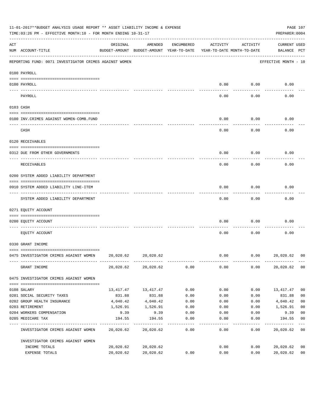|     | 11-01-2017**BUDGET ANALYSIS USAGE REPORT ** ASSET LIABILITY INCOME & EXPENSE<br>TIME: 03:26 PM - EFFECTIVE MONTH: 10 - FOR MONTH ENDING 10-31-17 |                                                                                 |           |            |          |          | PREPARER: 0004                     | PAGE 107       |
|-----|--------------------------------------------------------------------------------------------------------------------------------------------------|---------------------------------------------------------------------------------|-----------|------------|----------|----------|------------------------------------|----------------|
| ACT | NUM ACCOUNT-TITLE                                                                                                                                | ORIGINAL<br>BUDGET-AMOUNT BUDGET-AMOUNT YEAR-TO-DATE YEAR-TO-DATE MONTH-TO-DATE | AMENDED   | ENCUMBERED | ACTIVITY | ACTIVITY | <b>CURRENT USED</b><br>BALANCE PCT |                |
|     | REPORTING FUND: 0071 INVESTIGATOR CRIMES AGAINST WOMEN                                                                                           |                                                                                 |           |            |          |          | EFFECTIVE MONTH - 10               |                |
|     | 0100 PAYROLL                                                                                                                                     |                                                                                 |           |            |          |          |                                    |                |
|     | 0100 PAYROLL                                                                                                                                     |                                                                                 |           |            | 0.00     | 0.00     | 0.00                               |                |
|     | ---- -------<br>PAYROLL                                                                                                                          |                                                                                 |           |            | 0.00     | 0.00     | 0.00                               |                |
|     | 0103 CASH                                                                                                                                        |                                                                                 |           |            |          |          |                                    |                |
|     | 0100 INV. CRIMES AGAINST WOMEN-COMB. FUND                                                                                                        |                                                                                 |           |            | 0.00     | 0.00     | 0.00                               |                |
|     | CASH                                                                                                                                             |                                                                                 |           |            | 0.00     | 0.00     | 0.00                               |                |
|     | 0120 RECEIVABLES                                                                                                                                 |                                                                                 |           |            |          |          |                                    |                |
|     | 0312 DUE FROM OTHER GOVERNMENTS                                                                                                                  |                                                                                 |           |            | 0.00     | 0.00     | 0.00                               |                |
|     | RECEIVABLES                                                                                                                                      |                                                                                 |           |            | 0.00     | 0.00     | 0.00                               |                |
|     | 0200 SYSTEM ADDED LIABILITY DEPARTMENT                                                                                                           |                                                                                 |           |            |          |          |                                    |                |
|     | 0910 SYSTEM ADDED LIABILITY LINE-ITEM                                                                                                            |                                                                                 |           |            | 0.00     | 0.00     | 0.00                               |                |
|     | SYSTEM ADDED LIABILITY DEPARTMENT                                                                                                                |                                                                                 |           |            | 0.00     | 0.00     | 0.00                               |                |
|     | 0271 EQUITY ACCOUNT                                                                                                                              |                                                                                 |           |            |          |          |                                    |                |
|     | 0200 EQUITY ACCOUNT                                                                                                                              |                                                                                 |           |            | 0.00     | 0.00     | 0.00                               |                |
|     | EQUITY ACCOUNT                                                                                                                                   |                                                                                 |           |            | 0.00     | 0.00     | 0.00                               |                |
|     | 0330 GRANT INCOME                                                                                                                                |                                                                                 |           |            |          |          |                                    |                |
|     | 0475 INVESTIGATOR CRIMES AGAINST WOMEN                                                                                                           | 20,020.62                                                                       | 20,020.62 |            | 0.00     | 0.00     | 20,020.62                          | 00             |
|     | GRANT INCOME                                                                                                                                     | 20,020.62                                                                       | 20,020.62 | 0.00       | 0.00     | 0.00     | 20,020.62                          | 0 <sub>0</sub> |
|     | 0475 INVESTIGATOR CRIMES AGAINST WOMEN                                                                                                           |                                                                                 |           |            |          |          |                                    |                |
|     | 0108 SALARY                                                                                                                                      | 13,417.47                                                                       | 13,417.47 | 0.00       | 0.00     | 0.00     | 13,417.47                          | 0 <sub>0</sub> |
|     | 0201 SOCIAL SECURITY TAXES                                                                                                                       | 831.88                                                                          | 831.88    | 0.00       | 0.00     | 0.00     | 831.88                             | 0 <sub>0</sub> |
|     | 0202 GROUP HEALTH INSURANCE                                                                                                                      | 4,040.42                                                                        | 4,040.42  | 0.00       | 0.00     | 0.00     | 4,040.42                           | 0 <sub>0</sub> |
|     | 0203 RETIREMENT                                                                                                                                  | 1,526.91                                                                        | 1,526.91  | 0.00       | 0.00     | 0.00     | 1,526.91                           | 0 <sub>0</sub> |
|     | 0204 WORKERS COMPENSATION                                                                                                                        | 9.39                                                                            | 9.39      | 0.00       | 0.00     | 0.00     | 9.39                               | 0 <sub>0</sub> |
|     | 0205 MEDICARE TAX                                                                                                                                | 194.55                                                                          | 194.55    | 0.00       | 0.00     | 0.00     | 194.55                             | 0 <sub>0</sub> |
|     | INVESTIGATOR CRIMES AGAINST WOMEN                                                                                                                | 20,020.62                                                                       | 20,020.62 | 0.00       | 0.00     | 0.00     | 20,020.62                          | 0 <sub>0</sub> |
|     | INVESTIGATOR CRIMES AGAINST WOMEN                                                                                                                |                                                                                 |           |            |          |          |                                    |                |
|     | INCOME TOTALS                                                                                                                                    | 20,020.62                                                                       | 20,020.62 |            | 0.00     | 0.00     | 20,020.62                          | 00             |
|     | EXPENSE TOTALS                                                                                                                                   | 20,020.62                                                                       | 20,020.62 | 0.00       | 0.00     | 0.00     | 20,020.62                          | 0 <sub>0</sub> |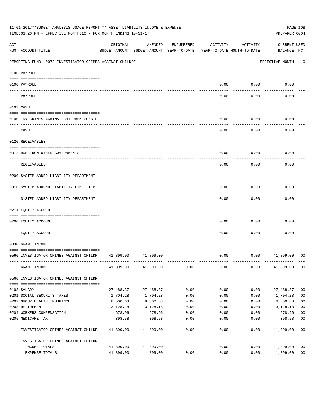|     | 11-01-2017**BUDGET ANALYSIS USAGE REPORT ** ASSET LIABILITY INCOME & EXPENSE<br>TIME: 03:26 PM - EFFECTIVE MONTH: 10 - FOR MONTH ENDING 10-31-17 |           |                                                                                |               |          |                      | PAGE 108<br>PREPARER: 0004         |                |
|-----|--------------------------------------------------------------------------------------------------------------------------------------------------|-----------|--------------------------------------------------------------------------------|---------------|----------|----------------------|------------------------------------|----------------|
| ACT | NUM ACCOUNT-TITLE                                                                                                                                | ORIGINAL  | AMENDED<br>BUDGET-AMOUNT BUDGET-AMOUNT YEAR-TO-DATE YEAR-TO-DATE MONTH-TO-DATE | ENCUMBERED    | ACTIVITY | ACTIVITY             | <b>CURRENT USED</b><br>BALANCE PCT |                |
|     | REPORTING FUND: 0072 INVESTIGATOR CRIMES AGAINST CHILDRE                                                                                         |           |                                                                                |               |          |                      | EFFECTIVE MONTH - 10               |                |
|     | 0100 PAYROLL                                                                                                                                     |           |                                                                                |               |          |                      |                                    |                |
|     | 0100 PAYROLL                                                                                                                                     |           |                                                                                |               | 0.00     | 0.00                 | 0.00                               |                |
|     | ---- --------                                                                                                                                    |           |                                                                                |               |          |                      |                                    |                |
|     | PAYROLL                                                                                                                                          |           |                                                                                |               | 0.00     | 0.00                 | 0.00                               |                |
|     | 0103 CASH                                                                                                                                        |           |                                                                                |               |          |                      |                                    |                |
|     | 0100 INV. CRIMES AGAINST CHILDREN-COMB. F                                                                                                        |           |                                                                                |               | 0.00     | 0.00                 | 0.00                               |                |
|     | CASH                                                                                                                                             |           |                                                                                |               | 0.00     | . <u>.</u> .<br>0.00 | ---------<br>0.00                  |                |
|     | 0120 RECEIVABLES                                                                                                                                 |           |                                                                                |               |          |                      |                                    |                |
|     | 0312 DUE FROM OTHER GOVERNMENTS                                                                                                                  |           |                                                                                |               | 0.00     | 0.00                 | 0.00                               |                |
|     | RECEIVABLES                                                                                                                                      |           |                                                                                |               | 0.00     | 0.00                 | 0.00                               |                |
|     | 0200 SYSTEM ADDED LIABILITY DEPARTMENT                                                                                                           |           |                                                                                |               |          |                      |                                    |                |
|     | 0910 SYSTEM ADDEND LIABILITY LINE-ITEM                                                                                                           |           |                                                                                |               | 0.00     | 0.00                 | 0.00                               |                |
|     | SYSTEM ADDED LIABILITY DEPARTMENT                                                                                                                |           |                                                                                |               | 0.00     | 0.00                 | 0.00                               |                |
|     | 0271 EQUITY ACCOUNT                                                                                                                              |           |                                                                                |               |          |                      |                                    |                |
|     | 0200 EQUITY ACCOUNT                                                                                                                              |           |                                                                                |               | 0.00     | 0.00                 | 0.00                               |                |
|     | EQUITY ACCOUNT                                                                                                                                   |           |                                                                                |               | 0.00     | 0.00                 | 0.00                               |                |
|     | 0330 GRANT INCOME                                                                                                                                |           |                                                                                |               |          |                      |                                    |                |
|     | 0560 INVESTIGATOR CRIMES AGAINST CHILDR 41,899.00 41,899.00                                                                                      |           |                                                                                |               | 0.00     | 0.00                 | 41,899.00                          | 00             |
|     | GRANT INCOME                                                                                                                                     | 41,899.00 | 41,899.00                                                                      | 0.00          | 0.00     | 0.00                 | 41,899.00                          | 0 <sub>0</sub> |
|     | 0560 INVESTIGATOR CRIMES AGAINST CHILDR                                                                                                          |           |                                                                                |               |          |                      |                                    |                |
|     | 0108 SALARY                                                                                                                                      | 27,488.37 | 27,488.37                                                                      | 0.00          | 0.00     | 0.00                 | 27,488.37                          | 0 <sub>0</sub> |
|     | 0201 SOCIAL SECURITY TAXES                                                                                                                       | 1,704.28  | 1,704.28                                                                       | 0.00          | 0.00     | 0.00                 | 1,704.28                           | 0 <sub>0</sub> |
|     | 0202 GROUP HEALTH INSURANCE                                                                                                                      | 8,500.63  | 8,500.63                                                                       | 0.00          | 0.00     | 0.00                 | 8,500.63                           | 0 <sub>0</sub> |
|     | 0203 RETIREMENT                                                                                                                                  | 3,128.18  | 3,128.18                                                                       | 0.00          | 0.00     | 0.00                 | 3,128.18                           | 0 <sub>0</sub> |
|     | 0204 WORKERS COMPENSATION                                                                                                                        | 678.96    | 678.96                                                                         | 0.00          | 0.00     | 0.00                 | 678.96                             | 0 <sub>0</sub> |
|     | 0205 MEDICARE TAX                                                                                                                                | 398.58    | 398.58                                                                         | 0.00<br>$---$ | 0.00     | 0.00                 | 398.58                             | 0 <sub>0</sub> |
|     | INVESTIGATOR CRIMES AGAINST CHILDR                                                                                                               | 41,899.00 | 41,899.00                                                                      | 0.00          | 0.00     | 0.00                 | 41,899.00                          | 0 <sub>0</sub> |
|     | INVESTIGATOR CRIMES AGAINST CHILDR                                                                                                               |           |                                                                                |               |          |                      |                                    |                |
|     | INCOME TOTALS                                                                                                                                    | 41,899.00 | 41,899.00                                                                      |               | 0.00     | 0.00                 | 41,899.00                          | 0 <sub>0</sub> |
|     | EXPENSE TOTALS                                                                                                                                   | 41,899.00 | 41,899.00                                                                      | 0.00          | 0.00     | 0.00                 | 41,899.00                          | 0 <sub>0</sub> |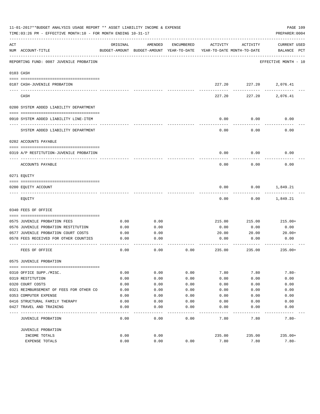|     | 11-01-2017**BUDGET ANALYSIS USAGE REPORT ** ASSET LIABILITY INCOME & EXPENSE<br>TIME: 03:26 PM - EFFECTIVE MONTH: 10 - FOR MONTH ENDING 10-31-17 |          |                                                     |            |                                        |              | PAGE 109<br>PREPARER: 0004         |
|-----|--------------------------------------------------------------------------------------------------------------------------------------------------|----------|-----------------------------------------------------|------------|----------------------------------------|--------------|------------------------------------|
| ACT | NUM ACCOUNT-TITLE                                                                                                                                | ORIGINAL | AMENDED<br>BUDGET-AMOUNT BUDGET-AMOUNT YEAR-TO-DATE | ENCUMBERED | ACTIVITY<br>YEAR-TO-DATE MONTH-TO-DATE | ACTIVITY     | <b>CURRENT USED</b><br>BALANCE PCT |
|     | REPORTING FUND: 0087 JUVENILE PROBATION                                                                                                          |          |                                                     |            |                                        |              | EFFECTIVE MONTH - 10               |
|     | 0103 CASH                                                                                                                                        |          |                                                     |            |                                        |              |                                    |
|     | 0187 CASH-JUVENILE PROBATION                                                                                                                     |          |                                                     |            | 227.20                                 | 227.20       | 2,076.41                           |
|     | CASH                                                                                                                                             |          |                                                     |            | 227.20                                 | 227.20       | 2,076.41                           |
|     | 0200 SYSTEM ADDED LIABILITY DEPARTMENT                                                                                                           |          |                                                     |            |                                        |              |                                    |
|     | 0910 SYSTEM ADDED LIABILITY LINE-ITEM                                                                                                            |          |                                                     |            | 0.00                                   | 0.00         | 0.00                               |
|     | SYSTEM ADDED LIABILITY DEPARTMENT                                                                                                                |          |                                                     |            | 0.00                                   | 0.00         | 0.00                               |
|     | 0202 ACCOUNTS PAYABLE                                                                                                                            |          |                                                     |            |                                        |              |                                    |
|     | 0319 A/P RESTITUTION-JUVENILE PROBATION                                                                                                          |          |                                                     |            | 0.00                                   | 0.00         | 0.00                               |
|     | ACCOUNTS PAYABLE                                                                                                                                 |          |                                                     |            | 0.00                                   | 0.00         | 0.00                               |
|     | 0271 EOUITY                                                                                                                                      |          |                                                     |            |                                        |              |                                    |
|     | 0200 EQUITY ACCOUNT                                                                                                                              |          |                                                     |            | 0.00                                   | 0.00         | 1,849.21                           |
|     | EQUITY                                                                                                                                           |          |                                                     |            | 0.00                                   | 0.00         | 1,849.21                           |
|     | 0340 FEES OF OFFICE                                                                                                                              |          |                                                     |            |                                        |              |                                    |
|     | 0575 JUVENILE PROBATION FEES                                                                                                                     | 0.00     | 0.00                                                |            | 215.00                                 | 215.00       | $215.00+$                          |
|     | 0576 JUVENILE PROBATION RESTITUTION                                                                                                              | 0.00     | 0.00                                                |            | 0.00                                   | 0.00         | 0.00                               |
|     | 0577 JUVENILE PROBATION COURT COSTS                                                                                                              | 0.00     | 0.00                                                |            | 20.00                                  | 20.00        | $20.00+$                           |
|     | 0578 FEES RECEIVED FOR OTHER COUNTIES                                                                                                            | 0.00     | 0.00                                                |            | 0.00                                   | 0.00         | 0.00                               |
|     | FEES OF OFFICE                                                                                                                                   | 0.00     | 0.00                                                | 0.00       | 235.00                                 | 235.00       | $235.00+$                          |
|     | 0575 JUVENILE PROBATION                                                                                                                          |          |                                                     |            |                                        |              |                                    |
|     | 0310 OFFICE SUPP./MISC.                                                                                                                          | 0.00     | 0.00                                                | 0.00       | 7.80                                   | 7.80         | $7.80 -$                           |
|     | 0319 RESTITUTION                                                                                                                                 | 0.00     | 0.00                                                | 0.00       | 0.00                                   | 0.00         | 0.00                               |
|     | 0320 COURT COSTS                                                                                                                                 | 0.00     | 0.00                                                | 0.00       | 0.00                                   | 0.00         | 0.00                               |
|     | 0321 REIMBURSEMENT OF FEES FOR OTHER CO                                                                                                          | 0.00     | 0.00                                                | 0.00       | 0.00                                   | 0.00         | 0.00                               |
|     | 0353 COMPUTER EXPENSE                                                                                                                            | 0.00     | 0.00                                                | 0.00       | 0.00                                   | 0.00         | 0.00                               |
|     | 0416 STRUCTURAL FAMILY THERAPY                                                                                                                   | 0.00     | 0.00                                                | 0.00       |                                        |              | 0.00                               |
|     | 0427 TRAVEL AND TRAINING                                                                                                                         | 0.00     | 0.00                                                | 0.00       | 0.00<br>0.00                           | 0.00<br>0.00 | 0.00                               |
|     |                                                                                                                                                  |          |                                                     |            |                                        |              |                                    |
|     | JUVENILE PROBATION                                                                                                                               | 0.00     | 0.00                                                | 0.00       | 7.80                                   | 7.80         | $7.80 -$                           |
|     | JUVENILE PROBATION                                                                                                                               |          |                                                     |            |                                        |              |                                    |
|     | INCOME TOTALS                                                                                                                                    | 0.00     | 0.00                                                |            | 235.00                                 | 235.00       | $235.00+$                          |
|     | EXPENSE TOTALS                                                                                                                                   | 0.00     | 0.00                                                | 0.00       | 7.80                                   | 7.80         | $7.80 -$                           |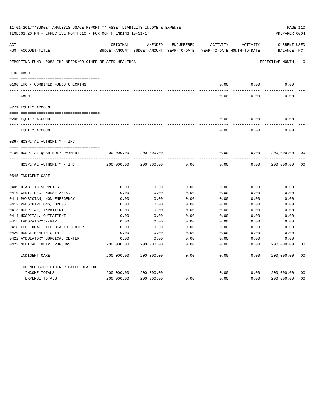|     | 11-01-2017**BUDGET ANALYSIS USAGE REPORT ** ASSET LIABILITY INCOME & EXPENSE<br>TIME: 03:26 PM - EFFECTIVE MONTH: 10 - FOR MONTH ENDING 10-31-17 |            |                                                                                |                     |                     |                     | PREPARER: 0004                     | PAGE 110       |
|-----|--------------------------------------------------------------------------------------------------------------------------------------------------|------------|--------------------------------------------------------------------------------|---------------------|---------------------|---------------------|------------------------------------|----------------|
| ACT | NUM ACCOUNT-TITLE                                                                                                                                | ORIGINAL   | AMENDED<br>BUDGET-AMOUNT BUDGET-AMOUNT YEAR-TO-DATE YEAR-TO-DATE MONTH-TO-DATE | ENCUMBERED          | ACTIVITY            | ACTIVITY            | <b>CURRENT USED</b><br>BALANCE PCT |                |
|     | REPORTING FUND: 0088 IHC NEEDS/OR OTHER RELATED HEALTHCA                                                                                         |            |                                                                                |                     |                     |                     | EFFECTIVE MONTH - 10               |                |
|     | 0103 CASH                                                                                                                                        |            |                                                                                |                     |                     |                     |                                    |                |
|     | 0100 IHC - COMBINED FUNDS CHECKING                                                                                                               |            |                                                                                |                     | 0.00                | 0.00                | 0.00                               |                |
|     | CASH                                                                                                                                             |            |                                                                                |                     | -----<br>0.00       | --------<br>0.00    | 0.00                               |                |
|     | 0271 EQUITY ACCOUNT                                                                                                                              |            |                                                                                |                     |                     |                     |                                    |                |
|     | 0200 EQUITY ACCOUNT                                                                                                                              |            |                                                                                |                     | 0.00                | 0.00                | 0.00                               |                |
|     | EQUITY ACCOUNT                                                                                                                                   |            |                                                                                |                     | 0.00                | 0.00                | 0.00                               |                |
|     | 0367 HOSPITAL AUTHORITY - IHC                                                                                                                    |            |                                                                                |                     |                     |                     |                                    |                |
|     |                                                                                                                                                  |            |                                                                                |                     |                     |                     |                                    |                |
|     | 0100 HOSPITAL QUARTERLY PAYMENT                                                                                                                  | 200,000.00 | 200,000.00                                                                     |                     | 0.00                | 0.00                | 200,000.00                         | 0 <sub>0</sub> |
|     |                                                                                                                                                  |            |                                                                                |                     | $- - - - -$         |                     |                                    |                |
|     | HOSPITAL AUTHORITY - IHC                                                                                                                         | 200,000.00 | 200,000.00                                                                     | 0.00                | 0.00                | 0.00                | 200,000.00                         | 0 <sub>0</sub> |
|     | 0645 INDIGENT CARE                                                                                                                               |            |                                                                                |                     |                     |                     |                                    |                |
|     |                                                                                                                                                  |            |                                                                                |                     |                     |                     |                                    |                |
|     | 0409 DIABETIC SUPPLIES                                                                                                                           | 0.00       | 0.00                                                                           | 0.00                | 0.00                | 0.00                | 0.00                               |                |
|     | 0410 CERT. REG. NURSE ANES.                                                                                                                      | 0.00       | 0.00                                                                           | 0.00                | 0.00                | 0.00                | 0.00                               |                |
|     | 0411 PHYSICIAN, NON-EMERGENCY                                                                                                                    | 0.00       | 0.00                                                                           | 0.00                | 0.00                | 0.00                | 0.00                               |                |
|     | 0412 PRESCRIPTIONS, DRUGS                                                                                                                        | 0.00       | 0.00                                                                           | 0.00                | 0.00                | 0.00                | 0.00                               |                |
|     | 0413 HOSPITAL, INPATIENT                                                                                                                         | 0.00       | 0.00                                                                           | 0.00                | 0.00                | 0.00                | 0.00                               |                |
|     | 0414 HOSPITAL, OUTPATIENT                                                                                                                        | 0.00       | 0.00                                                                           | 0.00                | 0.00                | 0.00                | 0.00                               |                |
|     | 0415 LABORATORY/X-RAY                                                                                                                            | 0.00       | 0.00                                                                           | 0.00                | 0.00                | 0.00                | 0.00                               |                |
|     | 0418 FED. QUALIFIED HEALTH CENTER                                                                                                                | 0.00       | 0.00                                                                           | 0.00                | 0.00                | 0.00                | 0.00                               |                |
|     | 0420 RURAL HEALTH CLINIC                                                                                                                         | 0.00       | 0.00                                                                           | 0.00                | 0.00                | 0.00                | 0.00                               |                |
|     | 0422 AMBULATORY SURGICAL CENTER                                                                                                                  | 0.00       | 0.00                                                                           | 0.00                | 0.00                | 0.00                | 0.00                               |                |
|     | 0423 MEDICAL EQUIP. PURCHASE                                                                                                                     | 200,000.00 | 200,000.00<br>---------- --------------                                        | 0.00<br>$- - - - -$ | 0.00<br>$- - - - -$ | 0.00<br>$- - - - -$ | 200,000.00<br>-----------          | 0 <sub>0</sub> |
|     | INDIGENT CARE                                                                                                                                    | 200,000.00 | 200,000.00                                                                     | 0.00                | 0.00                | 0.00                | 200,000.00                         | 0 <sub>0</sub> |
|     | IHC NEEDS/OR OTHER RELATED HEALTHC                                                                                                               |            |                                                                                |                     |                     |                     |                                    |                |
|     | INCOME TOTALS                                                                                                                                    | 200,000.00 | 200,000.00                                                                     |                     | 0.00                | 0.00                | 200,000.00                         | 0 <sub>0</sub> |
|     | EXPENSE TOTALS                                                                                                                                   | 200,000.00 | 200,000.00                                                                     | 0.00                | 0.00                | 0.00                | 200,000.00                         | 0 <sub>0</sub> |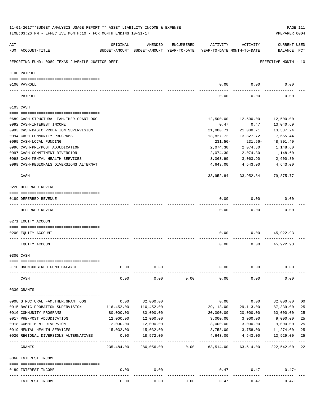|     | 11-01-2017**BUDGET ANALYSIS USAGE REPORT ** ASSET LIABILITY INCOME & EXPENSE<br>TIME:03:26 PM - EFFECTIVE MONTH:10 - FOR MONTH ENDING 10-31-17 |                          |                         |            |                                                                                 |                         | PAGE 111<br>PREPARER: 0004         |                      |
|-----|------------------------------------------------------------------------------------------------------------------------------------------------|--------------------------|-------------------------|------------|---------------------------------------------------------------------------------|-------------------------|------------------------------------|----------------------|
| ACT | NUM ACCOUNT-TITLE                                                                                                                              | ORIGINAL                 | AMENDED                 | ENCUMBERED | ACTIVITY<br>BUDGET-AMOUNT BUDGET-AMOUNT YEAR-TO-DATE YEAR-TO-DATE MONTH-TO-DATE | ACTIVITY                | <b>CURRENT USED</b><br>BALANCE PCT |                      |
|     | REPORTING FUND: 0089 TEXAS JUVENILE JUSTICE DEPT.                                                                                              |                          |                         |            |                                                                                 |                         | EFFECTIVE MONTH - 10               |                      |
|     | 0100 PAYROLL                                                                                                                                   |                          |                         |            |                                                                                 |                         |                                    |                      |
|     | 0100 PAYROLL                                                                                                                                   |                          |                         |            | 0.00                                                                            | 0.00                    | 0.00                               |                      |
|     | ---- ----<br>PAYROLL                                                                                                                           |                          |                         |            | 0.00                                                                            | 0.00                    | 0.00                               |                      |
|     | 0103 CASH                                                                                                                                      |                          |                         |            |                                                                                 |                         |                                    |                      |
|     | 0689 CASH-STRUCTURAL FAM.THER.GRANT OOG                                                                                                        |                          |                         |            | $12,500.00 -$                                                                   | 12,500.00-              | 12,500.00-                         |                      |
|     | 0992 CASH-INTEREST INCOME                                                                                                                      |                          |                         |            | 0.47                                                                            | 0.47                    | 13,040.69                          |                      |
|     | 0993 CASH-BASIC PROBATION SUPERVISION                                                                                                          |                          |                         |            | 21,000.71                                                                       | 21,000.71               | 13, 337. 24                        |                      |
|     | 0994 CASH-COMMUNITY PROGRAMS                                                                                                                   |                          |                         |            | 13,827.72                                                                       | 13,827.72               | 7,655.44                           |                      |
|     | 0995 CASH-LOCAL FUNDING                                                                                                                        |                          |                         |            | $231.56-$                                                                       | $231.56-$               | 48,801.40                          |                      |
|     | 0996 CASH-PRE/POST ADJUDICATION                                                                                                                |                          |                         |            | 2,074.30                                                                        | 2,074.30                | 1,148.60                           |                      |
|     | 0997 CASH-COMMITMENT DIVERSION                                                                                                                 |                          |                         |            | 2,074.30                                                                        | 2,074.30                | 1,148.60                           |                      |
|     | 0998 CASH-MENTAL HEALTH SERVICES                                                                                                               |                          |                         |            | 3,063.90                                                                        | 3,063.90                | 2,600.80                           |                      |
|     | 0999 CASH-REGIONALS DIVERSIONS ALTERNAT                                                                                                        |                          |                         |            | 4,643.00                                                                        | 4,643.00<br>----------- | 4,643.00                           |                      |
|     | CASH                                                                                                                                           |                          |                         |            | 33,952.84                                                                       | 33,952.84               | 79,875.77                          |                      |
|     | 0220 DEFERRED REVENUE                                                                                                                          |                          |                         |            |                                                                                 |                         |                                    |                      |
|     | 0189 DEFERRED REVENUE                                                                                                                          |                          |                         |            | 0.00                                                                            | 0.00                    | 0.00                               |                      |
|     |                                                                                                                                                |                          |                         |            |                                                                                 |                         |                                    |                      |
|     | DEFERRED REVENUE                                                                                                                               |                          |                         |            | 0.00                                                                            | 0.00                    | 0.00                               |                      |
|     | 0271 EQUITY ACCOUNT                                                                                                                            |                          |                         |            |                                                                                 |                         |                                    |                      |
|     |                                                                                                                                                |                          |                         |            |                                                                                 |                         |                                    |                      |
|     | 0200 EQUITY ACCOUNT                                                                                                                            |                          |                         |            | 0.00                                                                            |                         | $0.00$ 45,922.93                   |                      |
|     | EQUITY ACCOUNT                                                                                                                                 |                          |                         |            | 0.00                                                                            | 0.00                    | 45,922.93                          |                      |
|     | 0300 CASH                                                                                                                                      |                          |                         |            |                                                                                 |                         |                                    |                      |
|     |                                                                                                                                                |                          |                         |            |                                                                                 |                         |                                    |                      |
|     | 0110 UNENCUMBERED FUND BALANCE                                                                                                                 | 0.00                     | 0.00                    |            | 0.00                                                                            | 0.00                    | 0.00                               |                      |
|     | CASH                                                                                                                                           | 0.00                     | 0.00                    | 0.00       | 0.00                                                                            | 0.00                    | 0.00                               |                      |
|     | 0330 GRANTS                                                                                                                                    |                          |                         |            |                                                                                 |                         |                                    |                      |
|     |                                                                                                                                                |                          |                         |            |                                                                                 |                         |                                    |                      |
|     | 0908 STRUCTURAL FAM. THER. GRANT OOG                                                                                                           | 0.00                     | 32,000.00               |            | 0.00                                                                            | 0.00<br>29,113.00       | 32,000.00<br>87,339.00             | 0 <sub>0</sub><br>25 |
|     | 0915 BASIC PROBATION SUPERVISION<br>0916 COMMUNITY PROGRAMS                                                                                    | 116,452.00<br>80,000.00  | 116,452.00<br>80,000.00 |            | 29,113.00<br>20,000.00                                                          | 20,000.00               | 60,000.00                          | 25                   |
|     | 0917 PRE/POST ADJUDICATION                                                                                                                     | 12,000.00                | 12,000.00               |            | 3,000.00                                                                        | 3,000.00                | 9,000.00                           | 25                   |
|     | 0918 COMMITMENT DIVERSION                                                                                                                      | 12,000.00                | 12,000.00               |            | 3,000.00                                                                        | 3,000.00                | 9,000.00                           | 25                   |
|     | 0919 MENTAL HEALTH SERVICES                                                                                                                    | 15,032.00                | 15,032.00               |            | 3,758.00                                                                        | 3,758.00                | 11,274.00                          | 25                   |
|     | 0920 REGIONAL DIVERSIONS ALTERNATIVES                                                                                                          | 0.00                     | 18,572.00               |            | 4,643.00                                                                        | 4,643.00                | 13,929.00                          | 25                   |
|     | GRANTS                                                                                                                                         | ----------<br>235,484.00 | 286,056.00              | 0.00       | 63,514.00                                                                       | ----------<br>63,514.00 | 222,542.00                         | 22                   |
|     | 0360 INTEREST INCOME                                                                                                                           |                          |                         |            |                                                                                 |                         |                                    |                      |
|     |                                                                                                                                                |                          |                         |            |                                                                                 |                         |                                    |                      |
|     | 0189 INTEREST INCOME                                                                                                                           | 0.00                     | 0.00                    |            | 0.47                                                                            | 0.47                    | $0.47+$                            |                      |
|     | INTEREST INCOME                                                                                                                                | 0.00                     | 0.00                    | 0.00       | 0.47                                                                            | 0.47                    | $0.47+$                            |                      |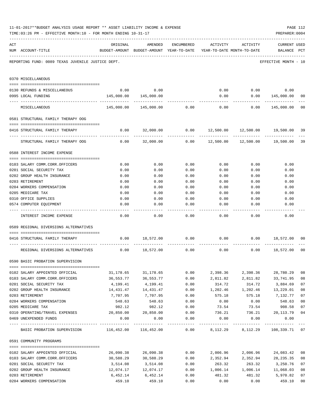|     | TIME: 03:26 PM - EFFECTIVE MONTH: 10 - FOR MONTH ENDING 10-31-17 |                       |                       |                     |                                                                                 |                        | PREPARER: 0004                     |                |
|-----|------------------------------------------------------------------|-----------------------|-----------------------|---------------------|---------------------------------------------------------------------------------|------------------------|------------------------------------|----------------|
| ACT | NUM ACCOUNT-TITLE                                                | ORIGINAL              | AMENDED               | ENCUMBERED          | ACTIVITY<br>BUDGET-AMOUNT BUDGET-AMOUNT YEAR-TO-DATE YEAR-TO-DATE MONTH-TO-DATE | ACTIVITY               | <b>CURRENT USED</b><br>BALANCE PCT |                |
|     | REPORTING FUND: 0089 TEXAS JUVENILE JUSTICE DEPT.                |                       |                       |                     |                                                                                 |                        | EFFECTIVE MONTH - 10               |                |
|     | 0370 MISCELLANEOUS                                               |                       |                       |                     |                                                                                 |                        |                                    |                |
|     | 0130 REFUNDS & MISCELLANEOUS                                     |                       | $0.00$ 0.00           |                     |                                                                                 | $0.00$ 0.00            | 0.00                               |                |
|     | 0995 LOCAL FUNDING                                               |                       | 145,000.00 145,000.00 |                     | 0.00                                                                            |                        | 0.00 145,000.00                    | 0 <sub>0</sub> |
|     |                                                                  |                       |                       |                     | -----------                                                                     | ----------             | -------------                      |                |
|     | MISCELLANEOUS                                                    |                       | 145,000.00 145,000.00 | 0.00                | 0.00                                                                            | 0.00                   | 145,000.00                         | 0 <sub>0</sub> |
|     | 0581 STRUCTURAL FAMILY THERAPY OOG                               |                       |                       |                     |                                                                                 |                        |                                    |                |
|     | 0416 STRUCTURAL FAMILY THERAPY                                   |                       |                       | -------------       | $0.00$ 32,000.00 0.00 12,500.00 12,500.00 19,500.00                             |                        |                                    | -39            |
|     | STRUCTURAL FAMILY THERAPY OOG                                    |                       | $0.00$ 32,000.00      | 0.00                |                                                                                 | 12,500.00    12,500.00 | 19,500.00                          | 39             |
|     | 0588 INTEREST INCOME EXPENSE                                     |                       |                       |                     |                                                                                 |                        |                                    |                |
|     | 0103 SALARY COMM.CORR.OFFICERS                                   | 0.00                  | 0.00                  | 0.00                | 0.00                                                                            | 0.00                   | 0.00                               |                |
|     | 0201 SOCIAL SECURITY TAX                                         | 0.00                  | 0.00                  | 0.00                | 0.00                                                                            | 0.00                   | 0.00                               |                |
|     | 0202 GROUP HEALTH INSURANCE                                      | 0.00                  | 0.00                  | 0.00                | 0.00                                                                            | 0.00                   | 0.00                               |                |
|     | 0203 RETIREMENT                                                  | 0.00                  | 0.00                  | 0.00                | 0.00                                                                            | 0.00                   | 0.00                               |                |
|     | 0204 WORKERS COMPENSATION                                        | 0.00                  | 0.00                  | 0.00                | 0.00                                                                            | 0.00                   | 0.00                               |                |
|     | 0205 MEDICARE TAX                                                | 0.00                  | 0.00                  | 0.00                | 0.00                                                                            | 0.00                   | 0.00                               |                |
|     | 0310 OFFICE SUPPLIES                                             | 0.00                  | 0.00                  | 0.00                | 0.00                                                                            | 0.00                   | 0.00                               |                |
|     | 0574 COMPUTER EQUIPMENT                                          | 0.00                  | 0.00                  | 0.00                | 0.00                                                                            | 0.00                   | 0.00                               |                |
|     | INTEREST INCOME EXPENSE                                          | 0.00                  | 0.00                  | 0.00                | 0.00                                                                            | 0.00                   | 0.00                               |                |
|     | 0589 REGIONAL DIVERSIONS ALTERNATIVES                            |                       |                       |                     |                                                                                 |                        |                                    |                |
|     |                                                                  |                       |                       |                     |                                                                                 |                        |                                    |                |
|     | 0416 STRUCTURAL FAMILY THERAPY                                   |                       | $0.00$ 18,572.00 0.00 |                     | 0.00                                                                            | 0.00                   | 18,572.00                          | 00             |
|     | REGIONAL DIVERSIONS ALTERNATIVES                                 | 0.00                  | 18,572.00 0.00        |                     | 0.00                                                                            |                        | $0.00$ 18,572.00                   | 0 <sub>0</sub> |
|     | 0590 BASIC PROBATION SUPERVISION                                 |                       |                       |                     |                                                                                 |                        |                                    |                |
|     | 0102 SALARY APPOINTED OFFICIAL                                   | 31,178.65             | 31,178.65             | 0.00                | 2,398.36                                                                        | 2,398.36               | 28,780.29                          | 08             |
|     | 0103 SALARY COMM.CORR.OFFICERS                                   | 36,553.77             | 36,553.77             | 0.00                | 2,811.82                                                                        | 2,811.82               | 33,741.95                          | 08             |
|     | 0201 SOCIAL SECURITY TAX                                         | 4,199.41              | 4,199.41              | 0.00                | 314.72                                                                          | 314.72                 | 3,884.69                           | 07             |
|     | 0202 GROUP HEALTH INSURANCE                                      | 14,431.47             | 14,431.47             | 0.00                | 1,202.46                                                                        | 1,202.46               | 13,229.01                          | 08             |
|     | 0203 RETIREMENT                                                  | 7,707.95              | 7,707.95              | 0.00                | 575.18                                                                          | 575.18                 | 7,132.77                           | 07             |
|     | 0204 WORKERS COMPENSATION                                        | 548.63                | 548.63                | 0.00                | 0.00                                                                            | 0.00                   | 548.63                             | 00             |
|     | 0205 MEDICARE TAX                                                | 982.12                | 982.12                | 0.00                | 73.54                                                                           | 73.54                  | 908.58                             | 07             |
|     | 0310 OPERATING/TRAVEL EXPENSES 20,850.00                         |                       | 20,850.00             | 0.00                | 736.21                                                                          | 736.21                 | 20,113.79                          | 0 <sub>4</sub> |
|     | 0469 UNEXPENDED FUNDS                                            | 0.00                  | 0.00                  | 0.00<br>----------- | 0.00                                                                            | 0.00                   | 0.00                               |                |
|     | BASIC PROBATION SUPERVISION                                      |                       | 116,452.00 116,452.00 | 0.00                | 8,112.29                                                                        | 8,112.29               | 108,339.71 07                      |                |
|     | 0591 COMMUNITY PROGRAMS                                          |                       |                       |                     |                                                                                 |                        |                                    |                |
|     |                                                                  |                       |                       |                     |                                                                                 |                        |                                    |                |
|     | 0102 SALARY APPOINTED OFFICIAL                                   | 26,090.38             | 26,090.38             | 0.00                | 2,006.96                                                                        | 2,006.96               | 24,083.42                          | 08             |
|     | 0103 SALARY COMM.CORR.OFFICERS<br>0201 SOCIAL SECURITY TAX       | 30,588.29<br>3,514.08 | 30,588.29<br>3,514.08 | 0.00<br>0.00        | 2,352.94<br>263.32                                                              | 2,352.94<br>263.32     | 28,235.35<br>3,250.76              | 08<br>07       |
|     | 0202 GROUP HEALTH INSURANCE                                      | 12,074.17             | 12,074.17             | 0.00                | 1,006.14                                                                        | 1,006.14               | 11,068.03                          | 08             |
|     | 0203 RETIREMENT                                                  | 6,452.14              | 6,452.14              | 0.00                | 481.32                                                                          | 481.32                 | 5,970.82                           | 07             |
|     | 0204 WORKERS COMPENSATION                                        | 459.10                | 459.10                | 0.00                | 0.00                                                                            | 0.00                   | 459.10                             | 0 <sub>0</sub> |
|     |                                                                  |                       |                       |                     |                                                                                 |                        |                                    |                |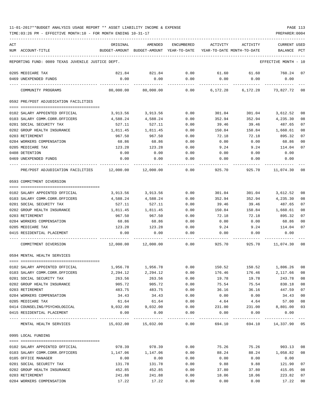## 11-01-2017\*\*BUDGET ANALYSIS USAGE REPORT \*\* ASSET LIABILITY INCOME & EXPENSE PAGE 113

TIME:03:26 PM - EFFECTIVE MONTH:10 - FOR MONTH ENDING 10-31-17 PREPARER:0004

| ACT | NUM ACCOUNT-TITLE                                                                                                                                                                                                                                                                                                                                                                                                                       | ORIGINAL                                                          | AMENDED<br>BUDGET-AMOUNT BUDGET-AMOUNT YEAR-TO-DATE YEAR-TO-DATE MONTH-TO-DATE BALANCE PCT | ENCUMBERED   | ACTIVITY | ACTIVITY                       | <b>CURRENT USED</b>  |                |
|-----|-----------------------------------------------------------------------------------------------------------------------------------------------------------------------------------------------------------------------------------------------------------------------------------------------------------------------------------------------------------------------------------------------------------------------------------------|-------------------------------------------------------------------|--------------------------------------------------------------------------------------------|--------------|----------|--------------------------------|----------------------|----------------|
|     | REPORTING FUND: 0089 TEXAS JUVENILE JUSTICE DEPT.                                                                                                                                                                                                                                                                                                                                                                                       |                                                                   |                                                                                            |              |          |                                | EFFECTIVE MONTH - 10 |                |
|     |                                                                                                                                                                                                                                                                                                                                                                                                                                         |                                                                   |                                                                                            |              |          |                                |                      |                |
|     | 0205 MEDICARE TAX<br>0469 UNEXPENDED FUNDS                                                                                                                                                                                                                                                                                                                                                                                              | 0.00                                                              | 821.84 821.84<br>0.00                                                                      | 0.00<br>0.00 | 0.00     | 61.60 61.60 760.24<br>0.00     | 0.00                 | 07             |
|     |                                                                                                                                                                                                                                                                                                                                                                                                                                         |                                                                   |                                                                                            | -----------  |          |                                |                      |                |
|     | COMMUNITY PROGRAMS                                                                                                                                                                                                                                                                                                                                                                                                                      | 80,000.00                                                         | 80,000.00                                                                                  | 0.00         |          | 6,172.28 6,172.28 73,827.72 08 |                      |                |
|     | 0592 PRE/POST ADJUDICATION FACILITIES                                                                                                                                                                                                                                                                                                                                                                                                   |                                                                   |                                                                                            |              |          |                                |                      |                |
|     | 0102 SALARY APPOINTED OFFICIAL                                                                                                                                                                                                                                                                                                                                                                                                          | 3,913.56                                                          | 3,913.56                                                                                   | 0.00         | 301.04   |                                | 301.04 3,612.52      | 08             |
|     | 0103 SALARY COMM.CORR.OFFICERS                                                                                                                                                                                                                                                                                                                                                                                                          | 4,588.24                                                          | 4,588.24                                                                                   | 0.00         | 352.94   | 352.94                         | 4,235.30             | 08             |
|     | 0201 SOCIAL SECURITY TAX                                                                                                                                                                                                                                                                                                                                                                                                                | 527.11                                                            | 527.11                                                                                     | 0.00         | 39.46    | 39.46                          | 487.65               | 07             |
|     | 0202 GROUP HEALTH INSURANCE                                                                                                                                                                                                                                                                                                                                                                                                             | 1,811.45                                                          | 1,811.45                                                                                   | 0.00         | 150.84   | 150.84                         | 1,660.61             | 08             |
|     | 0203 RETIREMENT                                                                                                                                                                                                                                                                                                                                                                                                                         | 967.50                                                            | 967.50                                                                                     | 0.00         | 72.18    | 72.18                          | 895.32               | 07             |
|     | 0204 WORKERS COMPENSATION                                                                                                                                                                                                                                                                                                                                                                                                               | 68.86                                                             | 68.86                                                                                      | 0.00         | 0.00     | 0.00                           | 68.86                | 00             |
|     | 0205 MEDICARE TAX                                                                                                                                                                                                                                                                                                                                                                                                                       | 123.28                                                            | 123.28                                                                                     | 0.00         | 9.24     | 9.24                           | 114.04               | 07             |
|     | 0408 DETENTION                                                                                                                                                                                                                                                                                                                                                                                                                          | 0.00                                                              | 0.00                                                                                       | 0.00         | 0.00     | 0.00                           | 0.00                 |                |
|     | 0469 UNEXPENDED FUNDS                                                                                                                                                                                                                                                                                                                                                                                                                   | 0.00                                                              | 0.00                                                                                       | 0.00         | 0.00     | 0.00                           | 0.00                 |                |
|     | PRE/POST ADJUDICATION FACILITIES 12,000.00 12,000.00                                                                                                                                                                                                                                                                                                                                                                                    |                                                                   |                                                                                            | 0.00         | 925.70   | 925.70                         | 11,074.30            | 08             |
|     | 0593 COMMITMENT DIVERSION                                                                                                                                                                                                                                                                                                                                                                                                               |                                                                   |                                                                                            |              |          |                                |                      |                |
|     |                                                                                                                                                                                                                                                                                                                                                                                                                                         |                                                                   |                                                                                            |              |          |                                |                      |                |
|     | 0102 SALARY APPOINTED OFFICIAL                                                                                                                                                                                                                                                                                                                                                                                                          | 3,913.56                                                          | 3,913.56                                                                                   | 0.00         | 301.04   | 301.04                         | 3,612.52             | 08             |
|     | 0103 SALARY COMM.CORR.OFFICERS                                                                                                                                                                                                                                                                                                                                                                                                          | 4,588.24                                                          | 4,588.24                                                                                   | 0.00         | 352.94   | 352.94                         | 4,235.30             | 08             |
|     | 0201 SOCIAL SECURITY TAX                                                                                                                                                                                                                                                                                                                                                                                                                | 527.11                                                            | 527.11                                                                                     | 0.00         | 39.46    | 39.46                          | 487.65               | 07             |
|     | 0202 GROUP HEALTH INSURANCE                                                                                                                                                                                                                                                                                                                                                                                                             | 1,811.45                                                          | 1,811.45                                                                                   | 0.00         | 150.84   | 150.84                         | 1,660.61             | 08             |
|     | 0203 RETIREMENT                                                                                                                                                                                                                                                                                                                                                                                                                         | 967.50                                                            | 967.50                                                                                     | 0.00         | 72.18    | 72.18                          | 895.32               | 07             |
|     | 0204 WORKERS COMPENSATION                                                                                                                                                                                                                                                                                                                                                                                                               | 68.86                                                             | 68.86                                                                                      | 0.00         | 0.00     | 0.00                           | 68.86                | 0 <sub>0</sub> |
|     | 0205 MEDICARE TAX                                                                                                                                                                                                                                                                                                                                                                                                                       | 123.28                                                            | 123.28                                                                                     | 0.00         | 9.24     | 9.24                           | 114.04               | 07             |
|     | 0415 RESIDENTIAL PLACEMENT                                                                                                                                                                                                                                                                                                                                                                                                              | 0.00                                                              | 0.00                                                                                       | 0.00         | 0.00     | 0.00                           | 0.00                 |                |
|     | COMMITMENT DIVERSION                                                                                                                                                                                                                                                                                                                                                                                                                    |                                                                   | $12,000.00$ $12,000.00$ 0.00 925.70 925.70                                                 |              |          |                                | 11,074.30            | 08             |
|     | 0594 MENTAL HEALTH SERVICES                                                                                                                                                                                                                                                                                                                                                                                                             |                                                                   |                                                                                            |              |          |                                |                      |                |
|     | 0102 SALARY APPOINTED OFFICIAL                                                                                                                                                                                                                                                                                                                                                                                                          | 1,956.78 1,956.78                                                 |                                                                                            |              |          | $0.00$ 150.52 150.52 1,806.26  |                      | 08             |
|     | 0103 SALARY COMM.CORR.OFFICERS                                                                                                                                                                                                                                                                                                                                                                                                          | 2,294.12                                                          | 2,294.12                                                                                   | 0.00         | 176.46   | 176.46                         | 2,117.66             | 08             |
|     | 0201 SOCIAL SECURITY TAX                                                                                                                                                                                                                                                                                                                                                                                                                | 263.56                                                            | 263.56                                                                                     | 0.00         | 19.78    | 19.78                          | 243.78               | 08             |
|     | 0202 GROUP HEALTH INSURANCE                                                                                                                                                                                                                                                                                                                                                                                                             | 905.72                                                            | 905.72                                                                                     | 0.00         | 75.54    | 75.54                          | 830.18               | 08             |
|     | 0203 RETIREMENT                                                                                                                                                                                                                                                                                                                                                                                                                         | 483.75                                                            | 483.75                                                                                     | 0.00         | 36.16    | 36.16                          | 447.59               | 07             |
|     | 0204 WORKERS COMPENSATION                                                                                                                                                                                                                                                                                                                                                                                                               | 34.43                                                             | 34.43                                                                                      | 0.00         | 0.00     | 0.00                           | 34.43                | 0 <sub>0</sub> |
|     | 0205 MEDICARE TAX                                                                                                                                                                                                                                                                                                                                                                                                                       | 61.64                                                             | 61.64                                                                                      | 0.00         | 4.64     | 4.64                           | 57.00                | 08             |
|     | 0414 COUNSELING/PSYCHOLOGICAL                                                                                                                                                                                                                                                                                                                                                                                                           | 9,032.00                                                          | 9,032.00                                                                                   | 0.00         |          | 231.00 231.00 8,801.00         |                      | 03             |
|     | 0415 RESIDENTIAL PLACEMENT                                                                                                                                                                                                                                                                                                                                                                                                              | 0.00                                                              | 0.00                                                                                       | 0.00         | 0.00     | 0.00                           | 0.00                 |                |
|     | MENTAL HEALTH SERVICES                                                                                                                                                                                                                                                                                                                                                                                                                  | $15,032.00$ $15,032.00$ $0.00$ $694.10$ $694.10$ $14,337.90$ $05$ |                                                                                            | ------------ |          |                                |                      |                |
|     |                                                                                                                                                                                                                                                                                                                                                                                                                                         |                                                                   |                                                                                            |              |          |                                |                      |                |
|     | 0995 LOCAL FUNDING                                                                                                                                                                                                                                                                                                                                                                                                                      |                                                                   |                                                                                            |              |          |                                |                      |                |
|     | $\begin{minipage}{0.03\textwidth} \centering \begin{tabular}{ l l l } \hline \texttt{1} & \texttt{2} & \texttt{2} & \texttt{2} & \texttt{2} & \texttt{2} & \texttt{2} & \texttt{2} & \texttt{2} & \texttt{2} & \texttt{2} & \texttt{2} & \texttt{2} & \texttt{2} & \texttt{2} & \texttt{2} & \texttt{2} & \texttt{2} & \texttt{2} & \texttt{2} & \texttt{2} & \texttt{2} & \texttt{2} & \texttt{2} & \texttt{2} & \texttt{2} & \texttt$ |                                                                   |                                                                                            |              |          |                                |                      |                |
|     | 0102 SALARY APPOINTED OFFICIAL                                                                                                                                                                                                                                                                                                                                                                                                          | 978.39                                                            | 978.39                                                                                     | 0.00<br>0.00 | 75.26    | 75.26<br>88.24                 | 903.13<br>1,058.82   | 08<br>08       |
|     | 0103 SALARY COMM.CORR.OFFICERS                                                                                                                                                                                                                                                                                                                                                                                                          | 1,147.06<br>0.00                                                  | 1,147.06<br>0.00                                                                           | 0.00         | 88.24    |                                | 0.00                 |                |
|     | 0105 OFFICE MANAGER                                                                                                                                                                                                                                                                                                                                                                                                                     |                                                                   |                                                                                            |              | 0.00     | 0.00                           | 121.90               | 07             |
|     | 0201 SOCIAL SECURITY TAX                                                                                                                                                                                                                                                                                                                                                                                                                | 131.78                                                            | 131.78                                                                                     | 0.00         | 9.88     | 9.88                           |                      | 08             |
|     | 0202 GROUP HEALTH INSURANCE                                                                                                                                                                                                                                                                                                                                                                                                             | 452.85                                                            | 452.85                                                                                     | 0.00         | 37.80    | 37.80                          | 415.05               |                |
|     | 0203 RETIREMENT                                                                                                                                                                                                                                                                                                                                                                                                                         | 241.88                                                            | 241.88                                                                                     | 0.00         | 18.06    | 18.06                          | 223.82               | 07             |

0204 WORKERS COMPENSATION 17.22 17.22 17.22 0.00 0.00 0.00 17.22 00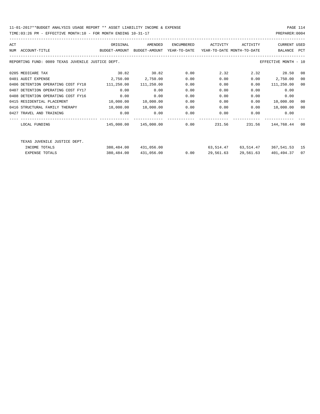## 11-01-2017\*\*BUDGET ANALYSIS USAGE REPORT \*\* ASSET LIABILITY INCOME & EXPENSE PAGE 114

TIME:03:26 PM - EFFECTIVE MONTH:10 - FOR MONTH ENDING 10-31-17 PREPARER:0004

| ACT                                                                                       | ORIGINAL                      | AMENDED                        | ENCUMBERED | ACTIVITY  | ACTIVITY            | <b>CURRENT USED</b>  |    |
|-------------------------------------------------------------------------------------------|-------------------------------|--------------------------------|------------|-----------|---------------------|----------------------|----|
| NUM ACCOUNT-TITLE SAN SUDGET-AMOUNT BUDGET-AMOUNT YEAR-TO-DATE YEAR-TO-DATE MONTH-TO-DATE |                               |                                |            |           |                     | BALANCE PCT          |    |
| REPORTING FUND: 0089 TEXAS JUVENILE JUSTICE DEPT.                                         |                               |                                |            |           |                     | EFFECTIVE MONTH - 10 |    |
| 0205 MEDICARE TAX                                                                         | 30.82 30.82                   |                                | 0.00       | 2.32      |                     | 2.32 28.50           | 08 |
| 0401 AUDIT EXPENSE                                                                        | $2,750.00$ $2,750.00$         |                                | 0.00       | 0.00      | 0.00                | 2,750.00             | 00 |
| 0406 DETENTION OPERATING COST FY18                                                        | $111, 250, 00$ $111, 250, 00$ |                                | 0.00       | 0.00      | 0.00                | 111,250.00           | 00 |
| 0407 DETENTION OPERATING COST FY17                                                        | 0.00                          | 0.00                           | 0.00       | 0.00      | 0.00                | 0.00                 |    |
| 0408 DETENTION OPERATING COST FY16                                                        | 0.00                          | 0.00                           | 0.00       | 0.00      | 0.00                | 0.00                 |    |
| 0415 RESIDENTIAL PLACEMENT                                                                | $10,000.00$ $10,000.00$       |                                | 0.00       | 0.00      | 0.00                | 10,000.00            | 00 |
| 0416 STRUCTURAL FAMILY THERAPY 18,000.00 18,000.00                                        |                               |                                | 0.00       | 0.00      | 0.00                | 18,000.00            | 00 |
| 0427 TRAVEL AND TRAINING                                                                  | 0.00                          | 0.00                           | 0.00       | 0.00      |                     | 0.00<br>0.00         |    |
| LOCAL FUNDING                                                                             |                               | $145,000.00$ $145,000.00$ 0.00 |            | 231.56    |                     | 231.56 144.768.44 00 |    |
| TEXAS JUVENILE JUSTICE DEPT.                                                              |                               |                                |            |           |                     |                      |    |
| INCOME TOTALS                                                                             |                               | 380,484.00 431,056.00          |            |           | 63,514.47 63,514.47 | 367,541.53 15        |    |
| <b>EXPENSE TOTALS</b>                                                                     | 380,484.00                    | 431,056.00                     | 0.00       | 29,561.63 | 29,561.63           | 401,494.37 07        |    |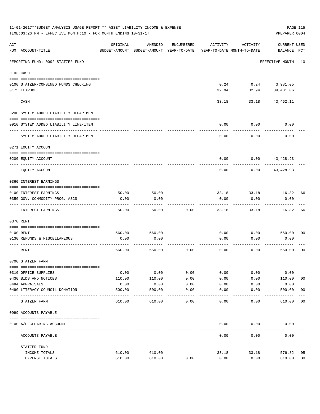|     | 11-01-2017**BUDGET ANALYSIS USAGE REPORT ** ASSET LIABILITY INCOME & EXPENSE<br>PAGE 115<br>TIME: 03:26 PM - EFFECTIVE MONTH: 10 - FOR MONTH ENDING 10-31-17<br>PREPARER: 0004 |               |                                                     |            |               |                                        |                                    |                |  |  |
|-----|--------------------------------------------------------------------------------------------------------------------------------------------------------------------------------|---------------|-----------------------------------------------------|------------|---------------|----------------------------------------|------------------------------------|----------------|--|--|
| ACT | NUM ACCOUNT-TITLE                                                                                                                                                              | ORIGINAL      | AMENDED<br>BUDGET-AMOUNT BUDGET-AMOUNT YEAR-TO-DATE | ENCUMBERED | ACTIVITY      | ACTIVITY<br>YEAR-TO-DATE MONTH-TO-DATE | <b>CURRENT USED</b><br>BALANCE PCT |                |  |  |
|     | REPORTING FUND: 0092 STATZER FUND                                                                                                                                              |               |                                                     |            |               |                                        | EFFECTIVE MONTH - 10               |                |  |  |
|     | 0103 CASH                                                                                                                                                                      |               |                                                     |            |               |                                        |                                    |                |  |  |
|     | 0100 STATZER-COMBINED FUNDS CHECKING<br>0175 TEXPOOL                                                                                                                           |               |                                                     |            | 32.94         | $0.24$ $0.24$ $3,981.05$<br>32.94      | 39,481.06                          |                |  |  |
|     | CASH                                                                                                                                                                           |               |                                                     |            | 33.18         | 33.18                                  | 43,462.11                          |                |  |  |
|     | 0200 SYSTEM ADDED LIABILITY DEPARTMENT                                                                                                                                         |               |                                                     |            |               |                                        |                                    |                |  |  |
|     | 0910 SYSTEM ADDED LIABILITY LINE-ITEM                                                                                                                                          |               |                                                     |            | 0.00          | 0.00                                   | 0.00                               |                |  |  |
|     | SYSTEM ADDED LIABILITY DEPARTMENT                                                                                                                                              |               |                                                     |            | 0.00          | 0.00                                   | 0.00                               |                |  |  |
|     | 0271 EQUITY ACCOUNT                                                                                                                                                            |               |                                                     |            |               |                                        |                                    |                |  |  |
|     | 0200 EQUITY ACCOUNT                                                                                                                                                            |               |                                                     |            | 0.00          |                                        | $0.00$ 43,428.93                   |                |  |  |
|     | EQUITY ACCOUNT                                                                                                                                                                 |               |                                                     |            | 0.00          | 0.00                                   | 43,428.93                          |                |  |  |
|     | 0360 INTEREST EARNINGS                                                                                                                                                         |               |                                                     |            |               |                                        |                                    |                |  |  |
|     |                                                                                                                                                                                |               |                                                     |            |               | 33.18                                  | 16.82                              |                |  |  |
|     | 0100 INTEREST EARNINGS<br>0350 GOV. COMMODITY PROG. ASCS                                                                                                                       | 50.00<br>0.00 | 50.00<br>0.00                                       |            | 33.18<br>0.00 | 0.00                                   | 0.00                               | 66             |  |  |
|     | INTEREST EARNINGS                                                                                                                                                              | 50.00         | 50.00                                               | 0.00       | 33.18         | 33.18                                  | 16.82                              | 66             |  |  |
|     | 0370 RENT                                                                                                                                                                      |               |                                                     |            |               |                                        |                                    |                |  |  |
|     |                                                                                                                                                                                |               |                                                     |            |               |                                        |                                    |                |  |  |
|     | 0100 RENT                                                                                                                                                                      | 560.00        | 560.00                                              |            | 0.00          | 0.00                                   | 560.00                             | 0 <sub>0</sub> |  |  |
|     | 0130 REFUNDS & MISCELLANEOUS                                                                                                                                                   | 0.00          | 0.00                                                |            | 0.00          | 0.00                                   | 0.00                               |                |  |  |
|     | RENT                                                                                                                                                                           | 560.00        | 560.00                                              | 0.00       | 0.00          | 0.00                                   | 560.00                             | 0 <sub>0</sub> |  |  |
|     | 0700 STATZER FARM                                                                                                                                                              |               |                                                     |            |               |                                        |                                    |                |  |  |
|     | 0310 OFFICE SUPPLIES                                                                                                                                                           | 0.00          | 0.00                                                | 0.00       | 0.00          | 0.00                                   | 0.00                               |                |  |  |
|     | 0430 BIDS AND NOTICES                                                                                                                                                          | 110.00        | 110.00                                              | 0.00       | 0.00          | 0.00                                   | 110.00                             | 0 <sub>0</sub> |  |  |
|     | 0484 APPRAISALS                                                                                                                                                                | 0.00          | 0.00                                                | 0.00       | 0.00          | 0.00                                   | 0.00                               |                |  |  |
|     | 0490 LITERACY COUNCIL DONATION                                                                                                                                                 | 500.00        | 500.00                                              | 0.00       | 0.00          | 0.00                                   | 500.00                             | 0 <sub>0</sub> |  |  |
|     | ---- ----<br>STATZER FARM                                                                                                                                                      | 610.00        | 610.00                                              | 0.00       | 0.00          | 0.00                                   | 610.00                             | 00             |  |  |
|     | 0999 ACCOUNTS PAYABLE                                                                                                                                                          |               |                                                     |            |               |                                        |                                    |                |  |  |
|     | 0100 A/P CLEARING ACCOUNT                                                                                                                                                      |               |                                                     |            | 0.00          | 0.00                                   | 0.00                               |                |  |  |
|     | ACCOUNTS PAYABLE                                                                                                                                                               |               |                                                     |            | 0.00          | 0.00                                   | 0.00                               |                |  |  |
|     | STATZER FUND                                                                                                                                                                   |               |                                                     |            |               |                                        |                                    |                |  |  |
|     | INCOME TOTALS                                                                                                                                                                  | 610.00        | 610.00                                              |            | 33.18         | 33.18                                  | 576.82                             | 05             |  |  |
|     | EXPENSE TOTALS                                                                                                                                                                 | 610.00        | 610.00                                              | 0.00       | 0.00          | 0.00                                   | 610.00                             | 0 <sub>0</sub> |  |  |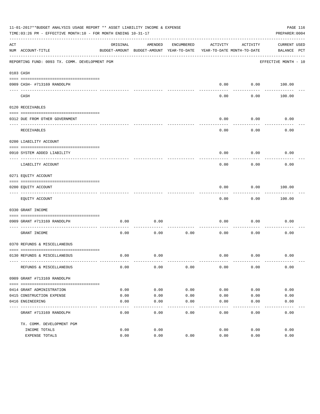|     | 11-01-2017**BUDGET ANALYSIS USAGE REPORT ** ASSET LIABILITY INCOME & EXPENSE<br>TIME: 03:26 PM - EFFECTIVE MONTH: 10 - FOR MONTH ENDING 10-31-17 |          |                                          |            |                            |                  | PAGE 116<br>PREPARER: 0004 |  |
|-----|--------------------------------------------------------------------------------------------------------------------------------------------------|----------|------------------------------------------|------------|----------------------------|------------------|----------------------------|--|
| ACT |                                                                                                                                                  | ORIGINAL | AMENDED                                  | ENCUMBERED | ACTIVITY                   | ACTIVITY         | <b>CURRENT USED</b>        |  |
|     | NUM ACCOUNT-TITLE                                                                                                                                |          | BUDGET-AMOUNT BUDGET-AMOUNT YEAR-TO-DATE |            | YEAR-TO-DATE MONTH-TO-DATE |                  | BALANCE PCT                |  |
|     | REPORTING FUND: 0093 TX. COMM. DEVELOPMENT PGM                                                                                                   |          |                                          |            |                            |                  | EFFECTIVE MONTH - 10       |  |
|     | 0103 CASH                                                                                                                                        |          |                                          |            |                            |                  |                            |  |
|     |                                                                                                                                                  |          |                                          |            |                            |                  |                            |  |
|     | 0909 CASH- #713169 RANDOLPH                                                                                                                      |          |                                          |            | 0.00                       | ---------        | $0.00$ 100.00              |  |
|     | CASH                                                                                                                                             |          |                                          |            | 0.00                       | 0.00             | 100.00                     |  |
|     | 0120 RECEIVABLES                                                                                                                                 |          |                                          |            |                            |                  |                            |  |
|     |                                                                                                                                                  |          |                                          |            |                            |                  |                            |  |
|     | 0312 DUE FROM OTHER GOVERNMENT                                                                                                                   |          |                                          |            | 0.00                       | 0.00<br>-------- | 0.00                       |  |
|     | RECEIVABLES                                                                                                                                      |          |                                          |            | 0.00                       | 0.00             | 0.00                       |  |
|     | 0200 LIABILITY ACCOUNT                                                                                                                           |          |                                          |            |                            |                  |                            |  |
|     | 0910 SYSTEM ADDED LIABILITY                                                                                                                      |          |                                          |            | 0.00                       | 0.00             | 0.00                       |  |
|     | LIABILITY ACCOUNT                                                                                                                                |          |                                          |            | 0.00                       | 0.00             | 0.00                       |  |
|     | 0271 EQUITY ACCOUNT                                                                                                                              |          |                                          |            |                            |                  |                            |  |
|     | 0200 EQUITY ACCOUNT                                                                                                                              |          |                                          |            | 0.00                       | 0.00             | 100.00                     |  |
|     | EQUITY ACCOUNT                                                                                                                                   |          |                                          |            | 0.00                       | 0.00             | 100.00                     |  |
|     | 0330 GRANT INCOME                                                                                                                                |          |                                          |            |                            |                  |                            |  |
|     |                                                                                                                                                  |          |                                          |            |                            |                  |                            |  |
|     | 0909 GRANT #713169 RANDOLPH<br>---------------------- -----                                                                                      | 0.00     | 0.00                                     |            | 0.00                       | 0.00             | 0.00                       |  |
|     | GRANT INCOME                                                                                                                                     | 0.00     | 0.00                                     | 0.00       | 0.00                       | 0.00             | 0.00                       |  |
|     | 0370 REFUNDS & MISCELLANEOUS                                                                                                                     |          |                                          |            |                            |                  |                            |  |
|     |                                                                                                                                                  |          |                                          |            |                            |                  |                            |  |
|     | 0130 REFUNDS & MISCELLANEOUS                                                                                                                     | 0.00     | 0.00                                     |            | 0.00                       | 0.00             | 0.00                       |  |
|     | REFUNDS & MISCELLANEOUS                                                                                                                          | 0.00     | 0.00                                     | 0.00       | 0.00                       | 0.00             | 0.00                       |  |
|     | 0909 GRANT #713169 RANDOLPH                                                                                                                      |          |                                          |            |                            |                  |                            |  |
|     |                                                                                                                                                  |          |                                          |            |                            |                  |                            |  |
|     | 0414 GRANT ADMINISTRATION                                                                                                                        | 0.00     | 0.00                                     | 0.00       | 0.00                       | 0.00             | 0.00                       |  |
|     | 0415 CONSTRUCTION EXPENSE                                                                                                                        | 0.00     | 0.00                                     | 0.00       | 0.00                       | 0.00             | 0.00                       |  |
|     | 0416 ENGINEERING                                                                                                                                 | 0.00     | 0.00                                     | 0.00       | 0.00                       | 0.00             | 0.00                       |  |
|     | GRANT #713169 RANDOLPH                                                                                                                           | 0.00     | 0.00                                     | 0.00       | 0.00                       | 0.00             | 0.00                       |  |
|     | TX. COMM. DEVELOPMENT PGM                                                                                                                        |          |                                          |            |                            |                  |                            |  |
|     | INCOME TOTALS                                                                                                                                    | 0.00     | 0.00                                     |            | 0.00                       | 0.00             | 0.00                       |  |
|     | EXPENSE TOTALS                                                                                                                                   | 0.00     | 0.00                                     | 0.00       | 0.00                       | 0.00             | 0.00                       |  |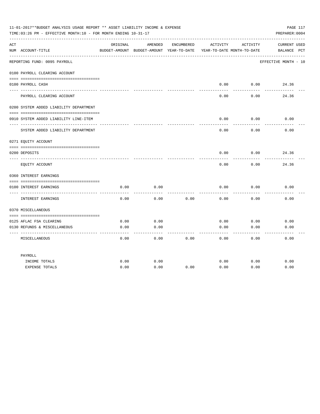|     | 11-01-2017**BUDGET ANALYSIS USAGE REPORT ** ASSET LIABILITY INCOME & EXPENSE<br>TIME: 03:26 PM - EFFECTIVE MONTH: 10 - FOR MONTH ENDING 10-31-17 |          |                                                     |            |          |                                        | PAGE 117<br>PREPARER: 0004         |
|-----|--------------------------------------------------------------------------------------------------------------------------------------------------|----------|-----------------------------------------------------|------------|----------|----------------------------------------|------------------------------------|
| ACT | NUM ACCOUNT-TITLE                                                                                                                                | ORIGINAL | AMENDED<br>BUDGET-AMOUNT BUDGET-AMOUNT YEAR-TO-DATE | ENCUMBERED | ACTIVITY | ACTIVITY<br>YEAR-TO-DATE MONTH-TO-DATE | <b>CURRENT USED</b><br>BALANCE PCT |
|     | REPORTING FUND: 0095 PAYROLL                                                                                                                     |          |                                                     |            |          |                                        | EFFECTIVE MONTH - 10               |
|     | 0100 PAYROLL CLEARING ACCOUNT                                                                                                                    |          |                                                     |            |          |                                        |                                    |
|     | 0100 PAYROLL CASH                                                                                                                                |          |                                                     |            | 0.00     | 0.00                                   | 24.36                              |
|     | PAYROLL CLEARING ACCOUNT                                                                                                                         |          |                                                     |            | 0.00     | 0.00                                   | 24.36                              |
|     | 0200 SYSTEM ADDED LIABILITY DEPARTMENT                                                                                                           |          |                                                     |            |          |                                        |                                    |
|     | 0910 SYSTEM ADDED LIABILITY LINE-ITEM                                                                                                            |          |                                                     |            | 0.00     | 0.00                                   | 0.00                               |
|     | SYSTEM ADDED LIABILITY DEPARTMENT                                                                                                                |          |                                                     |            | 0.00     | 0.00                                   | 0.00                               |
|     | 0271 EQUITY ACCOUNT                                                                                                                              |          |                                                     |            |          |                                        |                                    |
|     | 0200 DEPOSITS                                                                                                                                    |          |                                                     |            | 0.00     | 0.00                                   | 24.36                              |
|     | EQUITY ACCOUNT                                                                                                                                   |          |                                                     |            | 0.00     | 0.00                                   | 24.36                              |
|     | 0360 INTEREST EARNINGS                                                                                                                           |          |                                                     |            |          |                                        |                                    |
|     |                                                                                                                                                  |          |                                                     |            |          |                                        |                                    |
|     | 0100 INTEREST EARNINGS<br>---- ---------------                                                                                                   | 0.00     | 0.00                                                |            | 0.00     | 0.00                                   | 0.00                               |
|     | INTEREST EARNINGS                                                                                                                                | 0.00     | 0.00                                                | 0.00       | 0.00     | 0.00                                   | 0.00                               |
|     | 0370 MISCELLANEOUS                                                                                                                               |          |                                                     |            |          |                                        |                                    |
|     |                                                                                                                                                  |          |                                                     |            |          |                                        |                                    |
|     | 0125 AFLAC FSA CLEARING                                                                                                                          | 0.00     | 0.00                                                |            | 0.00     | 0.00                                   | 0.00                               |
|     | 0130 REFUNDS & MISCELLANEOUS                                                                                                                     | 0.00     | 0.00                                                |            | 0.00     | 0.00                                   | 0.00                               |
|     | MISCELLANEOUS                                                                                                                                    | 0.00     | 0.00                                                | 0.00       | 0.00     | 0.00                                   | 0.00                               |
|     | PAYROLL                                                                                                                                          |          |                                                     |            |          |                                        |                                    |
|     | INCOME TOTALS                                                                                                                                    | 0.00     | 0.00                                                |            | 0.00     | 0.00                                   | 0.00                               |
|     | <b>EXPENSE TOTALS</b>                                                                                                                            | 0.00     | 0.00                                                | 0.00       | 0.00     | 0.00                                   | 0.00                               |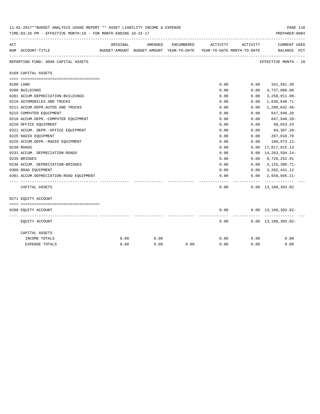|     | 11-01-2017**BUDGET ANALYSIS USAGE REPORT ** ASSET LIABILITY INCOME & EXPENSE<br>TIME:03:26 PM - EFFECTIVE MONTH:10 - FOR MONTH ENDING 10-31-17 |          |                                                     |            |                                        |          | PAGE 118<br>PREPARER: 0004                    |
|-----|------------------------------------------------------------------------------------------------------------------------------------------------|----------|-----------------------------------------------------|------------|----------------------------------------|----------|-----------------------------------------------|
| ACT | NUM ACCOUNT-TITLE                                                                                                                              | ORIGINAL | AMENDED<br>BUDGET-AMOUNT BUDGET-AMOUNT YEAR-TO-DATE | ENCUMBERED | ACTIVITY<br>YEAR-TO-DATE MONTH-TO-DATE | ACTIVITY | <b>CURRENT USED</b><br>BALANCE PCT            |
|     | REPORTING FUND: 0098 CAPITAL ASSETS                                                                                                            |          |                                                     |            |                                        |          | EFFECTIVE MONTH - 10                          |
|     | 0160 CAPITAL ASSETS                                                                                                                            |          |                                                     |            |                                        |          |                                               |
|     |                                                                                                                                                |          |                                                     |            |                                        |          |                                               |
|     | 0100 LAND                                                                                                                                      |          |                                                     |            | 0.00                                   | 0.00     | 341,561.30                                    |
|     | 0200 BUILDINGS                                                                                                                                 |          |                                                     |            | 0.00                                   | 0.00     | 4,737,000.00                                  |
|     | 0201 ACCUM.DEPRECIATION-BUILDINGS                                                                                                              |          |                                                     |            | 0.00                                   | 0.00     | 3, 258, 911.08-                               |
|     | 0210 AUTOMOBILES AND TRUCKS                                                                                                                    |          |                                                     |            | 0.00                                   | 0.00     | 1,836,648.71                                  |
|     | 0211 ACCUM.DEPR.AUTOS AND TRUCKS                                                                                                               |          |                                                     |            | 0.00                                   | 0.00     | 1,280,042.46-                                 |
|     | 0215 COMPUTER EQUIPMENT                                                                                                                        |          |                                                     |            | 0.00                                   | 0.00     | 647,940.20                                    |
|     | 0216 ACCUM.DEPR.-COMPUTER EOUIPMENT                                                                                                            |          |                                                     |            | 0.00                                   | 0.00     | 647,940.20-                                   |
|     | 0220 OFFICE EQUIPMENT                                                                                                                          |          |                                                     |            | 0.00                                   | 0.00     | 99,653.24                                     |
|     | 0221 ACCUM. DEPR. - OFFICE EQUIPMENT                                                                                                           |          |                                                     |            | 0.00                                   | 0.00     | 94,307.28-                                    |
|     | 0225 RADIO EQUIPMENT                                                                                                                           |          |                                                     |            | 0.00                                   | 0.00     | 207,010.70                                    |
|     | 0226 ACCUM.DEPR.-RADIO EQUIPMENT                                                                                                               |          |                                                     |            | 0.00                                   | 0.00     | 186,973.11-                                   |
|     | 0230 ROADS                                                                                                                                     |          |                                                     |            | 0.00                                   |          | $0.00 \quad 17,817,815.13$                    |
|     | 0231 ACCUM. DEPRECIATION-ROADS                                                                                                                 |          |                                                     |            | 0.00                                   |          | $0.00 \quad 14,263,594.24$                    |
|     | 0235 BRIDGES                                                                                                                                   |          |                                                     |            | 0.00                                   |          | $0.00 \quad 9,726,252.91$                     |
|     | 0236 ACCUM. DEPRECIATION-BRIDGES                                                                                                               |          |                                                     |            | 0.00                                   |          | $0.00 \quad 3,125,306.71$ -                   |
|     | 0300 ROAD EQUIPMENT                                                                                                                            |          |                                                     |            | 0.00                                   |          | $0.00$ $3,282,441.12$                         |
|     | 0301 ACCUM.DEPRECIATION-ROAD EOUIPMENT                                                                                                         |          |                                                     |            | 0.00                                   | 0.00     | 2,658,945.21-<br>.                            |
|     | CAPITAL ASSETS                                                                                                                                 |          |                                                     |            | 0.00                                   |          | $0.00 \quad 13,180,303.02$                    |
|     | 0271 EQUITY ACCOUNT                                                                                                                            |          |                                                     |            |                                        |          |                                               |
|     |                                                                                                                                                |          |                                                     |            |                                        |          |                                               |
|     | 0200 EQUITY ACCOUNT                                                                                                                            |          |                                                     |            | 0.00                                   | .        | $0.00 \quad 13,180,303.02 -$<br>------------- |
|     | EQUITY ACCOUNT                                                                                                                                 |          |                                                     |            | 0.00                                   |          | $0.00 \quad 13,180,303.02$ -                  |
|     | CAPITAL ASSETS                                                                                                                                 |          |                                                     |            |                                        |          |                                               |
|     | INCOME TOTALS                                                                                                                                  | 0.00     | 0.00                                                |            | 0.00                                   | 0.00     | 0.00                                          |
|     | EXPENSE TOTALS                                                                                                                                 | 0.00     | 0.00                                                | 0.00       | 0.00                                   | 0.00     | 0.00                                          |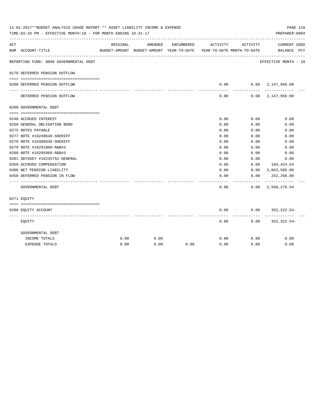|     | 11-01-2017**BUDGET ANALYSIS USAGE REPORT ** ASSET LIABILITY INCOME & EXPENSE<br>TIME:03:26 PM - EFFECTIVE MONTH:10 - FOR MONTH ENDING 10-31-17 |          |                                                     |            |                                        |            | PAGE 119<br>PREPARER: 0004                 |  |
|-----|------------------------------------------------------------------------------------------------------------------------------------------------|----------|-----------------------------------------------------|------------|----------------------------------------|------------|--------------------------------------------|--|
| ACT | NUM ACCOUNT-TITLE                                                                                                                              | ORIGINAL | AMENDED<br>BUDGET-AMOUNT BUDGET-AMOUNT YEAR-TO-DATE | ENCUMBERED | ACTIVITY<br>YEAR-TO-DATE MONTH-TO-DATE | ACTIVITY   | CURRENT USED<br>BALANCE PCT                |  |
|     | REPORTING FUND: 0099 GOVERNMENTAL DEBT                                                                                                         |          |                                                     |            |                                        |            | EFFECTIVE MONTH - 10                       |  |
|     | 0170 DEFERRED PENSION OUTFLOW                                                                                                                  |          |                                                     |            |                                        |            |                                            |  |
|     | 0200 DEFERRED PENSION OUTFLOW                                                                                                                  |          |                                                     |            | 0.00                                   |            | 0.00 2,147,956.00                          |  |
|     | DEFERRED PENSION OUTFLOW                                                                                                                       |          |                                                     |            | ---------<br>0.00                      | ---------- | -------------<br>$0.00 \quad 2,147,956.00$ |  |
|     | 0200 GOVERNMENTAL DEBT                                                                                                                         |          |                                                     |            |                                        |            |                                            |  |
|     |                                                                                                                                                |          |                                                     |            |                                        |            |                                            |  |
|     | 0240 ACCRUED INTEREST                                                                                                                          |          |                                                     |            | 0.00                                   | 0.00       | 0.00                                       |  |
|     | 0250 GENERAL OBLIGATION BOND                                                                                                                   |          |                                                     |            | 0.00                                   | 0.00       | 0.00                                       |  |
|     | 0275 NOTES PAYABLE                                                                                                                             |          |                                                     |            | 0.00                                   | 0.00       | 0.00                                       |  |
|     | 0277 NOTE #16240648-SHERIFF                                                                                                                    |          |                                                     |            | 0.00                                   | 0.00       | 0.00                                       |  |
|     | 0278 NOTE #16308936-SHERIFF                                                                                                                    |          |                                                     |            | 0.00                                   | 0.00       | 0.00                                       |  |
|     | 0279 NOTE #16291000-R&B#3                                                                                                                      |          |                                                     |            | 0.00                                   | 0.00       | 0.00                                       |  |
|     | 0280 NOTE #16295968-R&B#3                                                                                                                      |          |                                                     |            | 0.00                                   | 0.00       | 0.00                                       |  |
|     | 0281 ODYSSEY #16235752-GENERAL                                                                                                                 |          |                                                     |            | 0.00                                   | 0.00       | 0.00                                       |  |
|     | 0350 ACCRUED COMPENSATION                                                                                                                      |          |                                                     |            | 0.00                                   | 0.00       | 184,424.54                                 |  |
|     | 0400 NET PENSION LIABILITY                                                                                                                     |          |                                                     |            | 0.00                                   |            | $0.00 \quad 2,063,586.00$                  |  |
|     | 0450 DEFERRED PENSION IN FLOW                                                                                                                  |          |                                                     |            | 0.00                                   | 0.00       | 252,268.00                                 |  |
|     | GOVERNMENTAL DEBT                                                                                                                              |          |                                                     |            | 0.00                                   |            | $0.00 \quad 2,500,278.54$                  |  |
|     | 0271 EOUITY                                                                                                                                    |          |                                                     |            |                                        |            |                                            |  |
|     |                                                                                                                                                |          |                                                     |            |                                        |            |                                            |  |
|     | 0200 EQUITY ACCOUNT                                                                                                                            |          |                                                     |            | 0.00<br>--------                       | ---------  | $0.00$ $352,322.54$ -                      |  |
|     | EQUITY                                                                                                                                         |          |                                                     |            | 0.00                                   |            | $0.00$ $352,322.54-$                       |  |
|     | GOVERNMENTAL DEBT                                                                                                                              |          |                                                     |            |                                        |            |                                            |  |
|     | INCOME TOTALS                                                                                                                                  | 0.00     | 0.00                                                |            | 0.00                                   | 0.00       | 0.00                                       |  |
|     | <b>EXPENSE TOTALS</b>                                                                                                                          | 0.00     | 0.00                                                | 0.00       | 0.00                                   | 0.00       | 0.00                                       |  |